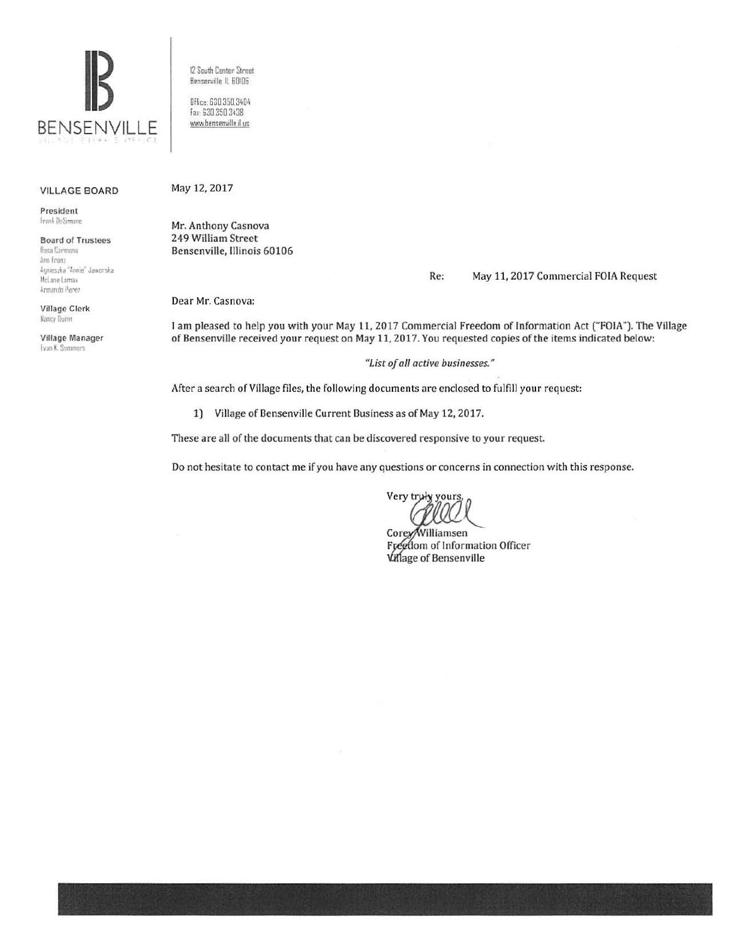

VILLAGE BOARD

President **Irank DeSimone** 

Board of Trustees Rosa Carmona Ann Feanz Agnieszka "Annie" Jawarska Mel ane Lomax Armandn Perez

Village Clerk **Kancy Duinn** 

Village Manager Evan K. Summers

12 South Center Street Bensemille ll 60!06

Office. 630 350.3404 fax 630 350 3438 www.bensenville.il us

## May 12, 2017

Mr. Anthony Casnova 249 William Street Bensenville, Illinois 60106

## Re: May 11. 2017 Commercial FOIA Request

Dear Mr. Casnova:

I am pleased to help you with your May 11, 2017 Commercial Freedom of Information Act ("FOIA"). The Village of Bensenville received your request on May 11, 2017. You requested copies of the items indicated below:

## *"List of all active businesses."*

After a search of Village files, the following documents are enclosed to fulfill your request:

1) Village of Bensenville Current Business as of May 12, 2017.

These are all of the documents that can be discovered responsive to your request.

Do not hesitate to contact me if you have any questions or concerns in connection with this response.

Very truly yours

Corey/Williamsen Freedom of Information Officer Village of Bensenville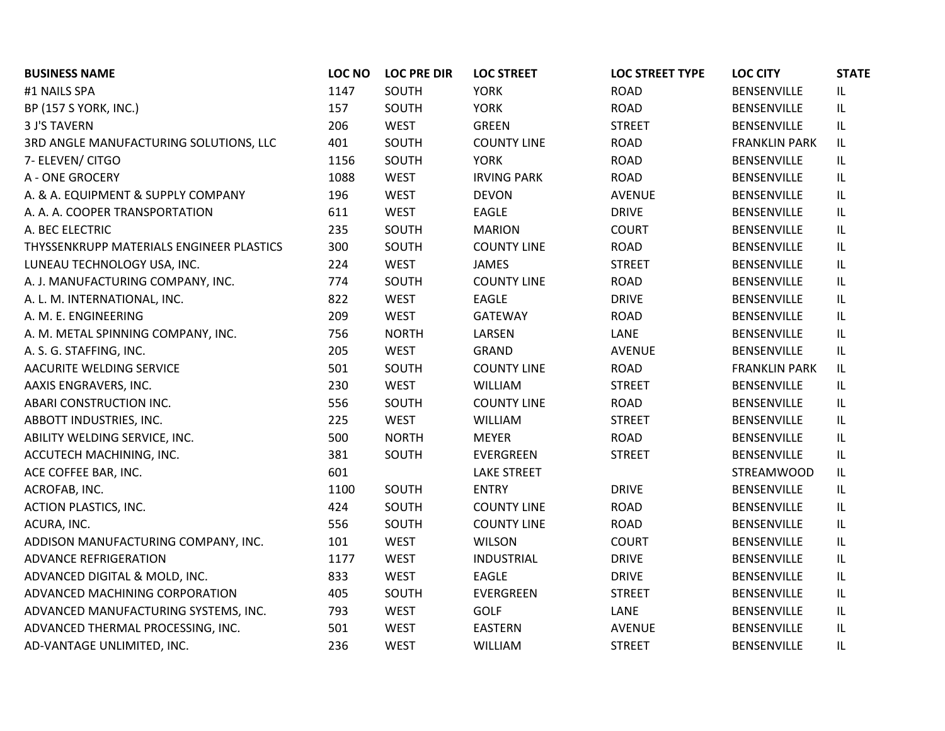| <b>BUSINESS NAME</b>                     | <b>LOC NO</b> | <b>LOC PRE DIR</b> | <b>LOC STREET</b>  | <b>LOC STREET TYPE</b> | <b>LOC CITY</b>      | <b>STATE</b>                      |
|------------------------------------------|---------------|--------------------|--------------------|------------------------|----------------------|-----------------------------------|
| #1 NAILS SPA                             | 1147          | SOUTH              | <b>YORK</b>        | <b>ROAD</b>            | <b>BENSENVILLE</b>   | IL                                |
| <b>BP (157 S YORK, INC.)</b>             | 157           | SOUTH              | <b>YORK</b>        | <b>ROAD</b>            | BENSENVILLE          | IL                                |
| <b>3 J'S TAVERN</b>                      | 206           | <b>WEST</b>        | <b>GREEN</b>       | <b>STREET</b>          | <b>BENSENVILLE</b>   | IL                                |
| 3RD ANGLE MANUFACTURING SOLUTIONS, LLC   | 401           | SOUTH              | <b>COUNTY LINE</b> | <b>ROAD</b>            | <b>FRANKLIN PARK</b> | IL                                |
| 7- ELEVEN/ CITGO                         | 1156          | SOUTH              | <b>YORK</b>        | ROAD                   | <b>BENSENVILLE</b>   | IL                                |
| A - ONE GROCERY                          | 1088          | <b>WEST</b>        | <b>IRVING PARK</b> | ROAD                   | BENSENVILLE          | IL                                |
| A. & A. EQUIPMENT & SUPPLY COMPANY       | 196           | <b>WEST</b>        | <b>DEVON</b>       | <b>AVENUE</b>          | BENSENVILLE          | IL                                |
| A. A. A. COOPER TRANSPORTATION           | 611           | <b>WEST</b>        | <b>EAGLE</b>       | <b>DRIVE</b>           | BENSENVILLE          | IL                                |
| A. BEC ELECTRIC                          | 235           | SOUTH              | <b>MARION</b>      | <b>COURT</b>           | <b>BENSENVILLE</b>   | IL                                |
| THYSSENKRUPP MATERIALS ENGINEER PLASTICS | 300           | SOUTH              | <b>COUNTY LINE</b> | ROAD                   | BENSENVILLE          | IL                                |
| LUNEAU TECHNOLOGY USA, INC.              | 224           | <b>WEST</b>        | JAMES              | <b>STREET</b>          | <b>BENSENVILLE</b>   | IL                                |
| A. J. MANUFACTURING COMPANY, INC.        | 774           | SOUTH              | <b>COUNTY LINE</b> | ROAD                   | BENSENVILLE          | IL                                |
| A. L. M. INTERNATIONAL, INC.             | 822           | <b>WEST</b>        | <b>EAGLE</b>       | <b>DRIVE</b>           | BENSENVILLE          | $\ensuremath{\mathsf{IL}}\xspace$ |
| A. M. E. ENGINEERING                     | 209           | <b>WEST</b>        | GATEWAY            | <b>ROAD</b>            | BENSENVILLE          | IL                                |
| A. M. METAL SPINNING COMPANY, INC.       | 756           | <b>NORTH</b>       | LARSEN             | LANE                   | BENSENVILLE          | IL                                |
| A. S. G. STAFFING, INC.                  | 205           | <b>WEST</b>        | <b>GRAND</b>       | <b>AVENUE</b>          | <b>BENSENVILLE</b>   | IL                                |
| AACURITE WELDING SERVICE                 | 501           | SOUTH              | <b>COUNTY LINE</b> | <b>ROAD</b>            | <b>FRANKLIN PARK</b> | IL                                |
| AAXIS ENGRAVERS, INC.                    | 230           | <b>WEST</b>        | <b>WILLIAM</b>     | <b>STREET</b>          | BENSENVILLE          | IL                                |
| ABARI CONSTRUCTION INC.                  | 556           | SOUTH              | <b>COUNTY LINE</b> | ROAD                   | BENSENVILLE          | IL                                |
| ABBOTT INDUSTRIES, INC.                  | 225           | <b>WEST</b>        | WILLIAM            | <b>STREET</b>          | <b>BENSENVILLE</b>   | IL                                |
| ABILITY WELDING SERVICE, INC.            | 500           | <b>NORTH</b>       | <b>MEYER</b>       | ROAD                   | BENSENVILLE          | $\ensuremath{\mathsf{IL}}\xspace$ |
| ACCUTECH MACHINING, INC.                 | 381           | SOUTH              | EVERGREEN          | <b>STREET</b>          | BENSENVILLE          | IL                                |
| ACE COFFEE BAR, INC.                     | 601           |                    | <b>LAKE STREET</b> |                        | <b>STREAMWOOD</b>    | IL                                |
| ACROFAB, INC.                            | 1100          | SOUTH              | <b>ENTRY</b>       | <b>DRIVE</b>           | BENSENVILLE          | IL                                |
| ACTION PLASTICS, INC.                    | 424           | SOUTH              | <b>COUNTY LINE</b> | <b>ROAD</b>            | <b>BENSENVILLE</b>   | IL                                |
| ACURA, INC.                              | 556           | SOUTH              | <b>COUNTY LINE</b> | <b>ROAD</b>            | <b>BENSENVILLE</b>   | IL                                |
| ADDISON MANUFACTURING COMPANY, INC.      | 101           | <b>WEST</b>        | <b>WILSON</b>      | <b>COURT</b>           | <b>BENSENVILLE</b>   | IL                                |
| <b>ADVANCE REFRIGERATION</b>             | 1177          | <b>WEST</b>        | <b>INDUSTRIAL</b>  | <b>DRIVE</b>           | <b>BENSENVILLE</b>   | IL                                |
| ADVANCED DIGITAL & MOLD, INC.            | 833           | <b>WEST</b>        | EAGLE              | <b>DRIVE</b>           | <b>BENSENVILLE</b>   | IL                                |
| ADVANCED MACHINING CORPORATION           | 405           | SOUTH              | EVERGREEN          | <b>STREET</b>          | BENSENVILLE          | IL                                |
| ADVANCED MANUFACTURING SYSTEMS, INC.     | 793           | <b>WEST</b>        | GOLF               | LANE                   | BENSENVILLE          | IL                                |
| ADVANCED THERMAL PROCESSING, INC.        | 501           | <b>WEST</b>        | EASTERN            | <b>AVENUE</b>          | BENSENVILLE          | IL                                |
| AD-VANTAGE UNLIMITED, INC.               | 236           | <b>WEST</b>        | WILLIAM            | <b>STREET</b>          | <b>BENSENVILLE</b>   | IL                                |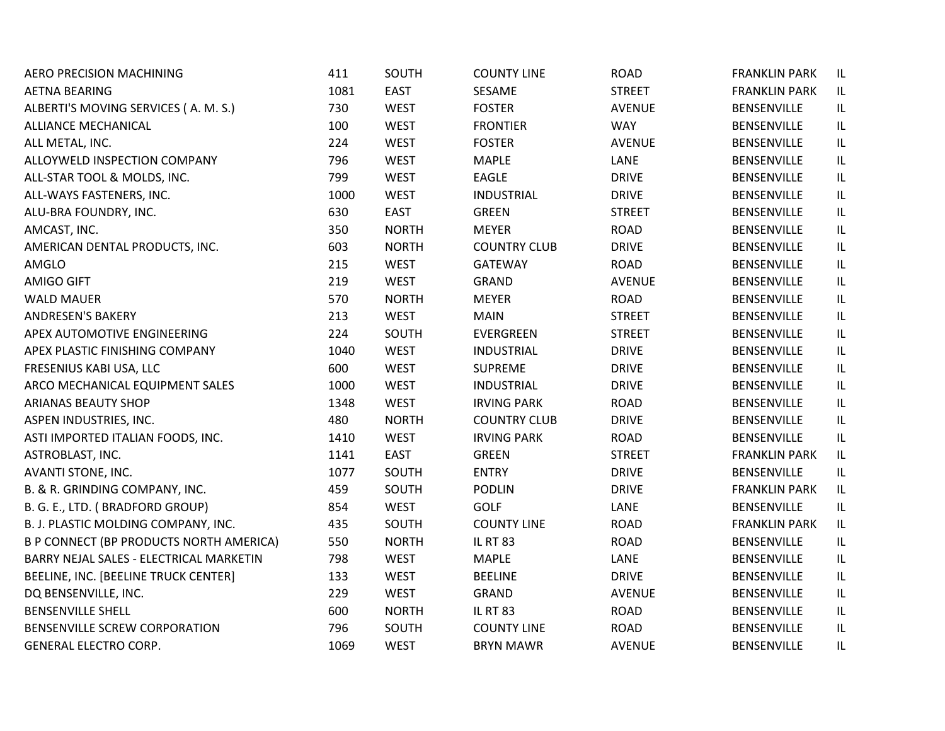| AERO PRECISION MACHINING                | 411  | SOUTH        | <b>COUNTY LINE</b>  | <b>ROAD</b>   | <b>FRANKLIN PARK</b> | IL |
|-----------------------------------------|------|--------------|---------------------|---------------|----------------------|----|
| <b>AETNA BEARING</b>                    | 1081 | <b>EAST</b>  | SESAME              | <b>STREET</b> | <b>FRANKLIN PARK</b> | IL |
| ALBERTI'S MOVING SERVICES (A. M. S.)    | 730  | <b>WEST</b>  | <b>FOSTER</b>       | <b>AVENUE</b> | <b>BENSENVILLE</b>   | IL |
| ALLIANCE MECHANICAL                     | 100  | <b>WEST</b>  | <b>FRONTIER</b>     | <b>WAY</b>    | <b>BENSENVILLE</b>   | IL |
| ALL METAL, INC.                         | 224  | <b>WEST</b>  | <b>FOSTER</b>       | <b>AVENUE</b> | <b>BENSENVILLE</b>   | IL |
| ALLOYWELD INSPECTION COMPANY            | 796  | <b>WEST</b>  | <b>MAPLE</b>        | LANE          | BENSENVILLE          | IL |
| ALL-STAR TOOL & MOLDS, INC.             | 799  | <b>WEST</b>  | <b>EAGLE</b>        | <b>DRIVE</b>  | BENSENVILLE          | IL |
| ALL-WAYS FASTENERS, INC.                | 1000 | <b>WEST</b>  | <b>INDUSTRIAL</b>   | <b>DRIVE</b>  | <b>BENSENVILLE</b>   | IL |
| ALU-BRA FOUNDRY, INC.                   | 630  | <b>EAST</b>  | <b>GREEN</b>        | <b>STREET</b> | <b>BENSENVILLE</b>   | IL |
| AMCAST, INC.                            | 350  | <b>NORTH</b> | <b>MEYER</b>        | <b>ROAD</b>   | <b>BENSENVILLE</b>   | IL |
| AMERICAN DENTAL PRODUCTS, INC.          | 603  | <b>NORTH</b> | <b>COUNTRY CLUB</b> | <b>DRIVE</b>  | BENSENVILLE          | IL |
| AMGLO                                   | 215  | <b>WEST</b>  | <b>GATEWAY</b>      | <b>ROAD</b>   | <b>BENSENVILLE</b>   | IL |
| <b>AMIGO GIFT</b>                       | 219  | <b>WEST</b>  | <b>GRAND</b>        | <b>AVENUE</b> | <b>BENSENVILLE</b>   | IL |
| <b>WALD MAUER</b>                       | 570  | <b>NORTH</b> | <b>MEYER</b>        | <b>ROAD</b>   | BENSENVILLE          | IL |
| <b>ANDRESEN'S BAKERY</b>                | 213  | <b>WEST</b>  | <b>MAIN</b>         | <b>STREET</b> | <b>BENSENVILLE</b>   | IL |
| APEX AUTOMOTIVE ENGINEERING             | 224  | SOUTH        | EVERGREEN           | <b>STREET</b> | <b>BENSENVILLE</b>   | IL |
| APEX PLASTIC FINISHING COMPANY          | 1040 | <b>WEST</b>  | <b>INDUSTRIAL</b>   | <b>DRIVE</b>  | <b>BENSENVILLE</b>   | IL |
| FRESENIUS KABI USA, LLC                 | 600  | <b>WEST</b>  | <b>SUPREME</b>      | <b>DRIVE</b>  | <b>BENSENVILLE</b>   | IL |
| ARCO MECHANICAL EQUIPMENT SALES         | 1000 | <b>WEST</b>  | <b>INDUSTRIAL</b>   | <b>DRIVE</b>  | <b>BENSENVILLE</b>   | IL |
| ARIANAS BEAUTY SHOP                     | 1348 | <b>WEST</b>  | <b>IRVING PARK</b>  | <b>ROAD</b>   | BENSENVILLE          | IL |
| ASPEN INDUSTRIES, INC.                  | 480  | <b>NORTH</b> | <b>COUNTRY CLUB</b> | <b>DRIVE</b>  | BENSENVILLE          | IL |
| ASTI IMPORTED ITALIAN FOODS, INC.       | 1410 | <b>WEST</b>  | <b>IRVING PARK</b>  | <b>ROAD</b>   | <b>BENSENVILLE</b>   | IL |
| ASTROBLAST, INC.                        | 1141 | EAST         | <b>GREEN</b>        | <b>STREET</b> | <b>FRANKLIN PARK</b> | IL |
| AVANTI STONE, INC.                      | 1077 | SOUTH        | <b>ENTRY</b>        | <b>DRIVE</b>  | <b>BENSENVILLE</b>   | IL |
| B. & R. GRINDING COMPANY, INC.          | 459  | SOUTH        | <b>PODLIN</b>       | <b>DRIVE</b>  | <b>FRANKLIN PARK</b> | IL |
| B. G. E., LTD. (BRADFORD GROUP)         | 854  | <b>WEST</b>  | <b>GOLF</b>         | LANE          | BENSENVILLE          | IL |
| B. J. PLASTIC MOLDING COMPANY, INC.     | 435  | SOUTH        | <b>COUNTY LINE</b>  | <b>ROAD</b>   | <b>FRANKLIN PARK</b> | IL |
| B P CONNECT (BP PRODUCTS NORTH AMERICA) | 550  | <b>NORTH</b> | <b>IL RT 83</b>     | <b>ROAD</b>   | BENSENVILLE          | IL |
| BARRY NEJAL SALES - ELECTRICAL MARKETIN | 798  | <b>WEST</b>  | <b>MAPLE</b>        | LANE          | BENSENVILLE          | IL |
| BEELINE, INC. [BEELINE TRUCK CENTER]    | 133  | <b>WEST</b>  | <b>BEELINE</b>      | <b>DRIVE</b>  | BENSENVILLE          | IL |
| DQ BENSENVILLE, INC.                    | 229  | <b>WEST</b>  | GRAND               | <b>AVENUE</b> | <b>BENSENVILLE</b>   | IL |
| <b>BENSENVILLE SHELL</b>                | 600  | <b>NORTH</b> | <b>IL RT 83</b>     | <b>ROAD</b>   | BENSENVILLE          | IL |
| BENSENVILLE SCREW CORPORATION           | 796  | SOUTH        | <b>COUNTY LINE</b>  | <b>ROAD</b>   | BENSENVILLE          | IL |
| <b>GENERAL ELECTRO CORP.</b>            | 1069 | <b>WEST</b>  | <b>BRYN MAWR</b>    | <b>AVENUE</b> | <b>BENSENVILLE</b>   | IL |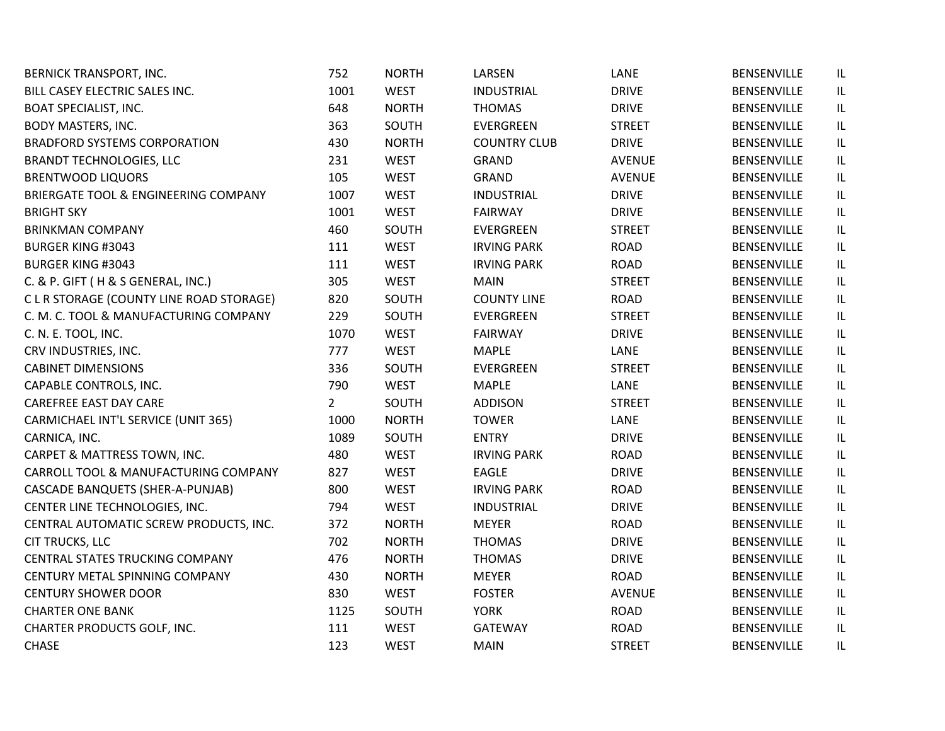| <b>BERNICK TRANSPORT, INC.</b>           | 752            | <b>NORTH</b> | LARSEN              | LANE          | BENSENVILLE        | IL                                |
|------------------------------------------|----------------|--------------|---------------------|---------------|--------------------|-----------------------------------|
| BILL CASEY ELECTRIC SALES INC.           | 1001           | <b>WEST</b>  | <b>INDUSTRIAL</b>   | <b>DRIVE</b>  | <b>BENSENVILLE</b> | IL                                |
| <b>BOAT SPECIALIST, INC.</b>             | 648            | <b>NORTH</b> | <b>THOMAS</b>       | <b>DRIVE</b>  | BENSENVILLE        | IL                                |
| <b>BODY MASTERS, INC.</b>                | 363            | SOUTH        | EVERGREEN           | <b>STREET</b> | <b>BENSENVILLE</b> | IL                                |
| <b>BRADFORD SYSTEMS CORPORATION</b>      | 430            | <b>NORTH</b> | <b>COUNTRY CLUB</b> | <b>DRIVE</b>  | <b>BENSENVILLE</b> | $\ensuremath{\mathsf{IL}}\xspace$ |
| <b>BRANDT TECHNOLOGIES, LLC</b>          | 231            | <b>WEST</b>  | GRAND               | <b>AVENUE</b> | BENSENVILLE        | IL                                |
| <b>BRENTWOOD LIQUORS</b>                 | 105            | <b>WEST</b>  | <b>GRAND</b>        | <b>AVENUE</b> | BENSENVILLE        | $\ensuremath{\mathsf{IL}}\xspace$ |
| BRIERGATE TOOL & ENGINEERING COMPANY     | 1007           | <b>WEST</b>  | <b>INDUSTRIAL</b>   | <b>DRIVE</b>  | <b>BENSENVILLE</b> | IL                                |
| <b>BRIGHT SKY</b>                        | 1001           | <b>WEST</b>  | <b>FAIRWAY</b>      | <b>DRIVE</b>  | BENSENVILLE        | IL                                |
| <b>BRINKMAN COMPANY</b>                  | 460            | SOUTH        | EVERGREEN           | <b>STREET</b> | BENSENVILLE        | IL                                |
| <b>BURGER KING #3043</b>                 | 111            | <b>WEST</b>  | <b>IRVING PARK</b>  | <b>ROAD</b>   | BENSENVILLE        | IL                                |
| <b>BURGER KING #3043</b>                 | 111            | <b>WEST</b>  | <b>IRVING PARK</b>  | <b>ROAD</b>   | <b>BENSENVILLE</b> | IL                                |
| C. & P. GIFT (H & S GENERAL, INC.)       | 305            | <b>WEST</b>  | <b>MAIN</b>         | <b>STREET</b> | BENSENVILLE        | IL                                |
| C L R STORAGE (COUNTY LINE ROAD STORAGE) | 820            | SOUTH        | <b>COUNTY LINE</b>  | <b>ROAD</b>   | BENSENVILLE        | IL                                |
| C. M. C. TOOL & MANUFACTURING COMPANY    | 229            | SOUTH        | EVERGREEN           | <b>STREET</b> | BENSENVILLE        | IL                                |
| C. N. E. TOOL, INC.                      | 1070           | <b>WEST</b>  | <b>FAIRWAY</b>      | <b>DRIVE</b>  | <b>BENSENVILLE</b> | $\ensuremath{\mathsf{IL}}\xspace$ |
| CRV INDUSTRIES, INC.                     | 777            | <b>WEST</b>  | <b>MAPLE</b>        | LANE          | <b>BENSENVILLE</b> | IL                                |
| <b>CABINET DIMENSIONS</b>                | 336            | SOUTH        | EVERGREEN           | <b>STREET</b> | BENSENVILLE        | IL                                |
| CAPABLE CONTROLS, INC.                   | 790            | <b>WEST</b>  | <b>MAPLE</b>        | LANE          | BENSENVILLE        | IL                                |
| CAREFREE EAST DAY CARE                   | $\overline{2}$ | SOUTH        | <b>ADDISON</b>      | <b>STREET</b> | BENSENVILLE        | IL                                |
| CARMICHAEL INT'L SERVICE (UNIT 365)      | 1000           | <b>NORTH</b> | <b>TOWER</b>        | LANE          | BENSENVILLE        | IL                                |
| CARNICA, INC.                            | 1089           | SOUTH        | <b>ENTRY</b>        | <b>DRIVE</b>  | BENSENVILLE        | IL                                |
| CARPET & MATTRESS TOWN, INC.             | 480            | <b>WEST</b>  | <b>IRVING PARK</b>  | <b>ROAD</b>   | BENSENVILLE        | IL                                |
| CARROLL TOOL & MANUFACTURING COMPANY     | 827            | <b>WEST</b>  | <b>EAGLE</b>        | <b>DRIVE</b>  | BENSENVILLE        | IL                                |
| CASCADE BANQUETS (SHER-A-PUNJAB)         | 800            | <b>WEST</b>  | <b>IRVING PARK</b>  | <b>ROAD</b>   | BENSENVILLE        | IL                                |
| CENTER LINE TECHNOLOGIES, INC.           | 794            | <b>WEST</b>  | <b>INDUSTRIAL</b>   | <b>DRIVE</b>  | <b>BENSENVILLE</b> | $\ensuremath{\mathsf{IL}}\xspace$ |
| CENTRAL AUTOMATIC SCREW PRODUCTS, INC.   | 372            | <b>NORTH</b> | <b>MEYER</b>        | <b>ROAD</b>   | BENSENVILLE        | IL                                |
| <b>CIT TRUCKS, LLC</b>                   | 702            | <b>NORTH</b> | <b>THOMAS</b>       | <b>DRIVE</b>  | BENSENVILLE        | $\ensuremath{\mathsf{IL}}\xspace$ |
| CENTRAL STATES TRUCKING COMPANY          | 476            | <b>NORTH</b> | <b>THOMAS</b>       | <b>DRIVE</b>  | <b>BENSENVILLE</b> | IL                                |
| CENTURY METAL SPINNING COMPANY           | 430            | <b>NORTH</b> | <b>MEYER</b>        | <b>ROAD</b>   | BENSENVILLE        | IL                                |
| <b>CENTURY SHOWER DOOR</b>               | 830            | <b>WEST</b>  | <b>FOSTER</b>       | <b>AVENUE</b> | BENSENVILLE        | IL                                |
| <b>CHARTER ONE BANK</b>                  | 1125           | SOUTH        | <b>YORK</b>         | <b>ROAD</b>   | BENSENVILLE        | IL                                |
| CHARTER PRODUCTS GOLF, INC.              | 111            | <b>WEST</b>  | <b>GATEWAY</b>      | <b>ROAD</b>   | BENSENVILLE        | IL                                |
| <b>CHASE</b>                             | 123            | <b>WEST</b>  | <b>MAIN</b>         | <b>STREET</b> | <b>BENSENVILLE</b> | IL                                |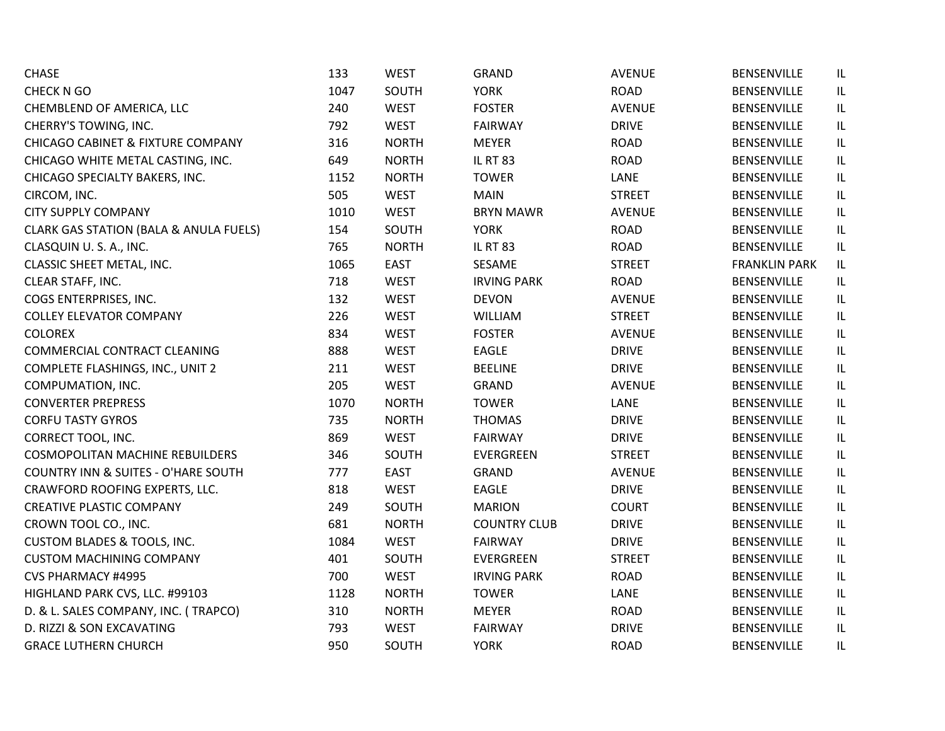| <b>CHASE</b>                                      | 133  | <b>WEST</b>  | <b>GRAND</b>        | <b>AVENUE</b> | <b>BENSENVILLE</b>   | IL  |
|---------------------------------------------------|------|--------------|---------------------|---------------|----------------------|-----|
| CHECK N GO                                        | 1047 | SOUTH        | <b>YORK</b>         | <b>ROAD</b>   | <b>BENSENVILLE</b>   | IL. |
| CHEMBLEND OF AMERICA, LLC                         | 240  | <b>WEST</b>  | <b>FOSTER</b>       | <b>AVENUE</b> | <b>BENSENVILLE</b>   | IL. |
| CHERRY'S TOWING, INC.                             | 792  | <b>WEST</b>  | <b>FAIRWAY</b>      | <b>DRIVE</b>  | <b>BENSENVILLE</b>   | IL  |
| <b>CHICAGO CABINET &amp; FIXTURE COMPANY</b>      | 316  | <b>NORTH</b> | <b>MEYER</b>        | <b>ROAD</b>   | <b>BENSENVILLE</b>   | IL  |
| CHICAGO WHITE METAL CASTING, INC.                 | 649  | <b>NORTH</b> | <b>IL RT 83</b>     | <b>ROAD</b>   | <b>BENSENVILLE</b>   | IL  |
| CHICAGO SPECIALTY BAKERS, INC.                    | 1152 | <b>NORTH</b> | <b>TOWER</b>        | LANE          | <b>BENSENVILLE</b>   | IL  |
| CIRCOM, INC.                                      | 505  | <b>WEST</b>  | <b>MAIN</b>         | <b>STREET</b> | <b>BENSENVILLE</b>   | IL  |
| <b>CITY SUPPLY COMPANY</b>                        | 1010 | <b>WEST</b>  | <b>BRYN MAWR</b>    | <b>AVENUE</b> | <b>BENSENVILLE</b>   | IL  |
| <b>CLARK GAS STATION (BALA &amp; ANULA FUELS)</b> | 154  | SOUTH        | <b>YORK</b>         | <b>ROAD</b>   | <b>BENSENVILLE</b>   | IL  |
| CLASQUIN U.S.A., INC.                             | 765  | <b>NORTH</b> | <b>IL RT 83</b>     | <b>ROAD</b>   | <b>BENSENVILLE</b>   | IL  |
| CLASSIC SHEET METAL, INC.                         | 1065 | <b>EAST</b>  | SESAME              | <b>STREET</b> | <b>FRANKLIN PARK</b> | IL. |
| CLEAR STAFF, INC.                                 | 718  | <b>WEST</b>  | <b>IRVING PARK</b>  | <b>ROAD</b>   | BENSENVILLE          | IL. |
| COGS ENTERPRISES, INC.                            | 132  | <b>WEST</b>  | <b>DEVON</b>        | <b>AVENUE</b> | <b>BENSENVILLE</b>   | IL  |
| <b>COLLEY ELEVATOR COMPANY</b>                    | 226  | <b>WEST</b>  | <b>WILLIAM</b>      | <b>STREET</b> | <b>BENSENVILLE</b>   | IL  |
| <b>COLOREX</b>                                    | 834  | <b>WEST</b>  | <b>FOSTER</b>       | <b>AVENUE</b> | <b>BENSENVILLE</b>   | IL  |
| COMMERCIAL CONTRACT CLEANING                      | 888  | <b>WEST</b>  | <b>EAGLE</b>        | <b>DRIVE</b>  | <b>BENSENVILLE</b>   | IL  |
| COMPLETE FLASHINGS, INC., UNIT 2                  | 211  | <b>WEST</b>  | <b>BEELINE</b>      | <b>DRIVE</b>  | <b>BENSENVILLE</b>   | IL  |
| COMPUMATION, INC.                                 | 205  | <b>WEST</b>  | <b>GRAND</b>        | <b>AVENUE</b> | <b>BENSENVILLE</b>   | IL  |
| <b>CONVERTER PREPRESS</b>                         | 1070 | <b>NORTH</b> | <b>TOWER</b>        | LANE          | <b>BENSENVILLE</b>   | IL. |
| <b>CORFU TASTY GYROS</b>                          | 735  | <b>NORTH</b> | <b>THOMAS</b>       | <b>DRIVE</b>  | <b>BENSENVILLE</b>   | IL  |
| CORRECT TOOL, INC.                                | 869  | <b>WEST</b>  | <b>FAIRWAY</b>      | <b>DRIVE</b>  | <b>BENSENVILLE</b>   | IL  |
| <b>COSMOPOLITAN MACHINE REBUILDERS</b>            | 346  | SOUTH        | EVERGREEN           | <b>STREET</b> | <b>BENSENVILLE</b>   | IL  |
| <b>COUNTRY INN &amp; SUITES - O'HARE SOUTH</b>    | 777  | <b>EAST</b>  | <b>GRAND</b>        | <b>AVENUE</b> | <b>BENSENVILLE</b>   | IL  |
| CRAWFORD ROOFING EXPERTS, LLC.                    | 818  | <b>WEST</b>  | EAGLE               | <b>DRIVE</b>  | <b>BENSENVILLE</b>   | IL  |
| <b>CREATIVE PLASTIC COMPANY</b>                   | 249  | SOUTH        | <b>MARION</b>       | <b>COURT</b>  | <b>BENSENVILLE</b>   | IL  |
| CROWN TOOL CO., INC.                              | 681  | <b>NORTH</b> | <b>COUNTRY CLUB</b> | <b>DRIVE</b>  | BENSENVILLE          | IL  |
| <b>CUSTOM BLADES &amp; TOOLS, INC.</b>            | 1084 | <b>WEST</b>  | <b>FAIRWAY</b>      | <b>DRIVE</b>  | <b>BENSENVILLE</b>   | IL  |
| <b>CUSTOM MACHINING COMPANY</b>                   | 401  | SOUTH        | EVERGREEN           | <b>STREET</b> | <b>BENSENVILLE</b>   | IL  |
| CVS PHARMACY #4995                                | 700  | <b>WEST</b>  | <b>IRVING PARK</b>  | <b>ROAD</b>   | <b>BENSENVILLE</b>   | IL  |
| HIGHLAND PARK CVS, LLC. #99103                    | 1128 | <b>NORTH</b> | <b>TOWER</b>        | LANE          | BENSENVILLE          | IL  |
| D. & L. SALES COMPANY, INC. (TRAPCO)              | 310  | <b>NORTH</b> | <b>MEYER</b>        | <b>ROAD</b>   | <b>BENSENVILLE</b>   | IL  |
| D. RIZZI & SON EXCAVATING                         | 793  | <b>WEST</b>  | <b>FAIRWAY</b>      | <b>DRIVE</b>  | <b>BENSENVILLE</b>   | IL  |
| <b>GRACE LUTHERN CHURCH</b>                       | 950  | SOUTH        | <b>YORK</b>         | <b>ROAD</b>   | <b>BENSENVILLE</b>   | IL  |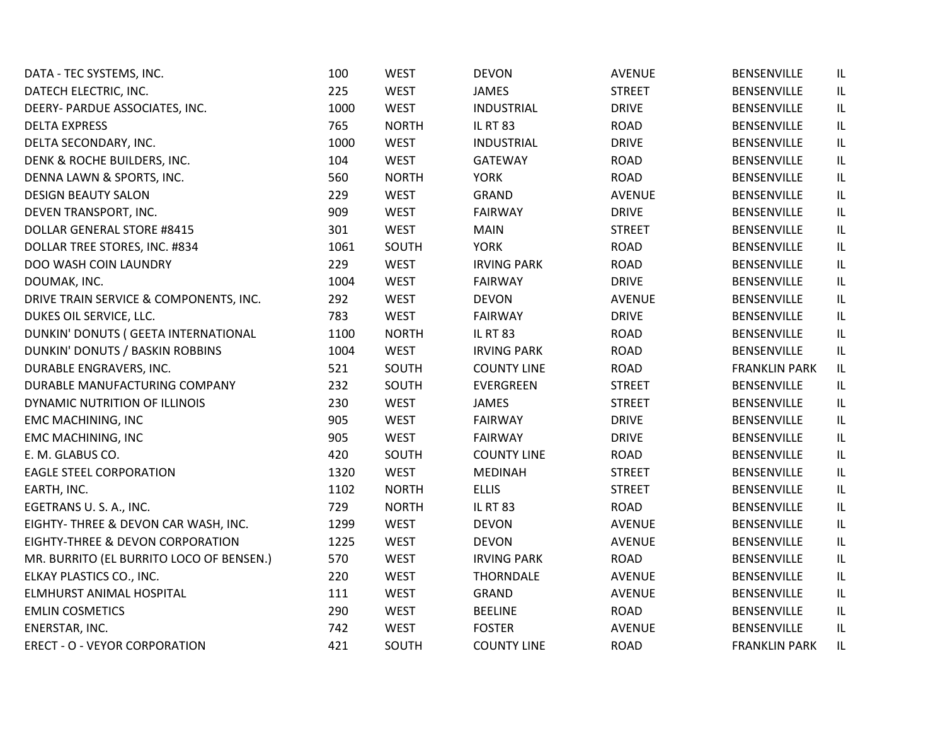| DATA - TEC SYSTEMS, INC.                 | 100  | <b>WEST</b>  | <b>DEVON</b>       | <b>AVENUE</b> | <b>BENSENVILLE</b>   | IL                                |
|------------------------------------------|------|--------------|--------------------|---------------|----------------------|-----------------------------------|
| DATECH ELECTRIC, INC.                    | 225  | <b>WEST</b>  | <b>JAMES</b>       | <b>STREET</b> | <b>BENSENVILLE</b>   | IL                                |
| DEERY- PARDUE ASSOCIATES, INC.           | 1000 | <b>WEST</b>  | <b>INDUSTRIAL</b>  | <b>DRIVE</b>  | <b>BENSENVILLE</b>   | IL                                |
| <b>DELTA EXPRESS</b>                     | 765  | <b>NORTH</b> | <b>IL RT 83</b>    | <b>ROAD</b>   | <b>BENSENVILLE</b>   | $\ensuremath{\mathsf{IL}}\xspace$ |
| DELTA SECONDARY, INC.                    | 1000 | <b>WEST</b>  | <b>INDUSTRIAL</b>  | <b>DRIVE</b>  | BENSENVILLE          | $\ensuremath{\mathsf{IL}}\xspace$ |
| DENK & ROCHE BUILDERS, INC.              | 104  | <b>WEST</b>  | <b>GATEWAY</b>     | <b>ROAD</b>   | <b>BENSENVILLE</b>   | $\sf IL$                          |
| DENNA LAWN & SPORTS, INC.                | 560  | <b>NORTH</b> | <b>YORK</b>        | <b>ROAD</b>   | BENSENVILLE          | $\ensuremath{\mathsf{IL}}\xspace$ |
| <b>DESIGN BEAUTY SALON</b>               | 229  | <b>WEST</b>  | <b>GRAND</b>       | <b>AVENUE</b> | <b>BENSENVILLE</b>   | $\ensuremath{\mathsf{IL}}\xspace$ |
| DEVEN TRANSPORT, INC.                    | 909  | <b>WEST</b>  | <b>FAIRWAY</b>     | <b>DRIVE</b>  | <b>BENSENVILLE</b>   | $\ensuremath{\mathsf{IL}}\xspace$ |
| <b>DOLLAR GENERAL STORE #8415</b>        | 301  | <b>WEST</b>  | <b>MAIN</b>        | <b>STREET</b> | <b>BENSENVILLE</b>   | $\ensuremath{\mathsf{IL}}\xspace$ |
| DOLLAR TREE STORES, INC. #834            | 1061 | SOUTH        | <b>YORK</b>        | <b>ROAD</b>   | <b>BENSENVILLE</b>   | IL                                |
| DOO WASH COIN LAUNDRY                    | 229  | <b>WEST</b>  | <b>IRVING PARK</b> | <b>ROAD</b>   | BENSENVILLE          | IL                                |
| DOUMAK, INC.                             | 1004 | <b>WEST</b>  | <b>FAIRWAY</b>     | <b>DRIVE</b>  | <b>BENSENVILLE</b>   | $\ensuremath{\mathsf{IL}}\xspace$ |
| DRIVE TRAIN SERVICE & COMPONENTS, INC.   | 292  | <b>WEST</b>  | <b>DEVON</b>       | <b>AVENUE</b> | <b>BENSENVILLE</b>   | IL                                |
| DUKES OIL SERVICE, LLC.                  | 783  | <b>WEST</b>  | FAIRWAY            | <b>DRIVE</b>  | <b>BENSENVILLE</b>   | $\ensuremath{\mathsf{IL}}\xspace$ |
| DUNKIN' DONUTS ( GEETA INTERNATIONAL     | 1100 | <b>NORTH</b> | <b>IL RT 83</b>    | <b>ROAD</b>   | <b>BENSENVILLE</b>   | IL                                |
| DUNKIN' DONUTS / BASKIN ROBBINS          | 1004 | <b>WEST</b>  | <b>IRVING PARK</b> | <b>ROAD</b>   | BENSENVILLE          | IL                                |
| DURABLE ENGRAVERS, INC.                  | 521  | SOUTH        | <b>COUNTY LINE</b> | <b>ROAD</b>   | <b>FRANKLIN PARK</b> | $\ensuremath{\mathsf{IL}}\xspace$ |
| DURABLE MANUFACTURING COMPANY            | 232  | SOUTH        | <b>EVERGREEN</b>   | <b>STREET</b> | <b>BENSENVILLE</b>   | IL                                |
| DYNAMIC NUTRITION OF ILLINOIS            | 230  | <b>WEST</b>  | JAMES              | <b>STREET</b> | <b>BENSENVILLE</b>   | IL                                |
| <b>EMC MACHINING, INC</b>                | 905  | <b>WEST</b>  | <b>FAIRWAY</b>     | <b>DRIVE</b>  | <b>BENSENVILLE</b>   | $\sf IL$                          |
| <b>EMC MACHINING, INC</b>                | 905  | <b>WEST</b>  | <b>FAIRWAY</b>     | <b>DRIVE</b>  | <b>BENSENVILLE</b>   | $\sf IL$                          |
| E. M. GLABUS CO.                         | 420  | SOUTH        | <b>COUNTY LINE</b> | <b>ROAD</b>   | <b>BENSENVILLE</b>   | $\ensuremath{\mathsf{IL}}\xspace$ |
| <b>EAGLE STEEL CORPORATION</b>           | 1320 | <b>WEST</b>  | <b>MEDINAH</b>     | <b>STREET</b> | <b>BENSENVILLE</b>   | $\ensuremath{\mathsf{IL}}\xspace$ |
| EARTH, INC.                              | 1102 | <b>NORTH</b> | <b>ELLIS</b>       | <b>STREET</b> | BENSENVILLE          | $\sf IL$                          |
| EGETRANS U. S. A., INC.                  | 729  | <b>NORTH</b> | <b>IL RT 83</b>    | <b>ROAD</b>   | <b>BENSENVILLE</b>   | $\sf IL$                          |
| EIGHTY- THREE & DEVON CAR WASH, INC.     | 1299 | <b>WEST</b>  | <b>DEVON</b>       | <b>AVENUE</b> | <b>BENSENVILLE</b>   | $\ensuremath{\mathsf{IL}}\xspace$ |
| EIGHTY-THREE & DEVON CORPORATION         | 1225 | <b>WEST</b>  | <b>DEVON</b>       | <b>AVENUE</b> | <b>BENSENVILLE</b>   | $\ensuremath{\mathsf{IL}}\xspace$ |
| MR. BURRITO (EL BURRITO LOCO OF BENSEN.) | 570  | <b>WEST</b>  | <b>IRVING PARK</b> | <b>ROAD</b>   | <b>BENSENVILLE</b>   | $\ensuremath{\mathsf{IL}}\xspace$ |
| ELKAY PLASTICS CO., INC.                 | 220  | <b>WEST</b>  | <b>THORNDALE</b>   | <b>AVENUE</b> | BENSENVILLE          | $\sf IL$                          |
| ELMHURST ANIMAL HOSPITAL                 | 111  | <b>WEST</b>  | <b>GRAND</b>       | <b>AVENUE</b> | BENSENVILLE          | IL                                |
| <b>EMLIN COSMETICS</b>                   | 290  | <b>WEST</b>  | <b>BEELINE</b>     | <b>ROAD</b>   | <b>BENSENVILLE</b>   | $\ensuremath{\mathsf{IL}}\xspace$ |
| ENERSTAR, INC.                           | 742  | <b>WEST</b>  | <b>FOSTER</b>      | <b>AVENUE</b> | BENSENVILLE          | $\sf IL$                          |
| <b>ERECT - O - VEYOR CORPORATION</b>     | 421  | SOUTH        | <b>COUNTY LINE</b> | <b>ROAD</b>   | <b>FRANKLIN PARK</b> | IL                                |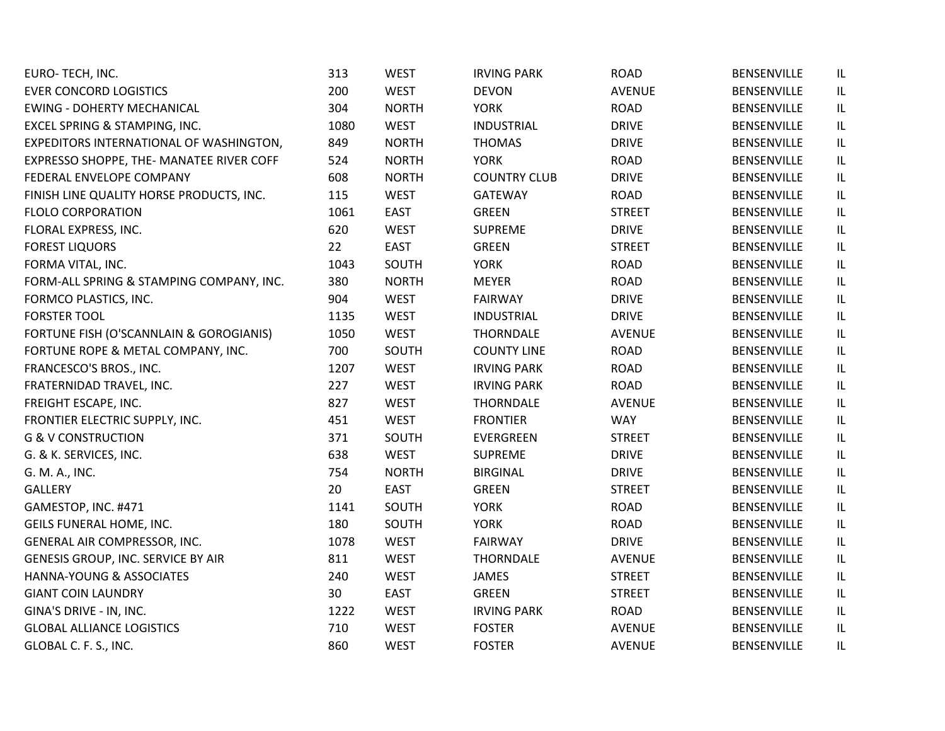| EURO-TECH, INC.                          | 313  | <b>WEST</b>  | <b>IRVING PARK</b>  | <b>ROAD</b>   | BENSENVILLE        | IL |
|------------------------------------------|------|--------------|---------------------|---------------|--------------------|----|
| <b>EVER CONCORD LOGISTICS</b>            | 200  | <b>WEST</b>  | <b>DEVON</b>        | <b>AVENUE</b> | <b>BENSENVILLE</b> | IL |
| <b>EWING - DOHERTY MECHANICAL</b>        | 304  | <b>NORTH</b> | <b>YORK</b>         | <b>ROAD</b>   | BENSENVILLE        | IL |
| EXCEL SPRING & STAMPING, INC.            | 1080 | <b>WEST</b>  | <b>INDUSTRIAL</b>   | <b>DRIVE</b>  | BENSENVILLE        | IL |
| EXPEDITORS INTERNATIONAL OF WASHINGTON,  | 849  | <b>NORTH</b> | <b>THOMAS</b>       | <b>DRIVE</b>  | BENSENVILLE        | IL |
| EXPRESSO SHOPPE, THE- MANATEE RIVER COFF | 524  | <b>NORTH</b> | <b>YORK</b>         | <b>ROAD</b>   | BENSENVILLE        | IL |
| FEDERAL ENVELOPE COMPANY                 | 608  | <b>NORTH</b> | <b>COUNTRY CLUB</b> | <b>DRIVE</b>  | BENSENVILLE        | IL |
| FINISH LINE QUALITY HORSE PRODUCTS, INC. | 115  | <b>WEST</b>  | <b>GATEWAY</b>      | <b>ROAD</b>   | BENSENVILLE        | IL |
| <b>FLOLO CORPORATION</b>                 | 1061 | <b>EAST</b>  | <b>GREEN</b>        | <b>STREET</b> | BENSENVILLE        | IL |
| FLORAL EXPRESS, INC.                     | 620  | <b>WEST</b>  | <b>SUPREME</b>      | <b>DRIVE</b>  | <b>BENSENVILLE</b> | IL |
| <b>FOREST LIQUORS</b>                    | 22   | <b>EAST</b>  | <b>GREEN</b>        | <b>STREET</b> | BENSENVILLE        | IL |
| FORMA VITAL, INC.                        | 1043 | SOUTH        | <b>YORK</b>         | <b>ROAD</b>   | BENSENVILLE        | IL |
| FORM-ALL SPRING & STAMPING COMPANY, INC. | 380  | <b>NORTH</b> | <b>MEYER</b>        | <b>ROAD</b>   | <b>BENSENVILLE</b> | IL |
| FORMCO PLASTICS, INC.                    | 904  | <b>WEST</b>  | <b>FAIRWAY</b>      | <b>DRIVE</b>  | BENSENVILLE        | IL |
| <b>FORSTER TOOL</b>                      | 1135 | <b>WEST</b>  | <b>INDUSTRIAL</b>   | <b>DRIVE</b>  | <b>BENSENVILLE</b> | IL |
| FORTUNE FISH (O'SCANNLAIN & GOROGIANIS)  | 1050 | <b>WEST</b>  | <b>THORNDALE</b>    | <b>AVENUE</b> | BENSENVILLE        | IL |
| FORTUNE ROPE & METAL COMPANY, INC.       | 700  | SOUTH        | <b>COUNTY LINE</b>  | <b>ROAD</b>   | <b>BENSENVILLE</b> | IL |
| FRANCESCO'S BROS., INC.                  | 1207 | <b>WEST</b>  | <b>IRVING PARK</b>  | <b>ROAD</b>   | BENSENVILLE        | IL |
| FRATERNIDAD TRAVEL, INC.                 | 227  | <b>WEST</b>  | <b>IRVING PARK</b>  | <b>ROAD</b>   | BENSENVILLE        | IL |
| FREIGHT ESCAPE, INC.                     | 827  | <b>WEST</b>  | <b>THORNDALE</b>    | AVENUE        | <b>BENSENVILLE</b> | IL |
| FRONTIER ELECTRIC SUPPLY, INC.           | 451  | <b>WEST</b>  | <b>FRONTIER</b>     | <b>WAY</b>    | BENSENVILLE        | IL |
| <b>G &amp; V CONSTRUCTION</b>            | 371  | SOUTH        | EVERGREEN           | <b>STREET</b> | BENSENVILLE        | IL |
| G. & K. SERVICES, INC.                   | 638  | <b>WEST</b>  | <b>SUPREME</b>      | <b>DRIVE</b>  | BENSENVILLE        | IL |
| G. M. A., INC.                           | 754  | <b>NORTH</b> | <b>BIRGINAL</b>     | <b>DRIVE</b>  | <b>BENSENVILLE</b> | IL |
| <b>GALLERY</b>                           | 20   | <b>EAST</b>  | <b>GREEN</b>        | <b>STREET</b> | BENSENVILLE        | IL |
| GAMESTOP, INC. #471                      | 1141 | SOUTH        | <b>YORK</b>         | <b>ROAD</b>   | <b>BENSENVILLE</b> | IL |
| GEILS FUNERAL HOME, INC.                 | 180  | SOUTH        | <b>YORK</b>         | <b>ROAD</b>   | <b>BENSENVILLE</b> | IL |
| GENERAL AIR COMPRESSOR, INC.             | 1078 | <b>WEST</b>  | <b>FAIRWAY</b>      | <b>DRIVE</b>  | BENSENVILLE        | IL |
| GENESIS GROUP, INC. SERVICE BY AIR       | 811  | <b>WEST</b>  | <b>THORNDALE</b>    | <b>AVENUE</b> | <b>BENSENVILLE</b> | IL |
| HANNA-YOUNG & ASSOCIATES                 | 240  | <b>WEST</b>  | JAMES               | <b>STREET</b> | BENSENVILLE        | IL |
| <b>GIANT COIN LAUNDRY</b>                | 30   | EAST         | <b>GREEN</b>        | <b>STREET</b> | BENSENVILLE        | IL |
| GINA'S DRIVE - IN, INC.                  | 1222 | <b>WEST</b>  | <b>IRVING PARK</b>  | <b>ROAD</b>   | BENSENVILLE        | IL |
| <b>GLOBAL ALLIANCE LOGISTICS</b>         | 710  | <b>WEST</b>  | <b>FOSTER</b>       | <b>AVENUE</b> | BENSENVILLE        | IL |
| GLOBAL C. F. S., INC.                    | 860  | <b>WEST</b>  | <b>FOSTER</b>       | <b>AVENUE</b> | <b>BENSENVILLE</b> | IL |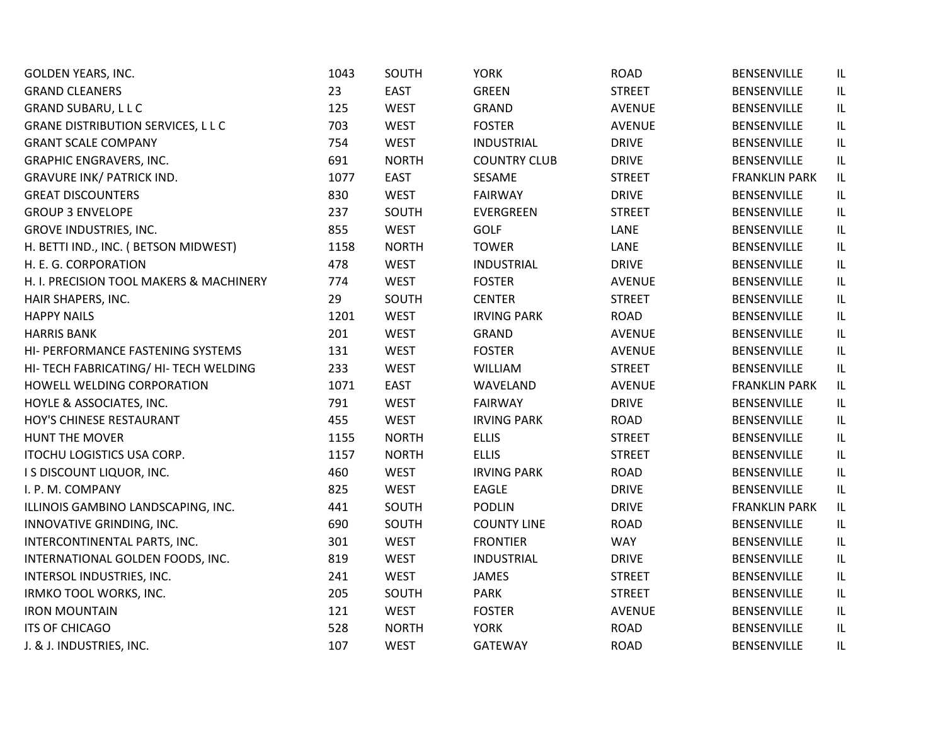| <b>GOLDEN YEARS, INC.</b>                 | 1043 | SOUTH        | <b>YORK</b>         | <b>ROAD</b>   | BENSENVILLE          | IL  |
|-------------------------------------------|------|--------------|---------------------|---------------|----------------------|-----|
| <b>GRAND CLEANERS</b>                     | 23   | <b>EAST</b>  | <b>GREEN</b>        | <b>STREET</b> | <b>BENSENVILLE</b>   | IL. |
| <b>GRAND SUBARU, LLC</b>                  | 125  | <b>WEST</b>  | GRAND               | <b>AVENUE</b> | <b>BENSENVILLE</b>   | IL  |
| <b>GRANE DISTRIBUTION SERVICES, L L C</b> | 703  | <b>WEST</b>  | <b>FOSTER</b>       | <b>AVENUE</b> | <b>BENSENVILLE</b>   | IL  |
| <b>GRANT SCALE COMPANY</b>                | 754  | <b>WEST</b>  | <b>INDUSTRIAL</b>   | <b>DRIVE</b>  | <b>BENSENVILLE</b>   | IL  |
| <b>GRAPHIC ENGRAVERS, INC.</b>            | 691  | <b>NORTH</b> | <b>COUNTRY CLUB</b> | <b>DRIVE</b>  | BENSENVILLE          | IL  |
| <b>GRAVURE INK/ PATRICK IND.</b>          | 1077 | <b>EAST</b>  | SESAME              | <b>STREET</b> | <b>FRANKLIN PARK</b> | IL. |
| <b>GREAT DISCOUNTERS</b>                  | 830  | <b>WEST</b>  | <b>FAIRWAY</b>      | <b>DRIVE</b>  | BENSENVILLE          | IL  |
| <b>GROUP 3 ENVELOPE</b>                   | 237  | SOUTH        | EVERGREEN           | <b>STREET</b> | <b>BENSENVILLE</b>   | IL  |
| <b>GROVE INDUSTRIES, INC.</b>             | 855  | <b>WEST</b>  | <b>GOLF</b>         | LANE          | <b>BENSENVILLE</b>   | IL  |
| H. BETTI IND., INC. (BETSON MIDWEST)      | 1158 | <b>NORTH</b> | <b>TOWER</b>        | LANE          | <b>BENSENVILLE</b>   | IL  |
| H. E. G. CORPORATION                      | 478  | <b>WEST</b>  | <b>INDUSTRIAL</b>   | <b>DRIVE</b>  | BENSENVILLE          | IL. |
| H. I. PRECISION TOOL MAKERS & MACHINERY   | 774  | <b>WEST</b>  | <b>FOSTER</b>       | AVENUE        | <b>BENSENVILLE</b>   | IL  |
| HAIR SHAPERS, INC.                        | 29   | SOUTH        | <b>CENTER</b>       | <b>STREET</b> | <b>BENSENVILLE</b>   | IL  |
| <b>HAPPY NAILS</b>                        | 1201 | <b>WEST</b>  | <b>IRVING PARK</b>  | <b>ROAD</b>   | BENSENVILLE          | IL  |
| <b>HARRIS BANK</b>                        | 201  | <b>WEST</b>  | <b>GRAND</b>        | <b>AVENUE</b> | <b>BENSENVILLE</b>   | IL  |
| HI- PERFORMANCE FASTENING SYSTEMS         | 131  | <b>WEST</b>  | <b>FOSTER</b>       | <b>AVENUE</b> | <b>BENSENVILLE</b>   | IL. |
| HI- TECH FABRICATING/ HI- TECH WELDING    | 233  | <b>WEST</b>  | WILLIAM             | <b>STREET</b> | <b>BENSENVILLE</b>   | IL  |
| HOWELL WELDING CORPORATION                | 1071 | <b>EAST</b>  | WAVELAND            | <b>AVENUE</b> | <b>FRANKLIN PARK</b> | IL  |
| HOYLE & ASSOCIATES, INC.                  | 791  | <b>WEST</b>  | <b>FAIRWAY</b>      | <b>DRIVE</b>  | <b>BENSENVILLE</b>   | IL. |
| HOY'S CHINESE RESTAURANT                  | 455  | <b>WEST</b>  | <b>IRVING PARK</b>  | <b>ROAD</b>   | <b>BENSENVILLE</b>   | IL. |
| HUNT THE MOVER                            | 1155 | <b>NORTH</b> | <b>ELLIS</b>        | <b>STREET</b> | <b>BENSENVILLE</b>   | IL  |
| ITOCHU LOGISTICS USA CORP.                | 1157 | <b>NORTH</b> | <b>ELLIS</b>        | <b>STREET</b> | <b>BENSENVILLE</b>   | IL  |
| I S DISCOUNT LIQUOR, INC.                 | 460  | <b>WEST</b>  | <b>IRVING PARK</b>  | <b>ROAD</b>   | <b>BENSENVILLE</b>   | IL  |
| I. P. M. COMPANY                          | 825  | <b>WEST</b>  | EAGLE               | <b>DRIVE</b>  | <b>BENSENVILLE</b>   | IL  |
| ILLINOIS GAMBINO LANDSCAPING, INC.        | 441  | SOUTH        | <b>PODLIN</b>       | <b>DRIVE</b>  | <b>FRANKLIN PARK</b> | IL. |
| INNOVATIVE GRINDING, INC.                 | 690  | SOUTH        | <b>COUNTY LINE</b>  | <b>ROAD</b>   | <b>BENSENVILLE</b>   | IL. |
| INTERCONTINENTAL PARTS, INC.              | 301  | <b>WEST</b>  | <b>FRONTIER</b>     | <b>WAY</b>    | <b>BENSENVILLE</b>   | IL  |
| INTERNATIONAL GOLDEN FOODS, INC.          | 819  | <b>WEST</b>  | <b>INDUSTRIAL</b>   | <b>DRIVE</b>  | <b>BENSENVILLE</b>   | IL  |
| INTERSOL INDUSTRIES, INC.                 | 241  | <b>WEST</b>  | <b>JAMES</b>        | <b>STREET</b> | <b>BENSENVILLE</b>   | IL  |
| IRMKO TOOL WORKS, INC.                    | 205  | SOUTH        | <b>PARK</b>         | <b>STREET</b> | <b>BENSENVILLE</b>   | IL  |
| <b>IRON MOUNTAIN</b>                      | 121  | <b>WEST</b>  | <b>FOSTER</b>       | <b>AVENUE</b> | <b>BENSENVILLE</b>   | IL  |
| <b>ITS OF CHICAGO</b>                     | 528  | <b>NORTH</b> | <b>YORK</b>         | <b>ROAD</b>   | BENSENVILLE          | IL  |
| J. & J. INDUSTRIES, INC.                  | 107  | <b>WEST</b>  | <b>GATEWAY</b>      | <b>ROAD</b>   | <b>BENSENVILLE</b>   | IL  |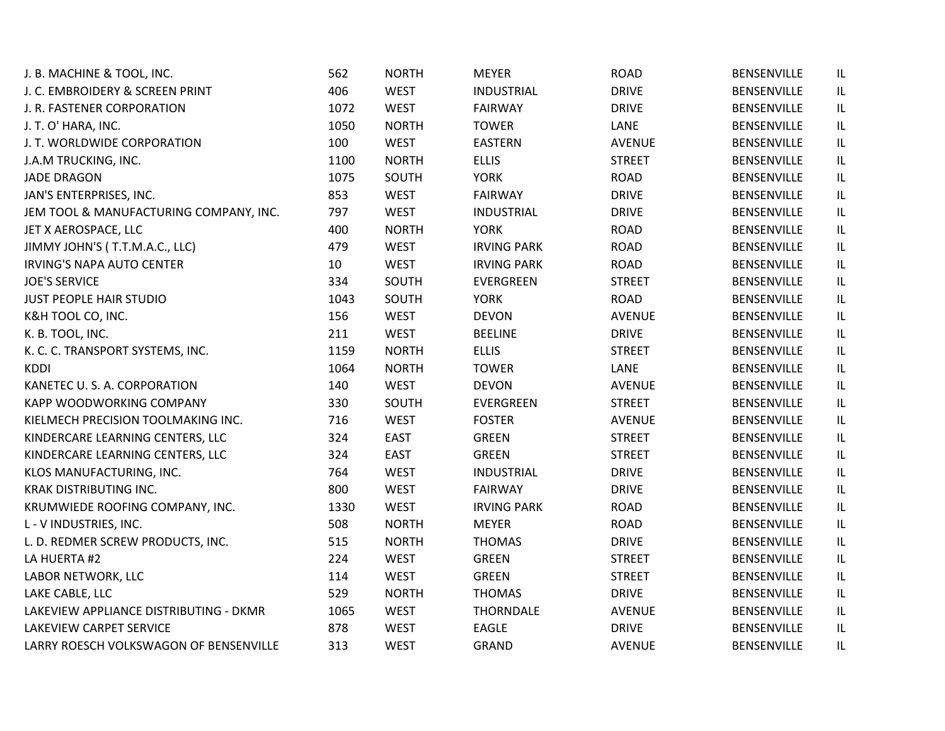| J. B. MACHINE & TOOL, INC.             | 562  | <b>NORTH</b> | <b>MEYER</b>       | <b>ROAD</b>   | <b>BENSENVILLE</b> | IL |
|----------------------------------------|------|--------------|--------------------|---------------|--------------------|----|
| J. C. EMBROIDERY & SCREEN PRINT        | 406  | <b>WEST</b>  | <b>INDUSTRIAL</b>  | <b>DRIVE</b>  | <b>BENSENVILLE</b> | IL |
| J. R. FASTENER CORPORATION             | 1072 | <b>WEST</b>  | <b>FAIRWAY</b>     | <b>DRIVE</b>  | BENSENVILLE        | IL |
| J. T. O' HARA, INC.                    | 1050 | <b>NORTH</b> | <b>TOWER</b>       | LANE          | <b>BENSENVILLE</b> | IL |
| J. T. WORLDWIDE CORPORATION            | 100  | <b>WEST</b>  | EASTERN            | <b>AVENUE</b> | <b>BENSENVILLE</b> | IL |
| J.A.M TRUCKING, INC.                   | 1100 | <b>NORTH</b> | <b>ELLIS</b>       | <b>STREET</b> | <b>BENSENVILLE</b> | IL |
| <b>JADE DRAGON</b>                     | 1075 | SOUTH        | <b>YORK</b>        | <b>ROAD</b>   | BENSENVILLE        | IL |
| JAN'S ENTERPRISES, INC.                | 853  | <b>WEST</b>  | <b>FAIRWAY</b>     | <b>DRIVE</b>  | BENSENVILLE        | IL |
| JEM TOOL & MANUFACTURING COMPANY, INC. | 797  | <b>WEST</b>  | <b>INDUSTRIAL</b>  | <b>DRIVE</b>  | BENSENVILLE        | IL |
| JET X AEROSPACE, LLC                   | 400  | <b>NORTH</b> | <b>YORK</b>        | <b>ROAD</b>   | <b>BENSENVILLE</b> | IL |
| JIMMY JOHN'S (T.T.M.A.C., LLC)         | 479  | <b>WEST</b>  | <b>IRVING PARK</b> | <b>ROAD</b>   | BENSENVILLE        | IL |
| <b>IRVING'S NAPA AUTO CENTER</b>       | 10   | <b>WEST</b>  | <b>IRVING PARK</b> | <b>ROAD</b>   | BENSENVILLE        | IL |
| <b>JOE'S SERVICE</b>                   | 334  | SOUTH        | EVERGREEN          | <b>STREET</b> | <b>BENSENVILLE</b> | IL |
| <b>JUST PEOPLE HAIR STUDIO</b>         | 1043 | SOUTH        | <b>YORK</b>        | <b>ROAD</b>   | <b>BENSENVILLE</b> | IL |
| K&H TOOL CO, INC.                      | 156  | <b>WEST</b>  | <b>DEVON</b>       | <b>AVENUE</b> | <b>BENSENVILLE</b> | IL |
| K. B. TOOL, INC.                       | 211  | <b>WEST</b>  | <b>BEELINE</b>     | <b>DRIVE</b>  | <b>BENSENVILLE</b> | IL |
| K. C. C. TRANSPORT SYSTEMS, INC.       | 1159 | <b>NORTH</b> | <b>ELLIS</b>       | <b>STREET</b> | <b>BENSENVILLE</b> | IL |
| <b>KDDI</b>                            | 1064 | <b>NORTH</b> | <b>TOWER</b>       | LANE          | <b>BENSENVILLE</b> | IL |
| KANETEC U. S. A. CORPORATION           | 140  | <b>WEST</b>  | <b>DEVON</b>       | <b>AVENUE</b> | BENSENVILLE        | IL |
| <b>KAPP WOODWORKING COMPANY</b>        | 330  | SOUTH        | EVERGREEN          | <b>STREET</b> | <b>BENSENVILLE</b> | IL |
| KIELMECH PRECISION TOOLMAKING INC.     | 716  | <b>WEST</b>  | <b>FOSTER</b>      | <b>AVENUE</b> | <b>BENSENVILLE</b> | IL |
| KINDERCARE LEARNING CENTERS, LLC       | 324  | <b>EAST</b>  | <b>GREEN</b>       | <b>STREET</b> | <b>BENSENVILLE</b> | IL |
| KINDERCARE LEARNING CENTERS, LLC       | 324  | <b>EAST</b>  | <b>GREEN</b>       | <b>STREET</b> | <b>BENSENVILLE</b> | IL |
| KLOS MANUFACTURING, INC.               | 764  | <b>WEST</b>  | <b>INDUSTRIAL</b>  | <b>DRIVE</b>  | <b>BENSENVILLE</b> | IL |
| <b>KRAK DISTRIBUTING INC.</b>          | 800  | <b>WEST</b>  | <b>FAIRWAY</b>     | <b>DRIVE</b>  | <b>BENSENVILLE</b> | IL |
| KRUMWIEDE ROOFING COMPANY, INC.        | 1330 | <b>WEST</b>  | <b>IRVING PARK</b> | <b>ROAD</b>   | BENSENVILLE        | IL |
| L - V INDUSTRIES, INC.                 | 508  | <b>NORTH</b> | <b>MEYER</b>       | <b>ROAD</b>   | BENSENVILLE        | IL |
| L. D. REDMER SCREW PRODUCTS, INC.      | 515  | <b>NORTH</b> | <b>THOMAS</b>      | <b>DRIVE</b>  | <b>BENSENVILLE</b> | IL |
| LA HUERTA #2                           | 224  | <b>WEST</b>  | <b>GREEN</b>       | <b>STREET</b> | <b>BENSENVILLE</b> | IL |
| LABOR NETWORK, LLC                     | 114  | <b>WEST</b>  | <b>GREEN</b>       | <b>STREET</b> | <b>BENSENVILLE</b> | IL |
| LAKE CABLE, LLC                        | 529  | <b>NORTH</b> | <b>THOMAS</b>      | <b>DRIVE</b>  | <b>BENSENVILLE</b> | IL |
| LAKEVIEW APPLIANCE DISTRIBUTING - DKMR | 1065 | <b>WEST</b>  | <b>THORNDALE</b>   | <b>AVENUE</b> | <b>BENSENVILLE</b> | IL |
| <b>LAKEVIEW CARPET SERVICE</b>         | 878  | <b>WEST</b>  | EAGLE              | <b>DRIVE</b>  | BENSENVILLE        | IL |
| LARRY ROESCH VOLKSWAGON OF BENSENVILLE | 313  | <b>WEST</b>  | GRAND              | <b>AVENUE</b> | <b>BENSENVILLE</b> | IL |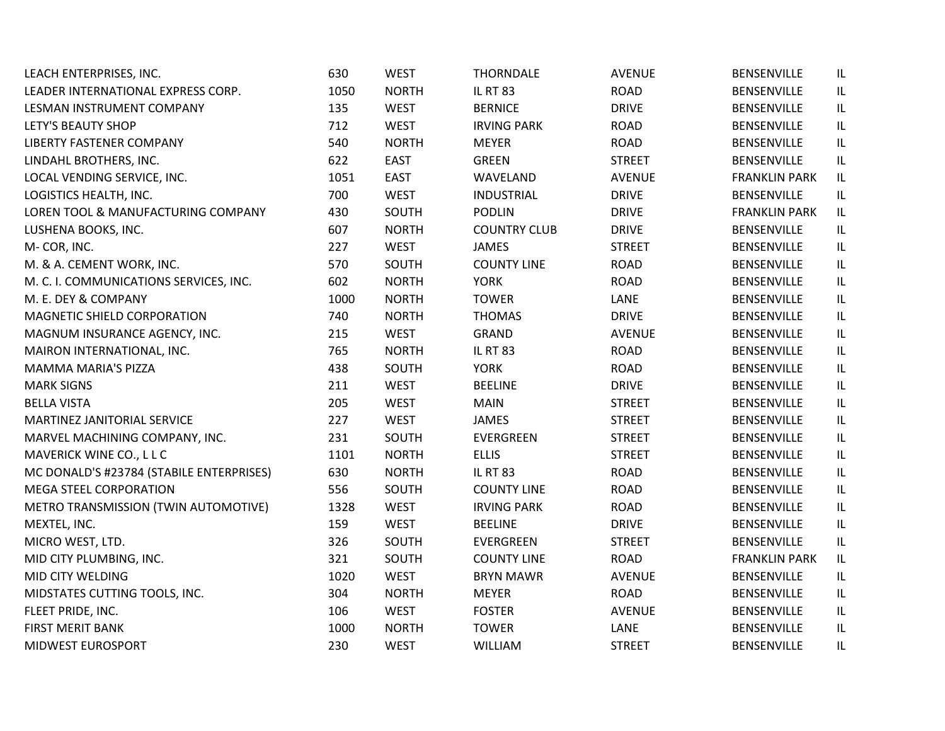| LEACH ENTERPRISES, INC.                  | 630  | <b>WEST</b>  | <b>THORNDALE</b>    | <b>AVENUE</b> | <b>BENSENVILLE</b>   | IL  |
|------------------------------------------|------|--------------|---------------------|---------------|----------------------|-----|
| LEADER INTERNATIONAL EXPRESS CORP.       | 1050 | <b>NORTH</b> | <b>IL RT 83</b>     | <b>ROAD</b>   | <b>BENSENVILLE</b>   | IL. |
| LESMAN INSTRUMENT COMPANY                | 135  | <b>WEST</b>  | <b>BERNICE</b>      | <b>DRIVE</b>  | <b>BENSENVILLE</b>   | IL  |
| <b>LETY'S BEAUTY SHOP</b>                | 712  | <b>WEST</b>  | <b>IRVING PARK</b>  | <b>ROAD</b>   | <b>BENSENVILLE</b>   | IL  |
| <b>LIBERTY FASTENER COMPANY</b>          | 540  | <b>NORTH</b> | <b>MEYER</b>        | <b>ROAD</b>   | <b>BENSENVILLE</b>   | IL  |
| LINDAHL BROTHERS, INC.                   | 622  | <b>EAST</b>  | <b>GREEN</b>        | <b>STREET</b> | <b>BENSENVILLE</b>   | IL  |
| LOCAL VENDING SERVICE, INC.              | 1051 | <b>EAST</b>  | WAVELAND            | <b>AVENUE</b> | <b>FRANKLIN PARK</b> | IL. |
| LOGISTICS HEALTH, INC.                   | 700  | <b>WEST</b>  | <b>INDUSTRIAL</b>   | <b>DRIVE</b>  | <b>BENSENVILLE</b>   | IL  |
| LOREN TOOL & MANUFACTURING COMPANY       | 430  | SOUTH        | <b>PODLIN</b>       | <b>DRIVE</b>  | <b>FRANKLIN PARK</b> | IL  |
| LUSHENA BOOKS, INC.                      | 607  | <b>NORTH</b> | <b>COUNTRY CLUB</b> | <b>DRIVE</b>  | <b>BENSENVILLE</b>   | IL. |
| M-COR, INC.                              | 227  | <b>WEST</b>  | <b>JAMES</b>        | <b>STREET</b> | <b>BENSENVILLE</b>   | IL  |
| M. & A. CEMENT WORK, INC.                | 570  | SOUTH        | <b>COUNTY LINE</b>  | <b>ROAD</b>   | <b>BENSENVILLE</b>   | IL. |
| M. C. I. COMMUNICATIONS SERVICES, INC.   | 602  | <b>NORTH</b> | <b>YORK</b>         | <b>ROAD</b>   | <b>BENSENVILLE</b>   | IL  |
| M. E. DEY & COMPANY                      | 1000 | <b>NORTH</b> | <b>TOWER</b>        | LANE          | <b>BENSENVILLE</b>   | IL  |
| MAGNETIC SHIELD CORPORATION              | 740  | <b>NORTH</b> | <b>THOMAS</b>       | <b>DRIVE</b>  | <b>BENSENVILLE</b>   | IL  |
| MAGNUM INSURANCE AGENCY, INC.            | 215  | <b>WEST</b>  | GRAND               | AVENUE        | <b>BENSENVILLE</b>   | IL  |
| MAIRON INTERNATIONAL, INC.               | 765  | <b>NORTH</b> | <b>IL RT 83</b>     | <b>ROAD</b>   | BENSENVILLE          | IL  |
| <b>MAMMA MARIA'S PIZZA</b>               | 438  | SOUTH        | <b>YORK</b>         | <b>ROAD</b>   | <b>BENSENVILLE</b>   | IL  |
| <b>MARK SIGNS</b>                        | 211  | <b>WEST</b>  | <b>BEELINE</b>      | <b>DRIVE</b>  | <b>BENSENVILLE</b>   | IL  |
| <b>BELLA VISTA</b>                       | 205  | <b>WEST</b>  | <b>MAIN</b>         | <b>STREET</b> | <b>BENSENVILLE</b>   | IL. |
| MARTINEZ JANITORIAL SERVICE              | 227  | <b>WEST</b>  | <b>JAMES</b>        | <b>STREET</b> | <b>BENSENVILLE</b>   | IL. |
| MARVEL MACHINING COMPANY, INC.           | 231  | SOUTH        | EVERGREEN           | <b>STREET</b> | <b>BENSENVILLE</b>   | IL. |
| MAVERICK WINE CO., L L C                 | 1101 | <b>NORTH</b> | <b>ELLIS</b>        | <b>STREET</b> | <b>BENSENVILLE</b>   | IL  |
| MC DONALD'S #23784 (STABILE ENTERPRISES) | 630  | <b>NORTH</b> | <b>IL RT 83</b>     | <b>ROAD</b>   | <b>BENSENVILLE</b>   | IL  |
| MEGA STEEL CORPORATION                   | 556  | SOUTH        | <b>COUNTY LINE</b>  | <b>ROAD</b>   | <b>BENSENVILLE</b>   | IL  |
| METRO TRANSMISSION (TWIN AUTOMOTIVE)     | 1328 | <b>WEST</b>  | <b>IRVING PARK</b>  | <b>ROAD</b>   | <b>BENSENVILLE</b>   | IL  |
| MEXTEL, INC.                             | 159  | <b>WEST</b>  | <b>BEELINE</b>      | <b>DRIVE</b>  | <b>BENSENVILLE</b>   | IL  |
| MICRO WEST, LTD.                         | 326  | SOUTH        | EVERGREEN           | <b>STREET</b> | <b>BENSENVILLE</b>   | IL  |
| MID CITY PLUMBING, INC.                  | 321  | SOUTH        | <b>COUNTY LINE</b>  | <b>ROAD</b>   | <b>FRANKLIN PARK</b> | IL  |
| MID CITY WELDING                         | 1020 | <b>WEST</b>  | <b>BRYN MAWR</b>    | <b>AVENUE</b> | <b>BENSENVILLE</b>   | IL  |
| MIDSTATES CUTTING TOOLS, INC.            | 304  | <b>NORTH</b> | <b>MEYER</b>        | <b>ROAD</b>   | BENSENVILLE          | IL  |
| FLEET PRIDE, INC.                        | 106  | <b>WEST</b>  | <b>FOSTER</b>       | <b>AVENUE</b> | <b>BENSENVILLE</b>   | IL  |
| <b>FIRST MERIT BANK</b>                  | 1000 | <b>NORTH</b> | <b>TOWER</b>        | LANE          | <b>BENSENVILLE</b>   | IL  |
| MIDWEST EUROSPORT                        | 230  | <b>WEST</b>  | WILLIAM             | <b>STREET</b> | <b>BENSENVILLE</b>   | IL  |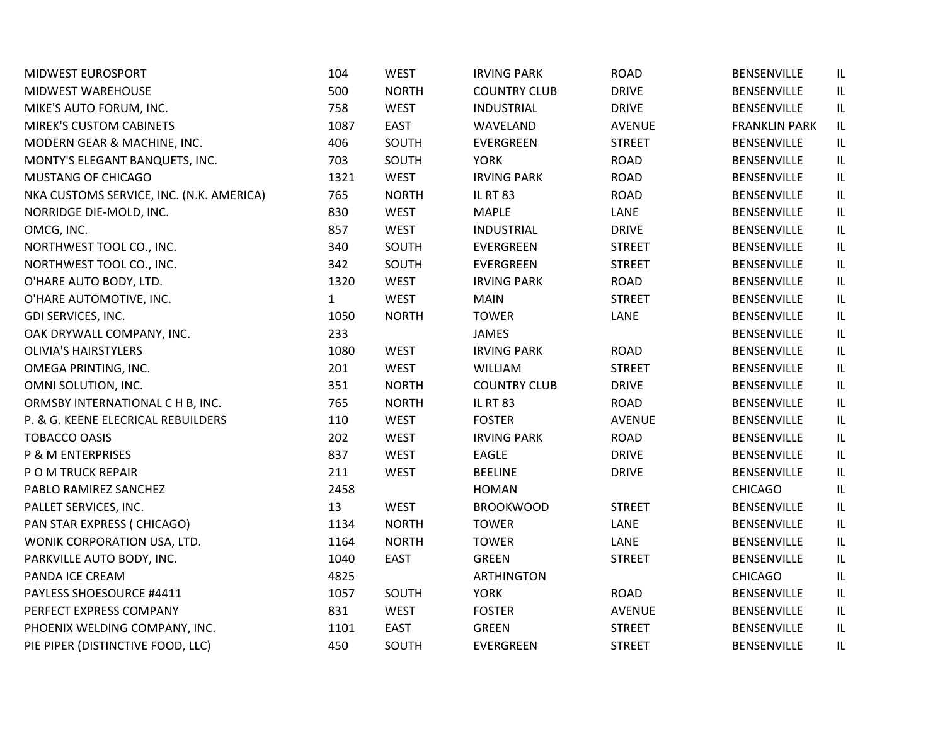| MIDWEST EUROSPORT                        | 104          | <b>WEST</b>  | <b>IRVING PARK</b>  | <b>ROAD</b>   | BENSENVILLE          | IL  |
|------------------------------------------|--------------|--------------|---------------------|---------------|----------------------|-----|
| <b>MIDWEST WAREHOUSE</b>                 | 500          | <b>NORTH</b> | <b>COUNTRY CLUB</b> | <b>DRIVE</b>  | <b>BENSENVILLE</b>   | IL. |
| MIKE'S AUTO FORUM, INC.                  | 758          | <b>WEST</b>  | <b>INDUSTRIAL</b>   | <b>DRIVE</b>  | <b>BENSENVILLE</b>   | IL. |
| <b>MIREK'S CUSTOM CABINETS</b>           | 1087         | <b>EAST</b>  | WAVELAND            | <b>AVENUE</b> | <b>FRANKLIN PARK</b> | IL  |
| MODERN GEAR & MACHINE, INC.              | 406          | SOUTH        | EVERGREEN           | <b>STREET</b> | <b>BENSENVILLE</b>   | IL  |
| MONTY'S ELEGANT BANQUETS, INC.           | 703          | SOUTH        | <b>YORK</b>         | <b>ROAD</b>   | <b>BENSENVILLE</b>   | IL  |
| <b>MUSTANG OF CHICAGO</b>                | 1321         | <b>WEST</b>  | <b>IRVING PARK</b>  | <b>ROAD</b>   | BENSENVILLE          | IL  |
| NKA CUSTOMS SERVICE, INC. (N.K. AMERICA) | 765          | <b>NORTH</b> | <b>IL RT 83</b>     | <b>ROAD</b>   | BENSENVILLE          | IL  |
| NORRIDGE DIE-MOLD, INC.                  | 830          | <b>WEST</b>  | <b>MAPLE</b>        | LANE          | <b>BENSENVILLE</b>   | IL  |
| OMCG, INC.                               | 857          | <b>WEST</b>  | <b>INDUSTRIAL</b>   | <b>DRIVE</b>  | <b>BENSENVILLE</b>   | IL. |
| NORTHWEST TOOL CO., INC.                 | 340          | SOUTH        | EVERGREEN           | <b>STREET</b> | <b>BENSENVILLE</b>   | IL. |
| NORTHWEST TOOL CO., INC.                 | 342          | SOUTH        | EVERGREEN           | <b>STREET</b> | <b>BENSENVILLE</b>   | IL. |
| O'HARE AUTO BODY, LTD.                   | 1320         | <b>WEST</b>  | <b>IRVING PARK</b>  | <b>ROAD</b>   | BENSENVILLE          | IL. |
| O'HARE AUTOMOTIVE, INC.                  | $\mathbf{1}$ | <b>WEST</b>  | <b>MAIN</b>         | <b>STREET</b> | <b>BENSENVILLE</b>   | IL  |
| GDI SERVICES, INC.                       | 1050         | <b>NORTH</b> | <b>TOWER</b>        | LANE          | <b>BENSENVILLE</b>   | IL  |
| OAK DRYWALL COMPANY, INC.                | 233          |              | JAMES               |               | <b>BENSENVILLE</b>   | IL  |
| <b>OLIVIA'S HAIRSTYLERS</b>              | 1080         | <b>WEST</b>  | <b>IRVING PARK</b>  | <b>ROAD</b>   | <b>BENSENVILLE</b>   | IL  |
| OMEGA PRINTING, INC.                     | 201          | <b>WEST</b>  | WILLIAM             | <b>STREET</b> | <b>BENSENVILLE</b>   | IL  |
| OMNI SOLUTION, INC.                      | 351          | <b>NORTH</b> | <b>COUNTRY CLUB</b> | <b>DRIVE</b>  | BENSENVILLE          | IL  |
| ORMSBY INTERNATIONAL C H B, INC.         | 765          | <b>NORTH</b> | <b>IL RT 83</b>     | <b>ROAD</b>   | BENSENVILLE          | IL. |
| P. & G. KEENE ELECRICAL REBUILDERS       | 110          | <b>WEST</b>  | <b>FOSTER</b>       | <b>AVENUE</b> | <b>BENSENVILLE</b>   | IL. |
| <b>TOBACCO OASIS</b>                     | 202          | <b>WEST</b>  | <b>IRVING PARK</b>  | <b>ROAD</b>   | <b>BENSENVILLE</b>   | IL. |
| P & M ENTERPRISES                        | 837          | <b>WEST</b>  | EAGLE               | <b>DRIVE</b>  | <b>BENSENVILLE</b>   | IL  |
| P O M TRUCK REPAIR                       | 211          | <b>WEST</b>  | <b>BEELINE</b>      | <b>DRIVE</b>  | <b>BENSENVILLE</b>   | IL  |
| PABLO RAMIREZ SANCHEZ                    | 2458         |              | <b>HOMAN</b>        |               | <b>CHICAGO</b>       | IL  |
| PALLET SERVICES, INC.                    | 13           | <b>WEST</b>  | <b>BROOKWOOD</b>    | <b>STREET</b> | <b>BENSENVILLE</b>   | IL  |
| PAN STAR EXPRESS (CHICAGO)               | 1134         | <b>NORTH</b> | <b>TOWER</b>        | LANE          | <b>BENSENVILLE</b>   | IL. |
| WONIK CORPORATION USA, LTD.              | 1164         | <b>NORTH</b> | <b>TOWER</b>        | LANE          | <b>BENSENVILLE</b>   | IL  |
| PARKVILLE AUTO BODY, INC.                | 1040         | <b>EAST</b>  | <b>GREEN</b>        | <b>STREET</b> | <b>BENSENVILLE</b>   | IL  |
| PANDA ICE CREAM                          | 4825         |              | <b>ARTHINGTON</b>   |               | <b>CHICAGO</b>       | IL  |
| PAYLESS SHOESOURCE #4411                 | 1057         | SOUTH        | <b>YORK</b>         | <b>ROAD</b>   | <b>BENSENVILLE</b>   | IL. |
| PERFECT EXPRESS COMPANY                  | 831          | <b>WEST</b>  | <b>FOSTER</b>       | <b>AVENUE</b> | <b>BENSENVILLE</b>   | IL  |
| PHOENIX WELDING COMPANY, INC.            | 1101         | <b>EAST</b>  | <b>GREEN</b>        | <b>STREET</b> | <b>BENSENVILLE</b>   | IL  |
| PIE PIPER (DISTINCTIVE FOOD, LLC)        | 450          | SOUTH        | EVERGREEN           | <b>STREET</b> | <b>BENSENVILLE</b>   | IL  |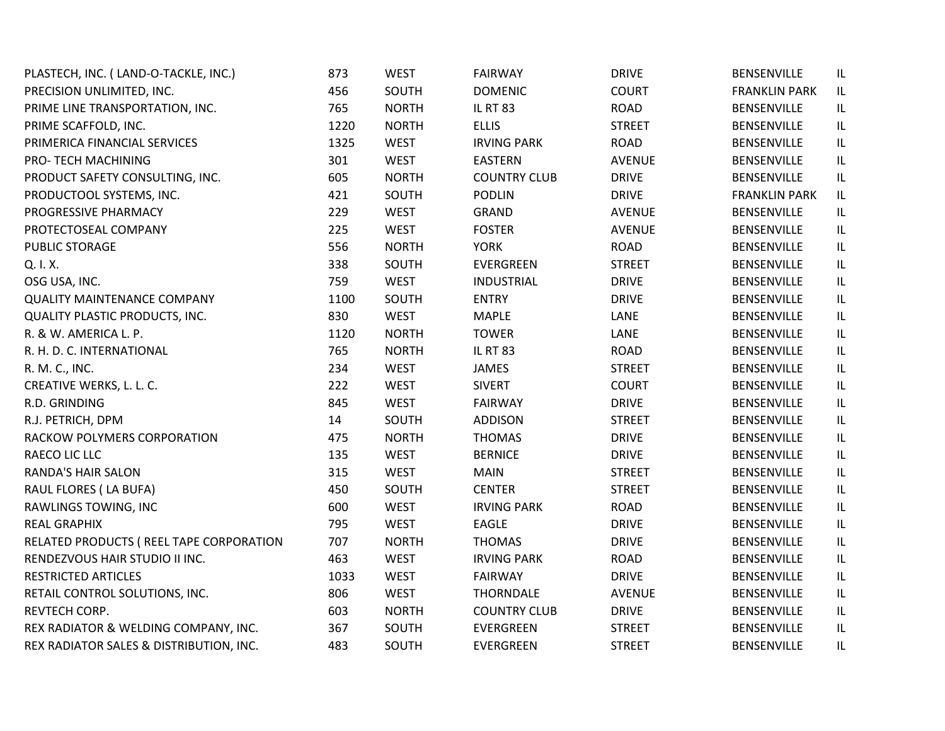| PLASTECH, INC. (LAND-O-TACKLE, INC.)     | 873  | <b>WEST</b>  | <b>FAIRWAY</b>      | <b>DRIVE</b>  | BENSENVILLE          | IL |
|------------------------------------------|------|--------------|---------------------|---------------|----------------------|----|
| PRECISION UNLIMITED, INC.                | 456  | SOUTH        | <b>DOMENIC</b>      | <b>COURT</b>  | <b>FRANKLIN PARK</b> | IL |
| PRIME LINE TRANSPORTATION, INC.          | 765  | <b>NORTH</b> | <b>IL RT 83</b>     | ROAD          | BENSENVILLE          | IL |
| PRIME SCAFFOLD, INC.                     | 1220 | <b>NORTH</b> | <b>ELLIS</b>        | <b>STREET</b> | <b>BENSENVILLE</b>   | IL |
| PRIMERICA FINANCIAL SERVICES             | 1325 | <b>WEST</b>  | <b>IRVING PARK</b>  | <b>ROAD</b>   | <b>BENSENVILLE</b>   | IL |
| PRO- TECH MACHINING                      | 301  | <b>WEST</b>  | <b>EASTERN</b>      | <b>AVENUE</b> | BENSENVILLE          | IL |
| PRODUCT SAFETY CONSULTING, INC.          | 605  | <b>NORTH</b> | <b>COUNTRY CLUB</b> | <b>DRIVE</b>  | BENSENVILLE          | IL |
| PRODUCTOOL SYSTEMS, INC.                 | 421  | SOUTH        | <b>PODLIN</b>       | <b>DRIVE</b>  | <b>FRANKLIN PARK</b> | IL |
| PROGRESSIVE PHARMACY                     | 229  | <b>WEST</b>  | GRAND               | <b>AVENUE</b> | BENSENVILLE          | IL |
| PROTECTOSEAL COMPANY                     | 225  | <b>WEST</b>  | <b>FOSTER</b>       | <b>AVENUE</b> | BENSENVILLE          | IL |
| PUBLIC STORAGE                           | 556  | <b>NORTH</b> | <b>YORK</b>         | <b>ROAD</b>   | <b>BENSENVILLE</b>   | IL |
| Q. I.X.                                  | 338  | SOUTH        | EVERGREEN           | <b>STREET</b> | BENSENVILLE          | IL |
| OSG USA, INC.                            | 759  | <b>WEST</b>  | <b>INDUSTRIAL</b>   | <b>DRIVE</b>  | BENSENVILLE          | IL |
| <b>QUALITY MAINTENANCE COMPANY</b>       | 1100 | SOUTH        | <b>ENTRY</b>        | <b>DRIVE</b>  | <b>BENSENVILLE</b>   | IL |
| QUALITY PLASTIC PRODUCTS, INC.           | 830  | <b>WEST</b>  | <b>MAPLE</b>        | LANE          | BENSENVILLE          | IL |
| R. & W. AMERICA L. P.                    | 1120 | <b>NORTH</b> | <b>TOWER</b>        | LANE          | BENSENVILLE          | IL |
| R. H. D. C. INTERNATIONAL                | 765  | <b>NORTH</b> | <b>IL RT 83</b>     | ROAD          | <b>BENSENVILLE</b>   | IL |
| R. M. C., INC.                           | 234  | <b>WEST</b>  | JAMES               | <b>STREET</b> | BENSENVILLE          | IL |
| CREATIVE WERKS, L. L. C.                 | 222  | <b>WEST</b>  | <b>SIVERT</b>       | <b>COURT</b>  | BENSENVILLE          | IL |
| R.D. GRINDING                            | 845  | WEST         | <b>FAIRWAY</b>      | <b>DRIVE</b>  | <b>BENSENVILLE</b>   | IL |
| R.J. PETRICH, DPM                        | 14   | SOUTH        | <b>ADDISON</b>      | <b>STREET</b> | BENSENVILLE          | IL |
| RACKOW POLYMERS CORPORATION              | 475  | <b>NORTH</b> | <b>THOMAS</b>       | <b>DRIVE</b>  | BENSENVILLE          | IL |
| RAECO LIC LLC                            | 135  | <b>WEST</b>  | <b>BERNICE</b>      | <b>DRIVE</b>  | <b>BENSENVILLE</b>   | IL |
| <b>RANDA'S HAIR SALON</b>                | 315  | <b>WEST</b>  | <b>MAIN</b>         | <b>STREET</b> | BENSENVILLE          | IL |
| RAUL FLORES (LA BUFA)                    | 450  | SOUTH        | <b>CENTER</b>       | <b>STREET</b> | BENSENVILLE          | IL |
| RAWLINGS TOWING, INC                     | 600  | <b>WEST</b>  | <b>IRVING PARK</b>  | ROAD          | BENSENVILLE          | IL |
| <b>REAL GRAPHIX</b>                      | 795  | <b>WEST</b>  | EAGLE               | <b>DRIVE</b>  | BENSENVILLE          | IL |
| RELATED PRODUCTS ( REEL TAPE CORPORATION | 707  | <b>NORTH</b> | <b>THOMAS</b>       | <b>DRIVE</b>  | BENSENVILLE          | IL |
| RENDEZVOUS HAIR STUDIO II INC.           | 463  | <b>WEST</b>  | <b>IRVING PARK</b>  | ROAD          | <b>BENSENVILLE</b>   | IL |
| RESTRICTED ARTICLES                      | 1033 | <b>WEST</b>  | <b>FAIRWAY</b>      | <b>DRIVE</b>  | BENSENVILLE          | IL |
| RETAIL CONTROL SOLUTIONS, INC.           | 806  | <b>WEST</b>  | <b>THORNDALE</b>    | <b>AVENUE</b> | BENSENVILLE          | IL |
| REVTECH CORP.                            | 603  | <b>NORTH</b> | <b>COUNTRY CLUB</b> | <b>DRIVE</b>  | <b>BENSENVILLE</b>   | IL |
| REX RADIATOR & WELDING COMPANY, INC.     | 367  | SOUTH        | <b>EVERGREEN</b>    | <b>STREET</b> | BENSENVILLE          | IL |
| REX RADIATOR SALES & DISTRIBUTION, INC.  | 483  | SOUTH        | EVERGREEN           | <b>STREET</b> | <b>BENSENVILLE</b>   | IL |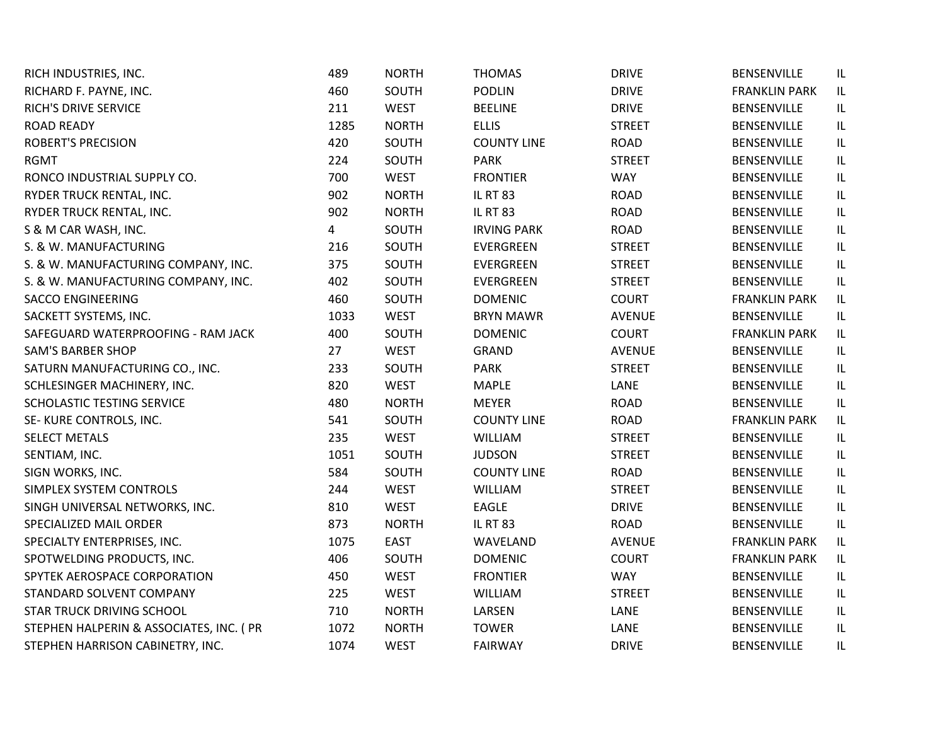| RICH INDUSTRIES, INC.                   | 489  | <b>NORTH</b> | <b>THOMAS</b>      | <b>DRIVE</b>  | <b>BENSENVILLE</b>   | IL  |
|-----------------------------------------|------|--------------|--------------------|---------------|----------------------|-----|
| RICHARD F. PAYNE, INC.                  | 460  | SOUTH        | <b>PODLIN</b>      | <b>DRIVE</b>  | <b>FRANKLIN PARK</b> | IL. |
| RICH'S DRIVE SERVICE                    | 211  | <b>WEST</b>  | <b>BEELINE</b>     | <b>DRIVE</b>  | <b>BENSENVILLE</b>   | IL. |
| <b>ROAD READY</b>                       | 1285 | <b>NORTH</b> | <b>ELLIS</b>       | <b>STREET</b> | <b>BENSENVILLE</b>   | IL  |
| <b>ROBERT'S PRECISION</b>               | 420  | SOUTH        | <b>COUNTY LINE</b> | <b>ROAD</b>   | <b>BENSENVILLE</b>   | IL  |
| <b>RGMT</b>                             | 224  | SOUTH        | <b>PARK</b>        | <b>STREET</b> | <b>BENSENVILLE</b>   | IL  |
| RONCO INDUSTRIAL SUPPLY CO.             | 700  | <b>WEST</b>  | <b>FRONTIER</b>    | <b>WAY</b>    | <b>BENSENVILLE</b>   | IL  |
| RYDER TRUCK RENTAL, INC.                | 902  | <b>NORTH</b> | <b>IL RT 83</b>    | <b>ROAD</b>   | <b>BENSENVILLE</b>   | IL  |
| RYDER TRUCK RENTAL, INC.                | 902  | <b>NORTH</b> | <b>IL RT 83</b>    | <b>ROAD</b>   | <b>BENSENVILLE</b>   | IL  |
| S & M CAR WASH, INC.                    | 4    | SOUTH        | <b>IRVING PARK</b> | <b>ROAD</b>   | <b>BENSENVILLE</b>   | IL  |
| S. & W. MANUFACTURING                   | 216  | SOUTH        | EVERGREEN          | <b>STREET</b> | <b>BENSENVILLE</b>   | IL  |
| S. & W. MANUFACTURING COMPANY, INC.     | 375  | SOUTH        | EVERGREEN          | <b>STREET</b> | <b>BENSENVILLE</b>   | IL. |
| S. & W. MANUFACTURING COMPANY, INC.     | 402  | SOUTH        | EVERGREEN          | <b>STREET</b> | BENSENVILLE          | IL. |
| <b>SACCO ENGINEERING</b>                | 460  | SOUTH        | <b>DOMENIC</b>     | <b>COURT</b>  | <b>FRANKLIN PARK</b> | IL  |
| SACKETT SYSTEMS, INC.                   | 1033 | <b>WEST</b>  | <b>BRYN MAWR</b>   | <b>AVENUE</b> | <b>BENSENVILLE</b>   | IL  |
| SAFEGUARD WATERPROOFING - RAM JACK      | 400  | SOUTH        | <b>DOMENIC</b>     | <b>COURT</b>  | <b>FRANKLIN PARK</b> | IL  |
| <b>SAM'S BARBER SHOP</b>                | 27   | <b>WEST</b>  | <b>GRAND</b>       | <b>AVENUE</b> | <b>BENSENVILLE</b>   | IL  |
| SATURN MANUFACTURING CO., INC.          | 233  | SOUTH        | <b>PARK</b>        | <b>STREET</b> | <b>BENSENVILLE</b>   | IL  |
| SCHLESINGER MACHINERY, INC.             | 820  | <b>WEST</b>  | <b>MAPLE</b>       | LANE          | BENSENVILLE          | IL  |
| SCHOLASTIC TESTING SERVICE              | 480  | <b>NORTH</b> | <b>MEYER</b>       | <b>ROAD</b>   | <b>BENSENVILLE</b>   | IL. |
| SE-KURE CONTROLS, INC.                  | 541  | SOUTH        | <b>COUNTY LINE</b> | <b>ROAD</b>   | <b>FRANKLIN PARK</b> | IL  |
| <b>SELECT METALS</b>                    | 235  | <b>WEST</b>  | <b>WILLIAM</b>     | <b>STREET</b> | <b>BENSENVILLE</b>   | IL  |
| SENTIAM, INC.                           | 1051 | SOUTH        | <b>JUDSON</b>      | <b>STREET</b> | <b>BENSENVILLE</b>   | IL  |
| SIGN WORKS, INC.                        | 584  | SOUTH        | <b>COUNTY LINE</b> | <b>ROAD</b>   | <b>BENSENVILLE</b>   | IL  |
| SIMPLEX SYSTEM CONTROLS                 | 244  | <b>WEST</b>  | <b>WILLIAM</b>     | <b>STREET</b> | <b>BENSENVILLE</b>   | IL  |
| SINGH UNIVERSAL NETWORKS, INC.          | 810  | <b>WEST</b>  | <b>EAGLE</b>       | <b>DRIVE</b>  | <b>BENSENVILLE</b>   | IL  |
| SPECIALIZED MAIL ORDER                  | 873  | <b>NORTH</b> | <b>IL RT 83</b>    | <b>ROAD</b>   | <b>BENSENVILLE</b>   | IL  |
| SPECIALTY ENTERPRISES, INC.             | 1075 | <b>EAST</b>  | WAVELAND           | <b>AVENUE</b> | <b>FRANKLIN PARK</b> | IL  |
| SPOTWELDING PRODUCTS, INC.              | 406  | SOUTH        | <b>DOMENIC</b>     | <b>COURT</b>  | <b>FRANKLIN PARK</b> | IL. |
| SPYTEK AEROSPACE CORPORATION            | 450  | <b>WEST</b>  | <b>FRONTIER</b>    | <b>WAY</b>    | <b>BENSENVILLE</b>   | IL  |
| STANDARD SOLVENT COMPANY                | 225  | <b>WEST</b>  | <b>WILLIAM</b>     | <b>STREET</b> | <b>BENSENVILLE</b>   | IL  |
| <b>STAR TRUCK DRIVING SCHOOL</b>        | 710  | <b>NORTH</b> | LARSEN             | LANE          | <b>BENSENVILLE</b>   | IL  |
| STEPHEN HALPERIN & ASSOCIATES, INC. (PR | 1072 | <b>NORTH</b> | <b>TOWER</b>       | LANE          | BENSENVILLE          | IL  |
| STEPHEN HARRISON CABINETRY, INC.        | 1074 | <b>WEST</b>  | <b>FAIRWAY</b>     | <b>DRIVE</b>  | <b>BENSENVILLE</b>   | IL  |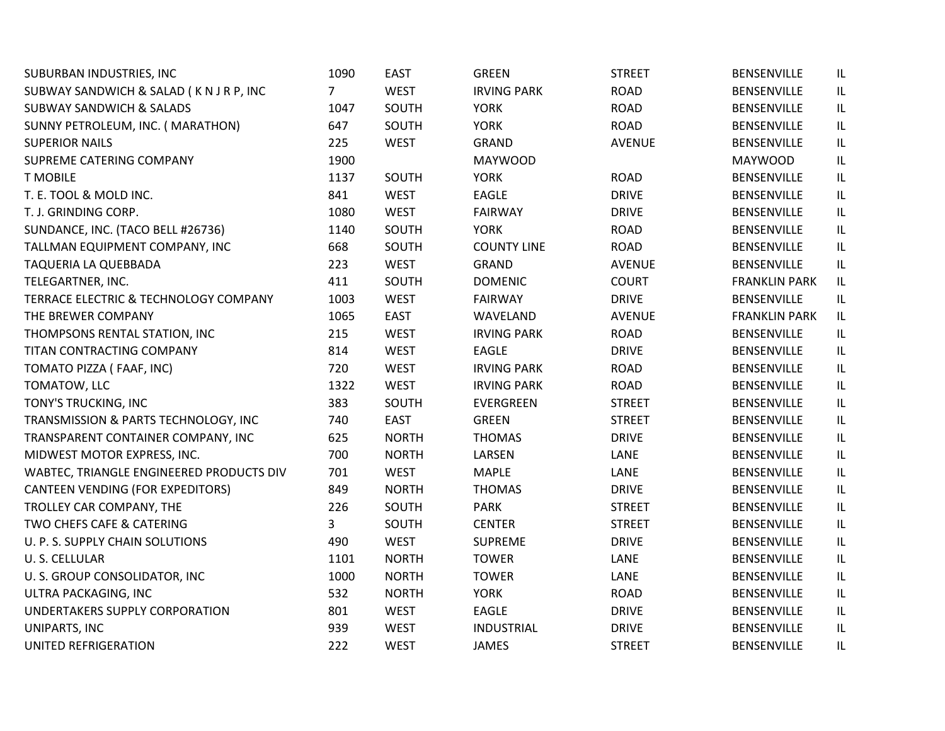| SUBURBAN INDUSTRIES, INC                 | 1090           | <b>EAST</b>  | <b>GREEN</b>       | <b>STREET</b> | BENSENVILLE          | IL |
|------------------------------------------|----------------|--------------|--------------------|---------------|----------------------|----|
| SUBWAY SANDWICH & SALAD (KNJRP, INC      | $\overline{7}$ | <b>WEST</b>  | <b>IRVING PARK</b> | <b>ROAD</b>   | <b>BENSENVILLE</b>   | IL |
| <b>SUBWAY SANDWICH &amp; SALADS</b>      | 1047           | SOUTH        | <b>YORK</b>        | <b>ROAD</b>   | BENSENVILLE          | IL |
| SUNNY PETROLEUM, INC. (MARATHON)         | 647            | SOUTH        | <b>YORK</b>        | <b>ROAD</b>   | <b>BENSENVILLE</b>   | IL |
| <b>SUPERIOR NAILS</b>                    | 225            | <b>WEST</b>  | <b>GRAND</b>       | <b>AVENUE</b> | <b>BENSENVILLE</b>   | IL |
| SUPREME CATERING COMPANY                 | 1900           |              | <b>MAYWOOD</b>     |               | <b>MAYWOOD</b>       | IL |
| <b>T MOBILE</b>                          | 1137           | SOUTH        | <b>YORK</b>        | <b>ROAD</b>   | BENSENVILLE          | IL |
| T. E. TOOL & MOLD INC.                   | 841            | <b>WEST</b>  | <b>EAGLE</b>       | <b>DRIVE</b>  | <b>BENSENVILLE</b>   | IL |
| T. J. GRINDING CORP.                     | 1080           | <b>WEST</b>  | <b>FAIRWAY</b>     | <b>DRIVE</b>  | BENSENVILLE          | IL |
| SUNDANCE, INC. (TACO BELL #26736)        | 1140           | SOUTH        | <b>YORK</b>        | <b>ROAD</b>   | <b>BENSENVILLE</b>   | IL |
| TALLMAN EQUIPMENT COMPANY, INC           | 668            | SOUTH        | <b>COUNTY LINE</b> | <b>ROAD</b>   | <b>BENSENVILLE</b>   | IL |
| TAQUERIA LA QUEBBADA                     | 223            | <b>WEST</b>  | GRAND              | <b>AVENUE</b> | <b>BENSENVILLE</b>   | IL |
| TELEGARTNER, INC.                        | 411            | SOUTH        | <b>DOMENIC</b>     | <b>COURT</b>  | <b>FRANKLIN PARK</b> | IL |
| TERRACE ELECTRIC & TECHNOLOGY COMPANY    | 1003           | <b>WEST</b>  | <b>FAIRWAY</b>     | <b>DRIVE</b>  | <b>BENSENVILLE</b>   | IL |
| THE BREWER COMPANY                       | 1065           | <b>EAST</b>  | WAVELAND           | <b>AVENUE</b> | <b>FRANKLIN PARK</b> | IL |
| THOMPSONS RENTAL STATION, INC            | 215            | <b>WEST</b>  | <b>IRVING PARK</b> | <b>ROAD</b>   | BENSENVILLE          | IL |
| TITAN CONTRACTING COMPANY                | 814            | <b>WEST</b>  | <b>EAGLE</b>       | <b>DRIVE</b>  | <b>BENSENVILLE</b>   | IL |
| TOMATO PIZZA (FAAF, INC)                 | 720            | <b>WEST</b>  | <b>IRVING PARK</b> | <b>ROAD</b>   | <b>BENSENVILLE</b>   | IL |
| TOMATOW, LLC                             | 1322           | <b>WEST</b>  | <b>IRVING PARK</b> | <b>ROAD</b>   | BENSENVILLE          | IL |
| TONY'S TRUCKING, INC                     | 383            | SOUTH        | EVERGREEN          | <b>STREET</b> | <b>BENSENVILLE</b>   | IL |
| TRANSMISSION & PARTS TECHNOLOGY, INC     | 740            | <b>EAST</b>  | <b>GREEN</b>       | <b>STREET</b> | <b>BENSENVILLE</b>   | IL |
| TRANSPARENT CONTAINER COMPANY, INC       | 625            | <b>NORTH</b> | <b>THOMAS</b>      | <b>DRIVE</b>  | BENSENVILLE          | IL |
| MIDWEST MOTOR EXPRESS, INC.              | 700            | <b>NORTH</b> | LARSEN             | LANE          | <b>BENSENVILLE</b>   | IL |
| WABTEC, TRIANGLE ENGINEERED PRODUCTS DIV | 701            | <b>WEST</b>  | <b>MAPLE</b>       | LANE          | <b>BENSENVILLE</b>   | IL |
| <b>CANTEEN VENDING (FOR EXPEDITORS)</b>  | 849            | <b>NORTH</b> | <b>THOMAS</b>      | <b>DRIVE</b>  | BENSENVILLE          | IL |
| TROLLEY CAR COMPANY, THE                 | 226            | SOUTH        | <b>PARK</b>        | <b>STREET</b> | <b>BENSENVILLE</b>   | IL |
| TWO CHEFS CAFE & CATERING                | 3              | SOUTH        | <b>CENTER</b>      | <b>STREET</b> | <b>BENSENVILLE</b>   | IL |
| U. P. S. SUPPLY CHAIN SOLUTIONS          | 490            | <b>WEST</b>  | <b>SUPREME</b>     | <b>DRIVE</b>  | BENSENVILLE          | IL |
| U.S. CELLULAR                            | 1101           | <b>NORTH</b> | <b>TOWER</b>       | LANE          | BENSENVILLE          | IL |
| U. S. GROUP CONSOLIDATOR, INC            | 1000           | <b>NORTH</b> | <b>TOWER</b>       | LANE          | BENSENVILLE          | IL |
| ULTRA PACKAGING, INC                     | 532            | <b>NORTH</b> | <b>YORK</b>        | <b>ROAD</b>   | <b>BENSENVILLE</b>   | IL |
| UNDERTAKERS SUPPLY CORPORATION           | 801            | <b>WEST</b>  | <b>EAGLE</b>       | <b>DRIVE</b>  | BENSENVILLE          | IL |
| UNIPARTS, INC                            | 939            | <b>WEST</b>  | <b>INDUSTRIAL</b>  | <b>DRIVE</b>  | <b>BENSENVILLE</b>   | IL |
| UNITED REFRIGERATION                     | 222            | <b>WEST</b>  | <b>JAMES</b>       | <b>STREET</b> | <b>BENSENVILLE</b>   | IL |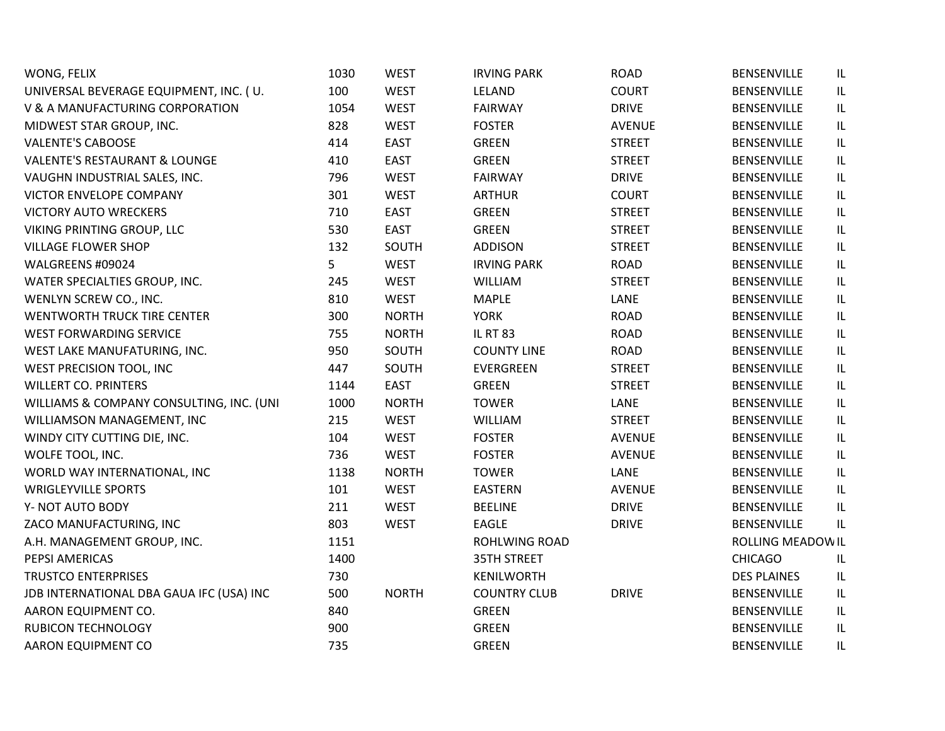| WONG, FELIX                              | 1030 | <b>WEST</b>  | <b>IRVING PARK</b>  | <b>ROAD</b>   | <b>BENSENVILLE</b> | IL  |
|------------------------------------------|------|--------------|---------------------|---------------|--------------------|-----|
| UNIVERSAL BEVERAGE EQUIPMENT, INC. (U.   | 100  | <b>WEST</b>  | LELAND              | <b>COURT</b>  | <b>BENSENVILLE</b> | IL  |
| V & A MANUFACTURING CORPORATION          | 1054 | <b>WEST</b>  | <b>FAIRWAY</b>      | <b>DRIVE</b>  | <b>BENSENVILLE</b> | IL  |
| MIDWEST STAR GROUP, INC.                 | 828  | <b>WEST</b>  | <b>FOSTER</b>       | <b>AVENUE</b> | <b>BENSENVILLE</b> | IL  |
| <b>VALENTE'S CABOOSE</b>                 | 414  | <b>EAST</b>  | <b>GREEN</b>        | <b>STREET</b> | <b>BENSENVILLE</b> | IL  |
| <b>VALENTE'S RESTAURANT &amp; LOUNGE</b> | 410  | <b>EAST</b>  | <b>GREEN</b>        | <b>STREET</b> | <b>BENSENVILLE</b> | IL  |
| VAUGHN INDUSTRIAL SALES, INC.            | 796  | <b>WEST</b>  | <b>FAIRWAY</b>      | <b>DRIVE</b>  | <b>BENSENVILLE</b> | IL  |
| <b>VICTOR ENVELOPE COMPANY</b>           | 301  | <b>WEST</b>  | <b>ARTHUR</b>       | <b>COURT</b>  | <b>BENSENVILLE</b> | IL  |
| <b>VICTORY AUTO WRECKERS</b>             | 710  | <b>EAST</b>  | <b>GREEN</b>        | <b>STREET</b> | BENSENVILLE        | IL  |
| VIKING PRINTING GROUP, LLC               | 530  | <b>EAST</b>  | <b>GREEN</b>        | <b>STREET</b> | <b>BENSENVILLE</b> | IL  |
| <b>VILLAGE FLOWER SHOP</b>               | 132  | SOUTH        | <b>ADDISON</b>      | <b>STREET</b> | <b>BENSENVILLE</b> | IL  |
| WALGREENS #09024                         | 5    | <b>WEST</b>  | <b>IRVING PARK</b>  | <b>ROAD</b>   | <b>BENSENVILLE</b> | IL  |
| WATER SPECIALTIES GROUP, INC.            | 245  | <b>WEST</b>  | WILLIAM             | <b>STREET</b> | <b>BENSENVILLE</b> | IL  |
| WENLYN SCREW CO., INC.                   | 810  | <b>WEST</b>  | <b>MAPLE</b>        | LANE          | <b>BENSENVILLE</b> | IL  |
| WENTWORTH TRUCK TIRE CENTER              | 300  | <b>NORTH</b> | <b>YORK</b>         | <b>ROAD</b>   | <b>BENSENVILLE</b> | IL  |
| WEST FORWARDING SERVICE                  | 755  | <b>NORTH</b> | <b>IL RT 83</b>     | <b>ROAD</b>   | <b>BENSENVILLE</b> | IL  |
| WEST LAKE MANUFATURING, INC.             | 950  | SOUTH        | <b>COUNTY LINE</b>  | <b>ROAD</b>   | <b>BENSENVILLE</b> | IL  |
| WEST PRECISION TOOL, INC                 | 447  | SOUTH        | EVERGREEN           | <b>STREET</b> | <b>BENSENVILLE</b> | IL  |
| <b>WILLERT CO. PRINTERS</b>              | 1144 | <b>EAST</b>  | <b>GREEN</b>        | <b>STREET</b> | <b>BENSENVILLE</b> | IL  |
| WILLIAMS & COMPANY CONSULTING, INC. (UNI | 1000 | <b>NORTH</b> | <b>TOWER</b>        | LANE          | <b>BENSENVILLE</b> | IL  |
| WILLIAMSON MANAGEMENT, INC               | 215  | <b>WEST</b>  | WILLIAM             | <b>STREET</b> | <b>BENSENVILLE</b> | IL  |
| WINDY CITY CUTTING DIE, INC.             | 104  | <b>WEST</b>  | <b>FOSTER</b>       | <b>AVENUE</b> | <b>BENSENVILLE</b> | IL. |
| WOLFE TOOL, INC.                         | 736  | <b>WEST</b>  | <b>FOSTER</b>       | <b>AVENUE</b> | <b>BENSENVILLE</b> | IL  |
| WORLD WAY INTERNATIONAL, INC             | 1138 | <b>NORTH</b> | <b>TOWER</b>        | LANE          | <b>BENSENVILLE</b> | IL  |
| <b>WRIGLEYVILLE SPORTS</b>               | 101  | <b>WEST</b>  | <b>EASTERN</b>      | <b>AVENUE</b> | <b>BENSENVILLE</b> | IL  |
| Y- NOT AUTO BODY                         | 211  | <b>WEST</b>  | <b>BEELINE</b>      | <b>DRIVE</b>  | <b>BENSENVILLE</b> | IL  |
| ZACO MANUFACTURING, INC                  | 803  | <b>WEST</b>  | <b>EAGLE</b>        | <b>DRIVE</b>  | <b>BENSENVILLE</b> | IL  |
| A.H. MANAGEMENT GROUP, INC.              | 1151 |              | ROHLWING ROAD       |               | ROLLING MEADOW IL  |     |
| PEPSI AMERICAS                           | 1400 |              | <b>35TH STREET</b>  |               | <b>CHICAGO</b>     | IL  |
| <b>TRUSTCO ENTERPRISES</b>               | 730  |              | KENILWORTH          |               | <b>DES PLAINES</b> | IL  |
| JDB INTERNATIONAL DBA GAUA IFC (USA) INC | 500  | <b>NORTH</b> | <b>COUNTRY CLUB</b> | <b>DRIVE</b>  | <b>BENSENVILLE</b> | IL  |
| AARON EQUIPMENT CO.                      | 840  |              | <b>GREEN</b>        |               | <b>BENSENVILLE</b> | IL  |
| <b>RUBICON TECHNOLOGY</b>                | 900  |              | <b>GREEN</b>        |               | <b>BENSENVILLE</b> | IL  |
| AARON EQUIPMENT CO                       | 735  |              | <b>GREEN</b>        |               | <b>BENSENVILLE</b> | IL  |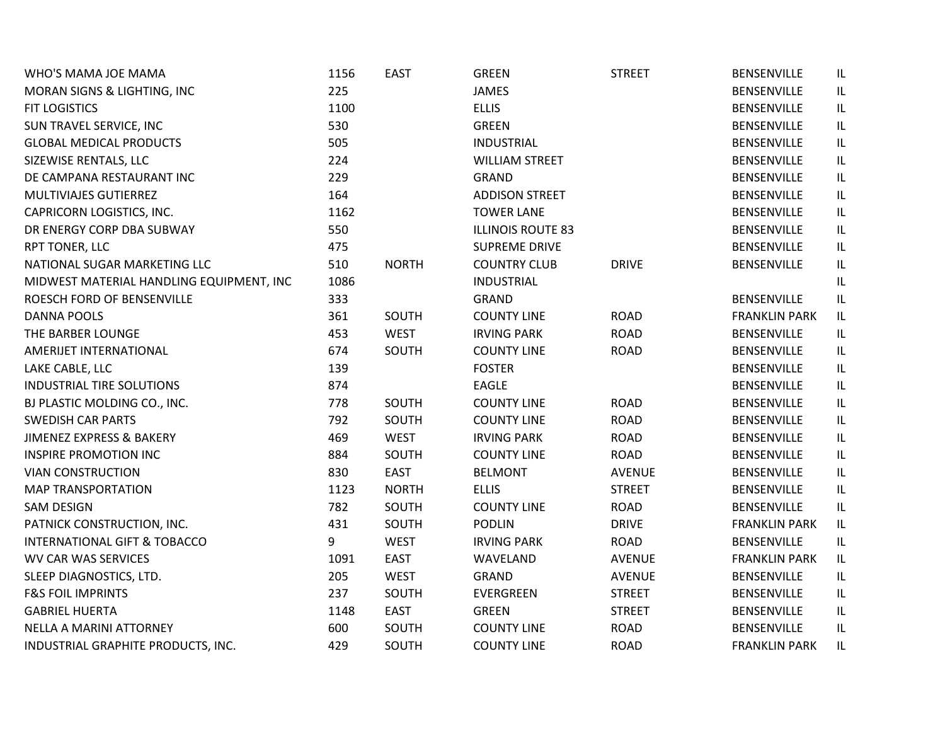| WHO'S MAMA JOE MAMA                      | 1156 | <b>EAST</b>  | <b>GREEN</b>             | <b>STREET</b> | BENSENVILLE          | IL                                |
|------------------------------------------|------|--------------|--------------------------|---------------|----------------------|-----------------------------------|
| MORAN SIGNS & LIGHTING, INC              | 225  |              | <b>JAMES</b>             |               | BENSENVILLE          | IL.                               |
| <b>FIT LOGISTICS</b>                     | 1100 |              | <b>ELLIS</b>             |               | <b>BENSENVILLE</b>   | IL.                               |
| SUN TRAVEL SERVICE, INC                  | 530  |              | <b>GREEN</b>             |               | BENSENVILLE          | IL                                |
| <b>GLOBAL MEDICAL PRODUCTS</b>           | 505  |              | <b>INDUSTRIAL</b>        |               | BENSENVILLE          | IL                                |
| SIZEWISE RENTALS, LLC                    | 224  |              | <b>WILLIAM STREET</b>    |               | BENSENVILLE          | IL                                |
| DE CAMPANA RESTAURANT INC                | 229  |              | <b>GRAND</b>             |               | BENSENVILLE          | IL                                |
| MULTIVIAJES GUTIERREZ                    | 164  |              | <b>ADDISON STREET</b>    |               | BENSENVILLE          | IL                                |
| CAPRICORN LOGISTICS, INC.                | 1162 |              | <b>TOWER LANE</b>        |               | <b>BENSENVILLE</b>   | IL                                |
| DR ENERGY CORP DBA SUBWAY                | 550  |              | <b>ILLINOIS ROUTE 83</b> |               | <b>BENSENVILLE</b>   | IL                                |
| RPT TONER, LLC                           | 475  |              | <b>SUPREME DRIVE</b>     |               | BENSENVILLE          | IL                                |
| NATIONAL SUGAR MARKETING LLC             | 510  | <b>NORTH</b> | <b>COUNTRY CLUB</b>      | <b>DRIVE</b>  | BENSENVILLE          | IL                                |
| MIDWEST MATERIAL HANDLING EQUIPMENT, INC | 1086 |              | <b>INDUSTRIAL</b>        |               |                      | IL                                |
| ROESCH FORD OF BENSENVILLE               | 333  |              | <b>GRAND</b>             |               | <b>BENSENVILLE</b>   | IL                                |
| <b>DANNA POOLS</b>                       | 361  | SOUTH        | <b>COUNTY LINE</b>       | <b>ROAD</b>   | <b>FRANKLIN PARK</b> | $\ensuremath{\mathsf{IL}}\xspace$ |
| THE BARBER LOUNGE                        | 453  | <b>WEST</b>  | <b>IRVING PARK</b>       | <b>ROAD</b>   | BENSENVILLE          | IL                                |
| AMERIJET INTERNATIONAL                   | 674  | SOUTH        | <b>COUNTY LINE</b>       | <b>ROAD</b>   | <b>BENSENVILLE</b>   | $\mathsf{IL}$                     |
| LAKE CABLE, LLC                          | 139  |              | <b>FOSTER</b>            |               | <b>BENSENVILLE</b>   | IL                                |
| <b>INDUSTRIAL TIRE SOLUTIONS</b>         | 874  |              | <b>EAGLE</b>             |               | <b>BENSENVILLE</b>   | IL                                |
| BJ PLASTIC MOLDING CO., INC.             | 778  | SOUTH        | <b>COUNTY LINE</b>       | <b>ROAD</b>   | <b>BENSENVILLE</b>   | IL                                |
| <b>SWEDISH CAR PARTS</b>                 | 792  | SOUTH        | <b>COUNTY LINE</b>       | <b>ROAD</b>   | <b>BENSENVILLE</b>   | IL                                |
| JIMENEZ EXPRESS & BAKERY                 | 469  | <b>WEST</b>  | <b>IRVING PARK</b>       | <b>ROAD</b>   | <b>BENSENVILLE</b>   | IL.                               |
| <b>INSPIRE PROMOTION INC</b>             | 884  | SOUTH        | <b>COUNTY LINE</b>       | <b>ROAD</b>   | <b>BENSENVILLE</b>   | IL                                |
| <b>VIAN CONSTRUCTION</b>                 | 830  | <b>EAST</b>  | <b>BELMONT</b>           | <b>AVENUE</b> | <b>BENSENVILLE</b>   | $\mathsf{IL}$                     |
| <b>MAP TRANSPORTATION</b>                | 1123 | <b>NORTH</b> | <b>ELLIS</b>             | <b>STREET</b> | <b>BENSENVILLE</b>   | IL                                |
| <b>SAM DESIGN</b>                        | 782  | SOUTH        | <b>COUNTY LINE</b>       | <b>ROAD</b>   | <b>BENSENVILLE</b>   | IL                                |
| PATNICK CONSTRUCTION, INC.               | 431  | SOUTH        | <b>PODLIN</b>            | <b>DRIVE</b>  | <b>FRANKLIN PARK</b> | IL                                |
| <b>INTERNATIONAL GIFT &amp; TOBACCO</b>  | 9    | <b>WEST</b>  | <b>IRVING PARK</b>       | <b>ROAD</b>   | BENSENVILLE          | IL                                |
| <b>WV CAR WAS SERVICES</b>               | 1091 | <b>EAST</b>  | WAVELAND                 | <b>AVENUE</b> | <b>FRANKLIN PARK</b> | IL                                |
| SLEEP DIAGNOSTICS, LTD.                  | 205  | <b>WEST</b>  | GRAND                    | <b>AVENUE</b> | BENSENVILLE          | IL                                |
| <b>F&amp;S FOIL IMPRINTS</b>             | 237  | SOUTH        | <b>EVERGREEN</b>         | <b>STREET</b> | <b>BENSENVILLE</b>   | IL                                |
| <b>GABRIEL HUERTA</b>                    | 1148 | <b>EAST</b>  | <b>GREEN</b>             | <b>STREET</b> | <b>BENSENVILLE</b>   | IL                                |
| NELLA A MARINI ATTORNEY                  | 600  | SOUTH        | <b>COUNTY LINE</b>       | <b>ROAD</b>   | <b>BENSENVILLE</b>   | IL                                |
| INDUSTRIAL GRAPHITE PRODUCTS, INC.       | 429  | SOUTH        | <b>COUNTY LINE</b>       | <b>ROAD</b>   | <b>FRANKLIN PARK</b> | IL                                |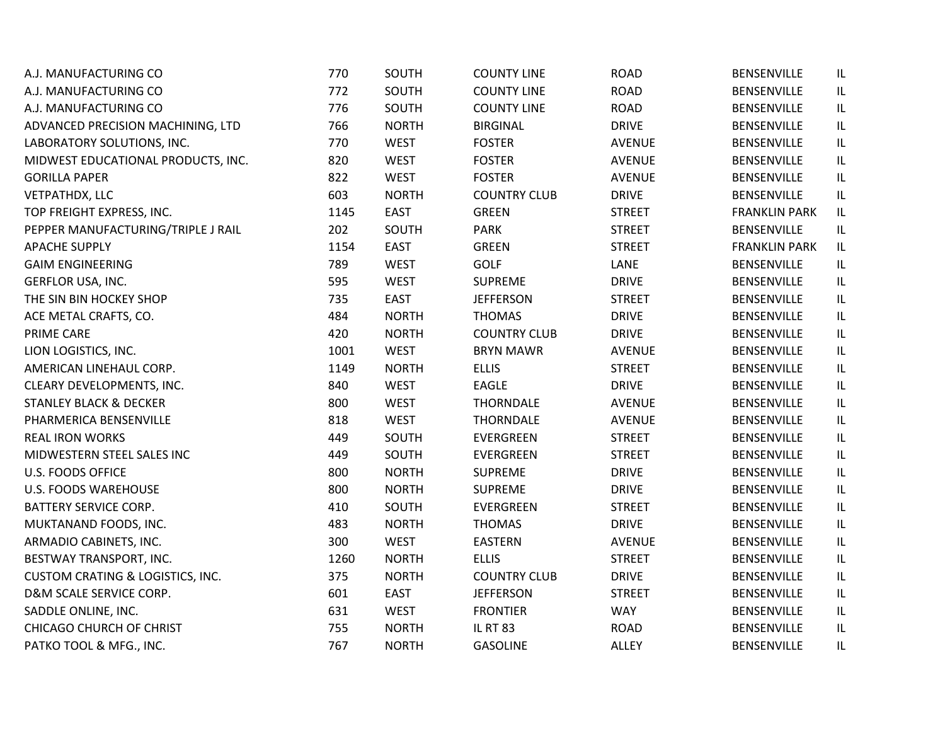| A.J. MANUFACTURING CO                       | 770  | SOUTH        | <b>COUNTY LINE</b>  | <b>ROAD</b>   | BENSENVILLE          | IL                                |
|---------------------------------------------|------|--------------|---------------------|---------------|----------------------|-----------------------------------|
| A.J. MANUFACTURING CO                       | 772  | SOUTH        | <b>COUNTY LINE</b>  | <b>ROAD</b>   | <b>BENSENVILLE</b>   | IL                                |
| A.J. MANUFACTURING CO                       | 776  | SOUTH        | <b>COUNTY LINE</b>  | <b>ROAD</b>   | BENSENVILLE          | IL                                |
| ADVANCED PRECISION MACHINING, LTD           | 766  | <b>NORTH</b> | <b>BIRGINAL</b>     | <b>DRIVE</b>  | <b>BENSENVILLE</b>   | IL                                |
| LABORATORY SOLUTIONS, INC.                  | 770  | <b>WEST</b>  | <b>FOSTER</b>       | <b>AVENUE</b> | <b>BENSENVILLE</b>   | IL                                |
| MIDWEST EDUCATIONAL PRODUCTS, INC.          | 820  | <b>WEST</b>  | <b>FOSTER</b>       | <b>AVENUE</b> | BENSENVILLE          | IL                                |
| <b>GORILLA PAPER</b>                        | 822  | <b>WEST</b>  | <b>FOSTER</b>       | <b>AVENUE</b> | BENSENVILLE          | $\ensuremath{\mathsf{IL}}\xspace$ |
| <b>VETPATHDX, LLC</b>                       | 603  | <b>NORTH</b> | <b>COUNTRY CLUB</b> | <b>DRIVE</b>  | <b>BENSENVILLE</b>   | IL                                |
| TOP FREIGHT EXPRESS, INC.                   | 1145 | <b>EAST</b>  | <b>GREEN</b>        | <b>STREET</b> | <b>FRANKLIN PARK</b> | IL                                |
| PEPPER MANUFACTURING/TRIPLE J RAIL          | 202  | SOUTH        | <b>PARK</b>         | <b>STREET</b> | BENSENVILLE          | IL                                |
| <b>APACHE SUPPLY</b>                        | 1154 | <b>EAST</b>  | <b>GREEN</b>        | <b>STREET</b> | <b>FRANKLIN PARK</b> | IL                                |
| <b>GAIM ENGINEERING</b>                     | 789  | <b>WEST</b>  | <b>GOLF</b>         | LANE          | BENSENVILLE          | IL                                |
| <b>GERFLOR USA, INC.</b>                    | 595  | <b>WEST</b>  | <b>SUPREME</b>      | <b>DRIVE</b>  | <b>BENSENVILLE</b>   | IL                                |
| THE SIN BIN HOCKEY SHOP                     | 735  | <b>EAST</b>  | <b>JEFFERSON</b>    | <b>STREET</b> | <b>BENSENVILLE</b>   | IL                                |
| ACE METAL CRAFTS, CO.                       | 484  | <b>NORTH</b> | <b>THOMAS</b>       | <b>DRIVE</b>  | BENSENVILLE          | IL                                |
| PRIME CARE                                  | 420  | <b>NORTH</b> | <b>COUNTRY CLUB</b> | <b>DRIVE</b>  | BENSENVILLE          | IL                                |
| LION LOGISTICS, INC.                        | 1001 | <b>WEST</b>  | <b>BRYN MAWR</b>    | <b>AVENUE</b> | <b>BENSENVILLE</b>   | IL                                |
| AMERICAN LINEHAUL CORP.                     | 1149 | <b>NORTH</b> | <b>ELLIS</b>        | <b>STREET</b> | BENSENVILLE          | IL                                |
| CLEARY DEVELOPMENTS, INC.                   | 840  | <b>WEST</b>  | <b>EAGLE</b>        | <b>DRIVE</b>  | <b>BENSENVILLE</b>   | IL                                |
| <b>STANLEY BLACK &amp; DECKER</b>           | 800  | <b>WEST</b>  | <b>THORNDALE</b>    | <b>AVENUE</b> | <b>BENSENVILLE</b>   | IL                                |
| PHARMERICA BENSENVILLE                      | 818  | <b>WEST</b>  | <b>THORNDALE</b>    | <b>AVENUE</b> | <b>BENSENVILLE</b>   | IL                                |
| <b>REAL IRON WORKS</b>                      | 449  | SOUTH        | EVERGREEN           | <b>STREET</b> | BENSENVILLE          | IL                                |
| MIDWESTERN STEEL SALES INC                  | 449  | SOUTH        | EVERGREEN           | <b>STREET</b> | <b>BENSENVILLE</b>   | IL                                |
| <b>U.S. FOODS OFFICE</b>                    | 800  | <b>NORTH</b> | <b>SUPREME</b>      | <b>DRIVE</b>  | <b>BENSENVILLE</b>   | IL                                |
| <b>U.S. FOODS WAREHOUSE</b>                 | 800  | <b>NORTH</b> | SUPREME             | <b>DRIVE</b>  | BENSENVILLE          | IL                                |
| <b>BATTERY SERVICE CORP.</b>                | 410  | SOUTH        | EVERGREEN           | <b>STREET</b> | <b>BENSENVILLE</b>   | IL                                |
| MUKTANAND FOODS, INC.                       | 483  | <b>NORTH</b> | <b>THOMAS</b>       | <b>DRIVE</b>  | BENSENVILLE          | IL                                |
| ARMADIO CABINETS, INC.                      | 300  | <b>WEST</b>  | <b>EASTERN</b>      | <b>AVENUE</b> | BENSENVILLE          | IL                                |
| BESTWAY TRANSPORT, INC.                     | 1260 | <b>NORTH</b> | <b>ELLIS</b>        | <b>STREET</b> | <b>BENSENVILLE</b>   | IL                                |
| <b>CUSTOM CRATING &amp; LOGISTICS, INC.</b> | 375  | <b>NORTH</b> | <b>COUNTRY CLUB</b> | <b>DRIVE</b>  | BENSENVILLE          | IL                                |
| D&M SCALE SERVICE CORP.                     | 601  | EAST         | <b>JEFFERSON</b>    | <b>STREET</b> | <b>BENSENVILLE</b>   | IL                                |
| SADDLE ONLINE, INC.                         | 631  | <b>WEST</b>  | <b>FRONTIER</b>     | <b>WAY</b>    | <b>BENSENVILLE</b>   | IL                                |
| CHICAGO CHURCH OF CHRIST                    | 755  | <b>NORTH</b> | <b>IL RT 83</b>     | <b>ROAD</b>   | BENSENVILLE          | IL                                |
| PATKO TOOL & MFG., INC.                     | 767  | <b>NORTH</b> | <b>GASOLINE</b>     | <b>ALLEY</b>  | <b>BENSENVILLE</b>   | IL.                               |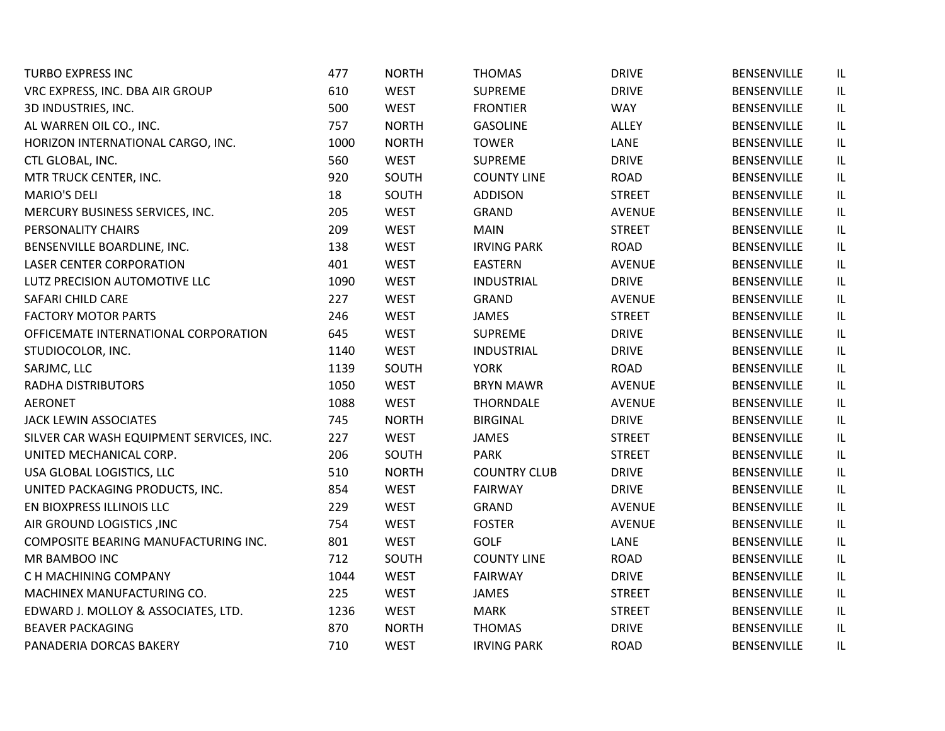| <b>TURBO EXPRESS INC</b>                 | 477  | <b>NORTH</b> | <b>THOMAS</b>       | <b>DRIVE</b>  | <b>BENSENVILLE</b> | IL  |
|------------------------------------------|------|--------------|---------------------|---------------|--------------------|-----|
| VRC EXPRESS, INC. DBA AIR GROUP          | 610  | <b>WEST</b>  | <b>SUPREME</b>      | <b>DRIVE</b>  | <b>BENSENVILLE</b> | IL  |
| 3D INDUSTRIES, INC.                      | 500  | <b>WEST</b>  | <b>FRONTIER</b>     | <b>WAY</b>    | BENSENVILLE        | IL  |
| AL WARREN OIL CO., INC.                  | 757  | <b>NORTH</b> | <b>GASOLINE</b>     | ALLEY         | BENSENVILLE        | IL  |
| HORIZON INTERNATIONAL CARGO, INC.        | 1000 | <b>NORTH</b> | <b>TOWER</b>        | LANE          | BENSENVILLE        | IL  |
| CTL GLOBAL, INC.                         | 560  | <b>WEST</b>  | <b>SUPREME</b>      | <b>DRIVE</b>  | BENSENVILLE        | IL  |
| MTR TRUCK CENTER, INC.                   | 920  | SOUTH        | <b>COUNTY LINE</b>  | <b>ROAD</b>   | BENSENVILLE        | IL  |
| <b>MARIO'S DELI</b>                      | 18   | SOUTH        | <b>ADDISON</b>      | <b>STREET</b> | BENSENVILLE        | IL  |
| MERCURY BUSINESS SERVICES, INC.          | 205  | <b>WEST</b>  | <b>GRAND</b>        | <b>AVENUE</b> | BENSENVILLE        | IL  |
| PERSONALITY CHAIRS                       | 209  | <b>WEST</b>  | <b>MAIN</b>         | <b>STREET</b> | <b>BENSENVILLE</b> | IL  |
| BENSENVILLE BOARDLINE, INC.              | 138  | <b>WEST</b>  | <b>IRVING PARK</b>  | <b>ROAD</b>   | BENSENVILLE        | IL  |
| <b>LASER CENTER CORPORATION</b>          | 401  | <b>WEST</b>  | <b>EASTERN</b>      | <b>AVENUE</b> | BENSENVILLE        | IL. |
| LUTZ PRECISION AUTOMOTIVE LLC            | 1090 | <b>WEST</b>  | <b>INDUSTRIAL</b>   | <b>DRIVE</b>  | <b>BENSENVILLE</b> | IL  |
| SAFARI CHILD CARE                        | 227  | <b>WEST</b>  | GRAND               | <b>AVENUE</b> | <b>BENSENVILLE</b> | IL  |
| <b>FACTORY MOTOR PARTS</b>               | 246  | <b>WEST</b>  | <b>JAMES</b>        | <b>STREET</b> | <b>BENSENVILLE</b> | IL  |
| OFFICEMATE INTERNATIONAL CORPORATION     | 645  | <b>WEST</b>  | <b>SUPREME</b>      | <b>DRIVE</b>  | BENSENVILLE        | IL  |
| STUDIOCOLOR, INC.                        | 1140 | <b>WEST</b>  | <b>INDUSTRIAL</b>   | <b>DRIVE</b>  | <b>BENSENVILLE</b> | IL  |
| SARJMC, LLC                              | 1139 | SOUTH        | <b>YORK</b>         | <b>ROAD</b>   | BENSENVILLE        | IL  |
| RADHA DISTRIBUTORS                       | 1050 | <b>WEST</b>  | <b>BRYN MAWR</b>    | <b>AVENUE</b> | <b>BENSENVILLE</b> | IL  |
| <b>AERONET</b>                           | 1088 | <b>WEST</b>  | <b>THORNDALE</b>    | <b>AVENUE</b> | BENSENVILLE        | IL  |
| JACK LEWIN ASSOCIATES                    | 745  | <b>NORTH</b> | <b>BIRGINAL</b>     | <b>DRIVE</b>  | <b>BENSENVILLE</b> | IL  |
| SILVER CAR WASH EQUIPMENT SERVICES, INC. | 227  | <b>WEST</b>  | <b>JAMES</b>        | <b>STREET</b> | BENSENVILLE        | IL  |
| UNITED MECHANICAL CORP.                  | 206  | SOUTH        | <b>PARK</b>         | <b>STREET</b> | BENSENVILLE        | IL  |
| USA GLOBAL LOGISTICS, LLC                | 510  | <b>NORTH</b> | <b>COUNTRY CLUB</b> | <b>DRIVE</b>  | <b>BENSENVILLE</b> | IL  |
| UNITED PACKAGING PRODUCTS, INC.          | 854  | <b>WEST</b>  | <b>FAIRWAY</b>      | <b>DRIVE</b>  | <b>BENSENVILLE</b> | IL  |
| EN BIOXPRESS ILLINOIS LLC                | 229  | <b>WEST</b>  | GRAND               | <b>AVENUE</b> | BENSENVILLE        | IL  |
| AIR GROUND LOGISTICS , INC               | 754  | <b>WEST</b>  | <b>FOSTER</b>       | <b>AVENUE</b> | BENSENVILLE        | IL  |
| COMPOSITE BEARING MANUFACTURING INC.     | 801  | <b>WEST</b>  | <b>GOLF</b>         | LANE          | <b>BENSENVILLE</b> | IL  |
| MR BAMBOO INC                            | 712  | SOUTH        | <b>COUNTY LINE</b>  | <b>ROAD</b>   | BENSENVILLE        | IL  |
| C H MACHINING COMPANY                    | 1044 | <b>WEST</b>  | <b>FAIRWAY</b>      | <b>DRIVE</b>  | <b>BENSENVILLE</b> | IL  |
| MACHINEX MANUFACTURING CO.               | 225  | <b>WEST</b>  | <b>JAMES</b>        | <b>STREET</b> | BENSENVILLE        | IL  |
| EDWARD J. MOLLOY & ASSOCIATES, LTD.      | 1236 | <b>WEST</b>  | <b>MARK</b>         | <b>STREET</b> | BENSENVILLE        | IL  |
| <b>BEAVER PACKAGING</b>                  | 870  | <b>NORTH</b> | <b>THOMAS</b>       | <b>DRIVE</b>  | BENSENVILLE        | IL  |
| PANADERIA DORCAS BAKERY                  | 710  | <b>WEST</b>  | <b>IRVING PARK</b>  | <b>ROAD</b>   | <b>BENSENVILLE</b> | IL  |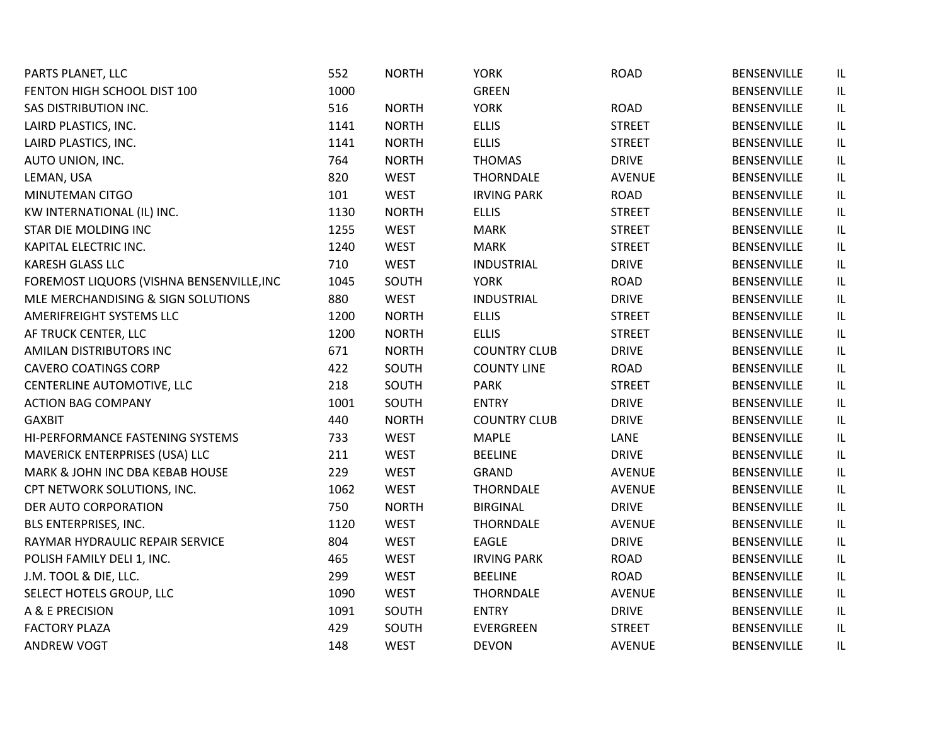| PARTS PLANET, LLC                         | 552  | <b>NORTH</b> | <b>YORK</b>         | <b>ROAD</b>   | <b>BENSENVILLE</b> | IL. |
|-------------------------------------------|------|--------------|---------------------|---------------|--------------------|-----|
| FENTON HIGH SCHOOL DIST 100               | 1000 |              | <b>GREEN</b>        |               | <b>BENSENVILLE</b> | IL  |
| SAS DISTRIBUTION INC.                     | 516  | <b>NORTH</b> | <b>YORK</b>         | <b>ROAD</b>   | <b>BENSENVILLE</b> | IL  |
| LAIRD PLASTICS, INC.                      | 1141 | <b>NORTH</b> | <b>ELLIS</b>        | <b>STREET</b> | <b>BENSENVILLE</b> | IL  |
| LAIRD PLASTICS, INC.                      | 1141 | <b>NORTH</b> | <b>ELLIS</b>        | <b>STREET</b> | BENSENVILLE        | IL  |
| AUTO UNION, INC.                          | 764  | <b>NORTH</b> | <b>THOMAS</b>       | <b>DRIVE</b>  | <b>BENSENVILLE</b> | IL  |
| LEMAN, USA                                | 820  | <b>WEST</b>  | <b>THORNDALE</b>    | <b>AVENUE</b> | BENSENVILLE        | IL. |
| MINUTEMAN CITGO                           | 101  | <b>WEST</b>  | <b>IRVING PARK</b>  | <b>ROAD</b>   | <b>BENSENVILLE</b> | IL  |
| KW INTERNATIONAL (IL) INC.                | 1130 | <b>NORTH</b> | <b>ELLIS</b>        | <b>STREET</b> | <b>BENSENVILLE</b> | IL  |
| STAR DIE MOLDING INC                      | 1255 | <b>WEST</b>  | <b>MARK</b>         | <b>STREET</b> | <b>BENSENVILLE</b> | IL  |
| KAPITAL ELECTRIC INC.                     | 1240 | <b>WEST</b>  | <b>MARK</b>         | <b>STREET</b> | <b>BENSENVILLE</b> | IL. |
| KARESH GLASS LLC                          | 710  | <b>WEST</b>  | <b>INDUSTRIAL</b>   | <b>DRIVE</b>  | BENSENVILLE        | IL. |
| FOREMOST LIQUORS (VISHNA BENSENVILLE, INC | 1045 | SOUTH        | <b>YORK</b>         | <b>ROAD</b>   | <b>BENSENVILLE</b> | IL  |
| MLE MERCHANDISING & SIGN SOLUTIONS        | 880  | <b>WEST</b>  | <b>INDUSTRIAL</b>   | <b>DRIVE</b>  | <b>BENSENVILLE</b> | IL  |
| AMERIFREIGHT SYSTEMS LLC                  | 1200 | <b>NORTH</b> | <b>ELLIS</b>        | <b>STREET</b> | <b>BENSENVILLE</b> | IL  |
| AF TRUCK CENTER, LLC                      | 1200 | <b>NORTH</b> | <b>ELLIS</b>        | <b>STREET</b> | <b>BENSENVILLE</b> | IL  |
| AMILAN DISTRIBUTORS INC                   | 671  | <b>NORTH</b> | <b>COUNTRY CLUB</b> | <b>DRIVE</b>  | BENSENVILLE        | IL  |
| <b>CAVERO COATINGS CORP</b>               | 422  | SOUTH        | <b>COUNTY LINE</b>  | <b>ROAD</b>   | <b>BENSENVILLE</b> | IL  |
| CENTERLINE AUTOMOTIVE, LLC                | 218  | SOUTH        | <b>PARK</b>         | <b>STREET</b> | <b>BENSENVILLE</b> | IL  |
| <b>ACTION BAG COMPANY</b>                 | 1001 | SOUTH        | <b>ENTRY</b>        | <b>DRIVE</b>  | <b>BENSENVILLE</b> | IL  |
| <b>GAXBIT</b>                             | 440  | <b>NORTH</b> | <b>COUNTRY CLUB</b> | <b>DRIVE</b>  | <b>BENSENVILLE</b> | IL. |
| HI-PERFORMANCE FASTENING SYSTEMS          | 733  | <b>WEST</b>  | <b>MAPLE</b>        | LANE          | BENSENVILLE        | IL  |
| MAVERICK ENTERPRISES (USA) LLC            | 211  | <b>WEST</b>  | <b>BEELINE</b>      | <b>DRIVE</b>  | <b>BENSENVILLE</b> | IL  |
| MARK & JOHN INC DBA KEBAB HOUSE           | 229  | <b>WEST</b>  | GRAND               | <b>AVENUE</b> | <b>BENSENVILLE</b> | IL  |
| CPT NETWORK SOLUTIONS, INC.               | 1062 | <b>WEST</b>  | <b>THORNDALE</b>    | <b>AVENUE</b> | <b>BENSENVILLE</b> | IL  |
| DER AUTO CORPORATION                      | 750  | <b>NORTH</b> | <b>BIRGINAL</b>     | <b>DRIVE</b>  | <b>BENSENVILLE</b> | IL  |
| BLS ENTERPRISES, INC.                     | 1120 | <b>WEST</b>  | <b>THORNDALE</b>    | <b>AVENUE</b> | <b>BENSENVILLE</b> | IL  |
| RAYMAR HYDRAULIC REPAIR SERVICE           | 804  | <b>WEST</b>  | <b>EAGLE</b>        | <b>DRIVE</b>  | <b>BENSENVILLE</b> | IL  |
| POLISH FAMILY DELI 1, INC.                | 465  | <b>WEST</b>  | <b>IRVING PARK</b>  | <b>ROAD</b>   | <b>BENSENVILLE</b> | IL  |
| J.M. TOOL & DIE, LLC.                     | 299  | <b>WEST</b>  | <b>BEELINE</b>      | <b>ROAD</b>   | BENSENVILLE        | IL  |
| SELECT HOTELS GROUP, LLC                  | 1090 | <b>WEST</b>  | <b>THORNDALE</b>    | <b>AVENUE</b> | <b>BENSENVILLE</b> | IL. |
| A & E PRECISION                           | 1091 | SOUTH        | <b>ENTRY</b>        | <b>DRIVE</b>  | <b>BENSENVILLE</b> | IL  |
| <b>FACTORY PLAZA</b>                      | 429  | SOUTH        | EVERGREEN           | <b>STREET</b> | BENSENVILLE        | IL  |
| <b>ANDREW VOGT</b>                        | 148  | <b>WEST</b>  | <b>DEVON</b>        | <b>AVENUE</b> | <b>BENSENVILLE</b> | IL  |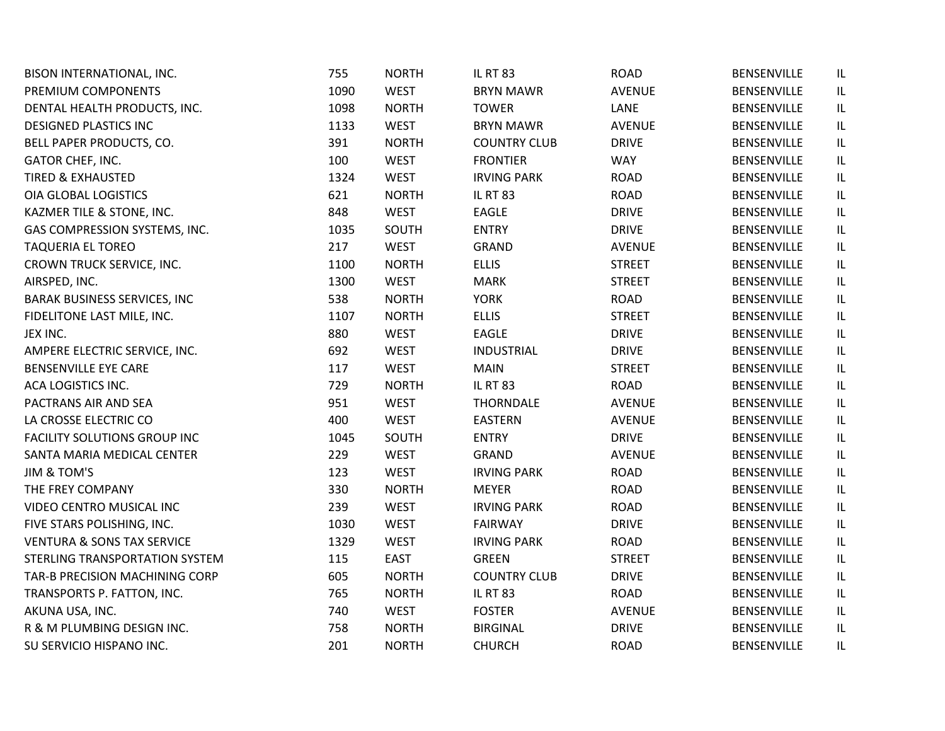| BISON INTERNATIONAL, INC.             | 755  | <b>NORTH</b> | <b>IL RT 83</b>     | <b>ROAD</b>   | BENSENVILLE        | IL  |
|---------------------------------------|------|--------------|---------------------|---------------|--------------------|-----|
| PREMIUM COMPONENTS                    | 1090 | <b>WEST</b>  | <b>BRYN MAWR</b>    | <b>AVENUE</b> | <b>BENSENVILLE</b> | IL. |
| DENTAL HEALTH PRODUCTS, INC.          | 1098 | <b>NORTH</b> | <b>TOWER</b>        | LANE          | <b>BENSENVILLE</b> | IL. |
| <b>DESIGNED PLASTICS INC</b>          | 1133 | <b>WEST</b>  | <b>BRYN MAWR</b>    | <b>AVENUE</b> | <b>BENSENVILLE</b> | IL  |
| BELL PAPER PRODUCTS, CO.              | 391  | <b>NORTH</b> | <b>COUNTRY CLUB</b> | <b>DRIVE</b>  | BENSENVILLE        | IL  |
| GATOR CHEF, INC.                      | 100  | <b>WEST</b>  | <b>FRONTIER</b>     | <b>WAY</b>    | <b>BENSENVILLE</b> | IL  |
| <b>TIRED &amp; EXHAUSTED</b>          | 1324 | <b>WEST</b>  | <b>IRVING PARK</b>  | <b>ROAD</b>   | <b>BENSENVILLE</b> | IL  |
| OIA GLOBAL LOGISTICS                  | 621  | <b>NORTH</b> | <b>IL RT 83</b>     | <b>ROAD</b>   | <b>BENSENVILLE</b> | IL  |
| KAZMER TILE & STONE, INC.             | 848  | <b>WEST</b>  | EAGLE               | <b>DRIVE</b>  | <b>BENSENVILLE</b> | IL  |
| GAS COMPRESSION SYSTEMS, INC.         | 1035 | SOUTH        | <b>ENTRY</b>        | <b>DRIVE</b>  | <b>BENSENVILLE</b> | IL. |
| <b>TAQUERIA EL TOREO</b>              | 217  | <b>WEST</b>  | GRAND               | <b>AVENUE</b> | BENSENVILLE        | IL. |
| CROWN TRUCK SERVICE, INC.             | 1100 | <b>NORTH</b> | <b>ELLIS</b>        | <b>STREET</b> | <b>BENSENVILLE</b> | IL  |
| AIRSPED, INC.                         | 1300 | <b>WEST</b>  | <b>MARK</b>         | <b>STREET</b> | BENSENVILLE        | IL. |
| <b>BARAK BUSINESS SERVICES, INC</b>   | 538  | <b>NORTH</b> | <b>YORK</b>         | <b>ROAD</b>   | <b>BENSENVILLE</b> | IL  |
| FIDELITONE LAST MILE, INC.            | 1107 | <b>NORTH</b> | <b>ELLIS</b>        | <b>STREET</b> | <b>BENSENVILLE</b> | IL  |
| JEX INC.                              | 880  | <b>WEST</b>  | EAGLE               | <b>DRIVE</b>  | <b>BENSENVILLE</b> | IL  |
| AMPERE ELECTRIC SERVICE, INC.         | 692  | <b>WEST</b>  | <b>INDUSTRIAL</b>   | <b>DRIVE</b>  | <b>BENSENVILLE</b> | IL  |
| <b>BENSENVILLE EYE CARE</b>           | 117  | <b>WEST</b>  | <b>MAIN</b>         | <b>STREET</b> | <b>BENSENVILLE</b> | IL  |
| ACA LOGISTICS INC.                    | 729  | <b>NORTH</b> | <b>IL RT 83</b>     | <b>ROAD</b>   | BENSENVILLE        | IL  |
| PACTRANS AIR AND SEA                  | 951  | <b>WEST</b>  | <b>THORNDALE</b>    | <b>AVENUE</b> | BENSENVILLE        | IL. |
| LA CROSSE ELECTRIC CO                 | 400  | <b>WEST</b>  | <b>EASTERN</b>      | <b>AVENUE</b> | <b>BENSENVILLE</b> | IL. |
| <b>FACILITY SOLUTIONS GROUP INC</b>   | 1045 | SOUTH        | <b>ENTRY</b>        | <b>DRIVE</b>  | <b>BENSENVILLE</b> | IL. |
| SANTA MARIA MEDICAL CENTER            | 229  | <b>WEST</b>  | GRAND               | <b>AVENUE</b> | <b>BENSENVILLE</b> | IL  |
| <b>JIM &amp; TOM'S</b>                | 123  | <b>WEST</b>  | <b>IRVING PARK</b>  | <b>ROAD</b>   | <b>BENSENVILLE</b> | IL  |
| THE FREY COMPANY                      | 330  | <b>NORTH</b> | <b>MEYER</b>        | <b>ROAD</b>   | <b>BENSENVILLE</b> | IL  |
| VIDEO CENTRO MUSICAL INC              | 239  | <b>WEST</b>  | <b>IRVING PARK</b>  | <b>ROAD</b>   | <b>BENSENVILLE</b> | IL  |
| FIVE STARS POLISHING, INC.            | 1030 | <b>WEST</b>  | FAIRWAY             | <b>DRIVE</b>  | <b>BENSENVILLE</b> | IL. |
| <b>VENTURA &amp; SONS TAX SERVICE</b> | 1329 | <b>WEST</b>  | <b>IRVING PARK</b>  | <b>ROAD</b>   | <b>BENSENVILLE</b> | IL  |
| STERLING TRANSPORTATION SYSTEM        | 115  | <b>EAST</b>  | <b>GREEN</b>        | <b>STREET</b> | <b>BENSENVILLE</b> | IL. |
| TAR-B PRECISION MACHINING CORP        | 605  | <b>NORTH</b> | <b>COUNTRY CLUB</b> | <b>DRIVE</b>  | <b>BENSENVILLE</b> | IL. |
| TRANSPORTS P. FATTON, INC.            | 765  | <b>NORTH</b> | <b>IL RT 83</b>     | <b>ROAD</b>   | <b>BENSENVILLE</b> | IL. |
| AKUNA USA, INC.                       | 740  | <b>WEST</b>  | <b>FOSTER</b>       | <b>AVENUE</b> | <b>BENSENVILLE</b> | IL. |
| R & M PLUMBING DESIGN INC.            | 758  | <b>NORTH</b> | <b>BIRGINAL</b>     | <b>DRIVE</b>  | <b>BENSENVILLE</b> | IL  |
| SU SERVICIO HISPANO INC.              | 201  | <b>NORTH</b> | <b>CHURCH</b>       | <b>ROAD</b>   | <b>BENSENVILLE</b> | IL  |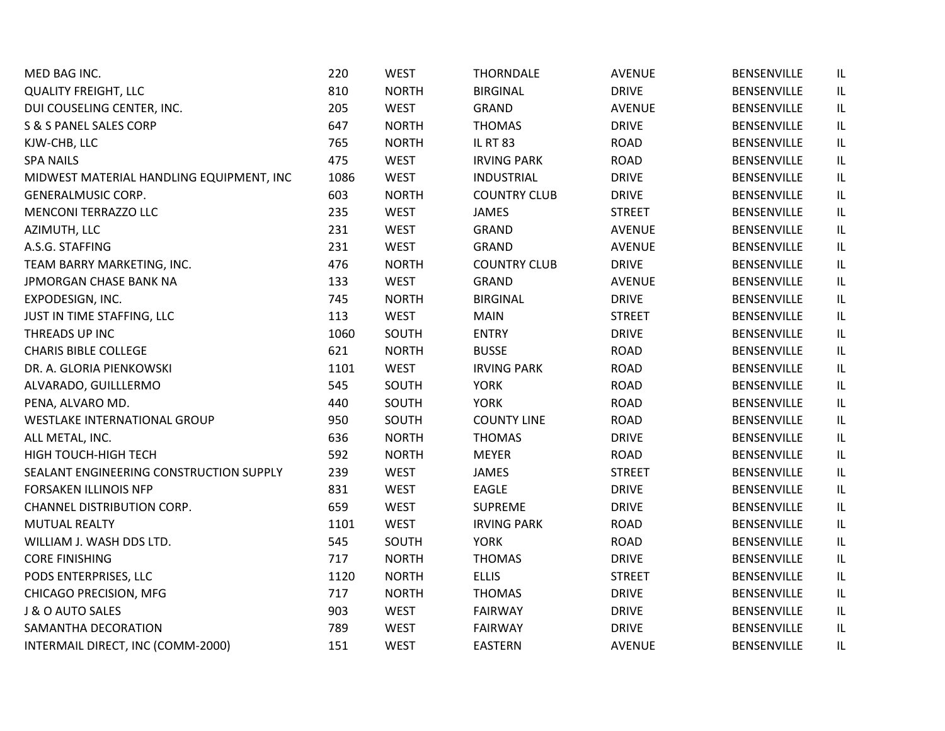| MED BAG INC.                             | 220  | <b>WEST</b>  | <b>THORNDALE</b>    | <b>AVENUE</b> | <b>BENSENVILLE</b> | IL  |
|------------------------------------------|------|--------------|---------------------|---------------|--------------------|-----|
| <b>QUALITY FREIGHT, LLC</b>              | 810  | <b>NORTH</b> | <b>BIRGINAL</b>     | <b>DRIVE</b>  | BENSENVILLE        | IL. |
| DUI COUSELING CENTER, INC.               | 205  | <b>WEST</b>  | GRAND               | <b>AVENUE</b> | <b>BENSENVILLE</b> | IL  |
| S & S PANEL SALES CORP                   | 647  | <b>NORTH</b> | <b>THOMAS</b>       | <b>DRIVE</b>  | BENSENVILLE        | IL  |
| KJW-CHB, LLC                             | 765  | <b>NORTH</b> | <b>IL RT 83</b>     | <b>ROAD</b>   | <b>BENSENVILLE</b> | IL  |
| <b>SPA NAILS</b>                         | 475  | <b>WEST</b>  | <b>IRVING PARK</b>  | ROAD          | <b>BENSENVILLE</b> | IL  |
| MIDWEST MATERIAL HANDLING EQUIPMENT, INC | 1086 | <b>WEST</b>  | <b>INDUSTRIAL</b>   | <b>DRIVE</b>  | <b>BENSENVILLE</b> | IL  |
| <b>GENERALMUSIC CORP.</b>                | 603  | <b>NORTH</b> | <b>COUNTRY CLUB</b> | <b>DRIVE</b>  | BENSENVILLE        | IL  |
| <b>MENCONI TERRAZZO LLC</b>              | 235  | <b>WEST</b>  | <b>JAMES</b>        | <b>STREET</b> | <b>BENSENVILLE</b> | IL  |
| AZIMUTH, LLC                             | 231  | <b>WEST</b>  | GRAND               | <b>AVENUE</b> | <b>BENSENVILLE</b> | IL  |
| A.S.G. STAFFING                          | 231  | <b>WEST</b>  | GRAND               | <b>AVENUE</b> | <b>BENSENVILLE</b> | IL  |
| TEAM BARRY MARKETING, INC.               | 476  | <b>NORTH</b> | <b>COUNTRY CLUB</b> | <b>DRIVE</b>  | BENSENVILLE        | IL. |
| JPMORGAN CHASE BANK NA                   | 133  | <b>WEST</b>  | <b>GRAND</b>        | <b>AVENUE</b> | <b>BENSENVILLE</b> | IL  |
| EXPODESIGN, INC.                         | 745  | <b>NORTH</b> | <b>BIRGINAL</b>     | <b>DRIVE</b>  | <b>BENSENVILLE</b> | IL  |
| JUST IN TIME STAFFING, LLC               | 113  | <b>WEST</b>  | <b>MAIN</b>         | <b>STREET</b> | BENSENVILLE        | IL  |
| THREADS UP INC                           | 1060 | SOUTH        | <b>ENTRY</b>        | <b>DRIVE</b>  | <b>BENSENVILLE</b> | IL  |
| <b>CHARIS BIBLE COLLEGE</b>              | 621  | <b>NORTH</b> | <b>BUSSE</b>        | ROAD          | BENSENVILLE        | IL  |
| DR. A. GLORIA PIENKOWSKI                 | 1101 | <b>WEST</b>  | <b>IRVING PARK</b>  | <b>ROAD</b>   | <b>BENSENVILLE</b> | IL  |
| ALVARADO, GUILLLERMO                     | 545  | SOUTH        | <b>YORK</b>         | <b>ROAD</b>   | <b>BENSENVILLE</b> | IL  |
| PENA, ALVARO MD.                         | 440  | SOUTH        | <b>YORK</b>         | <b>ROAD</b>   | BENSENVILLE        | IL. |
| <b>WESTLAKE INTERNATIONAL GROUP</b>      | 950  | SOUTH        | <b>COUNTY LINE</b>  | ROAD          | BENSENVILLE        | IL  |
| ALL METAL, INC.                          | 636  | <b>NORTH</b> | <b>THOMAS</b>       | <b>DRIVE</b>  | <b>BENSENVILLE</b> | IL. |
| HIGH TOUCH-HIGH TECH                     | 592  | <b>NORTH</b> | <b>MEYER</b>        | <b>ROAD</b>   | BENSENVILLE        | IL  |
| SEALANT ENGINEERING CONSTRUCTION SUPPLY  | 239  | <b>WEST</b>  | <b>JAMES</b>        | <b>STREET</b> | <b>BENSENVILLE</b> | IL  |
| FORSAKEN ILLINOIS NFP                    | 831  | <b>WEST</b>  | EAGLE               | <b>DRIVE</b>  | BENSENVILLE        | IL  |
| <b>CHANNEL DISTRIBUTION CORP.</b>        | 659  | <b>WEST</b>  | <b>SUPREME</b>      | <b>DRIVE</b>  | BENSENVILLE        | IL  |
| <b>MUTUAL REALTY</b>                     | 1101 | <b>WEST</b>  | <b>IRVING PARK</b>  | ROAD          | <b>BENSENVILLE</b> | IL  |
| WILLIAM J. WASH DDS LTD.                 | 545  | SOUTH        | <b>YORK</b>         | ROAD          | BENSENVILLE        | IL  |
| <b>CORE FINISHING</b>                    | 717  | <b>NORTH</b> | <b>THOMAS</b>       | <b>DRIVE</b>  | <b>BENSENVILLE</b> | IL  |
| PODS ENTERPRISES, LLC                    | 1120 | <b>NORTH</b> | <b>ELLIS</b>        | <b>STREET</b> | <b>BENSENVILLE</b> | IL  |
| CHICAGO PRECISION, MFG                   | 717  | <b>NORTH</b> | <b>THOMAS</b>       | <b>DRIVE</b>  | BENSENVILLE        | IL  |
| J & O AUTO SALES                         | 903  | <b>WEST</b>  | <b>FAIRWAY</b>      | <b>DRIVE</b>  | <b>BENSENVILLE</b> | IL  |
| SAMANTHA DECORATION                      | 789  | <b>WEST</b>  | <b>FAIRWAY</b>      | <b>DRIVE</b>  | <b>BENSENVILLE</b> | IL  |
| INTERMAIL DIRECT, INC (COMM-2000)        | 151  | <b>WEST</b>  | <b>EASTERN</b>      | <b>AVENUE</b> | <b>BENSENVILLE</b> | IL  |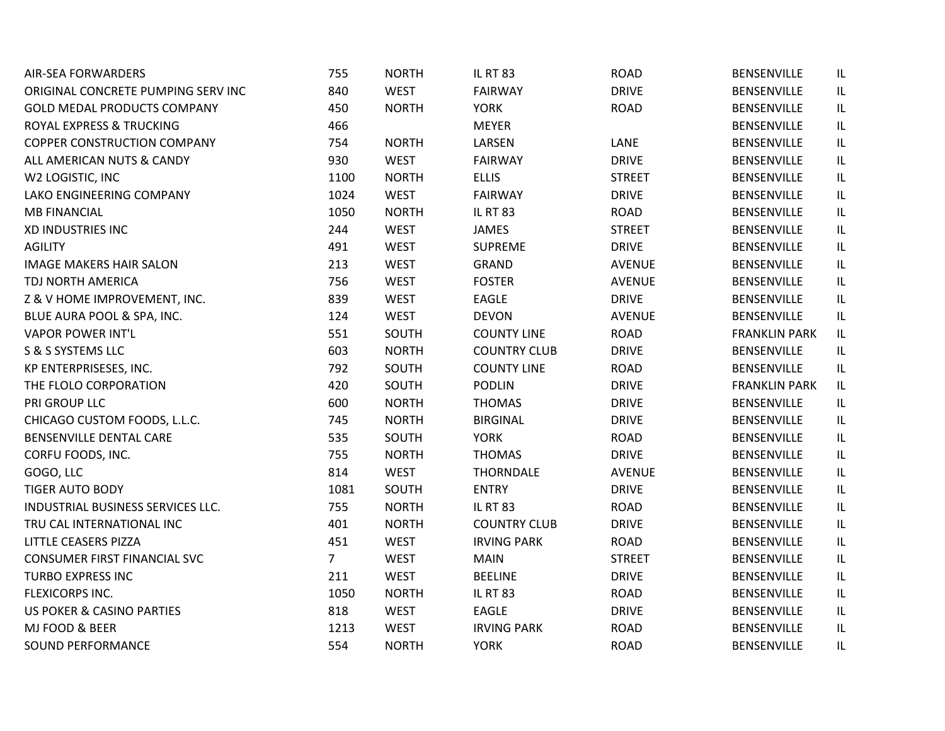| <b>AIR-SEA FORWARDERS</b>            | 755            | <b>NORTH</b> | <b>IL RT 83</b>     | <b>ROAD</b>   | <b>BENSENVILLE</b>   | IL  |
|--------------------------------------|----------------|--------------|---------------------|---------------|----------------------|-----|
| ORIGINAL CONCRETE PUMPING SERV INC   | 840            | <b>WEST</b>  | <b>FAIRWAY</b>      | <b>DRIVE</b>  | BENSENVILLE          | IL  |
| <b>GOLD MEDAL PRODUCTS COMPANY</b>   | 450            | <b>NORTH</b> | <b>YORK</b>         | <b>ROAD</b>   | BENSENVILLE          | IL  |
| ROYAL EXPRESS & TRUCKING             | 466            |              | <b>MEYER</b>        |               | <b>BENSENVILLE</b>   | IL  |
| <b>COPPER CONSTRUCTION COMPANY</b>   | 754            | <b>NORTH</b> | LARSEN              | LANE          | BENSENVILLE          | IL  |
| ALL AMERICAN NUTS & CANDY            | 930            | <b>WEST</b>  | <b>FAIRWAY</b>      | <b>DRIVE</b>  | <b>BENSENVILLE</b>   | IL  |
| W2 LOGISTIC, INC                     | 1100           | <b>NORTH</b> | <b>ELLIS</b>        | <b>STREET</b> | BENSENVILLE          | IL  |
| LAKO ENGINEERING COMPANY             | 1024           | <b>WEST</b>  | <b>FAIRWAY</b>      | <b>DRIVE</b>  | BENSENVILLE          | IL  |
| <b>MB FINANCIAL</b>                  | 1050           | <b>NORTH</b> | <b>IL RT 83</b>     | <b>ROAD</b>   | <b>BENSENVILLE</b>   | IL  |
| XD INDUSTRIES INC                    | 244            | <b>WEST</b>  | <b>JAMES</b>        | <b>STREET</b> | <b>BENSENVILLE</b>   | IL  |
| <b>AGILITY</b>                       | 491            | <b>WEST</b>  | <b>SUPREME</b>      | <b>DRIVE</b>  | BENSENVILLE          | IL. |
| <b>IMAGE MAKERS HAIR SALON</b>       | 213            | <b>WEST</b>  | <b>GRAND</b>        | <b>AVENUE</b> | BENSENVILLE          | IL  |
| TDJ NORTH AMERICA                    | 756            | <b>WEST</b>  | <b>FOSTER</b>       | <b>AVENUE</b> | <b>BENSENVILLE</b>   | IL  |
| Z & V HOME IMPROVEMENT, INC.         | 839            | <b>WEST</b>  | EAGLE               | <b>DRIVE</b>  | <b>BENSENVILLE</b>   | IL  |
| BLUE AURA POOL & SPA, INC.           | 124            | <b>WEST</b>  | <b>DEVON</b>        | <b>AVENUE</b> | <b>BENSENVILLE</b>   | IL  |
| <b>VAPOR POWER INT'L</b>             | 551            | SOUTH        | <b>COUNTY LINE</b>  | <b>ROAD</b>   | <b>FRANKLIN PARK</b> | IL  |
| S & S SYSTEMS LLC                    | 603            | <b>NORTH</b> | <b>COUNTRY CLUB</b> | <b>DRIVE</b>  | BENSENVILLE          | IL  |
| KP ENTERPRISESES, INC.               | 792            | SOUTH        | <b>COUNTY LINE</b>  | ROAD          | BENSENVILLE          | IL  |
| THE FLOLO CORPORATION                | 420            | SOUTH        | <b>PODLIN</b>       | <b>DRIVE</b>  | <b>FRANKLIN PARK</b> | IL  |
| PRI GROUP LLC                        | 600            | <b>NORTH</b> | <b>THOMAS</b>       | <b>DRIVE</b>  | BENSENVILLE          | IL  |
| CHICAGO CUSTOM FOODS, L.L.C.         | 745            | <b>NORTH</b> | <b>BIRGINAL</b>     | <b>DRIVE</b>  | BENSENVILLE          | IL  |
| BENSENVILLE DENTAL CARE              | 535            | SOUTH        | <b>YORK</b>         | <b>ROAD</b>   | BENSENVILLE          | IL  |
| CORFU FOODS, INC.                    | 755            | <b>NORTH</b> | <b>THOMAS</b>       | <b>DRIVE</b>  | BENSENVILLE          | IL  |
| GOGO, LLC                            | 814            | <b>WEST</b>  | <b>THORNDALE</b>    | <b>AVENUE</b> | BENSENVILLE          | IL  |
| <b>TIGER AUTO BODY</b>               | 1081           | SOUTH        | <b>ENTRY</b>        | <b>DRIVE</b>  | <b>BENSENVILLE</b>   | IL  |
| INDUSTRIAL BUSINESS SERVICES LLC.    | 755            | <b>NORTH</b> | <b>IL RT 83</b>     | ROAD          | <b>BENSENVILLE</b>   | IL  |
| TRU CAL INTERNATIONAL INC            | 401            | <b>NORTH</b> | <b>COUNTRY CLUB</b> | <b>DRIVE</b>  | BENSENVILLE          | IL  |
| LITTLE CEASERS PIZZA                 | 451            | <b>WEST</b>  | <b>IRVING PARK</b>  | ROAD          | <b>BENSENVILLE</b>   | IL  |
| <b>CONSUMER FIRST FINANCIAL SVC</b>  | $\overline{7}$ | <b>WEST</b>  | <b>MAIN</b>         | <b>STREET</b> | <b>BENSENVILLE</b>   | IL  |
| TURBO EXPRESS INC                    | 211            | <b>WEST</b>  | <b>BEELINE</b>      | <b>DRIVE</b>  | <b>BENSENVILLE</b>   | IL  |
| FLEXICORPS INC.                      | 1050           | <b>NORTH</b> | <b>IL RT 83</b>     | ROAD          | BENSENVILLE          | IL  |
| <b>US POKER &amp; CASINO PARTIES</b> | 818            | <b>WEST</b>  | <b>EAGLE</b>        | <b>DRIVE</b>  | <b>BENSENVILLE</b>   | IL  |
| MJ FOOD & BEER                       | 1213           | <b>WEST</b>  | <b>IRVING PARK</b>  | <b>ROAD</b>   | BENSENVILLE          | IL  |
| <b>SOUND PERFORMANCE</b>             | 554            | <b>NORTH</b> | <b>YORK</b>         | <b>ROAD</b>   | <b>BENSENVILLE</b>   | IL  |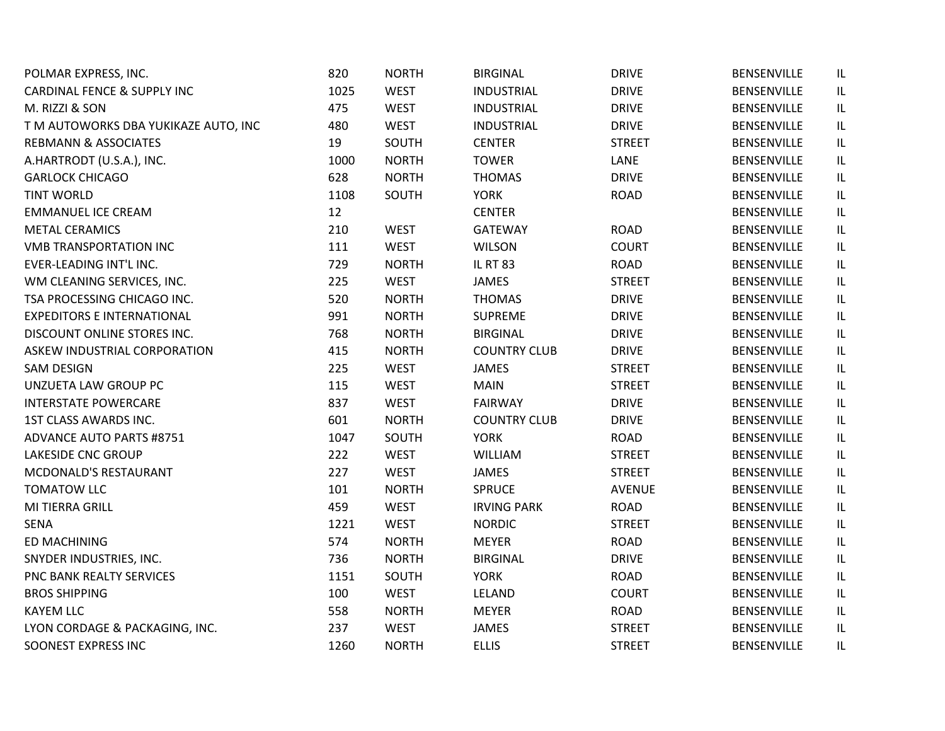| POLMAR EXPRESS, INC.                   | 820  | <b>NORTH</b> | <b>BIRGINAL</b>     | <b>DRIVE</b>  | BENSENVILLE        | IL |
|----------------------------------------|------|--------------|---------------------|---------------|--------------------|----|
| <b>CARDINAL FENCE &amp; SUPPLY INC</b> | 1025 | <b>WEST</b>  | <b>INDUSTRIAL</b>   | <b>DRIVE</b>  | <b>BENSENVILLE</b> | IL |
| M. RIZZI & SON                         | 475  | <b>WEST</b>  | <b>INDUSTRIAL</b>   | <b>DRIVE</b>  | BENSENVILLE        | IL |
| T M AUTOWORKS DBA YUKIKAZE AUTO, INC   | 480  | <b>WEST</b>  | <b>INDUSTRIAL</b>   | <b>DRIVE</b>  | BENSENVILLE        | IL |
| <b>REBMANN &amp; ASSOCIATES</b>        | 19   | SOUTH        | <b>CENTER</b>       | <b>STREET</b> | <b>BENSENVILLE</b> | IL |
| A.HARTRODT (U.S.A.), INC.              | 1000 | <b>NORTH</b> | <b>TOWER</b>        | LANE          | BENSENVILLE        | IL |
| <b>GARLOCK CHICAGO</b>                 | 628  | <b>NORTH</b> | <b>THOMAS</b>       | <b>DRIVE</b>  | BENSENVILLE        | IL |
| <b>TINT WORLD</b>                      | 1108 | SOUTH        | <b>YORK</b>         | <b>ROAD</b>   | BENSENVILLE        | IL |
| <b>EMMANUEL ICE CREAM</b>              | 12   |              | <b>CENTER</b>       |               | BENSENVILLE        | IL |
| <b>METAL CERAMICS</b>                  | 210  | <b>WEST</b>  | <b>GATEWAY</b>      | <b>ROAD</b>   | BENSENVILLE        | IL |
| <b>VMB TRANSPORTATION INC</b>          | 111  | <b>WEST</b>  | <b>WILSON</b>       | <b>COURT</b>  | <b>BENSENVILLE</b> | IL |
| EVER-LEADING INT'L INC.                | 729  | <b>NORTH</b> | <b>IL RT 83</b>     | <b>ROAD</b>   | BENSENVILLE        | IL |
| WM CLEANING SERVICES, INC.             | 225  | <b>WEST</b>  | <b>JAMES</b>        | <b>STREET</b> | BENSENVILLE        | IL |
| TSA PROCESSING CHICAGO INC.            | 520  | <b>NORTH</b> | <b>THOMAS</b>       | <b>DRIVE</b>  | <b>BENSENVILLE</b> | IL |
| <b>EXPEDITORS E INTERNATIONAL</b>      | 991  | <b>NORTH</b> | <b>SUPREME</b>      | <b>DRIVE</b>  | BENSENVILLE        | IL |
| DISCOUNT ONLINE STORES INC.            | 768  | <b>NORTH</b> | <b>BIRGINAL</b>     | <b>DRIVE</b>  | BENSENVILLE        | IL |
| ASKEW INDUSTRIAL CORPORATION           | 415  | <b>NORTH</b> | <b>COUNTRY CLUB</b> | <b>DRIVE</b>  | <b>BENSENVILLE</b> | IL |
| SAM DESIGN                             | 225  | <b>WEST</b>  | <b>JAMES</b>        | <b>STREET</b> | BENSENVILLE        | IL |
| UNZUETA LAW GROUP PC                   | 115  | <b>WEST</b>  | <b>MAIN</b>         | <b>STREET</b> | BENSENVILLE        | IL |
| <b>INTERSTATE POWERCARE</b>            | 837  | <b>WEST</b>  | <b>FAIRWAY</b>      | <b>DRIVE</b>  | <b>BENSENVILLE</b> | IL |
| 1ST CLASS AWARDS INC.                  | 601  | <b>NORTH</b> | <b>COUNTRY CLUB</b> | <b>DRIVE</b>  | BENSENVILLE        | IL |
| <b>ADVANCE AUTO PARTS #8751</b>        | 1047 | SOUTH        | <b>YORK</b>         | <b>ROAD</b>   | BENSENVILLE        | IL |
| <b>LAKESIDE CNC GROUP</b>              | 222  | <b>WEST</b>  | WILLIAM             | <b>STREET</b> | <b>BENSENVILLE</b> | IL |
| MCDONALD'S RESTAURANT                  | 227  | <b>WEST</b>  | <b>JAMES</b>        | <b>STREET</b> | <b>BENSENVILLE</b> | IL |
| <b>TOMATOW LLC</b>                     | 101  | <b>NORTH</b> | <b>SPRUCE</b>       | <b>AVENUE</b> | <b>BENSENVILLE</b> | IL |
| MI TIERRA GRILL                        | 459  | <b>WEST</b>  | <b>IRVING PARK</b>  | <b>ROAD</b>   | <b>BENSENVILLE</b> | IL |
| <b>SENA</b>                            | 1221 | <b>WEST</b>  | <b>NORDIC</b>       | <b>STREET</b> | BENSENVILLE        | IL |
| ED MACHINING                           | 574  | <b>NORTH</b> | <b>MEYER</b>        | <b>ROAD</b>   | <b>BENSENVILLE</b> | IL |
| SNYDER INDUSTRIES, INC.                | 736  | <b>NORTH</b> | <b>BIRGINAL</b>     | <b>DRIVE</b>  | <b>BENSENVILLE</b> | IL |
| PNC BANK REALTY SERVICES               | 1151 | SOUTH        | <b>YORK</b>         | <b>ROAD</b>   | <b>BENSENVILLE</b> | IL |
| <b>BROS SHIPPING</b>                   | 100  | <b>WEST</b>  | LELAND              | <b>COURT</b>  | BENSENVILLE        | IL |
| <b>KAYEM LLC</b>                       | 558  | <b>NORTH</b> | <b>MEYER</b>        | <b>ROAD</b>   | <b>BENSENVILLE</b> | IL |
| LYON CORDAGE & PACKAGING, INC.         | 237  | <b>WEST</b>  | <b>JAMES</b>        | <b>STREET</b> | BENSENVILLE        | IL |
| SOONEST EXPRESS INC                    | 1260 | <b>NORTH</b> | <b>ELLIS</b>        | <b>STREET</b> | <b>BENSENVILLE</b> | IL |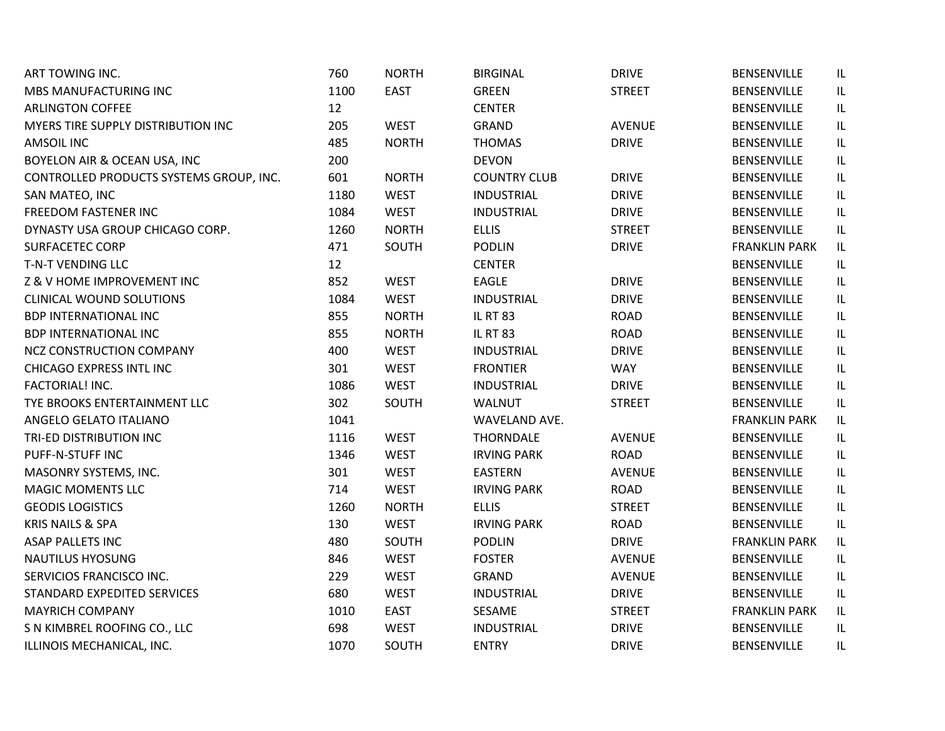| ART TOWING INC.                         | 760  | <b>NORTH</b> | <b>BIRGINAL</b>     | <b>DRIVE</b>  | BENSENVILLE          | IL. |
|-----------------------------------------|------|--------------|---------------------|---------------|----------------------|-----|
| MBS MANUFACTURING INC                   | 1100 | <b>EAST</b>  | <b>GREEN</b>        | <b>STREET</b> | <b>BENSENVILLE</b>   | IL. |
| <b>ARLINGTON COFFEE</b>                 | 12   |              | <b>CENTER</b>       |               | <b>BENSENVILLE</b>   | IL. |
| MYERS TIRE SUPPLY DISTRIBUTION INC      | 205  | <b>WEST</b>  | GRAND               | <b>AVENUE</b> | <b>BENSENVILLE</b>   | IL  |
| <b>AMSOIL INC</b>                       | 485  | <b>NORTH</b> | <b>THOMAS</b>       | <b>DRIVE</b>  | <b>BENSENVILLE</b>   | IL  |
| BOYELON AIR & OCEAN USA, INC            | 200  |              | <b>DEVON</b>        |               | <b>BENSENVILLE</b>   | IL  |
| CONTROLLED PRODUCTS SYSTEMS GROUP, INC. | 601  | <b>NORTH</b> | <b>COUNTRY CLUB</b> | <b>DRIVE</b>  | <b>BENSENVILLE</b>   | IL  |
| SAN MATEO, INC                          | 1180 | <b>WEST</b>  | <b>INDUSTRIAL</b>   | <b>DRIVE</b>  | BENSENVILLE          | IL. |
| FREEDOM FASTENER INC                    | 1084 | <b>WEST</b>  | <b>INDUSTRIAL</b>   | <b>DRIVE</b>  | <b>BENSENVILLE</b>   | IL  |
| DYNASTY USA GROUP CHICAGO CORP.         | 1260 | <b>NORTH</b> | <b>ELLIS</b>        | <b>STREET</b> | <b>BENSENVILLE</b>   | IL  |
| <b>SURFACETEC CORP</b>                  | 471  | SOUTH        | <b>PODLIN</b>       | <b>DRIVE</b>  | <b>FRANKLIN PARK</b> | IL. |
| T-N-T VENDING LLC                       | 12   |              | <b>CENTER</b>       |               | <b>BENSENVILLE</b>   | IL. |
| Z & V HOME IMPROVEMENT INC              | 852  | <b>WEST</b>  | <b>EAGLE</b>        | <b>DRIVE</b>  | <b>BENSENVILLE</b>   | IL. |
| <b>CLINICAL WOUND SOLUTIONS</b>         | 1084 | <b>WEST</b>  | <b>INDUSTRIAL</b>   | <b>DRIVE</b>  | <b>BENSENVILLE</b>   | IL  |
| <b>BDP INTERNATIONAL INC</b>            | 855  | <b>NORTH</b> | <b>IL RT 83</b>     | <b>ROAD</b>   | <b>BENSENVILLE</b>   | IL  |
| <b>BDP INTERNATIONAL INC</b>            | 855  | <b>NORTH</b> | <b>IL RT 83</b>     | <b>ROAD</b>   | <b>BENSENVILLE</b>   | IL  |
| <b>NCZ CONSTRUCTION COMPANY</b>         | 400  | <b>WEST</b>  | <b>INDUSTRIAL</b>   | <b>DRIVE</b>  | BENSENVILLE          | IL  |
| CHICAGO EXPRESS INTL INC                | 301  | <b>WEST</b>  | <b>FRONTIER</b>     | <b>WAY</b>    | <b>BENSENVILLE</b>   | IL  |
| FACTORIAL! INC.                         | 1086 | <b>WEST</b>  | <b>INDUSTRIAL</b>   | <b>DRIVE</b>  | <b>BENSENVILLE</b>   | IL  |
| TYE BROOKS ENTERTAINMENT LLC            | 302  | SOUTH        | <b>WALNUT</b>       | <b>STREET</b> | <b>BENSENVILLE</b>   | IL. |
| ANGELO GELATO ITALIANO                  | 1041 |              | WAVELAND AVE.       |               | <b>FRANKLIN PARK</b> | IL. |
| TRI-ED DISTRIBUTION INC                 | 1116 | <b>WEST</b>  | <b>THORNDALE</b>    | <b>AVENUE</b> | <b>BENSENVILLE</b>   | IL. |
| PUFF-N-STUFF INC                        | 1346 | <b>WEST</b>  | <b>IRVING PARK</b>  | <b>ROAD</b>   | <b>BENSENVILLE</b>   | IL  |
| MASONRY SYSTEMS, INC.                   | 301  | <b>WEST</b>  | <b>EASTERN</b>      | <b>AVENUE</b> | <b>BENSENVILLE</b>   | IL  |
| <b>MAGIC MOMENTS LLC</b>                | 714  | <b>WEST</b>  | <b>IRVING PARK</b>  | <b>ROAD</b>   | <b>BENSENVILLE</b>   | IL  |
| <b>GEODIS LOGISTICS</b>                 | 1260 | <b>NORTH</b> | <b>ELLIS</b>        | <b>STREET</b> | <b>BENSENVILLE</b>   | IL. |
| <b>KRIS NAILS &amp; SPA</b>             | 130  | <b>WEST</b>  | <b>IRVING PARK</b>  | ROAD          | <b>BENSENVILLE</b>   | IL  |
| <b>ASAP PALLETS INC</b>                 | 480  | SOUTH        | <b>PODLIN</b>       | <b>DRIVE</b>  | <b>FRANKLIN PARK</b> | IL  |
| <b>NAUTILUS HYOSUNG</b>                 | 846  | <b>WEST</b>  | <b>FOSTER</b>       | <b>AVENUE</b> | BENSENVILLE          | IL. |
| SERVICIOS FRANCISCO INC.                | 229  | <b>WEST</b>  | GRAND               | <b>AVENUE</b> | <b>BENSENVILLE</b>   | IL  |
| STANDARD EXPEDITED SERVICES             | 680  | <b>WEST</b>  | <b>INDUSTRIAL</b>   | <b>DRIVE</b>  | <b>BENSENVILLE</b>   | IL. |
| <b>MAYRICH COMPANY</b>                  | 1010 | <b>EAST</b>  | SESAME              | <b>STREET</b> | <b>FRANKLIN PARK</b> | IL. |
| S N KIMBREL ROOFING CO., LLC            | 698  | <b>WEST</b>  | <b>INDUSTRIAL</b>   | <b>DRIVE</b>  | <b>BENSENVILLE</b>   | IL  |
| ILLINOIS MECHANICAL, INC.               | 1070 | SOUTH        | <b>ENTRY</b>        | <b>DRIVE</b>  | <b>BENSENVILLE</b>   | IL. |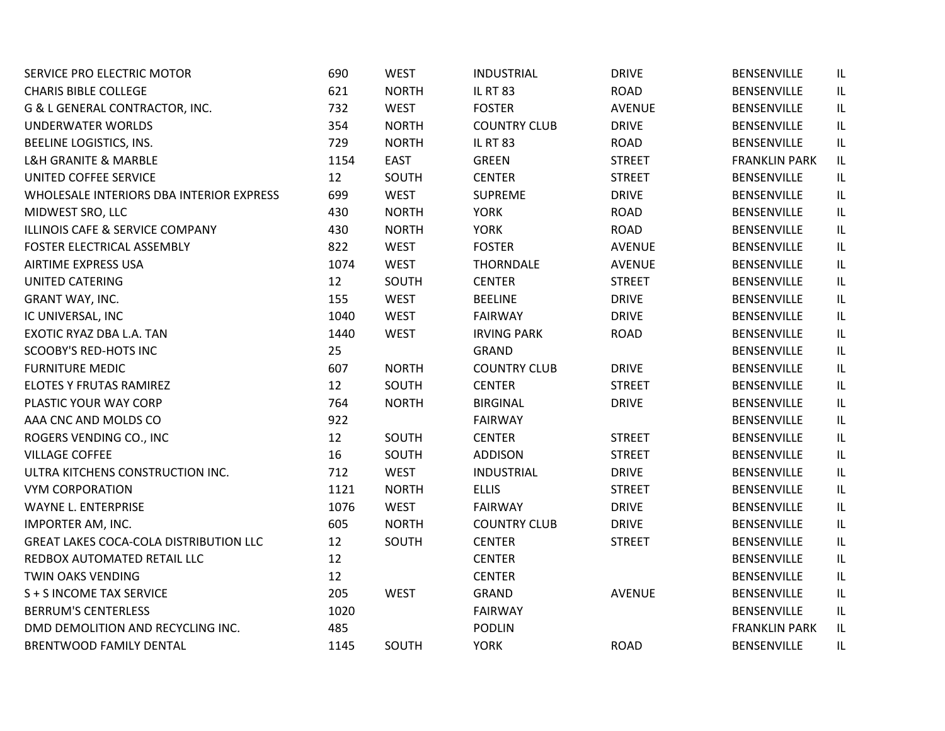| SERVICE PRO ELECTRIC MOTOR                    | 690  | <b>WEST</b>  | <b>INDUSTRIAL</b>   | <b>DRIVE</b>  | BENSENVILLE          | IL. |
|-----------------------------------------------|------|--------------|---------------------|---------------|----------------------|-----|
| <b>CHARIS BIBLE COLLEGE</b>                   | 621  | <b>NORTH</b> | <b>IL RT 83</b>     | <b>ROAD</b>   | <b>BENSENVILLE</b>   | IL. |
| G & L GENERAL CONTRACTOR, INC.                | 732  | <b>WEST</b>  | <b>FOSTER</b>       | <b>AVENUE</b> | <b>BENSENVILLE</b>   | IL. |
| <b>UNDERWATER WORLDS</b>                      | 354  | <b>NORTH</b> | <b>COUNTRY CLUB</b> | <b>DRIVE</b>  | <b>BENSENVILLE</b>   | IL  |
| BEELINE LOGISTICS, INS.                       | 729  | <b>NORTH</b> | <b>IL RT 83</b>     | <b>ROAD</b>   | <b>BENSENVILLE</b>   | IL  |
| <b>L&amp;H GRANITE &amp; MARBLE</b>           | 1154 | <b>EAST</b>  | <b>GREEN</b>        | <b>STREET</b> | <b>FRANKLIN PARK</b> | IL. |
| UNITED COFFEE SERVICE                         | 12   | SOUTH        | <b>CENTER</b>       | <b>STREET</b> | <b>BENSENVILLE</b>   | IL  |
| WHOLESALE INTERIORS DBA INTERIOR EXPRESS      | 699  | <b>WEST</b>  | <b>SUPREME</b>      | <b>DRIVE</b>  | <b>BENSENVILLE</b>   | IL  |
| MIDWEST SRO, LLC                              | 430  | <b>NORTH</b> | <b>YORK</b>         | <b>ROAD</b>   | <b>BENSENVILLE</b>   | IL  |
| ILLINOIS CAFE & SERVICE COMPANY               | 430  | <b>NORTH</b> | <b>YORK</b>         | <b>ROAD</b>   | <b>BENSENVILLE</b>   | IL. |
| FOSTER ELECTRICAL ASSEMBLY                    | 822  | <b>WEST</b>  | <b>FOSTER</b>       | <b>AVENUE</b> | <b>BENSENVILLE</b>   | IL. |
| AIRTIME EXPRESS USA                           | 1074 | <b>WEST</b>  | <b>THORNDALE</b>    | <b>AVENUE</b> | <b>BENSENVILLE</b>   | IL. |
| UNITED CATERING                               | 12   | SOUTH        | <b>CENTER</b>       | <b>STREET</b> | <b>BENSENVILLE</b>   | IL. |
| GRANT WAY, INC.                               | 155  | <b>WEST</b>  | <b>BEELINE</b>      | <b>DRIVE</b>  | <b>BENSENVILLE</b>   | IL  |
| IC UNIVERSAL, INC                             | 1040 | <b>WEST</b>  | <b>FAIRWAY</b>      | <b>DRIVE</b>  | <b>BENSENVILLE</b>   | IL  |
| EXOTIC RYAZ DBA L.A. TAN                      | 1440 | <b>WEST</b>  | <b>IRVING PARK</b>  | <b>ROAD</b>   | <b>BENSENVILLE</b>   | IL  |
| <b>SCOOBY'S RED-HOTS INC</b>                  | 25   |              | <b>GRAND</b>        |               | <b>BENSENVILLE</b>   | IL  |
| <b>FURNITURE MEDIC</b>                        | 607  | <b>NORTH</b> | <b>COUNTRY CLUB</b> | <b>DRIVE</b>  | <b>BENSENVILLE</b>   | IL  |
| ELOTES Y FRUTAS RAMIREZ                       | 12   | SOUTH        | <b>CENTER</b>       | <b>STREET</b> | <b>BENSENVILLE</b>   | IL. |
| PLASTIC YOUR WAY CORP                         | 764  | <b>NORTH</b> | <b>BIRGINAL</b>     | <b>DRIVE</b>  | <b>BENSENVILLE</b>   | IL. |
| AAA CNC AND MOLDS CO                          | 922  |              | <b>FAIRWAY</b>      |               | <b>BENSENVILLE</b>   | IL. |
| ROGERS VENDING CO., INC                       | 12   | SOUTH        | <b>CENTER</b>       | <b>STREET</b> | <b>BENSENVILLE</b>   | IL. |
| <b>VILLAGE COFFEE</b>                         | 16   | SOUTH        | <b>ADDISON</b>      | <b>STREET</b> | <b>BENSENVILLE</b>   | IL  |
| ULTRA KITCHENS CONSTRUCTION INC.              | 712  | <b>WEST</b>  | <b>INDUSTRIAL</b>   | <b>DRIVE</b>  | <b>BENSENVILLE</b>   | IL  |
| <b>VYM CORPORATION</b>                        | 1121 | <b>NORTH</b> | <b>ELLIS</b>        | <b>STREET</b> | <b>BENSENVILLE</b>   | IL  |
| <b>WAYNE L. ENTERPRISE</b>                    | 1076 | <b>WEST</b>  | <b>FAIRWAY</b>      | <b>DRIVE</b>  | <b>BENSENVILLE</b>   | IL  |
| IMPORTER AM, INC.                             | 605  | <b>NORTH</b> | <b>COUNTRY CLUB</b> | <b>DRIVE</b>  | <b>BENSENVILLE</b>   | IL. |
| <b>GREAT LAKES COCA-COLA DISTRIBUTION LLC</b> | 12   | SOUTH        | <b>CENTER</b>       | <b>STREET</b> | <b>BENSENVILLE</b>   | IL  |
| REDBOX AUTOMATED RETAIL LLC                   | 12   |              | <b>CENTER</b>       |               | <b>BENSENVILLE</b>   | IL. |
| TWIN OAKS VENDING                             | 12   |              | <b>CENTER</b>       |               | <b>BENSENVILLE</b>   | IL. |
| S + S INCOME TAX SERVICE                      | 205  | <b>WEST</b>  | <b>GRAND</b>        | <b>AVENUE</b> | <b>BENSENVILLE</b>   | IL. |
| <b>BERRUM'S CENTERLESS</b>                    | 1020 |              | <b>FAIRWAY</b>      |               | <b>BENSENVILLE</b>   | IL. |
| DMD DEMOLITION AND RECYCLING INC.             | 485  |              | <b>PODLIN</b>       |               | <b>FRANKLIN PARK</b> | IL  |
| <b>BRENTWOOD FAMILY DENTAL</b>                | 1145 | SOUTH        | <b>YORK</b>         | <b>ROAD</b>   | <b>BENSENVILLE</b>   | IL. |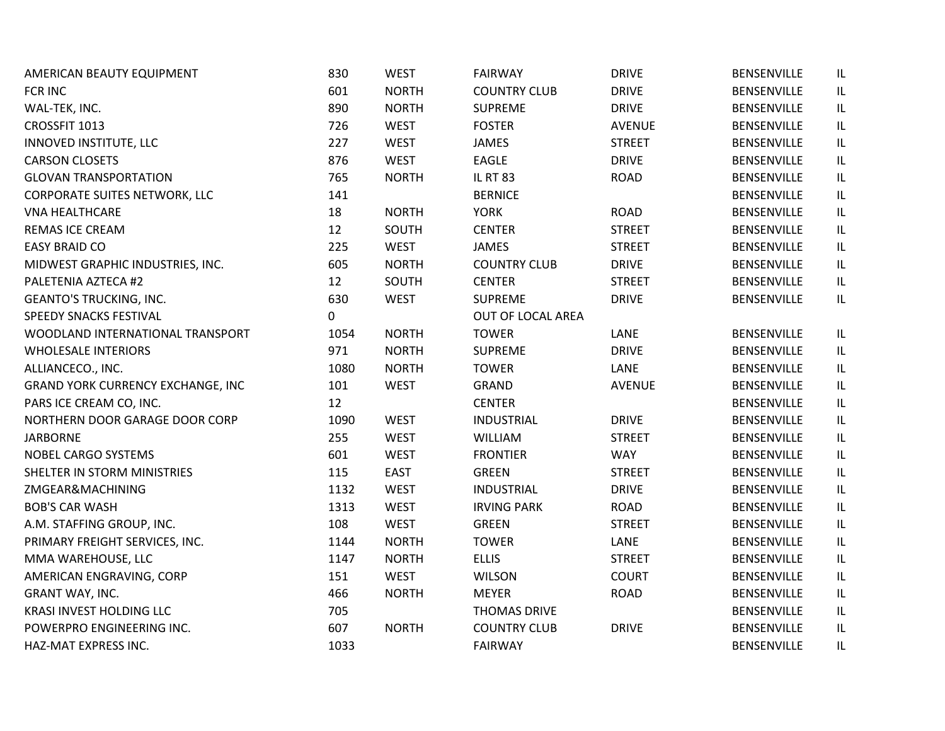| AMERICAN BEAUTY EQUIPMENT            | 830  | <b>WEST</b>  | <b>FAIRWAY</b>      | <b>DRIVE</b>  | <b>BENSENVILLE</b> | IL                                |
|--------------------------------------|------|--------------|---------------------|---------------|--------------------|-----------------------------------|
| <b>FCR INC</b>                       | 601  | <b>NORTH</b> | <b>COUNTRY CLUB</b> | <b>DRIVE</b>  | <b>BENSENVILLE</b> | IL                                |
| WAL-TEK, INC.                        | 890  | <b>NORTH</b> | <b>SUPREME</b>      | <b>DRIVE</b>  | <b>BENSENVILLE</b> | IL.                               |
| CROSSFIT 1013                        | 726  | <b>WEST</b>  | <b>FOSTER</b>       | <b>AVENUE</b> | <b>BENSENVILLE</b> | $\sf IL$                          |
| INNOVED INSTITUTE, LLC               | 227  | <b>WEST</b>  | JAMES               | <b>STREET</b> | <b>BENSENVILLE</b> | $\ensuremath{\mathsf{IL}}\xspace$ |
| <b>CARSON CLOSETS</b>                | 876  | <b>WEST</b>  | EAGLE               | <b>DRIVE</b>  | <b>BENSENVILLE</b> | $\ensuremath{\mathsf{IL}}\xspace$ |
| <b>GLOVAN TRANSPORTATION</b>         | 765  | <b>NORTH</b> | <b>IL RT 83</b>     | <b>ROAD</b>   | <b>BENSENVILLE</b> | IL                                |
| <b>CORPORATE SUITES NETWORK, LLC</b> | 141  |              | <b>BERNICE</b>      |               | BENSENVILLE        | IL.                               |
| <b>VNA HEALTHCARE</b>                | 18   | <b>NORTH</b> | <b>YORK</b>         | <b>ROAD</b>   | <b>BENSENVILLE</b> | $\ensuremath{\mathsf{IL}}\xspace$ |
| <b>REMAS ICE CREAM</b>               | 12   | SOUTH        | <b>CENTER</b>       | <b>STREET</b> | <b>BENSENVILLE</b> | IL                                |
| <b>EASY BRAID CO</b>                 | 225  | <b>WEST</b>  | <b>JAMES</b>        | <b>STREET</b> | BENSENVILLE        | IL                                |
| MIDWEST GRAPHIC INDUSTRIES, INC.     | 605  | <b>NORTH</b> | <b>COUNTRY CLUB</b> | <b>DRIVE</b>  | <b>BENSENVILLE</b> | IL.                               |
| PALETENIA AZTECA #2                  | 12   | SOUTH        | <b>CENTER</b>       | <b>STREET</b> | <b>BENSENVILLE</b> | IL.                               |
| <b>GEANTO'S TRUCKING, INC.</b>       | 630  | <b>WEST</b>  | <b>SUPREME</b>      | <b>DRIVE</b>  | <b>BENSENVILLE</b> | IL                                |
| SPEEDY SNACKS FESTIVAL               | 0    |              | OUT OF LOCAL AREA   |               |                    |                                   |
| WOODLAND INTERNATIONAL TRANSPORT     | 1054 | <b>NORTH</b> | <b>TOWER</b>        | LANE          | <b>BENSENVILLE</b> | IL                                |
| <b>WHOLESALE INTERIORS</b>           | 971  | <b>NORTH</b> | <b>SUPREME</b>      | <b>DRIVE</b>  | <b>BENSENVILLE</b> | IL                                |
| ALLIANCECO., INC.                    | 1080 | <b>NORTH</b> | <b>TOWER</b>        | LANE          | <b>BENSENVILLE</b> | $\ensuremath{\mathsf{IL}}\xspace$ |
| GRAND YORK CURRENCY EXCHANGE, INC    | 101  | <b>WEST</b>  | GRAND               | <b>AVENUE</b> | <b>BENSENVILLE</b> | IL                                |
| PARS ICE CREAM CO, INC.              | 12   |              | <b>CENTER</b>       |               | <b>BENSENVILLE</b> | IL.                               |
| NORTHERN DOOR GARAGE DOOR CORP       | 1090 | <b>WEST</b>  | <b>INDUSTRIAL</b>   | <b>DRIVE</b>  | <b>BENSENVILLE</b> | IL                                |
| <b>JARBORNE</b>                      | 255  | <b>WEST</b>  | <b>WILLIAM</b>      | <b>STREET</b> | <b>BENSENVILLE</b> | IL                                |
| NOBEL CARGO SYSTEMS                  | 601  | <b>WEST</b>  | <b>FRONTIER</b>     | <b>WAY</b>    | <b>BENSENVILLE</b> | $\ensuremath{\mathsf{IL}}\xspace$ |
| SHELTER IN STORM MINISTRIES          | 115  | <b>EAST</b>  | <b>GREEN</b>        | <b>STREET</b> | <b>BENSENVILLE</b> | $\ensuremath{\mathsf{IL}}\xspace$ |
| ZMGEAR&MACHINING                     | 1132 | <b>WEST</b>  | <b>INDUSTRIAL</b>   | <b>DRIVE</b>  | BENSENVILLE        | IL                                |
| <b>BOB'S CAR WASH</b>                | 1313 | <b>WEST</b>  | <b>IRVING PARK</b>  | <b>ROAD</b>   | <b>BENSENVILLE</b> | $\ensuremath{\mathsf{IL}}\xspace$ |
| A.M. STAFFING GROUP, INC.            | 108  | <b>WEST</b>  | <b>GREEN</b>        | <b>STREET</b> | BENSENVILLE        | IL.                               |
| PRIMARY FREIGHT SERVICES, INC.       | 1144 | <b>NORTH</b> | <b>TOWER</b>        | LANE          | <b>BENSENVILLE</b> | $\ensuremath{\mathsf{IL}}\xspace$ |
| MMA WAREHOUSE, LLC                   | 1147 | <b>NORTH</b> | <b>ELLIS</b>        | <b>STREET</b> | <b>BENSENVILLE</b> | IL                                |
| AMERICAN ENGRAVING, CORP             | 151  | <b>WEST</b>  | <b>WILSON</b>       | <b>COURT</b>  | BENSENVILLE        | IL                                |
| GRANT WAY, INC.                      | 466  | <b>NORTH</b> | <b>MEYER</b>        | <b>ROAD</b>   | BENSENVILLE        | IL                                |
| <b>KRASI INVEST HOLDING LLC</b>      | 705  |              | <b>THOMAS DRIVE</b> |               | <b>BENSENVILLE</b> | IL                                |
| POWERPRO ENGINEERING INC.            | 607  | <b>NORTH</b> | <b>COUNTRY CLUB</b> | <b>DRIVE</b>  | <b>BENSENVILLE</b> | $\sf IL$                          |
| HAZ-MAT EXPRESS INC.                 | 1033 |              | <b>FAIRWAY</b>      |               | <b>BENSENVILLE</b> | IL                                |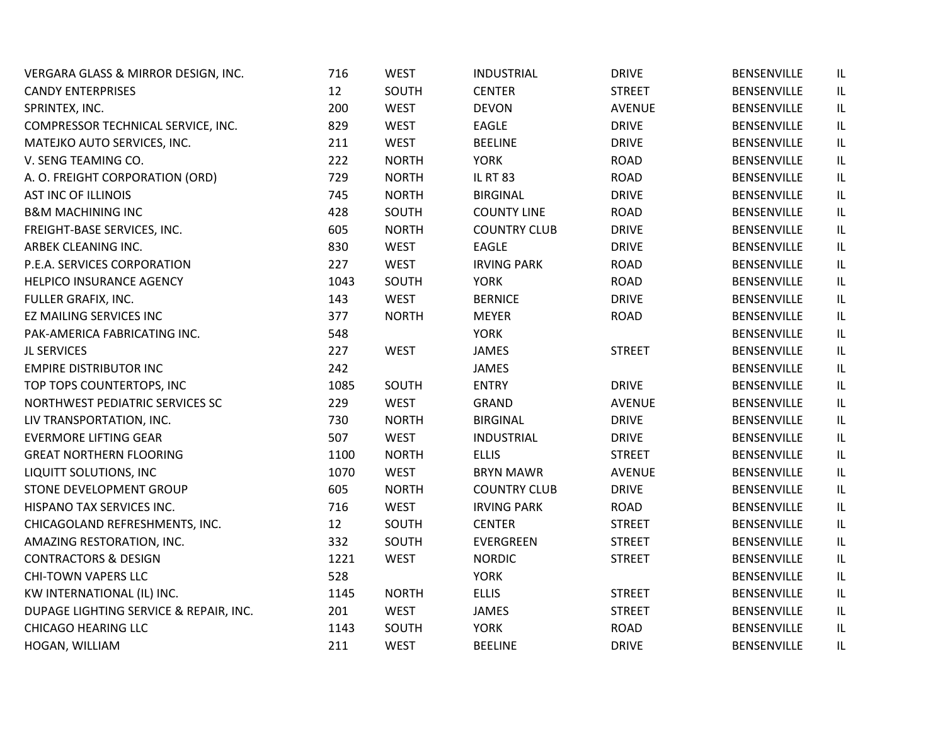| VERGARA GLASS & MIRROR DESIGN, INC.    | 716  | <b>WEST</b>  | <b>INDUSTRIAL</b>   | <b>DRIVE</b>  | <b>BENSENVILLE</b> | IL |
|----------------------------------------|------|--------------|---------------------|---------------|--------------------|----|
| <b>CANDY ENTERPRISES</b>               | 12   | SOUTH        | <b>CENTER</b>       | <b>STREET</b> | <b>BENSENVILLE</b> | IL |
| SPRINTEX, INC.                         | 200  | <b>WEST</b>  | <b>DEVON</b>        | <b>AVENUE</b> | BENSENVILLE        | IL |
| COMPRESSOR TECHNICAL SERVICE, INC.     | 829  | <b>WEST</b>  | <b>EAGLE</b>        | <b>DRIVE</b>  | <b>BENSENVILLE</b> | IL |
| MATEJKO AUTO SERVICES, INC.            | 211  | <b>WEST</b>  | <b>BEELINE</b>      | <b>DRIVE</b>  | <b>BENSENVILLE</b> | IL |
| V. SENG TEAMING CO.                    | 222  | <b>NORTH</b> | <b>YORK</b>         | <b>ROAD</b>   | BENSENVILLE        | IL |
| A. O. FREIGHT CORPORATION (ORD)        | 729  | <b>NORTH</b> | <b>IL RT 83</b>     | ROAD          | <b>BENSENVILLE</b> | IL |
| <b>AST INC OF ILLINOIS</b>             | 745  | <b>NORTH</b> | <b>BIRGINAL</b>     | <b>DRIVE</b>  | <b>BENSENVILLE</b> | IL |
| <b>B&amp;M MACHINING INC</b>           | 428  | SOUTH        | <b>COUNTY LINE</b>  | ROAD          | BENSENVILLE        | IL |
| FREIGHT-BASE SERVICES, INC.            | 605  | <b>NORTH</b> | <b>COUNTRY CLUB</b> | <b>DRIVE</b>  | <b>BENSENVILLE</b> | IL |
| ARBEK CLEANING INC.                    | 830  | <b>WEST</b>  | <b>EAGLE</b>        | <b>DRIVE</b>  | <b>BENSENVILLE</b> | IL |
| P.E.A. SERVICES CORPORATION            | 227  | <b>WEST</b>  | <b>IRVING PARK</b>  | ROAD          | BENSENVILLE        | IL |
| HELPICO INSURANCE AGENCY               | 1043 | SOUTH        | <b>YORK</b>         | ROAD          | <b>BENSENVILLE</b> | IL |
| FULLER GRAFIX, INC.                    | 143  | <b>WEST</b>  | <b>BERNICE</b>      | <b>DRIVE</b>  | <b>BENSENVILLE</b> | IL |
| EZ MAILING SERVICES INC                | 377  | <b>NORTH</b> | <b>MEYER</b>        | <b>ROAD</b>   | BENSENVILLE        | IL |
| PAK-AMERICA FABRICATING INC.           | 548  |              | <b>YORK</b>         |               | BENSENVILLE        | IL |
| <b>JL SERVICES</b>                     | 227  | <b>WEST</b>  | <b>JAMES</b>        | <b>STREET</b> | <b>BENSENVILLE</b> | IL |
| <b>EMPIRE DISTRIBUTOR INC</b>          | 242  |              | <b>JAMES</b>        |               | <b>BENSENVILLE</b> | IL |
| TOP TOPS COUNTERTOPS, INC              | 1085 | SOUTH        | <b>ENTRY</b>        | <b>DRIVE</b>  | <b>BENSENVILLE</b> | IL |
| NORTHWEST PEDIATRIC SERVICES SC        | 229  | <b>WEST</b>  | <b>GRAND</b>        | <b>AVENUE</b> | <b>BENSENVILLE</b> | IL |
| LIV TRANSPORTATION, INC.               | 730  | <b>NORTH</b> | <b>BIRGINAL</b>     | <b>DRIVE</b>  | <b>BENSENVILLE</b> | IL |
| <b>EVERMORE LIFTING GEAR</b>           | 507  | <b>WEST</b>  | <b>INDUSTRIAL</b>   | <b>DRIVE</b>  | <b>BENSENVILLE</b> | IL |
| <b>GREAT NORTHERN FLOORING</b>         | 1100 | <b>NORTH</b> | <b>ELLIS</b>        | <b>STREET</b> | <b>BENSENVILLE</b> | IL |
| LIQUITT SOLUTIONS, INC                 | 1070 | <b>WEST</b>  | <b>BRYN MAWR</b>    | <b>AVENUE</b> | <b>BENSENVILLE</b> | IL |
| STONE DEVELOPMENT GROUP                | 605  | <b>NORTH</b> | <b>COUNTRY CLUB</b> | <b>DRIVE</b>  | <b>BENSENVILLE</b> | IL |
| HISPANO TAX SERVICES INC.              | 716  | <b>WEST</b>  | <b>IRVING PARK</b>  | ROAD          | <b>BENSENVILLE</b> | IL |
| CHICAGOLAND REFRESHMENTS, INC.         | 12   | SOUTH        | <b>CENTER</b>       | <b>STREET</b> | BENSENVILLE        | IL |
| AMAZING RESTORATION, INC.              | 332  | SOUTH        | <b>EVERGREEN</b>    | <b>STREET</b> | <b>BENSENVILLE</b> | IL |
| <b>CONTRACTORS &amp; DESIGN</b>        | 1221 | <b>WEST</b>  | <b>NORDIC</b>       | <b>STREET</b> | <b>BENSENVILLE</b> | IL |
| <b>CHI-TOWN VAPERS LLC</b>             | 528  |              | <b>YORK</b>         |               | <b>BENSENVILLE</b> | IL |
| KW INTERNATIONAL (IL) INC.             | 1145 | <b>NORTH</b> | <b>ELLIS</b>        | <b>STREET</b> | <b>BENSENVILLE</b> | IL |
| DUPAGE LIGHTING SERVICE & REPAIR, INC. | 201  | <b>WEST</b>  | <b>JAMES</b>        | <b>STREET</b> | <b>BENSENVILLE</b> | IL |
| <b>CHICAGO HEARING LLC</b>             | 1143 | SOUTH        | <b>YORK</b>         | <b>ROAD</b>   | BENSENVILLE        | IL |
| HOGAN, WILLIAM                         | 211  | <b>WEST</b>  | <b>BEELINE</b>      | <b>DRIVE</b>  | <b>BENSENVILLE</b> | IL |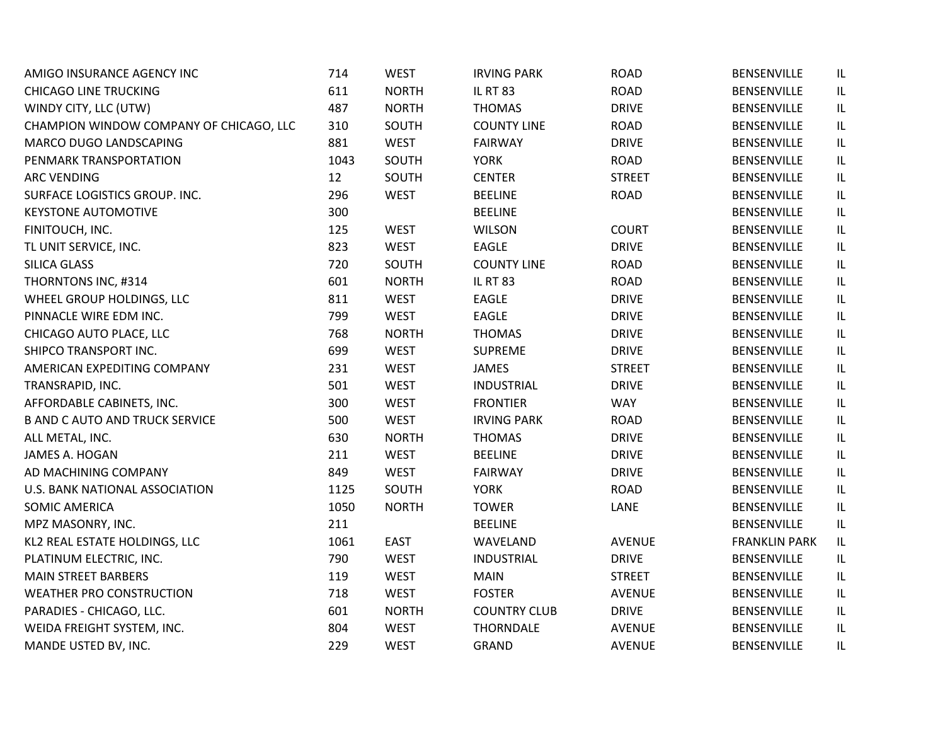| AMIGO INSURANCE AGENCY INC              | 714  | <b>WEST</b>  | <b>IRVING PARK</b>  | <b>ROAD</b>   | BENSENVILLE          | IL  |
|-----------------------------------------|------|--------------|---------------------|---------------|----------------------|-----|
| <b>CHICAGO LINE TRUCKING</b>            | 611  | <b>NORTH</b> | <b>IL RT 83</b>     | <b>ROAD</b>   | <b>BENSENVILLE</b>   | IL. |
| WINDY CITY, LLC (UTW)                   | 487  | <b>NORTH</b> | <b>THOMAS</b>       | <b>DRIVE</b>  | <b>BENSENVILLE</b>   | IL. |
| CHAMPION WINDOW COMPANY OF CHICAGO, LLC | 310  | SOUTH        | <b>COUNTY LINE</b>  | <b>ROAD</b>   | <b>BENSENVILLE</b>   | IL. |
| MARCO DUGO LANDSCAPING                  | 881  | <b>WEST</b>  | <b>FAIRWAY</b>      | <b>DRIVE</b>  | <b>BENSENVILLE</b>   | IL  |
| PENMARK TRANSPORTATION                  | 1043 | SOUTH        | <b>YORK</b>         | <b>ROAD</b>   | <b>BENSENVILLE</b>   | IL  |
| <b>ARC VENDING</b>                      | 12   | SOUTH        | <b>CENTER</b>       | <b>STREET</b> | <b>BENSENVILLE</b>   | IL  |
| SURFACE LOGISTICS GROUP. INC.           | 296  | <b>WEST</b>  | <b>BEELINE</b>      | <b>ROAD</b>   | <b>BENSENVILLE</b>   | IL  |
| <b>KEYSTONE AUTOMOTIVE</b>              | 300  |              | <b>BEELINE</b>      |               | BENSENVILLE          | IL  |
| FINITOUCH, INC.                         | 125  | <b>WEST</b>  | <b>WILSON</b>       | <b>COURT</b>  | <b>BENSENVILLE</b>   | IL  |
| TL UNIT SERVICE, INC.                   | 823  | <b>WEST</b>  | <b>EAGLE</b>        | <b>DRIVE</b>  | <b>BENSENVILLE</b>   | IL. |
| SILICA GLASS                            | 720  | SOUTH        | <b>COUNTY LINE</b>  | <b>ROAD</b>   | <b>BENSENVILLE</b>   | IL. |
| THORNTONS INC, #314                     | 601  | <b>NORTH</b> | <b>IL RT 83</b>     | <b>ROAD</b>   | <b>BENSENVILLE</b>   | IL. |
| WHEEL GROUP HOLDINGS, LLC               | 811  | <b>WEST</b>  | <b>EAGLE</b>        | <b>DRIVE</b>  | <b>BENSENVILLE</b>   | IL  |
| PINNACLE WIRE EDM INC.                  | 799  | <b>WEST</b>  | EAGLE               | <b>DRIVE</b>  | <b>BENSENVILLE</b>   | IL  |
| CHICAGO AUTO PLACE, LLC                 | 768  | <b>NORTH</b> | <b>THOMAS</b>       | <b>DRIVE</b>  | <b>BENSENVILLE</b>   | IL  |
| SHIPCO TRANSPORT INC.                   | 699  | <b>WEST</b>  | <b>SUPREME</b>      | <b>DRIVE</b>  | <b>BENSENVILLE</b>   | IL  |
| AMERICAN EXPEDITING COMPANY             | 231  | <b>WEST</b>  | <b>JAMES</b>        | <b>STREET</b> | <b>BENSENVILLE</b>   | IL  |
| TRANSRAPID, INC.                        | 501  | <b>WEST</b>  | <b>INDUSTRIAL</b>   | <b>DRIVE</b>  | <b>BENSENVILLE</b>   | IL  |
| AFFORDABLE CABINETS, INC.               | 300  | <b>WEST</b>  | <b>FRONTIER</b>     | <b>WAY</b>    | <b>BENSENVILLE</b>   | IL. |
| <b>B AND C AUTO AND TRUCK SERVICE</b>   | 500  | <b>WEST</b>  | <b>IRVING PARK</b>  | <b>ROAD</b>   | BENSENVILLE          | IL. |
| ALL METAL, INC.                         | 630  | <b>NORTH</b> | <b>THOMAS</b>       | <b>DRIVE</b>  | <b>BENSENVILLE</b>   | IL. |
| JAMES A. HOGAN                          | 211  | <b>WEST</b>  | <b>BEELINE</b>      | <b>DRIVE</b>  | <b>BENSENVILLE</b>   | IL. |
| AD MACHINING COMPANY                    | 849  | <b>WEST</b>  | <b>FAIRWAY</b>      | <b>DRIVE</b>  | BENSENVILLE          | IL  |
| U.S. BANK NATIONAL ASSOCIATION          | 1125 | SOUTH        | <b>YORK</b>         | <b>ROAD</b>   | <b>BENSENVILLE</b>   | IL  |
| <b>SOMIC AMERICA</b>                    | 1050 | <b>NORTH</b> | <b>TOWER</b>        | LANE          | <b>BENSENVILLE</b>   | IL  |
| MPZ MASONRY, INC.                       | 211  |              | <b>BEELINE</b>      |               | BENSENVILLE          | IL  |
| KL2 REAL ESTATE HOLDINGS, LLC           | 1061 | <b>EAST</b>  | WAVELAND            | <b>AVENUE</b> | <b>FRANKLIN PARK</b> | IL. |
| PLATINUM ELECTRIC, INC.                 | 790  | <b>WEST</b>  | <b>INDUSTRIAL</b>   | <b>DRIVE</b>  | BENSENVILLE          | IL. |
| <b>MAIN STREET BARBERS</b>              | 119  | <b>WEST</b>  | <b>MAIN</b>         | <b>STREET</b> | <b>BENSENVILLE</b>   | IL. |
| <b>WEATHER PRO CONSTRUCTION</b>         | 718  | <b>WEST</b>  | <b>FOSTER</b>       | <b>AVENUE</b> | <b>BENSENVILLE</b>   | IL. |
| PARADIES - CHICAGO, LLC.                | 601  | <b>NORTH</b> | <b>COUNTRY CLUB</b> | <b>DRIVE</b>  | <b>BENSENVILLE</b>   | IL. |
| WEIDA FREIGHT SYSTEM, INC.              | 804  | <b>WEST</b>  | <b>THORNDALE</b>    | <b>AVENUE</b> | <b>BENSENVILLE</b>   | IL  |
| MANDE USTED BV, INC.                    | 229  | <b>WEST</b>  | <b>GRAND</b>        | <b>AVENUE</b> | <b>BENSENVILLE</b>   | IL  |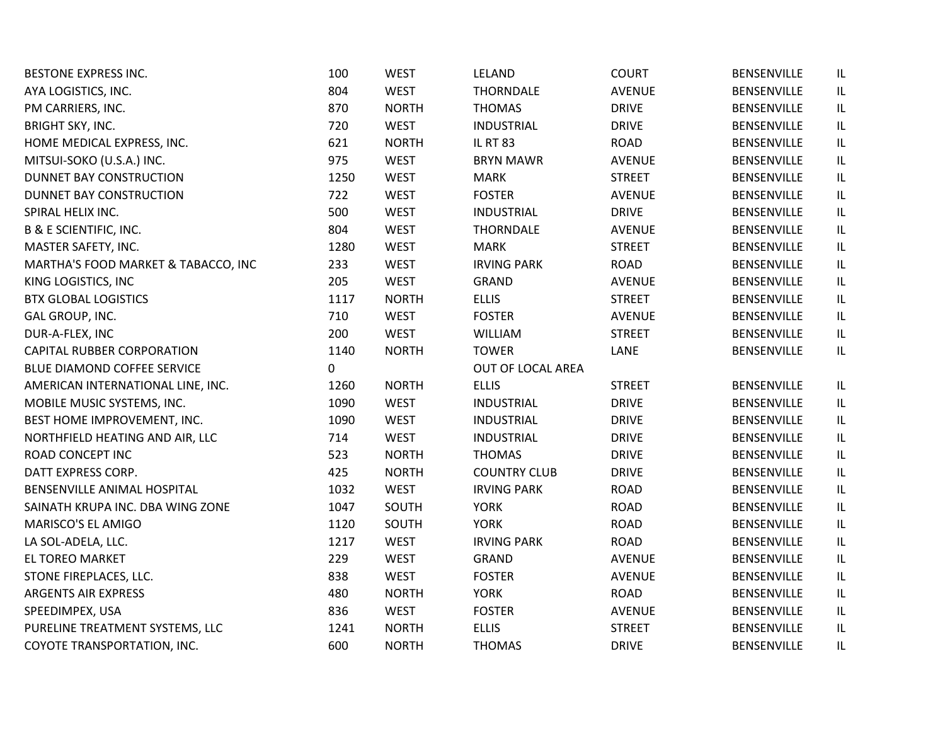| <b>BESTONE EXPRESS INC.</b>         | 100  | <b>WEST</b>  | LELAND              | <b>COURT</b>  | <b>BENSENVILLE</b> | IL  |
|-------------------------------------|------|--------------|---------------------|---------------|--------------------|-----|
| AYA LOGISTICS, INC.                 | 804  | <b>WEST</b>  | <b>THORNDALE</b>    | <b>AVENUE</b> | <b>BENSENVILLE</b> | IL. |
| PM CARRIERS, INC.                   | 870  | <b>NORTH</b> | <b>THOMAS</b>       | <b>DRIVE</b>  | <b>BENSENVILLE</b> | IL. |
| <b>BRIGHT SKY, INC.</b>             | 720  | <b>WEST</b>  | <b>INDUSTRIAL</b>   | <b>DRIVE</b>  | <b>BENSENVILLE</b> | IL  |
| HOME MEDICAL EXPRESS, INC.          | 621  | <b>NORTH</b> | <b>IL RT 83</b>     | <b>ROAD</b>   | <b>BENSENVILLE</b> | IL  |
| MITSUI-SOKO (U.S.A.) INC.           | 975  | <b>WEST</b>  | <b>BRYN MAWR</b>    | <b>AVENUE</b> | <b>BENSENVILLE</b> | IL  |
| DUNNET BAY CONSTRUCTION             | 1250 | <b>WEST</b>  | <b>MARK</b>         | <b>STREET</b> | <b>BENSENVILLE</b> | IL  |
| DUNNET BAY CONSTRUCTION             | 722  | <b>WEST</b>  | <b>FOSTER</b>       | <b>AVENUE</b> | BENSENVILLE        | IL  |
| SPIRAL HELIX INC.                   | 500  | <b>WEST</b>  | <b>INDUSTRIAL</b>   | <b>DRIVE</b>  | <b>BENSENVILLE</b> | IL  |
| <b>B &amp; E SCIENTIFIC, INC.</b>   | 804  | <b>WEST</b>  | <b>THORNDALE</b>    | <b>AVENUE</b> | <b>BENSENVILLE</b> | IL  |
| MASTER SAFETY, INC.                 | 1280 | <b>WEST</b>  | <b>MARK</b>         | <b>STREET</b> | <b>BENSENVILLE</b> | IL. |
| MARTHA'S FOOD MARKET & TABACCO, INC | 233  | <b>WEST</b>  | <b>IRVING PARK</b>  | <b>ROAD</b>   | <b>BENSENVILLE</b> | IL. |
| KING LOGISTICS, INC                 | 205  | <b>WEST</b>  | <b>GRAND</b>        | <b>AVENUE</b> | BENSENVILLE        | IL. |
| <b>BTX GLOBAL LOGISTICS</b>         | 1117 | <b>NORTH</b> | <b>ELLIS</b>        | <b>STREET</b> | <b>BENSENVILLE</b> | IL  |
| GAL GROUP, INC.                     | 710  | <b>WEST</b>  | <b>FOSTER</b>       | <b>AVENUE</b> | <b>BENSENVILLE</b> | IL  |
| DUR-A-FLEX, INC                     | 200  | <b>WEST</b>  | <b>WILLIAM</b>      | <b>STREET</b> | <b>BENSENVILLE</b> | IL  |
| <b>CAPITAL RUBBER CORPORATION</b>   | 1140 | <b>NORTH</b> | <b>TOWER</b>        | LANE          | BENSENVILLE        | IL. |
| BLUE DIAMOND COFFEE SERVICE         | 0    |              | OUT OF LOCAL AREA   |               |                    |     |
| AMERICAN INTERNATIONAL LINE, INC.   | 1260 | <b>NORTH</b> | <b>ELLIS</b>        | <b>STREET</b> | <b>BENSENVILLE</b> | IL  |
| MOBILE MUSIC SYSTEMS, INC.          | 1090 | <b>WEST</b>  | <b>INDUSTRIAL</b>   | <b>DRIVE</b>  | <b>BENSENVILLE</b> | IL. |
| BEST HOME IMPROVEMENT, INC.         | 1090 | <b>WEST</b>  | <b>INDUSTRIAL</b>   | <b>DRIVE</b>  | <b>BENSENVILLE</b> | IL. |
| NORTHFIELD HEATING AND AIR, LLC     | 714  | <b>WEST</b>  | <b>INDUSTRIAL</b>   | <b>DRIVE</b>  | <b>BENSENVILLE</b> | IL. |
| ROAD CONCEPT INC                    | 523  | <b>NORTH</b> | <b>THOMAS</b>       | <b>DRIVE</b>  | <b>BENSENVILLE</b> | IL  |
| DATT EXPRESS CORP.                  | 425  | <b>NORTH</b> | <b>COUNTRY CLUB</b> | <b>DRIVE</b>  | <b>BENSENVILLE</b> | IL  |
| BENSENVILLE ANIMAL HOSPITAL         | 1032 | <b>WEST</b>  | <b>IRVING PARK</b>  | <b>ROAD</b>   | <b>BENSENVILLE</b> | IL  |
| SAINATH KRUPA INC. DBA WING ZONE    | 1047 | SOUTH        | <b>YORK</b>         | <b>ROAD</b>   | <b>BENSENVILLE</b> | IL  |
| MARISCO'S EL AMIGO                  | 1120 | SOUTH        | <b>YORK</b>         | <b>ROAD</b>   | <b>BENSENVILLE</b> | IL  |
| LA SOL-ADELA, LLC.                  | 1217 | <b>WEST</b>  | <b>IRVING PARK</b>  | <b>ROAD</b>   | <b>BENSENVILLE</b> | IL  |
| <b>EL TOREO MARKET</b>              | 229  | <b>WEST</b>  | <b>GRAND</b>        | <b>AVENUE</b> | <b>BENSENVILLE</b> | IL  |
| STONE FIREPLACES, LLC.              | 838  | <b>WEST</b>  | <b>FOSTER</b>       | <b>AVENUE</b> | <b>BENSENVILLE</b> | IL  |
| ARGENTS AIR EXPRESS                 | 480  | <b>NORTH</b> | <b>YORK</b>         | <b>ROAD</b>   | BENSENVILLE        | IL. |
| SPEEDIMPEX, USA                     | 836  | <b>WEST</b>  | <b>FOSTER</b>       | <b>AVENUE</b> | <b>BENSENVILLE</b> | IL  |
| PURELINE TREATMENT SYSTEMS, LLC     | 1241 | <b>NORTH</b> | <b>ELLIS</b>        | <b>STREET</b> | BENSENVILLE        | IL  |
| COYOTE TRANSPORTATION, INC.         | 600  | <b>NORTH</b> | <b>THOMAS</b>       | <b>DRIVE</b>  | <b>BENSENVILLE</b> | IL  |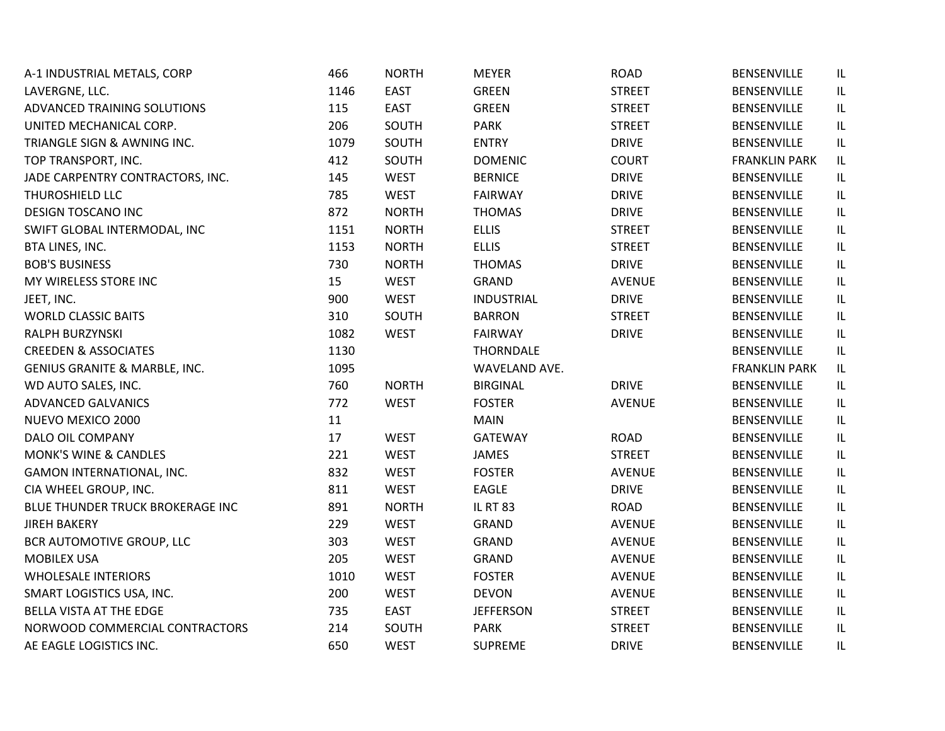| A-1 INDUSTRIAL METALS, CORP      | 466  | <b>NORTH</b> | <b>MEYER</b>      | <b>ROAD</b>   | BENSENVILLE          | IL  |
|----------------------------------|------|--------------|-------------------|---------------|----------------------|-----|
| LAVERGNE, LLC.                   | 1146 | <b>EAST</b>  | <b>GREEN</b>      | <b>STREET</b> | <b>BENSENVILLE</b>   | IL. |
| ADVANCED TRAINING SOLUTIONS      | 115  | <b>EAST</b>  | <b>GREEN</b>      | <b>STREET</b> | <b>BENSENVILLE</b>   | IL. |
| UNITED MECHANICAL CORP.          | 206  | SOUTH        | <b>PARK</b>       | <b>STREET</b> | <b>BENSENVILLE</b>   | IL  |
| TRIANGLE SIGN & AWNING INC.      | 1079 | SOUTH        | <b>ENTRY</b>      | <b>DRIVE</b>  | BENSENVILLE          | IL  |
| TOP TRANSPORT, INC.              | 412  | SOUTH        | <b>DOMENIC</b>    | <b>COURT</b>  | <b>FRANKLIN PARK</b> | IL. |
| JADE CARPENTRY CONTRACTORS, INC. | 145  | <b>WEST</b>  | <b>BERNICE</b>    | <b>DRIVE</b>  | <b>BENSENVILLE</b>   | IL  |
| <b>THUROSHIELD LLC</b>           | 785  | <b>WEST</b>  | <b>FAIRWAY</b>    | <b>DRIVE</b>  | <b>BENSENVILLE</b>   | IL  |
| <b>DESIGN TOSCANO INC</b>        | 872  | <b>NORTH</b> | <b>THOMAS</b>     | <b>DRIVE</b>  | <b>BENSENVILLE</b>   | IL  |
| SWIFT GLOBAL INTERMODAL, INC     | 1151 | <b>NORTH</b> | <b>ELLIS</b>      | <b>STREET</b> | <b>BENSENVILLE</b>   | IL. |
| BTA LINES, INC.                  | 1153 | <b>NORTH</b> | <b>ELLIS</b>      | <b>STREET</b> | <b>BENSENVILLE</b>   | IL. |
| <b>BOB'S BUSINESS</b>            | 730  | <b>NORTH</b> | <b>THOMAS</b>     | <b>DRIVE</b>  | <b>BENSENVILLE</b>   | IL  |
| MY WIRELESS STORE INC            | 15   | <b>WEST</b>  | <b>GRAND</b>      | <b>AVENUE</b> | BENSENVILLE          | IL. |
| JEET, INC.                       | 900  | <b>WEST</b>  | <b>INDUSTRIAL</b> | <b>DRIVE</b>  | <b>BENSENVILLE</b>   | IL  |
| <b>WORLD CLASSIC BAITS</b>       | 310  | SOUTH        | <b>BARRON</b>     | <b>STREET</b> | <b>BENSENVILLE</b>   | IL  |
| RALPH BURZYNSKI                  | 1082 | <b>WEST</b>  | <b>FAIRWAY</b>    | <b>DRIVE</b>  | BENSENVILLE          | IL  |
| <b>CREEDEN &amp; ASSOCIATES</b>  | 1130 |              | <b>THORNDALE</b>  |               | <b>BENSENVILLE</b>   | IL  |
| GENIUS GRANITE & MARBLE, INC.    | 1095 |              | WAVELAND AVE.     |               | <b>FRANKLIN PARK</b> | IL  |
| WD AUTO SALES, INC.              | 760  | <b>NORTH</b> | <b>BIRGINAL</b>   | <b>DRIVE</b>  | <b>BENSENVILLE</b>   | IL  |
| <b>ADVANCED GALVANICS</b>        | 772  | <b>WEST</b>  | <b>FOSTER</b>     | <b>AVENUE</b> | BENSENVILLE          | IL. |
| NUEVO MEXICO 2000                | 11   |              | <b>MAIN</b>       |               | <b>BENSENVILLE</b>   | IL. |
| DALO OIL COMPANY                 | 17   | <b>WEST</b>  | GATEWAY           | <b>ROAD</b>   | <b>BENSENVILLE</b>   | IL  |
| <b>MONK'S WINE &amp; CANDLES</b> | 221  | <b>WEST</b>  | <b>JAMES</b>      | <b>STREET</b> | <b>BENSENVILLE</b>   | IL  |
| GAMON INTERNATIONAL, INC.        | 832  | <b>WEST</b>  | <b>FOSTER</b>     | <b>AVENUE</b> | <b>BENSENVILLE</b>   | IL  |
| CIA WHEEL GROUP, INC.            | 811  | <b>WEST</b>  | EAGLE             | <b>DRIVE</b>  | <b>BENSENVILLE</b>   | IL  |
| BLUE THUNDER TRUCK BROKERAGE INC | 891  | <b>NORTH</b> | <b>IL RT 83</b>   | <b>ROAD</b>   | <b>BENSENVILLE</b>   | IL  |
| <b>JIREH BAKERY</b>              | 229  | <b>WEST</b>  | <b>GRAND</b>      | <b>AVENUE</b> | BENSENVILLE          | IL  |
| BCR AUTOMOTIVE GROUP, LLC        | 303  | <b>WEST</b>  | <b>GRAND</b>      | <b>AVENUE</b> | <b>BENSENVILLE</b>   | IL  |
| <b>MOBILEX USA</b>               | 205  | <b>WEST</b>  | <b>GRAND</b>      | <b>AVENUE</b> | <b>BENSENVILLE</b>   | IL  |
| <b>WHOLESALE INTERIORS</b>       | 1010 | <b>WEST</b>  | <b>FOSTER</b>     | <b>AVENUE</b> | <b>BENSENVILLE</b>   | IL  |
| SMART LOGISTICS USA, INC.        | 200  | <b>WEST</b>  | <b>DEVON</b>      | <b>AVENUE</b> | BENSENVILLE          | IL  |
| <b>BELLA VISTA AT THE EDGE</b>   | 735  | <b>EAST</b>  | <b>JEFFERSON</b>  | <b>STREET</b> | <b>BENSENVILLE</b>   | IL  |
| NORWOOD COMMERCIAL CONTRACTORS   | 214  | SOUTH        | <b>PARK</b>       | <b>STREET</b> | <b>BENSENVILLE</b>   | IL  |
| AE EAGLE LOGISTICS INC.          | 650  | <b>WEST</b>  | <b>SUPREME</b>    | <b>DRIVE</b>  | <b>BENSENVILLE</b>   | IL  |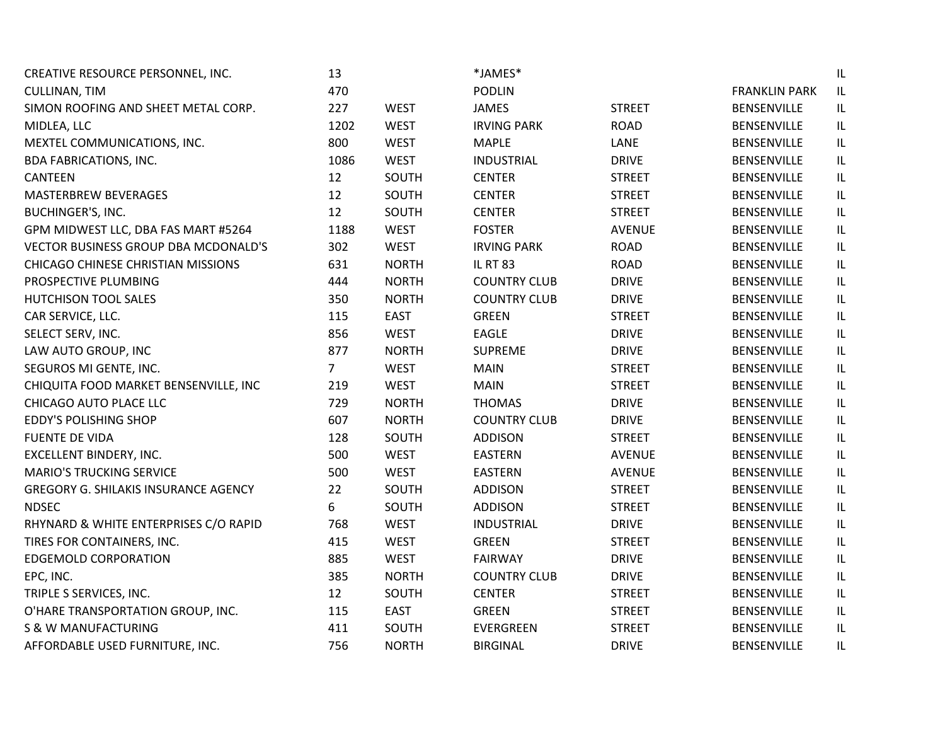| CREATIVE RESOURCE PERSONNEL, INC.           | 13             |              | *JAMES*             |               |                      | IL                                |
|---------------------------------------------|----------------|--------------|---------------------|---------------|----------------------|-----------------------------------|
| <b>CULLINAN, TIM</b>                        | 470            |              | <b>PODLIN</b>       |               | <b>FRANKLIN PARK</b> | IL                                |
| SIMON ROOFING AND SHEET METAL CORP.         | 227            | <b>WEST</b>  | <b>JAMES</b>        | <b>STREET</b> | <b>BENSENVILLE</b>   | $\sf IL$                          |
| MIDLEA, LLC                                 | 1202           | <b>WEST</b>  | <b>IRVING PARK</b>  | <b>ROAD</b>   | <b>BENSENVILLE</b>   | $\sf IL$                          |
| MEXTEL COMMUNICATIONS, INC.                 | 800            | <b>WEST</b>  | <b>MAPLE</b>        | LANE          | <b>BENSENVILLE</b>   | IL                                |
| <b>BDA FABRICATIONS, INC.</b>               | 1086           | <b>WEST</b>  | <b>INDUSTRIAL</b>   | <b>DRIVE</b>  | BENSENVILLE          | $\sf IL$                          |
| <b>CANTEEN</b>                              | 12             | SOUTH        | <b>CENTER</b>       | <b>STREET</b> | BENSENVILLE          | $\sf IL$                          |
| MASTERBREW BEVERAGES                        | 12             | SOUTH        | <b>CENTER</b>       | <b>STREET</b> | <b>BENSENVILLE</b>   | $\ensuremath{\mathsf{IL}}\xspace$ |
| <b>BUCHINGER'S, INC.</b>                    | 12             | SOUTH        | <b>CENTER</b>       | <b>STREET</b> | <b>BENSENVILLE</b>   | $\sf IL$                          |
| GPM MIDWEST LLC, DBA FAS MART #5264         | 1188           | <b>WEST</b>  | <b>FOSTER</b>       | <b>AVENUE</b> | <b>BENSENVILLE</b>   | $\ensuremath{\mathsf{IL}}\xspace$ |
| VECTOR BUSINESS GROUP DBA MCDONALD'S        | 302            | <b>WEST</b>  | <b>IRVING PARK</b>  | <b>ROAD</b>   | <b>BENSENVILLE</b>   | $\sf IL$                          |
| <b>CHICAGO CHINESE CHRISTIAN MISSIONS</b>   | 631            | <b>NORTH</b> | <b>IL RT 83</b>     | <b>ROAD</b>   | <b>BENSENVILLE</b>   | IL                                |
| PROSPECTIVE PLUMBING                        | 444            | <b>NORTH</b> | <b>COUNTRY CLUB</b> | <b>DRIVE</b>  | <b>BENSENVILLE</b>   | $\sf IL$                          |
| <b>HUTCHISON TOOL SALES</b>                 | 350            | <b>NORTH</b> | <b>COUNTRY CLUB</b> | <b>DRIVE</b>  | <b>BENSENVILLE</b>   | $\sf IL$                          |
| CAR SERVICE, LLC.                           | 115            | <b>EAST</b>  | <b>GREEN</b>        | <b>STREET</b> | <b>BENSENVILLE</b>   | IL                                |
| SELECT SERV, INC.                           | 856            | <b>WEST</b>  | EAGLE               | <b>DRIVE</b>  | BENSENVILLE          | $\sf IL$                          |
| LAW AUTO GROUP, INC                         | 877            | <b>NORTH</b> | <b>SUPREME</b>      | <b>DRIVE</b>  | <b>BENSENVILLE</b>   | $\sf IL$                          |
| SEGUROS MI GENTE, INC.                      | $\overline{7}$ | <b>WEST</b>  | <b>MAIN</b>         | <b>STREET</b> | <b>BENSENVILLE</b>   | $\sf IL$                          |
| CHIQUITA FOOD MARKET BENSENVILLE, INC       | 219            | <b>WEST</b>  | <b>MAIN</b>         | <b>STREET</b> | <b>BENSENVILLE</b>   | $\ensuremath{\mathsf{IL}}\xspace$ |
| CHICAGO AUTO PLACE LLC                      | 729            | <b>NORTH</b> | <b>THOMAS</b>       | <b>DRIVE</b>  | <b>BENSENVILLE</b>   | $\ensuremath{\mathsf{IL}}\xspace$ |
| <b>EDDY'S POLISHING SHOP</b>                | 607            | <b>NORTH</b> | <b>COUNTRY CLUB</b> | <b>DRIVE</b>  | BENSENVILLE          | $\sf IL$                          |
| <b>FUENTE DE VIDA</b>                       | 128            | SOUTH        | <b>ADDISON</b>      | <b>STREET</b> | <b>BENSENVILLE</b>   | $\ensuremath{\mathsf{IL}}\xspace$ |
| EXCELLENT BINDERY, INC.                     | 500            | <b>WEST</b>  | <b>EASTERN</b>      | <b>AVENUE</b> | <b>BENSENVILLE</b>   | $\sf IL$                          |
| <b>MARIO'S TRUCKING SERVICE</b>             | 500            | <b>WEST</b>  | <b>EASTERN</b>      | <b>AVENUE</b> | <b>BENSENVILLE</b>   | $\ensuremath{\mathsf{IL}}\xspace$ |
| <b>GREGORY G. SHILAKIS INSURANCE AGENCY</b> | 22             | SOUTH        | <b>ADDISON</b>      | <b>STREET</b> | <b>BENSENVILLE</b>   | IL                                |
| <b>NDSEC</b>                                | 6              | SOUTH        | <b>ADDISON</b>      | <b>STREET</b> | <b>BENSENVILLE</b>   | $\sf IL$                          |
| RHYNARD & WHITE ENTERPRISES C/O RAPID       | 768            | <b>WEST</b>  | <b>INDUSTRIAL</b>   | <b>DRIVE</b>  | <b>BENSENVILLE</b>   | $\sf IL$                          |
| TIRES FOR CONTAINERS, INC.                  | 415            | <b>WEST</b>  | <b>GREEN</b>        | <b>STREET</b> | <b>BENSENVILLE</b>   | $\ensuremath{\mathsf{IL}}\xspace$ |
| <b>EDGEMOLD CORPORATION</b>                 | 885            | <b>WEST</b>  | <b>FAIRWAY</b>      | <b>DRIVE</b>  | <b>BENSENVILLE</b>   | IL                                |
| EPC, INC.                                   | 385            | <b>NORTH</b> | <b>COUNTRY CLUB</b> | <b>DRIVE</b>  | <b>BENSENVILLE</b>   | $\sf IL$                          |
| TRIPLE S SERVICES, INC.                     | 12             | SOUTH        | <b>CENTER</b>       | <b>STREET</b> | BENSENVILLE          | $\ensuremath{\mathsf{IL}}\xspace$ |
| O'HARE TRANSPORTATION GROUP, INC.           | 115            | <b>EAST</b>  | <b>GREEN</b>        | <b>STREET</b> | <b>BENSENVILLE</b>   | $\ensuremath{\mathsf{IL}}\xspace$ |
| S & W MANUFACTURING                         | 411            | SOUTH        | EVERGREEN           | <b>STREET</b> | <b>BENSENVILLE</b>   | IL                                |
| AFFORDABLE USED FURNITURE, INC.             | 756            | <b>NORTH</b> | <b>BIRGINAL</b>     | <b>DRIVE</b>  | <b>BENSENVILLE</b>   | IL                                |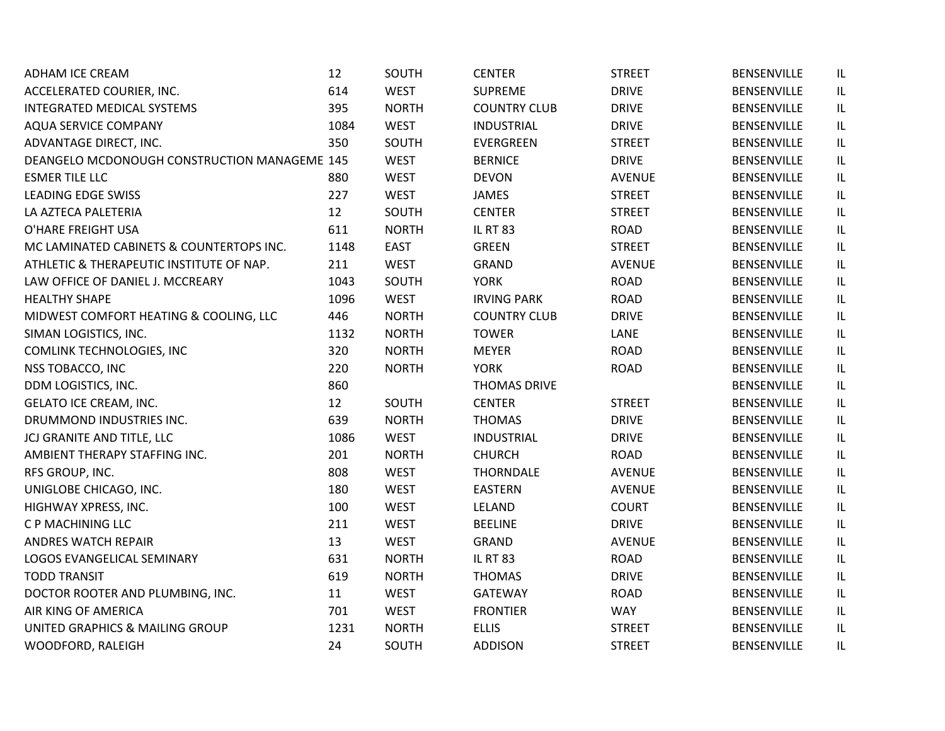| ADHAM ICE CREAM                              | 12   | SOUTH        | <b>CENTER</b>       | <b>STREET</b> | <b>BENSENVILLE</b> | IL  |
|----------------------------------------------|------|--------------|---------------------|---------------|--------------------|-----|
| ACCELERATED COURIER, INC.                    | 614  | <b>WEST</b>  | <b>SUPREME</b>      | <b>DRIVE</b>  | <b>BENSENVILLE</b> | IL. |
| <b>INTEGRATED MEDICAL SYSTEMS</b>            | 395  | <b>NORTH</b> | <b>COUNTRY CLUB</b> | <b>DRIVE</b>  | <b>BENSENVILLE</b> | IL. |
| AQUA SERVICE COMPANY                         | 1084 | <b>WEST</b>  | <b>INDUSTRIAL</b>   | <b>DRIVE</b>  | <b>BENSENVILLE</b> | IL  |
| ADVANTAGE DIRECT, INC.                       | 350  | SOUTH        | EVERGREEN           | <b>STREET</b> | BENSENVILLE        | IL  |
| DEANGELO MCDONOUGH CONSTRUCTION MANAGEME 145 |      | <b>WEST</b>  | <b>BERNICE</b>      | <b>DRIVE</b>  | <b>BENSENVILLE</b> | IL  |
| <b>ESMER TILE LLC</b>                        | 880  | <b>WEST</b>  | <b>DEVON</b>        | <b>AVENUE</b> | <b>BENSENVILLE</b> | IL  |
| <b>LEADING EDGE SWISS</b>                    | 227  | <b>WEST</b>  | <b>JAMES</b>        | <b>STREET</b> | BENSENVILLE        | IL  |
| LA AZTECA PALETERIA                          | 12   | SOUTH        | <b>CENTER</b>       | <b>STREET</b> | <b>BENSENVILLE</b> | IL  |
| O'HARE FREIGHT USA                           | 611  | <b>NORTH</b> | <b>IL RT 83</b>     | <b>ROAD</b>   | <b>BENSENVILLE</b> | IL  |
| MC LAMINATED CABINETS & COUNTERTOPS INC.     | 1148 | <b>EAST</b>  | <b>GREEN</b>        | <b>STREET</b> | <b>BENSENVILLE</b> | IL  |
| ATHLETIC & THERAPEUTIC INSTITUTE OF NAP.     | 211  | <b>WEST</b>  | GRAND               | <b>AVENUE</b> | <b>BENSENVILLE</b> | IL. |
| LAW OFFICE OF DANIEL J. MCCREARY             | 1043 | SOUTH        | <b>YORK</b>         | <b>ROAD</b>   | <b>BENSENVILLE</b> | IL  |
| <b>HEALTHY SHAPE</b>                         | 1096 | <b>WEST</b>  | <b>IRVING PARK</b>  | <b>ROAD</b>   | <b>BENSENVILLE</b> | IL  |
| MIDWEST COMFORT HEATING & COOLING, LLC       | 446  | <b>NORTH</b> | <b>COUNTRY CLUB</b> | <b>DRIVE</b>  | <b>BENSENVILLE</b> | IL  |
| SIMAN LOGISTICS, INC.                        | 1132 | <b>NORTH</b> | <b>TOWER</b>        | LANE          | <b>BENSENVILLE</b> | IL  |
| COMLINK TECHNOLOGIES, INC                    | 320  | <b>NORTH</b> | <b>MEYER</b>        | <b>ROAD</b>   | <b>BENSENVILLE</b> | IL  |
| NSS TOBACCO, INC                             | 220  | <b>NORTH</b> | <b>YORK</b>         | <b>ROAD</b>   | <b>BENSENVILLE</b> | IL  |
| DDM LOGISTICS, INC.                          | 860  |              | <b>THOMAS DRIVE</b> |               | <b>BENSENVILLE</b> | IL  |
| <b>GELATO ICE CREAM, INC.</b>                | 12   | SOUTH        | <b>CENTER</b>       | <b>STREET</b> | <b>BENSENVILLE</b> | IL. |
| DRUMMOND INDUSTRIES INC.                     | 639  | <b>NORTH</b> | <b>THOMAS</b>       | <b>DRIVE</b>  | <b>BENSENVILLE</b> | IL. |
| JCJ GRANITE AND TITLE, LLC                   | 1086 | <b>WEST</b>  | <b>INDUSTRIAL</b>   | <b>DRIVE</b>  | <b>BENSENVILLE</b> | IL  |
| AMBIENT THERAPY STAFFING INC.                | 201  | <b>NORTH</b> | <b>CHURCH</b>       | <b>ROAD</b>   | <b>BENSENVILLE</b> | IL  |
| RFS GROUP, INC.                              | 808  | <b>WEST</b>  | <b>THORNDALE</b>    | <b>AVENUE</b> | <b>BENSENVILLE</b> | IL  |
| UNIGLOBE CHICAGO, INC.                       | 180  | <b>WEST</b>  | <b>EASTERN</b>      | <b>AVENUE</b> | <b>BENSENVILLE</b> | IL  |
| HIGHWAY XPRESS, INC.                         | 100  | <b>WEST</b>  | LELAND              | <b>COURT</b>  | <b>BENSENVILLE</b> | IL  |
| C P MACHINING LLC                            | 211  | <b>WEST</b>  | <b>BEELINE</b>      | <b>DRIVE</b>  | BENSENVILLE        | IL  |
| <b>ANDRES WATCH REPAIR</b>                   | 13   | <b>WEST</b>  | <b>GRAND</b>        | <b>AVENUE</b> | <b>BENSENVILLE</b> | IL  |
| LOGOS EVANGELICAL SEMINARY                   | 631  | <b>NORTH</b> | <b>IL RT 83</b>     | <b>ROAD</b>   | <b>BENSENVILLE</b> | IL  |
| <b>TODD TRANSIT</b>                          | 619  | <b>NORTH</b> | <b>THOMAS</b>       | <b>DRIVE</b>  | <b>BENSENVILLE</b> | IL. |
| DOCTOR ROOTER AND PLUMBING, INC.             | 11   | <b>WEST</b>  | <b>GATEWAY</b>      | <b>ROAD</b>   | BENSENVILLE        | IL. |
| AIR KING OF AMERICA                          | 701  | <b>WEST</b>  | <b>FRONTIER</b>     | <b>WAY</b>    | <b>BENSENVILLE</b> | IL. |
| UNITED GRAPHICS & MAILING GROUP              | 1231 | <b>NORTH</b> | <b>ELLIS</b>        | <b>STREET</b> | <b>BENSENVILLE</b> | IL  |
| WOODFORD, RALEIGH                            | 24   | SOUTH        | <b>ADDISON</b>      | <b>STREET</b> | <b>BENSENVILLE</b> | IL  |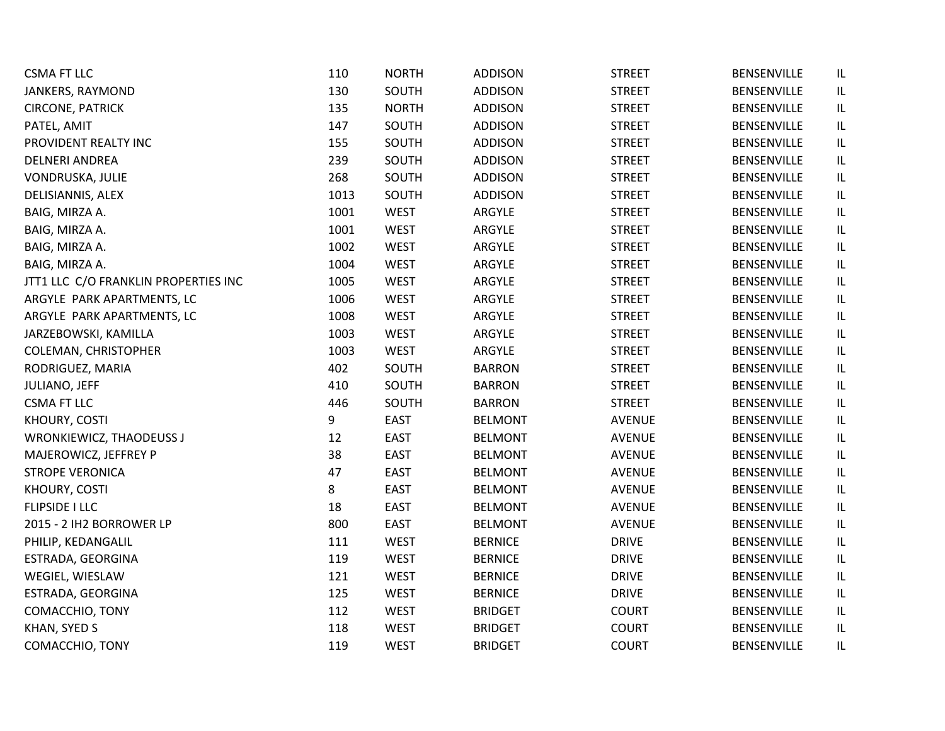| <b>CSMA FT LLC</b>                   | 110  | <b>NORTH</b> | <b>ADDISON</b> | <b>STREET</b> | <b>BENSENVILLE</b> | IL       |
|--------------------------------------|------|--------------|----------------|---------------|--------------------|----------|
| JANKERS, RAYMOND                     | 130  | SOUTH        | <b>ADDISON</b> | <b>STREET</b> | <b>BENSENVILLE</b> | IL       |
| <b>CIRCONE, PATRICK</b>              | 135  | <b>NORTH</b> | <b>ADDISON</b> | <b>STREET</b> | <b>BENSENVILLE</b> | IL       |
| PATEL, AMIT                          | 147  | SOUTH        | <b>ADDISON</b> | <b>STREET</b> | <b>BENSENVILLE</b> | IL       |
| PROVIDENT REALTY INC                 | 155  | SOUTH        | <b>ADDISON</b> | <b>STREET</b> | <b>BENSENVILLE</b> | IL       |
| <b>DELNERI ANDREA</b>                | 239  | SOUTH        | <b>ADDISON</b> | <b>STREET</b> | <b>BENSENVILLE</b> | IL       |
| VONDRUSKA, JULIE                     | 268  | SOUTH        | <b>ADDISON</b> | <b>STREET</b> | <b>BENSENVILLE</b> | IL       |
| DELISIANNIS, ALEX                    | 1013 | SOUTH        | <b>ADDISON</b> | <b>STREET</b> | BENSENVILLE        | IL       |
| BAIG, MIRZA A.                       | 1001 | <b>WEST</b>  | ARGYLE         | <b>STREET</b> | <b>BENSENVILLE</b> | IL       |
| BAIG, MIRZA A.                       | 1001 | <b>WEST</b>  | ARGYLE         | <b>STREET</b> | <b>BENSENVILLE</b> | IL       |
| BAIG, MIRZA A.                       | 1002 | <b>WEST</b>  | ARGYLE         | <b>STREET</b> | <b>BENSENVILLE</b> | IL       |
| BAIG, MIRZA A.                       | 1004 | <b>WEST</b>  | ARGYLE         | <b>STREET</b> | <b>BENSENVILLE</b> | IL       |
| JTT1 LLC C/O FRANKLIN PROPERTIES INC | 1005 | <b>WEST</b>  | ARGYLE         | <b>STREET</b> | <b>BENSENVILLE</b> | IL       |
| ARGYLE PARK APARTMENTS, LC           | 1006 | <b>WEST</b>  | ARGYLE         | <b>STREET</b> | <b>BENSENVILLE</b> | IL       |
| ARGYLE PARK APARTMENTS, LC           | 1008 | <b>WEST</b>  | ARGYLE         | <b>STREET</b> | <b>BENSENVILLE</b> | IL       |
| JARZEBOWSKI, KAMILLA                 | 1003 | <b>WEST</b>  | ARGYLE         | <b>STREET</b> | <b>BENSENVILLE</b> | IL       |
| COLEMAN, CHRISTOPHER                 | 1003 | <b>WEST</b>  | ARGYLE         | <b>STREET</b> | <b>BENSENVILLE</b> | IL       |
| RODRIGUEZ, MARIA                     | 402  | SOUTH        | <b>BARRON</b>  | <b>STREET</b> | <b>BENSENVILLE</b> | IL       |
| JULIANO, JEFF                        | 410  | SOUTH        | <b>BARRON</b>  | <b>STREET</b> | <b>BENSENVILLE</b> | IL       |
| <b>CSMA FT LLC</b>                   | 446  | SOUTH        | <b>BARRON</b>  | <b>STREET</b> | <b>BENSENVILLE</b> | IL       |
| KHOURY, COSTI                        | 9    | <b>EAST</b>  | <b>BELMONT</b> | <b>AVENUE</b> | <b>BENSENVILLE</b> | IL       |
| <b>WRONKIEWICZ, THAODEUSS J</b>      | 12   | <b>EAST</b>  | <b>BELMONT</b> | AVENUE        | BENSENVILLE        | IL       |
| MAJEROWICZ, JEFFREY P                | 38   | <b>EAST</b>  | <b>BELMONT</b> | <b>AVENUE</b> | <b>BENSENVILLE</b> | IL       |
| <b>STROPE VERONICA</b>               | 47   | <b>EAST</b>  | <b>BELMONT</b> | <b>AVENUE</b> | <b>BENSENVILLE</b> | IL       |
| KHOURY, COSTI                        | 8    | <b>EAST</b>  | <b>BELMONT</b> | <b>AVENUE</b> | <b>BENSENVILLE</b> | IL       |
| <b>FLIPSIDE I LLC</b>                | 18   | <b>EAST</b>  | <b>BELMONT</b> | <b>AVENUE</b> | <b>BENSENVILLE</b> | IL       |
| 2015 - 2 IH2 BORROWER LP             | 800  | <b>EAST</b>  | <b>BELMONT</b> | <b>AVENUE</b> | BENSENVILLE        | IL       |
| PHILIP, KEDANGALIL                   | 111  | <b>WEST</b>  | <b>BERNICE</b> | <b>DRIVE</b>  | <b>BENSENVILLE</b> | $\sf IL$ |
| ESTRADA, GEORGINA                    | 119  | <b>WEST</b>  | <b>BERNICE</b> | <b>DRIVE</b>  | <b>BENSENVILLE</b> | IL       |
| WEGIEL, WIESLAW                      | 121  | <b>WEST</b>  | <b>BERNICE</b> | <b>DRIVE</b>  | <b>BENSENVILLE</b> | IL       |
| ESTRADA, GEORGINA                    | 125  | <b>WEST</b>  | <b>BERNICE</b> | <b>DRIVE</b>  | BENSENVILLE        | IL       |
| COMACCHIO, TONY                      | 112  | <b>WEST</b>  | <b>BRIDGET</b> | <b>COURT</b>  | <b>BENSENVILLE</b> | IL       |
| KHAN, SYED S                         | 118  | <b>WEST</b>  | <b>BRIDGET</b> | <b>COURT</b>  | <b>BENSENVILLE</b> | IL       |
| COMACCHIO, TONY                      | 119  | <b>WEST</b>  | <b>BRIDGET</b> | <b>COURT</b>  | <b>BENSENVILLE</b> | IL       |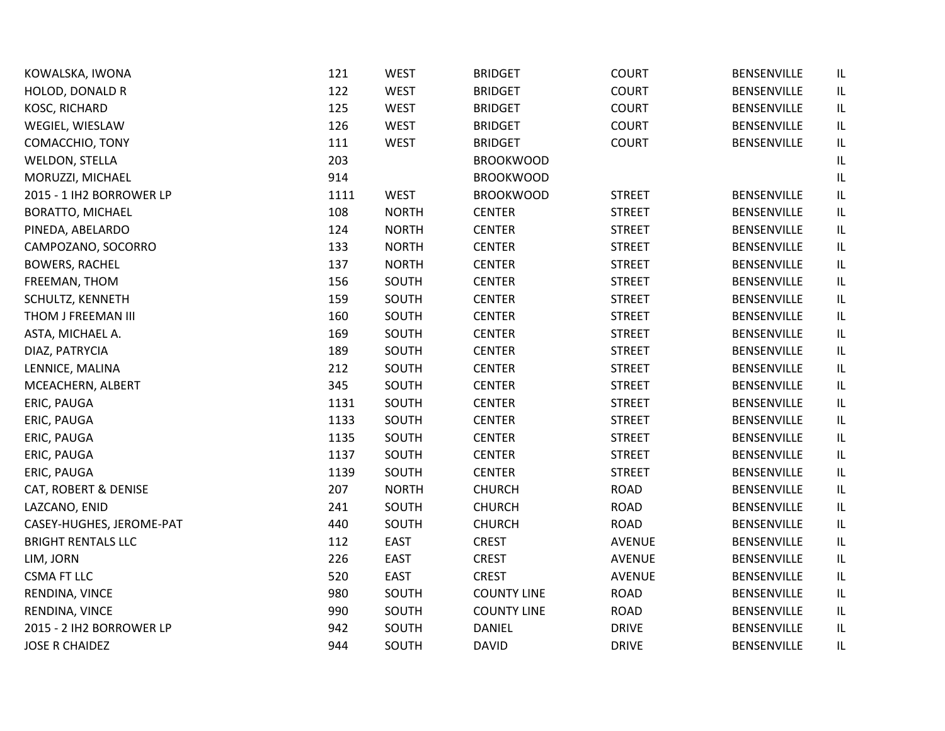| KOWALSKA, IWONA           | 121  | <b>WEST</b>  | <b>BRIDGET</b>     | <b>COURT</b>  | BENSENVILLE        | IL |
|---------------------------|------|--------------|--------------------|---------------|--------------------|----|
| <b>HOLOD, DONALD R</b>    | 122  | <b>WEST</b>  | <b>BRIDGET</b>     | <b>COURT</b>  | <b>BENSENVILLE</b> | IL |
| KOSC, RICHARD             | 125  | <b>WEST</b>  | <b>BRIDGET</b>     | <b>COURT</b>  | BENSENVILLE        | IL |
| WEGIEL, WIESLAW           | 126  | <b>WEST</b>  | <b>BRIDGET</b>     | <b>COURT</b>  | BENSENVILLE        | IL |
| COMACCHIO, TONY           | 111  | <b>WEST</b>  | <b>BRIDGET</b>     | <b>COURT</b>  | BENSENVILLE        | IL |
| WELDON, STELLA            | 203  |              | <b>BROOKWOOD</b>   |               |                    | IL |
| MORUZZI, MICHAEL          | 914  |              | <b>BROOKWOOD</b>   |               |                    | IL |
| 2015 - 1 IH2 BORROWER LP  | 1111 | <b>WEST</b>  | <b>BROOKWOOD</b>   | <b>STREET</b> | BENSENVILLE        | IL |
| <b>BORATTO, MICHAEL</b>   | 108  | <b>NORTH</b> | <b>CENTER</b>      | <b>STREET</b> | BENSENVILLE        | IL |
| PINEDA, ABELARDO          | 124  | <b>NORTH</b> | <b>CENTER</b>      | <b>STREET</b> | BENSENVILLE        | IL |
| CAMPOZANO, SOCORRO        | 133  | <b>NORTH</b> | <b>CENTER</b>      | <b>STREET</b> | BENSENVILLE        | IL |
| <b>BOWERS, RACHEL</b>     | 137  | <b>NORTH</b> | <b>CENTER</b>      | <b>STREET</b> | BENSENVILLE        | IL |
| FREEMAN, THOM             | 156  | SOUTH        | <b>CENTER</b>      | <b>STREET</b> | BENSENVILLE        | IL |
| SCHULTZ, KENNETH          | 159  | SOUTH        | <b>CENTER</b>      | <b>STREET</b> | BENSENVILLE        | IL |
| THOM J FREEMAN III        | 160  | SOUTH        | <b>CENTER</b>      | <b>STREET</b> | <b>BENSENVILLE</b> | IL |
| ASTA, MICHAEL A.          | 169  | SOUTH        | <b>CENTER</b>      | <b>STREET</b> | <b>BENSENVILLE</b> | IL |
| DIAZ, PATRYCIA            | 189  | SOUTH        | <b>CENTER</b>      | <b>STREET</b> | BENSENVILLE        | IL |
| LENNICE, MALINA           | 212  | SOUTH        | <b>CENTER</b>      | <b>STREET</b> | BENSENVILLE        | IL |
| MCEACHERN, ALBERT         | 345  | SOUTH        | <b>CENTER</b>      | <b>STREET</b> | <b>BENSENVILLE</b> | IL |
| ERIC, PAUGA               | 1131 | SOUTH        | <b>CENTER</b>      | <b>STREET</b> | BENSENVILLE        | IL |
| ERIC, PAUGA               | 1133 | SOUTH        | <b>CENTER</b>      | <b>STREET</b> | BENSENVILLE        | IL |
| ERIC, PAUGA               | 1135 | SOUTH        | <b>CENTER</b>      | <b>STREET</b> | <b>BENSENVILLE</b> | IL |
| ERIC, PAUGA               | 1137 | SOUTH        | <b>CENTER</b>      | <b>STREET</b> | BENSENVILLE        | IL |
| ERIC, PAUGA               | 1139 | SOUTH        | <b>CENTER</b>      | <b>STREET</b> | <b>BENSENVILLE</b> | IL |
| CAT, ROBERT & DENISE      | 207  | <b>NORTH</b> | <b>CHURCH</b>      | <b>ROAD</b>   | BENSENVILLE        | IL |
| LAZCANO, ENID             | 241  | SOUTH        | <b>CHURCH</b>      | <b>ROAD</b>   | BENSENVILLE        | IL |
| CASEY-HUGHES, JEROME-PAT  | 440  | SOUTH        | <b>CHURCH</b>      | <b>ROAD</b>   | BENSENVILLE        | IL |
| <b>BRIGHT RENTALS LLC</b> | 112  | <b>EAST</b>  | <b>CREST</b>       | <b>AVENUE</b> | BENSENVILLE        | IL |
| LIM, JORN                 | 226  | <b>EAST</b>  | <b>CREST</b>       | <b>AVENUE</b> | BENSENVILLE        | IL |
| <b>CSMA FT LLC</b>        | 520  | <b>EAST</b>  | <b>CREST</b>       | AVENUE        | BENSENVILLE        | IL |
| RENDINA, VINCE            | 980  | SOUTH        | <b>COUNTY LINE</b> | <b>ROAD</b>   | BENSENVILLE        | IL |
| RENDINA, VINCE            | 990  | SOUTH        | <b>COUNTY LINE</b> | <b>ROAD</b>   | <b>BENSENVILLE</b> | IL |
| 2015 - 2 IH2 BORROWER LP  | 942  | SOUTH        | <b>DANIEL</b>      | <b>DRIVE</b>  | BENSENVILLE        | IL |
| <b>JOSE R CHAIDEZ</b>     | 944  | SOUTH        | <b>DAVID</b>       | <b>DRIVE</b>  | <b>BENSENVILLE</b> | IL |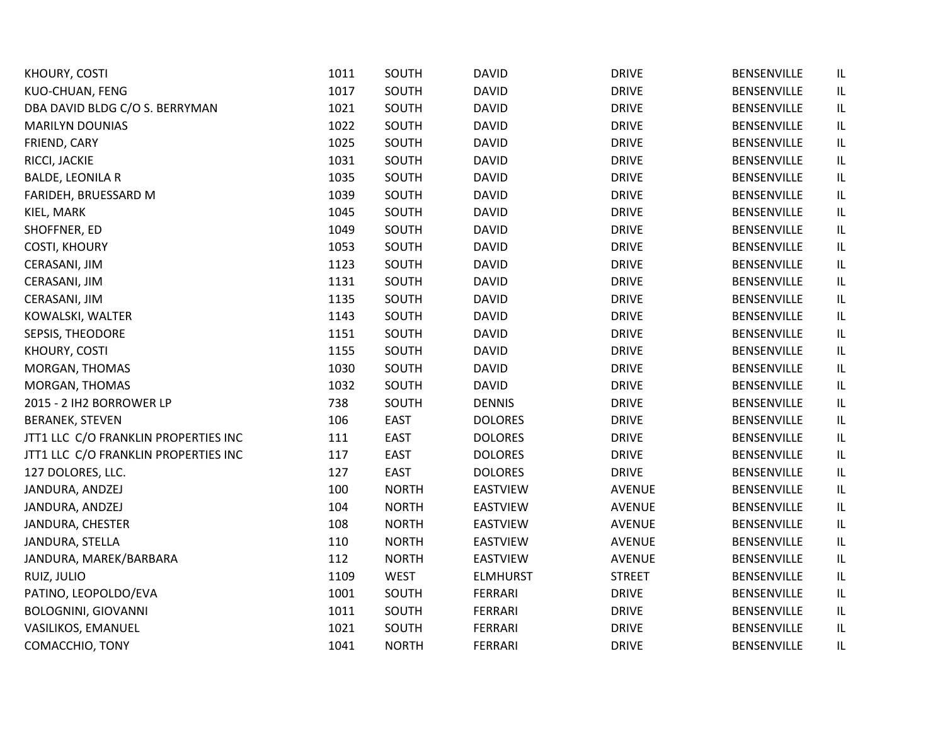| KHOURY, COSTI                        | 1011 | SOUTH        | <b>DAVID</b>    | <b>DRIVE</b>  | BENSENVILLE        | IL |
|--------------------------------------|------|--------------|-----------------|---------------|--------------------|----|
| KUO-CHUAN, FENG                      | 1017 | SOUTH        | <b>DAVID</b>    | <b>DRIVE</b>  | BENSENVILLE        | IL |
| DBA DAVID BLDG C/O S. BERRYMAN       | 1021 | SOUTH        | <b>DAVID</b>    | <b>DRIVE</b>  | BENSENVILLE        | IL |
| <b>MARILYN DOUNIAS</b>               | 1022 | SOUTH        | <b>DAVID</b>    | <b>DRIVE</b>  | BENSENVILLE        | IL |
| FRIEND, CARY                         | 1025 | SOUTH        | <b>DAVID</b>    | <b>DRIVE</b>  | BENSENVILLE        | IL |
| RICCI, JACKIE                        | 1031 | SOUTH        | <b>DAVID</b>    | <b>DRIVE</b>  | BENSENVILLE        | IL |
| <b>BALDE, LEONILA R</b>              | 1035 | SOUTH        | <b>DAVID</b>    | <b>DRIVE</b>  | <b>BENSENVILLE</b> | IL |
| FARIDEH, BRUESSARD M                 | 1039 | SOUTH        | <b>DAVID</b>    | <b>DRIVE</b>  | <b>BENSENVILLE</b> | IL |
| KIEL, MARK                           | 1045 | SOUTH        | <b>DAVID</b>    | <b>DRIVE</b>  | BENSENVILLE        | IL |
| SHOFFNER, ED                         | 1049 | SOUTH        | <b>DAVID</b>    | <b>DRIVE</b>  | <b>BENSENVILLE</b> | IL |
| <b>COSTI, KHOURY</b>                 | 1053 | SOUTH        | <b>DAVID</b>    | <b>DRIVE</b>  | BENSENVILLE        | IL |
| CERASANI, JIM                        | 1123 | SOUTH        | <b>DAVID</b>    | <b>DRIVE</b>  | BENSENVILLE        | IL |
| CERASANI, JIM                        | 1131 | SOUTH        | <b>DAVID</b>    | <b>DRIVE</b>  | BENSENVILLE        | IL |
| CERASANI, JIM                        | 1135 | SOUTH        | <b>DAVID</b>    | <b>DRIVE</b>  | BENSENVILLE        | IL |
| KOWALSKI, WALTER                     | 1143 | SOUTH        | <b>DAVID</b>    | <b>DRIVE</b>  | BENSENVILLE        | IL |
| SEPSIS, THEODORE                     | 1151 | SOUTH        | <b>DAVID</b>    | <b>DRIVE</b>  | BENSENVILLE        | IL |
| KHOURY, COSTI                        | 1155 | SOUTH        | <b>DAVID</b>    | <b>DRIVE</b>  | <b>BENSENVILLE</b> | IL |
| MORGAN, THOMAS                       | 1030 | SOUTH        | <b>DAVID</b>    | <b>DRIVE</b>  | BENSENVILLE        | IL |
| MORGAN, THOMAS                       | 1032 | SOUTH        | <b>DAVID</b>    | <b>DRIVE</b>  | BENSENVILLE        | IL |
| 2015 - 2 IH2 BORROWER LP             | 738  | SOUTH        | <b>DENNIS</b>   | <b>DRIVE</b>  | BENSENVILLE        | IL |
| <b>BERANEK, STEVEN</b>               | 106  | <b>EAST</b>  | <b>DOLORES</b>  | <b>DRIVE</b>  | <b>BENSENVILLE</b> | IL |
| JTT1 LLC C/O FRANKLIN PROPERTIES INC | 111  | <b>EAST</b>  | <b>DOLORES</b>  | <b>DRIVE</b>  | BENSENVILLE        | IL |
| JTT1 LLC C/O FRANKLIN PROPERTIES INC | 117  | <b>EAST</b>  | <b>DOLORES</b>  | <b>DRIVE</b>  | BENSENVILLE        | IL |
| 127 DOLORES, LLC.                    | 127  | <b>EAST</b>  | <b>DOLORES</b>  | <b>DRIVE</b>  | <b>BENSENVILLE</b> | IL |
| JANDURA, ANDZEJ                      | 100  | <b>NORTH</b> | <b>EASTVIEW</b> | <b>AVENUE</b> | BENSENVILLE        | IL |
| JANDURA, ANDZEJ                      | 104  | <b>NORTH</b> | <b>EASTVIEW</b> | <b>AVENUE</b> | BENSENVILLE        | IL |
| JANDURA, CHESTER                     | 108  | <b>NORTH</b> | <b>EASTVIEW</b> | <b>AVENUE</b> | BENSENVILLE        | IL |
| JANDURA, STELLA                      | 110  | <b>NORTH</b> | <b>EASTVIEW</b> | <b>AVENUE</b> | BENSENVILLE        | IL |
| JANDURA, MAREK/BARBARA               | 112  | <b>NORTH</b> | <b>EASTVIEW</b> | <b>AVENUE</b> | BENSENVILLE        | IL |
| RUIZ, JULIO                          | 1109 | <b>WEST</b>  | <b>ELMHURST</b> | <b>STREET</b> | BENSENVILLE        | IL |
| PATINO, LEOPOLDO/EVA                 | 1001 | SOUTH        | <b>FERRARI</b>  | <b>DRIVE</b>  | BENSENVILLE        | IL |
| <b>BOLOGNINI, GIOVANNI</b>           | 1011 | SOUTH        | FERRARI         | <b>DRIVE</b>  | BENSENVILLE        | IL |
| VASILIKOS, EMANUEL                   | 1021 | SOUTH        | <b>FERRARI</b>  | <b>DRIVE</b>  | BENSENVILLE        | IL |
| COMACCHIO, TONY                      | 1041 | <b>NORTH</b> | <b>FERRARI</b>  | <b>DRIVE</b>  | <b>BENSENVILLE</b> | IL |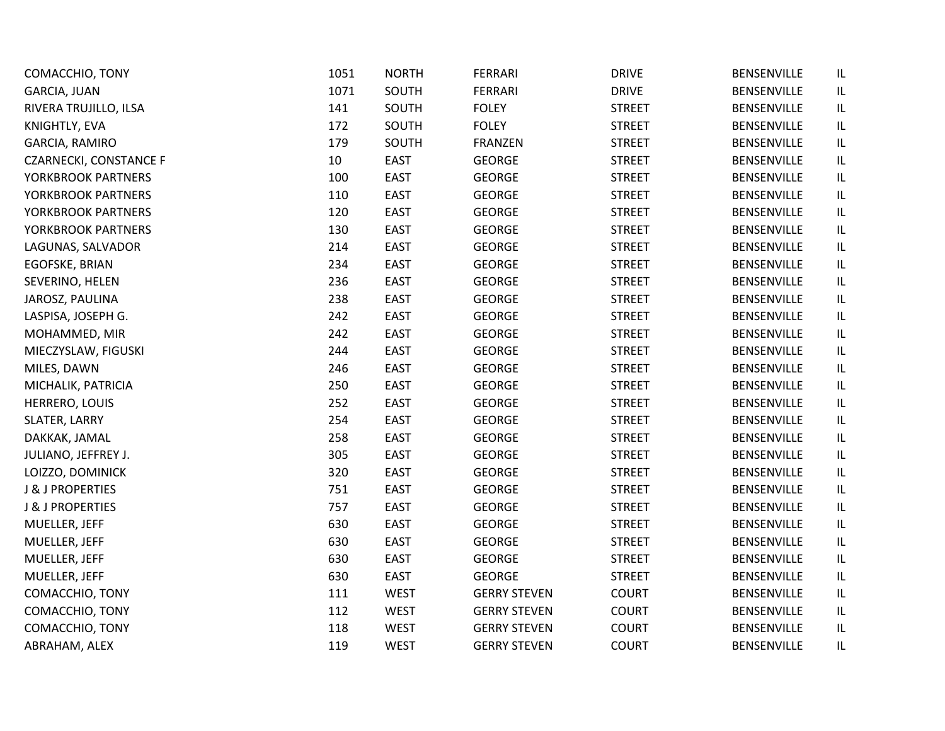| COMACCHIO, TONY               | 1051 | <b>NORTH</b> | <b>FERRARI</b>      | <b>DRIVE</b>  | <b>BENSENVILLE</b> | IL       |
|-------------------------------|------|--------------|---------------------|---------------|--------------------|----------|
| <b>GARCIA, JUAN</b>           | 1071 | SOUTH        | <b>FERRARI</b>      | <b>DRIVE</b>  | <b>BENSENVILLE</b> | IL       |
| RIVERA TRUJILLO, ILSA         | 141  | SOUTH        | <b>FOLEY</b>        | <b>STREET</b> | BENSENVILLE        | IL       |
| KNIGHTLY, EVA                 | 172  | SOUTH        | <b>FOLEY</b>        | <b>STREET</b> | <b>BENSENVILLE</b> | IL       |
| GARCIA, RAMIRO                | 179  | SOUTH        | <b>FRANZEN</b>      | <b>STREET</b> | <b>BENSENVILLE</b> | IL       |
| <b>CZARNECKI, CONSTANCE F</b> | 10   | <b>EAST</b>  | <b>GEORGE</b>       | <b>STREET</b> | <b>BENSENVILLE</b> | IL       |
| YORKBROOK PARTNERS            | 100  | <b>EAST</b>  | <b>GEORGE</b>       | <b>STREET</b> | <b>BENSENVILLE</b> | IL       |
| YORKBROOK PARTNERS            | 110  | <b>EAST</b>  | <b>GEORGE</b>       | <b>STREET</b> | BENSENVILLE        | IL       |
| YORKBROOK PARTNERS            | 120  | <b>EAST</b>  | <b>GEORGE</b>       | <b>STREET</b> | <b>BENSENVILLE</b> | IL       |
| YORKBROOK PARTNERS            | 130  | <b>EAST</b>  | <b>GEORGE</b>       | <b>STREET</b> | <b>BENSENVILLE</b> | IL       |
| LAGUNAS, SALVADOR             | 214  | <b>EAST</b>  | <b>GEORGE</b>       | <b>STREET</b> | <b>BENSENVILLE</b> | IL       |
| EGOFSKE, BRIAN                | 234  | <b>EAST</b>  | <b>GEORGE</b>       | <b>STREET</b> | <b>BENSENVILLE</b> | IL       |
| SEVERINO, HELEN               | 236  | <b>EAST</b>  | GEORGE              | <b>STREET</b> | BENSENVILLE        | IL       |
| JAROSZ, PAULINA               | 238  | <b>EAST</b>  | <b>GEORGE</b>       | <b>STREET</b> | <b>BENSENVILLE</b> | IL       |
| LASPISA, JOSEPH G.            | 242  | <b>EAST</b>  | <b>GEORGE</b>       | <b>STREET</b> | <b>BENSENVILLE</b> | IL       |
| MOHAMMED, MIR                 | 242  | EAST         | <b>GEORGE</b>       | <b>STREET</b> | <b>BENSENVILLE</b> | IL       |
| MIECZYSLAW, FIGUSKI           | 244  | <b>EAST</b>  | <b>GEORGE</b>       | <b>STREET</b> | BENSENVILLE        | IL       |
| MILES, DAWN                   | 246  | <b>EAST</b>  | GEORGE              | <b>STREET</b> | <b>BENSENVILLE</b> | IL       |
| MICHALIK, PATRICIA            | 250  | <b>EAST</b>  | <b>GEORGE</b>       | <b>STREET</b> | <b>BENSENVILLE</b> | $\sf IL$ |
| HERRERO, LOUIS                | 252  | <b>EAST</b>  | <b>GEORGE</b>       | <b>STREET</b> | <b>BENSENVILLE</b> | IL       |
| SLATER, LARRY                 | 254  | <b>EAST</b>  | <b>GEORGE</b>       | <b>STREET</b> | <b>BENSENVILLE</b> | IL       |
| DAKKAK, JAMAL                 | 258  | <b>EAST</b>  | <b>GEORGE</b>       | <b>STREET</b> | <b>BENSENVILLE</b> | IL       |
| JULIANO, JEFFREY J.           | 305  | <b>EAST</b>  | <b>GEORGE</b>       | <b>STREET</b> | <b>BENSENVILLE</b> | IL       |
| LOIZZO, DOMINICK              | 320  | <b>EAST</b>  | <b>GEORGE</b>       | <b>STREET</b> | <b>BENSENVILLE</b> | IL       |
| <b>J &amp; J PROPERTIES</b>   | 751  | <b>EAST</b>  | <b>GEORGE</b>       | <b>STREET</b> | <b>BENSENVILLE</b> | IL       |
| <b>J &amp; J PROPERTIES</b>   | 757  | <b>EAST</b>  | <b>GEORGE</b>       | <b>STREET</b> | <b>BENSENVILLE</b> | IL       |
| MUELLER, JEFF                 | 630  | <b>EAST</b>  | <b>GEORGE</b>       | <b>STREET</b> | BENSENVILLE        | IL       |
| MUELLER, JEFF                 | 630  | <b>EAST</b>  | <b>GEORGE</b>       | <b>STREET</b> | <b>BENSENVILLE</b> | IL       |
| MUELLER, JEFF                 | 630  | <b>EAST</b>  | <b>GEORGE</b>       | <b>STREET</b> | <b>BENSENVILLE</b> | IL       |
| MUELLER, JEFF                 | 630  | EAST         | <b>GEORGE</b>       | <b>STREET</b> | BENSENVILLE        | IL       |
| COMACCHIO, TONY               | 111  | <b>WEST</b>  | <b>GERRY STEVEN</b> | <b>COURT</b>  | <b>BENSENVILLE</b> | IL       |
| COMACCHIO, TONY               | 112  | <b>WEST</b>  | <b>GERRY STEVEN</b> | COURT         | <b>BENSENVILLE</b> | IL       |
| COMACCHIO, TONY               | 118  | <b>WEST</b>  | <b>GERRY STEVEN</b> | <b>COURT</b>  | <b>BENSENVILLE</b> | IL       |
| ABRAHAM, ALEX                 | 119  | <b>WEST</b>  | <b>GERRY STEVEN</b> | <b>COURT</b>  | <b>BENSENVILLE</b> | IL       |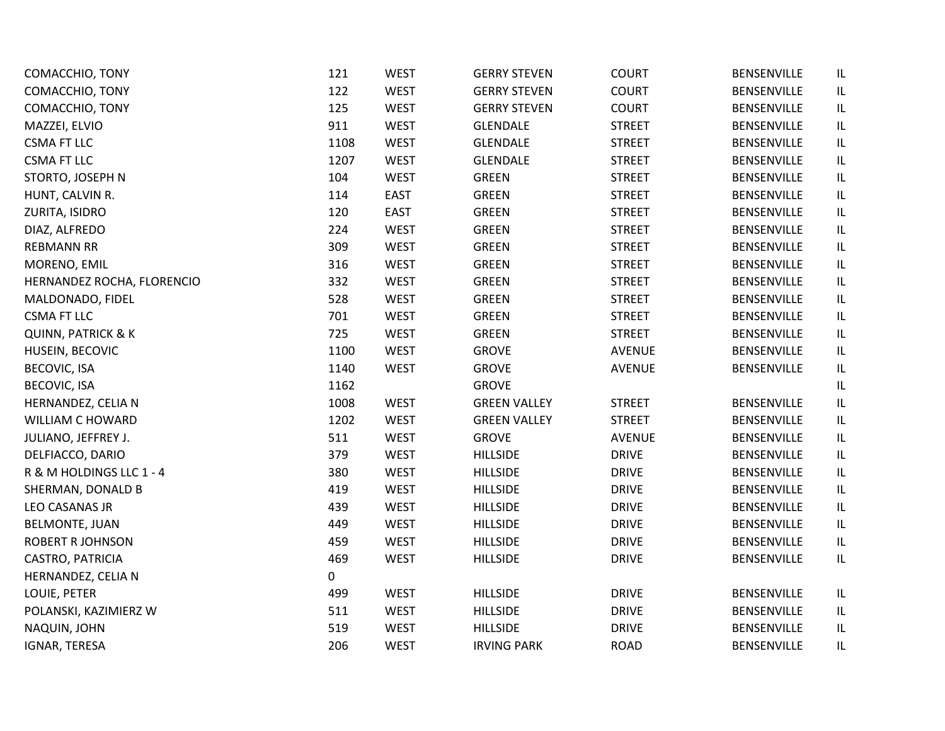| COMACCHIO, TONY               | 121  | <b>WEST</b> | <b>GERRY STEVEN</b> | <b>COURT</b>  | BENSENVILLE        | IL                                |
|-------------------------------|------|-------------|---------------------|---------------|--------------------|-----------------------------------|
| COMACCHIO, TONY               | 122  | <b>WEST</b> | <b>GERRY STEVEN</b> | <b>COURT</b>  | BENSENVILLE        | IL                                |
| COMACCHIO, TONY               | 125  | <b>WEST</b> | <b>GERRY STEVEN</b> | <b>COURT</b>  | BENSENVILLE        | IL                                |
| MAZZEI, ELVIO                 | 911  | <b>WEST</b> | <b>GLENDALE</b>     | <b>STREET</b> | BENSENVILLE        | IL                                |
| <b>CSMA FT LLC</b>            | 1108 | <b>WEST</b> | <b>GLENDALE</b>     | <b>STREET</b> | BENSENVILLE        | IL                                |
| <b>CSMA FT LLC</b>            | 1207 | <b>WEST</b> | <b>GLENDALE</b>     | <b>STREET</b> | BENSENVILLE        | IL                                |
| STORTO, JOSEPH N              | 104  | <b>WEST</b> | <b>GREEN</b>        | <b>STREET</b> | BENSENVILLE        | $\ensuremath{\mathsf{IL}}\xspace$ |
| HUNT, CALVIN R.               | 114  | <b>EAST</b> | <b>GREEN</b>        | <b>STREET</b> | BENSENVILLE        | IL                                |
| ZURITA, ISIDRO                | 120  | <b>EAST</b> | <b>GREEN</b>        | <b>STREET</b> | <b>BENSENVILLE</b> | IL                                |
| DIAZ, ALFREDO                 | 224  | <b>WEST</b> | <b>GREEN</b>        | <b>STREET</b> | BENSENVILLE        | $\ensuremath{\mathsf{IL}}\xspace$ |
| <b>REBMANN RR</b>             | 309  | <b>WEST</b> | <b>GREEN</b>        | <b>STREET</b> | <b>BENSENVILLE</b> | $\ensuremath{\mathsf{IL}}\xspace$ |
| MORENO, EMIL                  | 316  | WEST        | GREEN               | <b>STREET</b> | BENSENVILLE        | IL                                |
| HERNANDEZ ROCHA, FLORENCIO    | 332  | <b>WEST</b> | <b>GREEN</b>        | <b>STREET</b> | BENSENVILLE        | IL.                               |
| MALDONADO, FIDEL              | 528  | <b>WEST</b> | <b>GREEN</b>        | <b>STREET</b> | BENSENVILLE        | IL                                |
| <b>CSMA FT LLC</b>            | 701  | <b>WEST</b> | GREEN               | <b>STREET</b> | <b>BENSENVILLE</b> | IL                                |
| <b>QUINN, PATRICK &amp; K</b> | 725  | WEST        | GREEN               | <b>STREET</b> | BENSENVILLE        | $\ensuremath{\mathsf{IL}}\xspace$ |
| HUSEIN, BECOVIC               | 1100 | <b>WEST</b> | <b>GROVE</b>        | <b>AVENUE</b> | BENSENVILLE        | IL                                |
| <b>BECOVIC, ISA</b>           | 1140 | WEST        | <b>GROVE</b>        | <b>AVENUE</b> | BENSENVILLE        | IL                                |
| <b>BECOVIC, ISA</b>           | 1162 |             | <b>GROVE</b>        |               |                    | IL                                |
| HERNANDEZ, CELIA N            | 1008 | <b>WEST</b> | <b>GREEN VALLEY</b> | <b>STREET</b> | BENSENVILLE        | IL                                |
| WILLIAM C HOWARD              | 1202 | <b>WEST</b> | <b>GREEN VALLEY</b> | <b>STREET</b> | BENSENVILLE        | IL                                |
| JULIANO, JEFFREY J.           | 511  | <b>WEST</b> | <b>GROVE</b>        | <b>AVENUE</b> | <b>BENSENVILLE</b> | IL.                               |
| DELFIACCO, DARIO              | 379  | <b>WEST</b> | <b>HILLSIDE</b>     | <b>DRIVE</b>  | BENSENVILLE        | IL                                |
| R & M HOLDINGS LLC 1 - 4      | 380  | <b>WEST</b> | <b>HILLSIDE</b>     | <b>DRIVE</b>  | <b>BENSENVILLE</b> | $\ensuremath{\mathsf{IL}}\xspace$ |
| SHERMAN, DONALD B             | 419  | <b>WEST</b> | <b>HILLSIDE</b>     | <b>DRIVE</b>  | BENSENVILLE        | $\ensuremath{\mathsf{IL}}\xspace$ |
| LEO CASANAS JR                | 439  | <b>WEST</b> | <b>HILLSIDE</b>     | <b>DRIVE</b>  | BENSENVILLE        | $\ensuremath{\mathsf{IL}}\xspace$ |
| <b>BELMONTE, JUAN</b>         | 449  | <b>WEST</b> | <b>HILLSIDE</b>     | <b>DRIVE</b>  | <b>BENSENVILLE</b> | IL                                |
| <b>ROBERT R JOHNSON</b>       | 459  | <b>WEST</b> | <b>HILLSIDE</b>     | <b>DRIVE</b>  | BENSENVILLE        | IL                                |
| CASTRO, PATRICIA              | 469  | <b>WEST</b> | <b>HILLSIDE</b>     | <b>DRIVE</b>  | BENSENVILLE        | IL                                |
| HERNANDEZ, CELIA N            | 0    |             |                     |               |                    |                                   |
| LOUIE, PETER                  | 499  | WEST        | <b>HILLSIDE</b>     | <b>DRIVE</b>  | BENSENVILLE        | IL                                |
| POLANSKI, KAZIMIERZ W         | 511  | <b>WEST</b> | <b>HILLSIDE</b>     | <b>DRIVE</b>  | BENSENVILLE        | IL                                |
| NAQUIN, JOHN                  | 519  | <b>WEST</b> | <b>HILLSIDE</b>     | <b>DRIVE</b>  | BENSENVILLE        | IL                                |
| <b>IGNAR, TERESA</b>          | 206  | <b>WEST</b> | <b>IRVING PARK</b>  | <b>ROAD</b>   | <b>BENSENVILLE</b> | IL                                |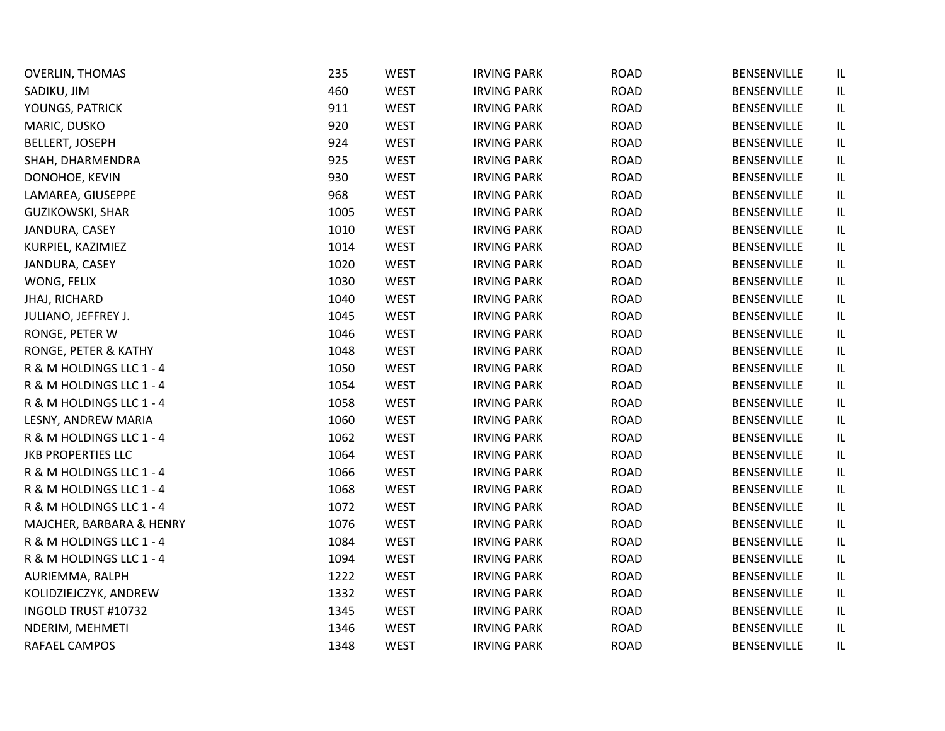| <b>OVERLIN, THOMAS</b>    | 235  | <b>WEST</b> | <b>IRVING PARK</b> | <b>ROAD</b> | BENSENVILLE        | IL                                |
|---------------------------|------|-------------|--------------------|-------------|--------------------|-----------------------------------|
| SADIKU, JIM               | 460  | <b>WEST</b> | <b>IRVING PARK</b> | <b>ROAD</b> | BENSENVILLE        | IL                                |
| YOUNGS, PATRICK           | 911  | <b>WEST</b> | <b>IRVING PARK</b> | <b>ROAD</b> | BENSENVILLE        | IL.                               |
| MARIC, DUSKO              | 920  | <b>WEST</b> | <b>IRVING PARK</b> | <b>ROAD</b> | BENSENVILLE        | IL                                |
| <b>BELLERT, JOSEPH</b>    | 924  | <b>WEST</b> | <b>IRVING PARK</b> | <b>ROAD</b> | <b>BENSENVILLE</b> | IL                                |
| SHAH, DHARMENDRA          | 925  | <b>WEST</b> | <b>IRVING PARK</b> | <b>ROAD</b> | BENSENVILLE        | IL                                |
| DONOHOE, KEVIN            | 930  | <b>WEST</b> | <b>IRVING PARK</b> | <b>ROAD</b> | BENSENVILLE        | IL                                |
| LAMAREA, GIUSEPPE         | 968  | <b>WEST</b> | <b>IRVING PARK</b> | <b>ROAD</b> | <b>BENSENVILLE</b> | IL                                |
| <b>GUZIKOWSKI, SHAR</b>   | 1005 | <b>WEST</b> | <b>IRVING PARK</b> | <b>ROAD</b> | BENSENVILLE        | IL                                |
| JANDURA, CASEY            | 1010 | <b>WEST</b> | <b>IRVING PARK</b> | <b>ROAD</b> | BENSENVILLE        | IL                                |
| KURPIEL, KAZIMIEZ         | 1014 | <b>WEST</b> | <b>IRVING PARK</b> | <b>ROAD</b> | <b>BENSENVILLE</b> | IL                                |
| JANDURA, CASEY            | 1020 | <b>WEST</b> | <b>IRVING PARK</b> | <b>ROAD</b> | BENSENVILLE        | IL                                |
| WONG, FELIX               | 1030 | <b>WEST</b> | <b>IRVING PARK</b> | <b>ROAD</b> | BENSENVILLE        | IL                                |
| <b>JHAJ, RICHARD</b>      | 1040 | <b>WEST</b> | <b>IRVING PARK</b> | <b>ROAD</b> | <b>BENSENVILLE</b> | IL                                |
| JULIANO, JEFFREY J.       | 1045 | <b>WEST</b> | <b>IRVING PARK</b> | <b>ROAD</b> | BENSENVILLE        | IL                                |
| RONGE, PETER W            | 1046 | <b>WEST</b> | <b>IRVING PARK</b> | <b>ROAD</b> | BENSENVILLE        | IL                                |
| RONGE, PETER & KATHY      | 1048 | <b>WEST</b> | <b>IRVING PARK</b> | <b>ROAD</b> | <b>BENSENVILLE</b> | IL                                |
| R & M HOLDINGS LLC 1 - 4  | 1050 | <b>WEST</b> | <b>IRVING PARK</b> | <b>ROAD</b> | BENSENVILLE        | IL                                |
| R & M HOLDINGS LLC 1 - 4  | 1054 | <b>WEST</b> | <b>IRVING PARK</b> | <b>ROAD</b> | BENSENVILLE        | IL                                |
| R & M HOLDINGS LLC 1 - 4  | 1058 | <b>WEST</b> | <b>IRVING PARK</b> | <b>ROAD</b> | <b>BENSENVILLE</b> | IL                                |
| LESNY, ANDREW MARIA       | 1060 | <b>WEST</b> | <b>IRVING PARK</b> | <b>ROAD</b> | BENSENVILLE        | IL                                |
| R & M HOLDINGS LLC 1 - 4  | 1062 | <b>WEST</b> | <b>IRVING PARK</b> | <b>ROAD</b> | BENSENVILLE        | IL                                |
| <b>JKB PROPERTIES LLC</b> | 1064 | <b>WEST</b> | <b>IRVING PARK</b> | <b>ROAD</b> | <b>BENSENVILLE</b> | IL                                |
| R & M HOLDINGS LLC 1 - 4  | 1066 | <b>WEST</b> | <b>IRVING PARK</b> | <b>ROAD</b> | <b>BENSENVILLE</b> | IL                                |
| R & M HOLDINGS LLC 1 - 4  | 1068 | <b>WEST</b> | <b>IRVING PARK</b> | <b>ROAD</b> | BENSENVILLE        | IL                                |
| R & M HOLDINGS LLC 1 - 4  | 1072 | <b>WEST</b> | <b>IRVING PARK</b> | <b>ROAD</b> | BENSENVILLE        | IL                                |
| MAJCHER, BARBARA & HENRY  | 1076 | <b>WEST</b> | <b>IRVING PARK</b> | <b>ROAD</b> | <b>BENSENVILLE</b> | IL                                |
| R & M HOLDINGS LLC 1 - 4  | 1084 | <b>WEST</b> | <b>IRVING PARK</b> | <b>ROAD</b> | BENSENVILLE        | IL                                |
| R & M HOLDINGS LLC 1 - 4  | 1094 | <b>WEST</b> | <b>IRVING PARK</b> | <b>ROAD</b> | <b>BENSENVILLE</b> | $\ensuremath{\mathsf{IL}}\xspace$ |
| AURIEMMA, RALPH           | 1222 | <b>WEST</b> | <b>IRVING PARK</b> | <b>ROAD</b> | BENSENVILLE        | IL                                |
| KOLIDZIEJCZYK, ANDREW     | 1332 | <b>WEST</b> | <b>IRVING PARK</b> | <b>ROAD</b> | BENSENVILLE        | IL                                |
| INGOLD TRUST #10732       | 1345 | <b>WEST</b> | <b>IRVING PARK</b> | <b>ROAD</b> | <b>BENSENVILLE</b> | IL                                |
| NDERIM, MEHMETI           | 1346 | <b>WEST</b> | <b>IRVING PARK</b> | <b>ROAD</b> | BENSENVILLE        | IL                                |
| RAFAEL CAMPOS             | 1348 | <b>WEST</b> | <b>IRVING PARK</b> | <b>ROAD</b> | <b>BENSENVILLE</b> | IL                                |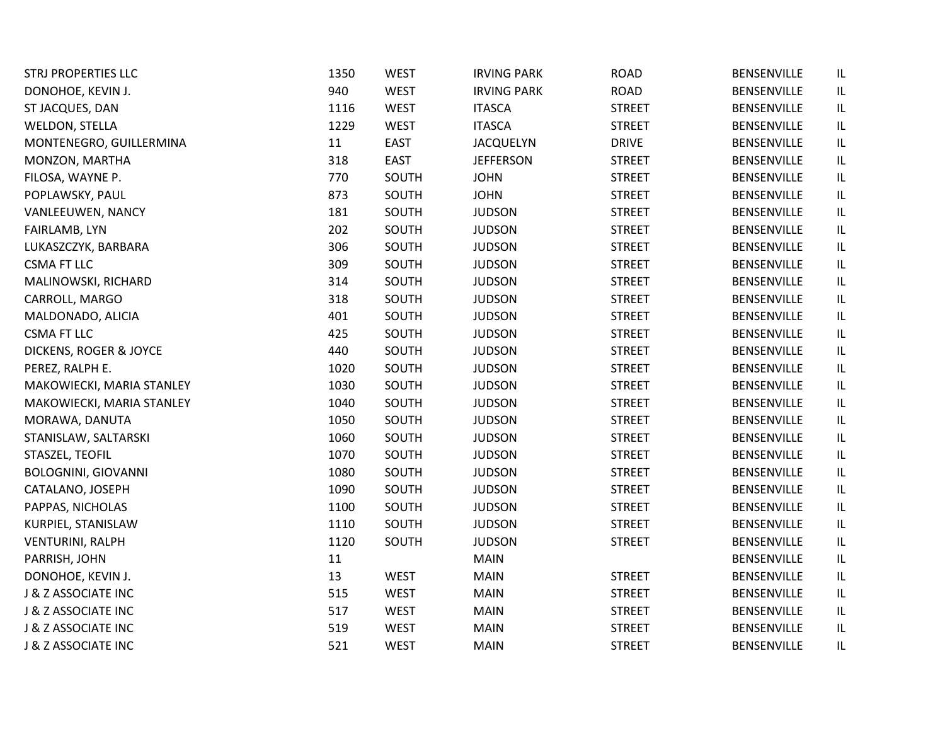| <b>STRJ PROPERTIES LLC</b> | 1350 | <b>WEST</b> | <b>IRVING PARK</b> | <b>ROAD</b>   | BENSENVILLE        | IL  |
|----------------------------|------|-------------|--------------------|---------------|--------------------|-----|
| DONOHOE, KEVIN J.          | 940  | <b>WEST</b> | <b>IRVING PARK</b> | <b>ROAD</b>   | <b>BENSENVILLE</b> | IL  |
| ST JACQUES, DAN            | 1116 | <b>WEST</b> | <b>ITASCA</b>      | <b>STREET</b> | BENSENVILLE        | IL  |
| WELDON, STELLA             | 1229 | <b>WEST</b> | <b>ITASCA</b>      | <b>STREET</b> | BENSENVILLE        | IL  |
| MONTENEGRO, GUILLERMINA    | 11   | <b>EAST</b> | <b>JACQUELYN</b>   | <b>DRIVE</b>  | BENSENVILLE        | IL  |
| MONZON, MARTHA             | 318  | <b>EAST</b> | <b>JEFFERSON</b>   | <b>STREET</b> | <b>BENSENVILLE</b> | IL  |
| FILOSA, WAYNE P.           | 770  | SOUTH       | <b>JOHN</b>        | <b>STREET</b> | BENSENVILLE        | IL  |
| POPLAWSKY, PAUL            | 873  | SOUTH       | <b>JOHN</b>        | <b>STREET</b> | <b>BENSENVILLE</b> | IL  |
| VANLEEUWEN, NANCY          | 181  | SOUTH       | <b>JUDSON</b>      | <b>STREET</b> | BENSENVILLE        | IL  |
| FAIRLAMB, LYN              | 202  | SOUTH       | <b>JUDSON</b>      | <b>STREET</b> | BENSENVILLE        | IL  |
| LUKASZCZYK, BARBARA        | 306  | SOUTH       | <b>JUDSON</b>      | <b>STREET</b> | <b>BENSENVILLE</b> | IL  |
| <b>CSMA FT LLC</b>         | 309  | SOUTH       | <b>JUDSON</b>      | <b>STREET</b> | BENSENVILLE        | IL  |
| MALINOWSKI, RICHARD        | 314  | SOUTH       | <b>JUDSON</b>      | <b>STREET</b> | BENSENVILLE        | IL  |
| CARROLL, MARGO             | 318  | SOUTH       | <b>JUDSON</b>      | <b>STREET</b> | <b>BENSENVILLE</b> | IL  |
| MALDONADO, ALICIA          | 401  | SOUTH       | <b>JUDSON</b>      | <b>STREET</b> | BENSENVILLE        | IL  |
| <b>CSMA FT LLC</b>         | 425  | SOUTH       | <b>JUDSON</b>      | <b>STREET</b> | <b>BENSENVILLE</b> | IL  |
| DICKENS, ROGER & JOYCE     | 440  | SOUTH       | <b>JUDSON</b>      | <b>STREET</b> | BENSENVILLE        | IL  |
| PEREZ, RALPH E.            | 1020 | SOUTH       | <b>JUDSON</b>      | <b>STREET</b> | BENSENVILLE        | IL  |
| MAKOWIECKI, MARIA STANLEY  | 1030 | SOUTH       | <b>JUDSON</b>      | <b>STREET</b> | <b>BENSENVILLE</b> | IL  |
| MAKOWIECKI, MARIA STANLEY  | 1040 | SOUTH       | <b>JUDSON</b>      | <b>STREET</b> | BENSENVILLE        | IL  |
| MORAWA, DANUTA             | 1050 | SOUTH       | <b>JUDSON</b>      | <b>STREET</b> | BENSENVILLE        | IL  |
| STANISLAW, SALTARSKI       | 1060 | SOUTH       | <b>JUDSON</b>      | <b>STREET</b> | BENSENVILLE        | IL  |
| STASZEL, TEOFIL            | 1070 | SOUTH       | <b>JUDSON</b>      | <b>STREET</b> | <b>BENSENVILLE</b> | IL  |
| <b>BOLOGNINI, GIOVANNI</b> | 1080 | SOUTH       | <b>JUDSON</b>      | <b>STREET</b> | BENSENVILLE        | IL  |
| CATALANO, JOSEPH           | 1090 | SOUTH       | <b>JUDSON</b>      | <b>STREET</b> | <b>BENSENVILLE</b> | IL  |
| PAPPAS, NICHOLAS           | 1100 | SOUTH       | <b>JUDSON</b>      | <b>STREET</b> | <b>BENSENVILLE</b> | IL  |
| KURPIEL, STANISLAW         | 1110 | SOUTH       | <b>JUDSON</b>      | <b>STREET</b> | BENSENVILLE        | IL  |
| <b>VENTURINI, RALPH</b>    | 1120 | SOUTH       | <b>JUDSON</b>      | <b>STREET</b> | <b>BENSENVILLE</b> | IL  |
| PARRISH, JOHN              | 11   |             | <b>MAIN</b>        |               | <b>BENSENVILLE</b> | IL  |
| DONOHOE, KEVIN J.          | 13   | <b>WEST</b> | <b>MAIN</b>        | <b>STREET</b> | BENSENVILLE        | IL  |
| J & Z ASSOCIATE INC        | 515  | <b>WEST</b> | <b>MAIN</b>        | <b>STREET</b> | BENSENVILLE        | IL  |
| J & Z ASSOCIATE INC        | 517  | <b>WEST</b> | <b>MAIN</b>        | <b>STREET</b> | <b>BENSENVILLE</b> | IL  |
| J & Z ASSOCIATE INC        | 519  | <b>WEST</b> | <b>MAIN</b>        | <b>STREET</b> | BENSENVILLE        | IL  |
| J & Z ASSOCIATE INC        | 521  | <b>WEST</b> | <b>MAIN</b>        | <b>STREET</b> | BENSENVILLE        | IL. |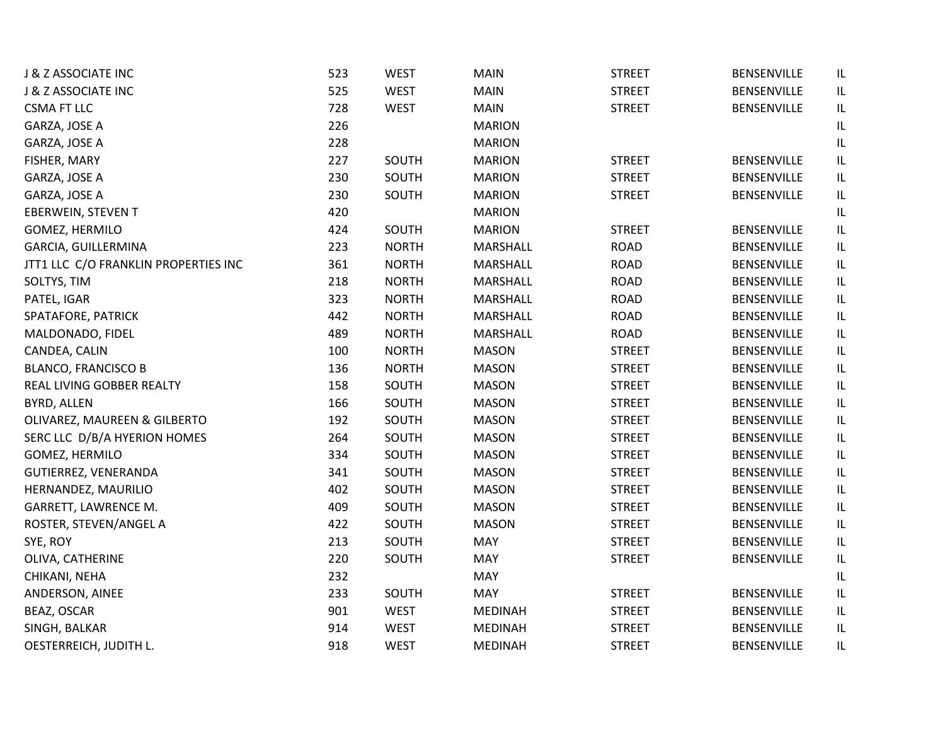| J & Z ASSOCIATE INC                  | 523 | <b>WEST</b>  | <b>MAIN</b>    | <b>STREET</b> | <b>BENSENVILLE</b> | IL       |
|--------------------------------------|-----|--------------|----------------|---------------|--------------------|----------|
| J & Z ASSOCIATE INC                  | 525 | <b>WEST</b>  | MAIN           | <b>STREET</b> | <b>BENSENVILLE</b> | IL       |
| <b>CSMA FT LLC</b>                   | 728 | <b>WEST</b>  | <b>MAIN</b>    | <b>STREET</b> | BENSENVILLE        | IL       |
| GARZA, JOSE A                        | 226 |              | <b>MARION</b>  |               |                    | IL       |
| GARZA, JOSE A                        | 228 |              | <b>MARION</b>  |               |                    | IL       |
| FISHER, MARY                         | 227 | SOUTH        | <b>MARION</b>  | <b>STREET</b> | <b>BENSENVILLE</b> | IL       |
| GARZA, JOSE A                        | 230 | SOUTH        | <b>MARION</b>  | <b>STREET</b> | <b>BENSENVILLE</b> | IL       |
| GARZA, JOSE A                        | 230 | SOUTH        | <b>MARION</b>  | <b>STREET</b> | <b>BENSENVILLE</b> | IL       |
| EBERWEIN, STEVEN T                   | 420 |              | <b>MARION</b>  |               |                    | IL       |
| GOMEZ, HERMILO                       | 424 | SOUTH        | <b>MARION</b>  | <b>STREET</b> | <b>BENSENVILLE</b> | IL       |
| GARCIA, GUILLERMINA                  | 223 | <b>NORTH</b> | MARSHALL       | <b>ROAD</b>   | <b>BENSENVILLE</b> | IL       |
| JTT1 LLC C/O FRANKLIN PROPERTIES INC | 361 | <b>NORTH</b> | MARSHALL       | <b>ROAD</b>   | <b>BENSENVILLE</b> | IL       |
| SOLTYS, TIM                          | 218 | <b>NORTH</b> | MARSHALL       | <b>ROAD</b>   | <b>BENSENVILLE</b> | IL       |
| PATEL, IGAR                          | 323 | <b>NORTH</b> | MARSHALL       | <b>ROAD</b>   | <b>BENSENVILLE</b> | IL       |
| SPATAFORE, PATRICK                   | 442 | <b>NORTH</b> | MARSHALL       | <b>ROAD</b>   | BENSENVILLE        | IL       |
| MALDONADO, FIDEL                     | 489 | <b>NORTH</b> | MARSHALL       | <b>ROAD</b>   | <b>BENSENVILLE</b> | IL       |
| CANDEA, CALIN                        | 100 | <b>NORTH</b> | <b>MASON</b>   | <b>STREET</b> | BENSENVILLE        | IL       |
| <b>BLANCO, FRANCISCO B</b>           | 136 | <b>NORTH</b> | <b>MASON</b>   | <b>STREET</b> | <b>BENSENVILLE</b> | IL       |
| REAL LIVING GOBBER REALTY            | 158 | SOUTH        | <b>MASON</b>   | <b>STREET</b> | <b>BENSENVILLE</b> | IL       |
| BYRD, ALLEN                          | 166 | SOUTH        | <b>MASON</b>   | <b>STREET</b> | <b>BENSENVILLE</b> | IL       |
| OLIVAREZ, MAUREEN & GILBERTO         | 192 | SOUTH        | <b>MASON</b>   | <b>STREET</b> | BENSENVILLE        | IL       |
| SERC LLC D/B/A HYERION HOMES         | 264 | SOUTH        | <b>MASON</b>   | <b>STREET</b> | <b>BENSENVILLE</b> | IL       |
| GOMEZ, HERMILO                       | 334 | SOUTH        | <b>MASON</b>   | <b>STREET</b> | <b>BENSENVILLE</b> | $\sf IL$ |
| GUTIERREZ, VENERANDA                 | 341 | SOUTH        | <b>MASON</b>   | <b>STREET</b> | <b>BENSENVILLE</b> | IL       |
| HERNANDEZ, MAURILIO                  | 402 | SOUTH        | <b>MASON</b>   | <b>STREET</b> | <b>BENSENVILLE</b> | IL       |
| GARRETT, LAWRENCE M.                 | 409 | SOUTH        | <b>MASON</b>   | <b>STREET</b> | <b>BENSENVILLE</b> | IL       |
| ROSTER, STEVEN/ANGEL A               | 422 | SOUTH        | <b>MASON</b>   | <b>STREET</b> | <b>BENSENVILLE</b> | IL       |
| SYE, ROY                             | 213 | SOUTH        | MAY            | <b>STREET</b> | <b>BENSENVILLE</b> | $\sf IL$ |
| OLIVA, CATHERINE                     | 220 | SOUTH        | MAY            | <b>STREET</b> | BENSENVILLE        | IL       |
| CHIKANI, NEHA                        | 232 |              | MAY            |               |                    | IL       |
| ANDERSON, AINEE                      | 233 | SOUTH        | MAY            | <b>STREET</b> | BENSENVILLE        | IL       |
| BEAZ, OSCAR                          | 901 | <b>WEST</b>  | <b>MEDINAH</b> | <b>STREET</b> | <b>BENSENVILLE</b> | IL       |
| SINGH, BALKAR                        | 914 | <b>WEST</b>  | <b>MEDINAH</b> | <b>STREET</b> | <b>BENSENVILLE</b> | IL       |
| OESTERREICH, JUDITH L.               | 918 | <b>WEST</b>  | <b>MEDINAH</b> | <b>STREET</b> | <b>BENSENVILLE</b> | IL       |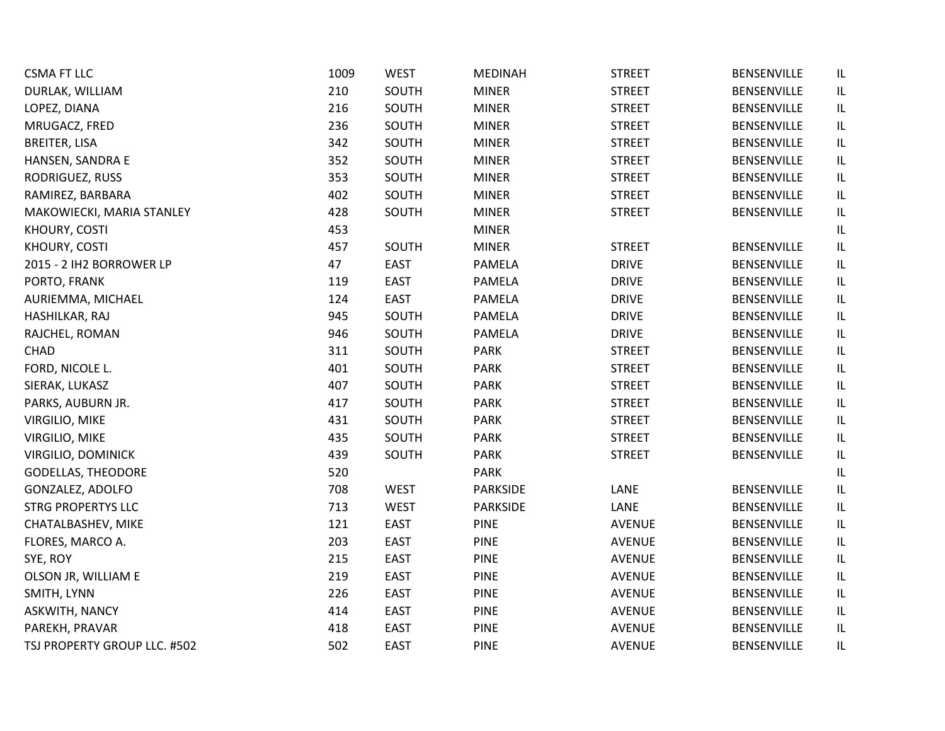| <b>CSMA FT LLC</b>           | 1009 | <b>WEST</b> | <b>MEDINAH</b>  | <b>STREET</b> | BENSENVILLE        | IL |
|------------------------------|------|-------------|-----------------|---------------|--------------------|----|
| DURLAK, WILLIAM              | 210  | SOUTH       | <b>MINER</b>    | <b>STREET</b> | BENSENVILLE        | IL |
| LOPEZ, DIANA                 | 216  | SOUTH       | <b>MINER</b>    | <b>STREET</b> | BENSENVILLE        | IL |
| MRUGACZ, FRED                | 236  | SOUTH       | <b>MINER</b>    | <b>STREET</b> | BENSENVILLE        | IL |
| <b>BREITER, LISA</b>         | 342  | SOUTH       | <b>MINER</b>    | <b>STREET</b> | BENSENVILLE        | IL |
| HANSEN, SANDRA E             | 352  | SOUTH       | <b>MINER</b>    | <b>STREET</b> | BENSENVILLE        | IL |
| RODRIGUEZ, RUSS              | 353  | SOUTH       | <b>MINER</b>    | <b>STREET</b> | BENSENVILLE        | IL |
| RAMIREZ, BARBARA             | 402  | SOUTH       | <b>MINER</b>    | <b>STREET</b> | <b>BENSENVILLE</b> | IL |
| MAKOWIECKI, MARIA STANLEY    | 428  | SOUTH       | <b>MINER</b>    | <b>STREET</b> | BENSENVILLE        | IL |
| KHOURY, COSTI                | 453  |             | <b>MINER</b>    |               |                    | IL |
| KHOURY, COSTI                | 457  | SOUTH       | <b>MINER</b>    | <b>STREET</b> | BENSENVILLE        | IL |
| 2015 - 2 IH2 BORROWER LP     | 47   | <b>EAST</b> | PAMELA          | <b>DRIVE</b>  | BENSENVILLE        | IL |
| PORTO, FRANK                 | 119  | <b>EAST</b> | <b>PAMELA</b>   | <b>DRIVE</b>  | BENSENVILLE        | IL |
| AURIEMMA, MICHAEL            | 124  | <b>EAST</b> | <b>PAMELA</b>   | <b>DRIVE</b>  | BENSENVILLE        | IL |
| HASHILKAR, RAJ               | 945  | SOUTH       | <b>PAMELA</b>   | <b>DRIVE</b>  | BENSENVILLE        | IL |
| RAJCHEL, ROMAN               | 946  | SOUTH       | <b>PAMELA</b>   | <b>DRIVE</b>  | BENSENVILLE        | IL |
| <b>CHAD</b>                  | 311  | SOUTH       | <b>PARK</b>     | <b>STREET</b> | BENSENVILLE        | IL |
| FORD, NICOLE L.              | 401  | SOUTH       | <b>PARK</b>     | <b>STREET</b> | BENSENVILLE        | IL |
| SIERAK, LUKASZ               | 407  | SOUTH       | PARK            | <b>STREET</b> | <b>BENSENVILLE</b> | IL |
| PARKS, AUBURN JR.            | 417  | SOUTH       | PARK            | <b>STREET</b> | BENSENVILLE        | IL |
| VIRGILIO, MIKE               | 431  | SOUTH       | <b>PARK</b>     | <b>STREET</b> | BENSENVILLE        | IL |
| VIRGILIO, MIKE               | 435  | SOUTH       | <b>PARK</b>     | <b>STREET</b> | BENSENVILLE        | IL |
| <b>VIRGILIO, DOMINICK</b>    | 439  | SOUTH       | <b>PARK</b>     | <b>STREET</b> | <b>BENSENVILLE</b> | IL |
| <b>GODELLAS, THEODORE</b>    | 520  |             | <b>PARK</b>     |               |                    | IL |
| GONZALEZ, ADOLFO             | 708  | <b>WEST</b> | <b>PARKSIDE</b> | LANE          | BENSENVILLE        | IL |
| <b>STRG PROPERTYS LLC</b>    | 713  | <b>WEST</b> | <b>PARKSIDE</b> | LANE          | BENSENVILLE        | IL |
| CHATALBASHEV, MIKE           | 121  | <b>EAST</b> | <b>PINE</b>     | <b>AVENUE</b> | BENSENVILLE        | IL |
| FLORES, MARCO A.             | 203  | <b>EAST</b> | <b>PINE</b>     | <b>AVENUE</b> | BENSENVILLE        | IL |
| SYE, ROY                     | 215  | <b>EAST</b> | <b>PINE</b>     | <b>AVENUE</b> | BENSENVILLE        | IL |
| OLSON JR, WILLIAM E          | 219  | <b>EAST</b> | <b>PINE</b>     | <b>AVENUE</b> | BENSENVILLE        | IL |
| SMITH, LYNN                  | 226  | <b>EAST</b> | <b>PINE</b>     | <b>AVENUE</b> | BENSENVILLE        | IL |
| ASKWITH, NANCY               | 414  | <b>EAST</b> | <b>PINE</b>     | AVENUE        | BENSENVILLE        | IL |
| PAREKH, PRAVAR               | 418  | <b>EAST</b> | <b>PINE</b>     | <b>AVENUE</b> | BENSENVILLE        | IL |
| TSJ PROPERTY GROUP LLC. #502 | 502  | <b>EAST</b> | <b>PINE</b>     | <b>AVENUE</b> | <b>BENSENVILLE</b> | IL |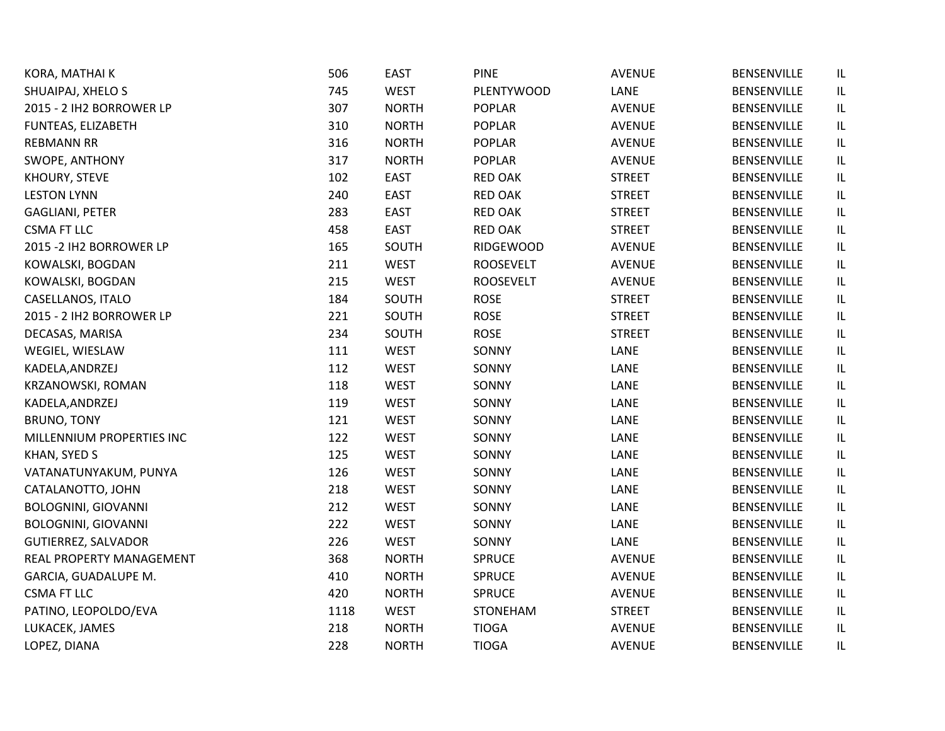| KORA, MATHAI K             | 506  | <b>EAST</b>  | <b>PINE</b>      | <b>AVENUE</b> | <b>BENSENVILLE</b> | IL       |
|----------------------------|------|--------------|------------------|---------------|--------------------|----------|
| SHUAIPAJ, XHELO S          | 745  | <b>WEST</b>  | PLENTYWOOD       | LANE          | BENSENVILLE        | IL       |
| 2015 - 2 IH2 BORROWER LP   | 307  | <b>NORTH</b> | POPLAR           | <b>AVENUE</b> | <b>BENSENVILLE</b> | IL       |
| FUNTEAS, ELIZABETH         | 310  | <b>NORTH</b> | <b>POPLAR</b>    | <b>AVENUE</b> | <b>BENSENVILLE</b> | IL       |
| <b>REBMANN RR</b>          | 316  | <b>NORTH</b> | <b>POPLAR</b>    | <b>AVENUE</b> | <b>BENSENVILLE</b> | IL       |
| SWOPE, ANTHONY             | 317  | <b>NORTH</b> | <b>POPLAR</b>    | <b>AVENUE</b> | <b>BENSENVILLE</b> | IL       |
| KHOURY, STEVE              | 102  | <b>EAST</b>  | <b>RED OAK</b>   | <b>STREET</b> | <b>BENSENVILLE</b> | IL       |
| <b>LESTON LYNN</b>         | 240  | <b>EAST</b>  | <b>RED OAK</b>   | <b>STREET</b> | <b>BENSENVILLE</b> | IL       |
| <b>GAGLIANI, PETER</b>     | 283  | <b>EAST</b>  | <b>RED OAK</b>   | <b>STREET</b> | BENSENVILLE        | IL       |
| <b>CSMA FT LLC</b>         | 458  | <b>EAST</b>  | <b>RED OAK</b>   | <b>STREET</b> | <b>BENSENVILLE</b> | IL       |
| 2015 - 2 IH2 BORROWER LP   | 165  | SOUTH        | <b>RIDGEWOOD</b> | <b>AVENUE</b> | <b>BENSENVILLE</b> | IL       |
| KOWALSKI, BOGDAN           | 211  | <b>WEST</b>  | <b>ROOSEVELT</b> | <b>AVENUE</b> | <b>BENSENVILLE</b> | IL       |
| KOWALSKI, BOGDAN           | 215  | <b>WEST</b>  | <b>ROOSEVELT</b> | <b>AVENUE</b> | BENSENVILLE        | IL       |
| CASELLANOS, ITALO          | 184  | SOUTH        | <b>ROSE</b>      | <b>STREET</b> | <b>BENSENVILLE</b> | IL       |
| 2015 - 2 IH2 BORROWER LP   | 221  | SOUTH        | <b>ROSE</b>      | <b>STREET</b> | <b>BENSENVILLE</b> | IL       |
| DECASAS, MARISA            | 234  | SOUTH        | <b>ROSE</b>      | <b>STREET</b> | <b>BENSENVILLE</b> | $\sf IL$ |
| WEGIEL, WIESLAW            | 111  | <b>WEST</b>  | SONNY            | LANE          | BENSENVILLE        | IL       |
| KADELA, ANDRZEJ            | 112  | <b>WEST</b>  | SONNY            | LANE          | <b>BENSENVILLE</b> | IL       |
| KRZANOWSKI, ROMAN          | 118  | <b>WEST</b>  | SONNY            | LANE          | <b>BENSENVILLE</b> | $\sf IL$ |
| KADELA, ANDRZEJ            | 119  | <b>WEST</b>  | SONNY            | LANE          | <b>BENSENVILLE</b> | IL       |
| <b>BRUNO, TONY</b>         | 121  | <b>WEST</b>  | SONNY            | LANE          | <b>BENSENVILLE</b> | IL       |
| MILLENNIUM PROPERTIES INC  | 122  | <b>WEST</b>  | SONNY            | LANE          | BENSENVILLE        | IL       |
| KHAN, SYED S               | 125  | <b>WEST</b>  | SONNY            | LANE          | BENSENVILLE        | IL       |
| VATANATUNYAKUM, PUNYA      | 126  | <b>WEST</b>  | SONNY            | LANE          | <b>BENSENVILLE</b> | IL       |
| CATALANOTTO, JOHN          | 218  | <b>WEST</b>  | SONNY            | LANE          | <b>BENSENVILLE</b> | IL       |
| <b>BOLOGNINI, GIOVANNI</b> | 212  | <b>WEST</b>  | SONNY            | LANE          | <b>BENSENVILLE</b> | IL       |
| <b>BOLOGNINI, GIOVANNI</b> | 222  | <b>WEST</b>  | SONNY            | LANE          | <b>BENSENVILLE</b> | IL       |
| <b>GUTIERREZ, SALVADOR</b> | 226  | <b>WEST</b>  | SONNY            | LANE          | BENSENVILLE        | IL       |
| REAL PROPERTY MANAGEMENT   | 368  | <b>NORTH</b> | <b>SPRUCE</b>    | <b>AVENUE</b> | <b>BENSENVILLE</b> | IL       |
| GARCIA, GUADALUPE M.       | 410  | <b>NORTH</b> | <b>SPRUCE</b>    | <b>AVENUE</b> | BENSENVILLE        | IL       |
| <b>CSMA FT LLC</b>         | 420  | <b>NORTH</b> | <b>SPRUCE</b>    | <b>AVENUE</b> | <b>BENSENVILLE</b> | IL       |
| PATINO, LEOPOLDO/EVA       | 1118 | <b>WEST</b>  | STONEHAM         | <b>STREET</b> | <b>BENSENVILLE</b> | IL       |
| LUKACEK, JAMES             | 218  | <b>NORTH</b> | <b>TIOGA</b>     | <b>AVENUE</b> | <b>BENSENVILLE</b> | IL       |
| LOPEZ, DIANA               | 228  | <b>NORTH</b> | <b>TIOGA</b>     | AVENUE        | <b>BENSENVILLE</b> | IL       |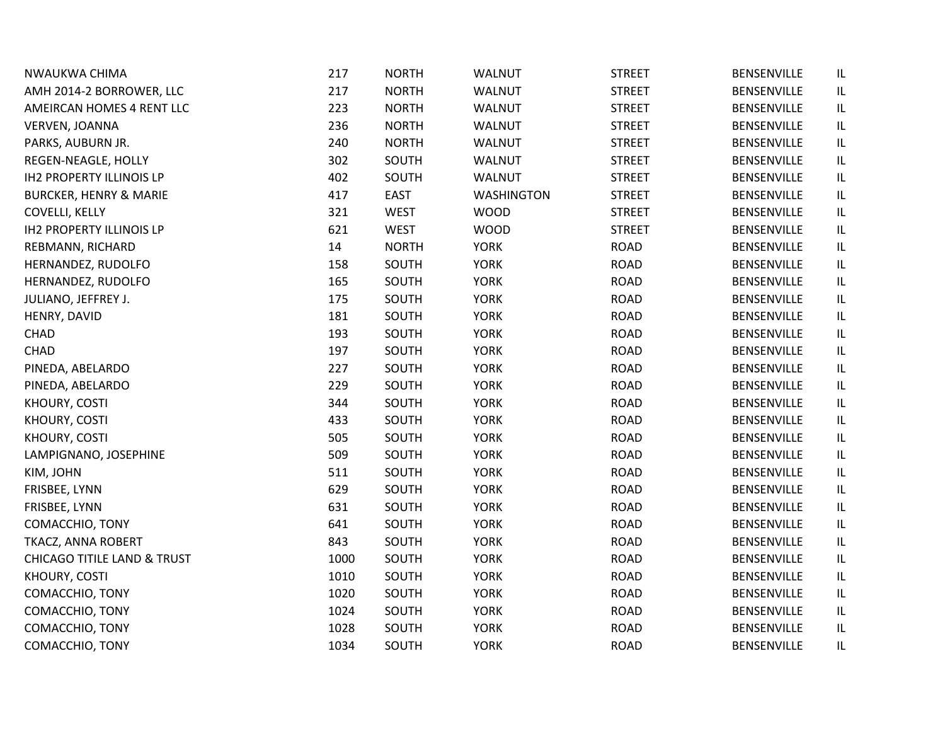| NWAUKWA CHIMA                          | 217  | <b>NORTH</b> | <b>WALNUT</b>     | <b>STREET</b> | <b>BENSENVILLE</b> | IL       |
|----------------------------------------|------|--------------|-------------------|---------------|--------------------|----------|
| AMH 2014-2 BORROWER, LLC               | 217  | <b>NORTH</b> | <b>WALNUT</b>     | <b>STREET</b> | <b>BENSENVILLE</b> | IL       |
| AMEIRCAN HOMES 4 RENT LLC              | 223  | <b>NORTH</b> | WALNUT            | <b>STREET</b> | <b>BENSENVILLE</b> | IL       |
| VERVEN, JOANNA                         | 236  | <b>NORTH</b> | <b>WALNUT</b>     | <b>STREET</b> | <b>BENSENVILLE</b> | IL       |
| PARKS, AUBURN JR.                      | 240  | <b>NORTH</b> | <b>WALNUT</b>     | <b>STREET</b> | <b>BENSENVILLE</b> | IL       |
| REGEN-NEAGLE, HOLLY                    | 302  | SOUTH        | <b>WALNUT</b>     | <b>STREET</b> | <b>BENSENVILLE</b> | IL       |
| <b>IH2 PROPERTY ILLINOIS LP</b>        | 402  | SOUTH        | <b>WALNUT</b>     | <b>STREET</b> | <b>BENSENVILLE</b> | IL       |
| <b>BURCKER, HENRY &amp; MARIE</b>      | 417  | <b>EAST</b>  | <b>WASHINGTON</b> | <b>STREET</b> | <b>BENSENVILLE</b> | IL       |
| <b>COVELLI, KELLY</b>                  | 321  | <b>WEST</b>  | <b>WOOD</b>       | <b>STREET</b> | <b>BENSENVILLE</b> | $\sf IL$ |
| <b>IH2 PROPERTY ILLINOIS LP</b>        | 621  | WEST         | <b>WOOD</b>       | <b>STREET</b> | <b>BENSENVILLE</b> | IL       |
| REBMANN, RICHARD                       | 14   | <b>NORTH</b> | <b>YORK</b>       | <b>ROAD</b>   | <b>BENSENVILLE</b> | IL       |
| HERNANDEZ, RUDOLFO                     | 158  | SOUTH        | <b>YORK</b>       | <b>ROAD</b>   | BENSENVILLE        | IL       |
| HERNANDEZ, RUDOLFO                     | 165  | SOUTH        | <b>YORK</b>       | <b>ROAD</b>   | <b>BENSENVILLE</b> | IL       |
| JULIANO, JEFFREY J.                    | 175  | SOUTH        | <b>YORK</b>       | <b>ROAD</b>   | <b>BENSENVILLE</b> | IL       |
| HENRY, DAVID                           | 181  | SOUTH        | <b>YORK</b>       | <b>ROAD</b>   | <b>BENSENVILLE</b> | IL       |
| <b>CHAD</b>                            | 193  | SOUTH        | <b>YORK</b>       | <b>ROAD</b>   | <b>BENSENVILLE</b> | IL       |
| <b>CHAD</b>                            | 197  | SOUTH        | <b>YORK</b>       | <b>ROAD</b>   | <b>BENSENVILLE</b> | IL       |
| PINEDA, ABELARDO                       | 227  | SOUTH        | <b>YORK</b>       | <b>ROAD</b>   | <b>BENSENVILLE</b> | IL       |
| PINEDA, ABELARDO                       | 229  | SOUTH        | <b>YORK</b>       | <b>ROAD</b>   | <b>BENSENVILLE</b> | IL       |
| KHOURY, COSTI                          | 344  | SOUTH        | <b>YORK</b>       | <b>ROAD</b>   | <b>BENSENVILLE</b> | IL       |
| KHOURY, COSTI                          | 433  | SOUTH        | <b>YORK</b>       | <b>ROAD</b>   | <b>BENSENVILLE</b> | IL       |
| KHOURY, COSTI                          | 505  | SOUTH        | <b>YORK</b>       | <b>ROAD</b>   | <b>BENSENVILLE</b> | IL       |
| LAMPIGNANO, JOSEPHINE                  | 509  | SOUTH        | <b>YORK</b>       | <b>ROAD</b>   | <b>BENSENVILLE</b> | IL       |
| KIM, JOHN                              | 511  | SOUTH        | <b>YORK</b>       | <b>ROAD</b>   | <b>BENSENVILLE</b> | IL       |
| FRISBEE, LYNN                          | 629  | SOUTH        | <b>YORK</b>       | <b>ROAD</b>   | <b>BENSENVILLE</b> | IL       |
| FRISBEE, LYNN                          | 631  | SOUTH        | <b>YORK</b>       | <b>ROAD</b>   | <b>BENSENVILLE</b> | IL       |
| COMACCHIO, TONY                        | 641  | SOUTH        | <b>YORK</b>       | <b>ROAD</b>   | <b>BENSENVILLE</b> | IL       |
| TKACZ, ANNA ROBERT                     | 843  | SOUTH        | <b>YORK</b>       | <b>ROAD</b>   | <b>BENSENVILLE</b> | IL       |
| <b>CHICAGO TITILE LAND &amp; TRUST</b> | 1000 | SOUTH        | <b>YORK</b>       | <b>ROAD</b>   | <b>BENSENVILLE</b> | IL       |
| KHOURY, COSTI                          | 1010 | SOUTH        | <b>YORK</b>       | <b>ROAD</b>   | <b>BENSENVILLE</b> | IL       |
| COMACCHIO, TONY                        | 1020 | SOUTH        | <b>YORK</b>       | <b>ROAD</b>   | <b>BENSENVILLE</b> | IL       |
| COMACCHIO, TONY                        | 1024 | SOUTH        | <b>YORK</b>       | <b>ROAD</b>   | <b>BENSENVILLE</b> | IL       |
| COMACCHIO, TONY                        | 1028 | SOUTH        | <b>YORK</b>       | <b>ROAD</b>   | <b>BENSENVILLE</b> | IL       |
| COMACCHIO, TONY                        | 1034 | SOUTH        | <b>YORK</b>       | <b>ROAD</b>   | <b>BENSENVILLE</b> | IL       |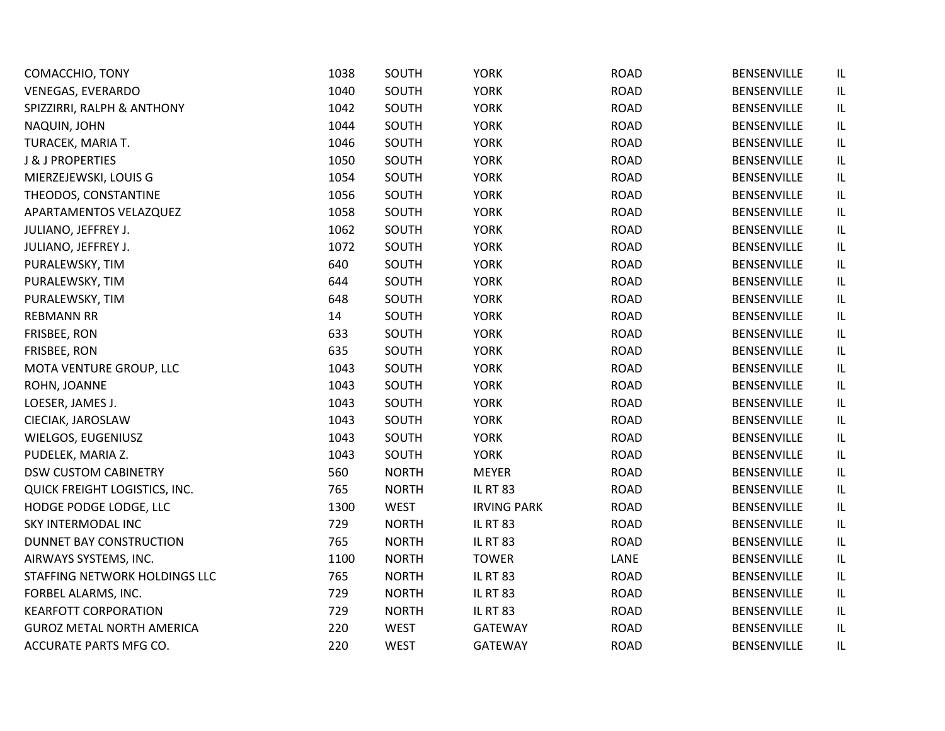| COMACCHIO, TONY                  | 1038 | SOUTH        | <b>YORK</b>        | <b>ROAD</b> | BENSENVILLE        | IL |
|----------------------------------|------|--------------|--------------------|-------------|--------------------|----|
| <b>VENEGAS, EVERARDO</b>         | 1040 | SOUTH        | <b>YORK</b>        | <b>ROAD</b> | <b>BENSENVILLE</b> | IL |
| SPIZZIRRI, RALPH & ANTHONY       | 1042 | SOUTH        | <b>YORK</b>        | <b>ROAD</b> | <b>BENSENVILLE</b> | IL |
| NAQUIN, JOHN                     | 1044 | SOUTH        | <b>YORK</b>        | <b>ROAD</b> | <b>BENSENVILLE</b> | IL |
| TURACEK, MARIA T.                | 1046 | SOUTH        | <b>YORK</b>        | <b>ROAD</b> | <b>BENSENVILLE</b> | IL |
| <b>J &amp; J PROPERTIES</b>      | 1050 | SOUTH        | <b>YORK</b>        | <b>ROAD</b> | <b>BENSENVILLE</b> | IL |
| MIERZEJEWSKI, LOUIS G            | 1054 | SOUTH        | <b>YORK</b>        | <b>ROAD</b> | <b>BENSENVILLE</b> | IL |
| THEODOS, CONSTANTINE             | 1056 | SOUTH        | <b>YORK</b>        | <b>ROAD</b> | BENSENVILLE        | IL |
| APARTAMENTOS VELAZQUEZ           | 1058 | SOUTH        | <b>YORK</b>        | <b>ROAD</b> | <b>BENSENVILLE</b> | IL |
| JULIANO, JEFFREY J.              | 1062 | SOUTH        | <b>YORK</b>        | <b>ROAD</b> | <b>BENSENVILLE</b> | IL |
| JULIANO, JEFFREY J.              | 1072 | SOUTH        | <b>YORK</b>        | <b>ROAD</b> | <b>BENSENVILLE</b> | IL |
| PURALEWSKY, TIM                  | 640  | SOUTH        | <b>YORK</b>        | <b>ROAD</b> | <b>BENSENVILLE</b> | IL |
| PURALEWSKY, TIM                  | 644  | SOUTH        | <b>YORK</b>        | <b>ROAD</b> | BENSENVILLE        | IL |
| PURALEWSKY, TIM                  | 648  | SOUTH        | <b>YORK</b>        | <b>ROAD</b> | <b>BENSENVILLE</b> | IL |
| <b>REBMANN RR</b>                | 14   | SOUTH        | <b>YORK</b>        | <b>ROAD</b> | <b>BENSENVILLE</b> | IL |
| FRISBEE, RON                     | 633  | SOUTH        | <b>YORK</b>        | <b>ROAD</b> | <b>BENSENVILLE</b> | IL |
| FRISBEE, RON                     | 635  | SOUTH        | <b>YORK</b>        | <b>ROAD</b> | BENSENVILLE        | IL |
| MOTA VENTURE GROUP, LLC          | 1043 | SOUTH        | <b>YORK</b>        | <b>ROAD</b> | <b>BENSENVILLE</b> | IL |
| ROHN, JOANNE                     | 1043 | SOUTH        | <b>YORK</b>        | <b>ROAD</b> | <b>BENSENVILLE</b> | IL |
| LOESER, JAMES J.                 | 1043 | SOUTH        | <b>YORK</b>        | <b>ROAD</b> | BENSENVILLE        | IL |
| CIECIAK, JAROSLAW                | 1043 | SOUTH        | <b>YORK</b>        | <b>ROAD</b> | <b>BENSENVILLE</b> | IL |
| WIELGOS, EUGENIUSZ               | 1043 | SOUTH        | <b>YORK</b>        | <b>ROAD</b> | <b>BENSENVILLE</b> | IL |
| PUDELEK, MARIA Z.                | 1043 | SOUTH        | <b>YORK</b>        | <b>ROAD</b> | <b>BENSENVILLE</b> | IL |
| <b>DSW CUSTOM CABINETRY</b>      | 560  | <b>NORTH</b> | <b>MEYER</b>       | <b>ROAD</b> | <b>BENSENVILLE</b> | IL |
| QUICK FREIGHT LOGISTICS, INC.    | 765  | <b>NORTH</b> | <b>IL RT 83</b>    | <b>ROAD</b> | <b>BENSENVILLE</b> | IL |
| HODGE PODGE LODGE, LLC           | 1300 | <b>WEST</b>  | <b>IRVING PARK</b> | <b>ROAD</b> | <b>BENSENVILLE</b> | IL |
| SKY INTERMODAL INC               | 729  | <b>NORTH</b> | <b>IL RT 83</b>    | <b>ROAD</b> | BENSENVILLE        | IL |
| DUNNET BAY CONSTRUCTION          | 765  | <b>NORTH</b> | <b>IL RT 83</b>    | <b>ROAD</b> | <b>BENSENVILLE</b> | IL |
| AIRWAYS SYSTEMS, INC.            | 1100 | <b>NORTH</b> | <b>TOWER</b>       | LANE        | <b>BENSENVILLE</b> | IL |
| STAFFING NETWORK HOLDINGS LLC    | 765  | <b>NORTH</b> | <b>IL RT 83</b>    | <b>ROAD</b> | <b>BENSENVILLE</b> | IL |
| FORBEL ALARMS, INC.              | 729  | <b>NORTH</b> | <b>IL RT 83</b>    | <b>ROAD</b> | BENSENVILLE        | IL |
| <b>KEARFOTT CORPORATION</b>      | 729  | <b>NORTH</b> | <b>IL RT 83</b>    | <b>ROAD</b> | <b>BENSENVILLE</b> | IL |
| <b>GUROZ METAL NORTH AMERICA</b> | 220  | <b>WEST</b>  | <b>GATEWAY</b>     | <b>ROAD</b> | <b>BENSENVILLE</b> | IL |
| ACCURATE PARTS MFG CO.           | 220  | <b>WEST</b>  | <b>GATEWAY</b>     | <b>ROAD</b> | <b>BENSENVILLE</b> | IL |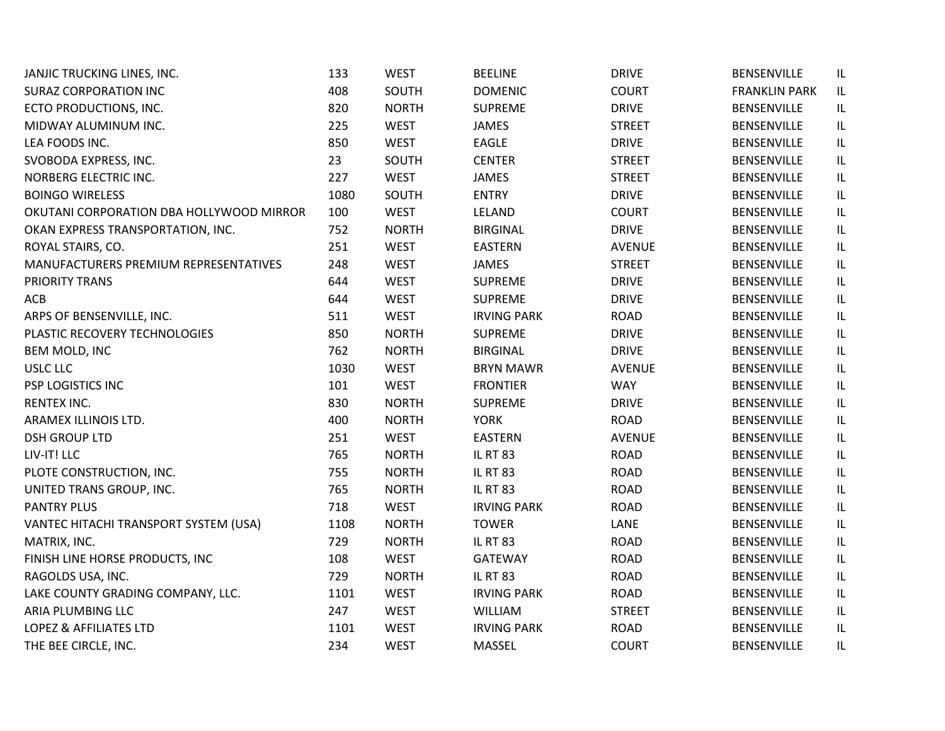| JANJIC TRUCKING LINES, INC.              | 133  | <b>WEST</b>  | <b>BEELINE</b>     | <b>DRIVE</b>  | <b>BENSENVILLE</b>   | IL  |
|------------------------------------------|------|--------------|--------------------|---------------|----------------------|-----|
| <b>SURAZ CORPORATION INC</b>             | 408  | SOUTH        | <b>DOMENIC</b>     | <b>COURT</b>  | <b>FRANKLIN PARK</b> | IL. |
| ECTO PRODUCTIONS, INC.                   | 820  | <b>NORTH</b> | <b>SUPREME</b>     | <b>DRIVE</b>  | <b>BENSENVILLE</b>   | IL. |
| MIDWAY ALUMINUM INC.                     | 225  | <b>WEST</b>  | <b>JAMES</b>       | <b>STREET</b> | <b>BENSENVILLE</b>   | IL  |
| LEA FOODS INC.                           | 850  | <b>WEST</b>  | EAGLE              | <b>DRIVE</b>  | BENSENVILLE          | IL  |
| SVOBODA EXPRESS, INC.                    | 23   | SOUTH        | <b>CENTER</b>      | <b>STREET</b> | <b>BENSENVILLE</b>   | IL  |
| NORBERG ELECTRIC INC.                    | 227  | <b>WEST</b>  | <b>JAMES</b>       | <b>STREET</b> | <b>BENSENVILLE</b>   | IL  |
| <b>BOINGO WIRELESS</b>                   | 1080 | SOUTH        | <b>ENTRY</b>       | <b>DRIVE</b>  | <b>BENSENVILLE</b>   | IL  |
| OKUTANI CORPORATION DBA HOLLYWOOD MIRROR | 100  | <b>WEST</b>  | LELAND             | <b>COURT</b>  | <b>BENSENVILLE</b>   | IL  |
| OKAN EXPRESS TRANSPORTATION, INC.        | 752  | <b>NORTH</b> | <b>BIRGINAL</b>    | <b>DRIVE</b>  | <b>BENSENVILLE</b>   | IL  |
| ROYAL STAIRS, CO.                        | 251  | <b>WEST</b>  | EASTERN            | <b>AVENUE</b> | <b>BENSENVILLE</b>   | IL  |
| MANUFACTURERS PREMIUM REPRESENTATIVES    | 248  | <b>WEST</b>  | <b>JAMES</b>       | <b>STREET</b> | <b>BENSENVILLE</b>   | IL. |
| PRIORITY TRANS                           | 644  | <b>WEST</b>  | <b>SUPREME</b>     | <b>DRIVE</b>  | BENSENVILLE          | IL. |
| ACB                                      | 644  | <b>WEST</b>  | <b>SUPREME</b>     | <b>DRIVE</b>  | <b>BENSENVILLE</b>   | IL  |
| ARPS OF BENSENVILLE, INC.                | 511  | <b>WEST</b>  | <b>IRVING PARK</b> | <b>ROAD</b>   | <b>BENSENVILLE</b>   | IL  |
| PLASTIC RECOVERY TECHNOLOGIES            | 850  | <b>NORTH</b> | <b>SUPREME</b>     | <b>DRIVE</b>  | BENSENVILLE          | IL  |
| BEM MOLD, INC                            | 762  | <b>NORTH</b> | <b>BIRGINAL</b>    | <b>DRIVE</b>  | <b>BENSENVILLE</b>   | IL  |
| <b>USLC LLC</b>                          | 1030 | <b>WEST</b>  | <b>BRYN MAWR</b>   | <b>AVENUE</b> | <b>BENSENVILLE</b>   | IL  |
| PSP LOGISTICS INC                        | 101  | <b>WEST</b>  | <b>FRONTIER</b>    | <b>WAY</b>    | BENSENVILLE          | IL  |
| <b>RENTEX INC.</b>                       | 830  | <b>NORTH</b> | <b>SUPREME</b>     | <b>DRIVE</b>  | <b>BENSENVILLE</b>   | IL. |
| ARAMEX ILLINOIS LTD.                     | 400  | <b>NORTH</b> | <b>YORK</b>        | <b>ROAD</b>   | <b>BENSENVILLE</b>   | IL. |
| <b>DSH GROUP LTD</b>                     | 251  | <b>WEST</b>  | <b>EASTERN</b>     | <b>AVENUE</b> | <b>BENSENVILLE</b>   | IL  |
| LIV-IT! LLC                              | 765  | <b>NORTH</b> | <b>IL RT 83</b>    | <b>ROAD</b>   | <b>BENSENVILLE</b>   | IL  |
| PLOTE CONSTRUCTION, INC.                 | 755  | <b>NORTH</b> | <b>IL RT 83</b>    | <b>ROAD</b>   | <b>BENSENVILLE</b>   | IL  |
| UNITED TRANS GROUP, INC.                 | 765  | <b>NORTH</b> | <b>IL RT 83</b>    | <b>ROAD</b>   | <b>BENSENVILLE</b>   | IL  |
| <b>PANTRY PLUS</b>                       | 718  | <b>WEST</b>  | <b>IRVING PARK</b> | <b>ROAD</b>   | <b>BENSENVILLE</b>   | IL  |
| VANTEC HITACHI TRANSPORT SYSTEM (USA)    | 1108 | <b>NORTH</b> | <b>TOWER</b>       | LANE          | BENSENVILLE          | IL  |
| MATRIX, INC.                             | 729  | <b>NORTH</b> | <b>IL RT 83</b>    | <b>ROAD</b>   | <b>BENSENVILLE</b>   | IL  |
| FINISH LINE HORSE PRODUCTS, INC          | 108  | <b>WEST</b>  | <b>GATEWAY</b>     | <b>ROAD</b>   | <b>BENSENVILLE</b>   | IL  |
| RAGOLDS USA, INC.                        | 729  | <b>NORTH</b> | <b>IL RT 83</b>    | <b>ROAD</b>   | <b>BENSENVILLE</b>   | IL  |
| LAKE COUNTY GRADING COMPANY, LLC.        | 1101 | <b>WEST</b>  | <b>IRVING PARK</b> | <b>ROAD</b>   | BENSENVILLE          | IL  |
| ARIA PLUMBING LLC                        | 247  | <b>WEST</b>  | WILLIAM            | <b>STREET</b> | <b>BENSENVILLE</b>   | IL  |
| <b>LOPEZ &amp; AFFILIATES LTD</b>        | 1101 | <b>WEST</b>  | <b>IRVING PARK</b> | <b>ROAD</b>   | <b>BENSENVILLE</b>   | IL  |
| THE BEE CIRCLE, INC.                     | 234  | <b>WEST</b>  | MASSEL             | <b>COURT</b>  | <b>BENSENVILLE</b>   | IL  |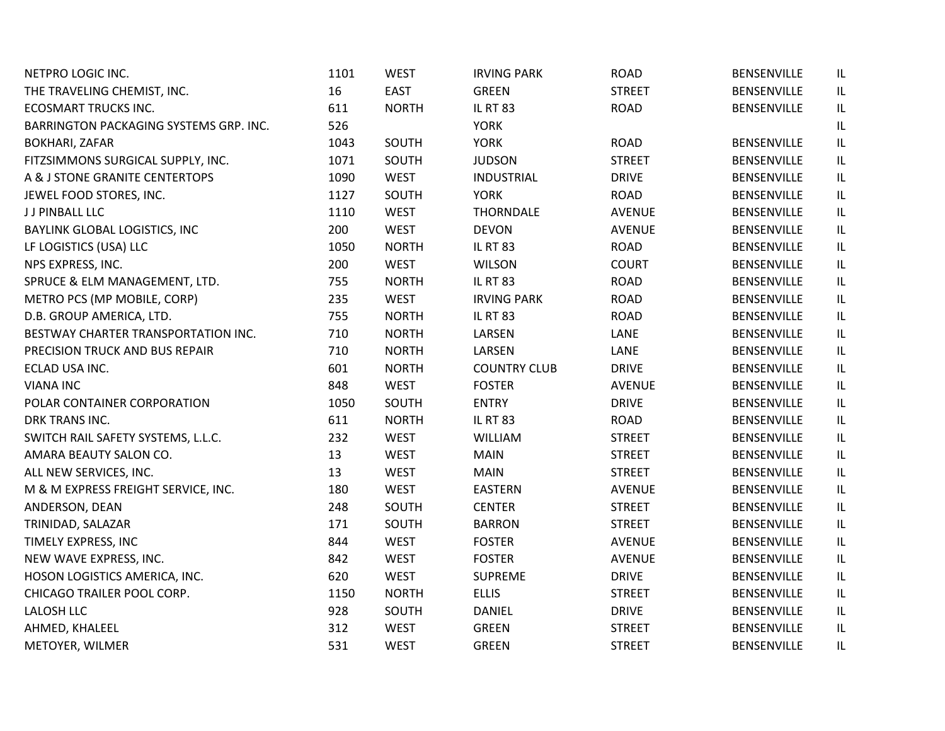| NETPRO LOGIC INC.                      | 1101 | <b>WEST</b>  | <b>IRVING PARK</b>  | <b>ROAD</b>   | BENSENVILLE        | IL |
|----------------------------------------|------|--------------|---------------------|---------------|--------------------|----|
| THE TRAVELING CHEMIST, INC.            | 16   | <b>EAST</b>  | <b>GREEN</b>        | <b>STREET</b> | <b>BENSENVILLE</b> | IL |
| <b>ECOSMART TRUCKS INC.</b>            | 611  | <b>NORTH</b> | <b>IL RT 83</b>     | <b>ROAD</b>   | BENSENVILLE        | IL |
| BARRINGTON PACKAGING SYSTEMS GRP. INC. | 526  |              | <b>YORK</b>         |               |                    | IL |
| <b>BOKHARI, ZAFAR</b>                  | 1043 | SOUTH        | <b>YORK</b>         | <b>ROAD</b>   | <b>BENSENVILLE</b> | IL |
| FITZSIMMONS SURGICAL SUPPLY, INC.      | 1071 | SOUTH        | <b>JUDSON</b>       | <b>STREET</b> | <b>BENSENVILLE</b> | IL |
| A & J STONE GRANITE CENTERTOPS         | 1090 | <b>WEST</b>  | <b>INDUSTRIAL</b>   | <b>DRIVE</b>  | BENSENVILLE        | IL |
| JEWEL FOOD STORES, INC.                | 1127 | SOUTH        | <b>YORK</b>         | <b>ROAD</b>   | BENSENVILLE        | IL |
| J J PINBALL LLC                        | 1110 | <b>WEST</b>  | <b>THORNDALE</b>    | <b>AVENUE</b> | BENSENVILLE        | IL |
| BAYLINK GLOBAL LOGISTICS, INC          | 200  | <b>WEST</b>  | <b>DEVON</b>        | <b>AVENUE</b> | <b>BENSENVILLE</b> | IL |
| LF LOGISTICS (USA) LLC                 | 1050 | <b>NORTH</b> | <b>IL RT 83</b>     | <b>ROAD</b>   | BENSENVILLE        | IL |
| NPS EXPRESS, INC.                      | 200  | <b>WEST</b>  | <b>WILSON</b>       | <b>COURT</b>  | BENSENVILLE        | IL |
| SPRUCE & ELM MANAGEMENT, LTD.          | 755  | <b>NORTH</b> | <b>IL RT 83</b>     | <b>ROAD</b>   | BENSENVILLE        | IL |
| METRO PCS (MP MOBILE, CORP)            | 235  | <b>WEST</b>  | <b>IRVING PARK</b>  | <b>ROAD</b>   | BENSENVILLE        | IL |
| D.B. GROUP AMERICA, LTD.               | 755  | <b>NORTH</b> | <b>IL RT 83</b>     | <b>ROAD</b>   | BENSENVILLE        | IL |
| BESTWAY CHARTER TRANSPORTATION INC.    | 710  | <b>NORTH</b> | LARSEN              | LANE          | <b>BENSENVILLE</b> | IL |
| PRECISION TRUCK AND BUS REPAIR         | 710  | <b>NORTH</b> | LARSEN              | LANE          | <b>BENSENVILLE</b> | IL |
| ECLAD USA INC.                         | 601  | <b>NORTH</b> | <b>COUNTRY CLUB</b> | <b>DRIVE</b>  | <b>BENSENVILLE</b> | IL |
| <b>VIANA INC</b>                       | 848  | <b>WEST</b>  | <b>FOSTER</b>       | <b>AVENUE</b> | BENSENVILLE        | IL |
| POLAR CONTAINER CORPORATION            | 1050 | SOUTH        | <b>ENTRY</b>        | <b>DRIVE</b>  | <b>BENSENVILLE</b> | IL |
| DRK TRANS INC.                         | 611  | <b>NORTH</b> | <b>IL RT 83</b>     | <b>ROAD</b>   | <b>BENSENVILLE</b> | IL |
| SWITCH RAIL SAFETY SYSTEMS, L.L.C.     | 232  | <b>WEST</b>  | <b>WILLIAM</b>      | <b>STREET</b> | BENSENVILLE        | IL |
| AMARA BEAUTY SALON CO.                 | 13   | <b>WEST</b>  | <b>MAIN</b>         | <b>STREET</b> | <b>BENSENVILLE</b> | IL |
| ALL NEW SERVICES, INC.                 | 13   | <b>WEST</b>  | <b>MAIN</b>         | <b>STREET</b> | <b>BENSENVILLE</b> | IL |
| M & M EXPRESS FREIGHT SERVICE, INC.    | 180  | <b>WEST</b>  | <b>EASTERN</b>      | <b>AVENUE</b> | BENSENVILLE        | IL |
| ANDERSON, DEAN                         | 248  | SOUTH        | <b>CENTER</b>       | <b>STREET</b> | BENSENVILLE        | IL |
| TRINIDAD, SALAZAR                      | 171  | SOUTH        | <b>BARRON</b>       | <b>STREET</b> | BENSENVILLE        | IL |
| TIMELY EXPRESS, INC                    | 844  | <b>WEST</b>  | <b>FOSTER</b>       | <b>AVENUE</b> | <b>BENSENVILLE</b> | IL |
| NEW WAVE EXPRESS, INC.                 | 842  | <b>WEST</b>  | <b>FOSTER</b>       | <b>AVENUE</b> | BENSENVILLE        | IL |
| HOSON LOGISTICS AMERICA, INC.          | 620  | <b>WEST</b>  | <b>SUPREME</b>      | <b>DRIVE</b>  | <b>BENSENVILLE</b> | IL |
| CHICAGO TRAILER POOL CORP.             | 1150 | <b>NORTH</b> | <b>ELLIS</b>        | <b>STREET</b> | BENSENVILLE        | IL |
| <b>LALOSH LLC</b>                      | 928  | SOUTH        | <b>DANIEL</b>       | <b>DRIVE</b>  | <b>BENSENVILLE</b> | IL |
| AHMED, KHALEEL                         | 312  | <b>WEST</b>  | <b>GREEN</b>        | <b>STREET</b> | BENSENVILLE        | IL |
| METOYER, WILMER                        | 531  | <b>WEST</b>  | <b>GREEN</b>        | <b>STREET</b> | <b>BENSENVILLE</b> | IL |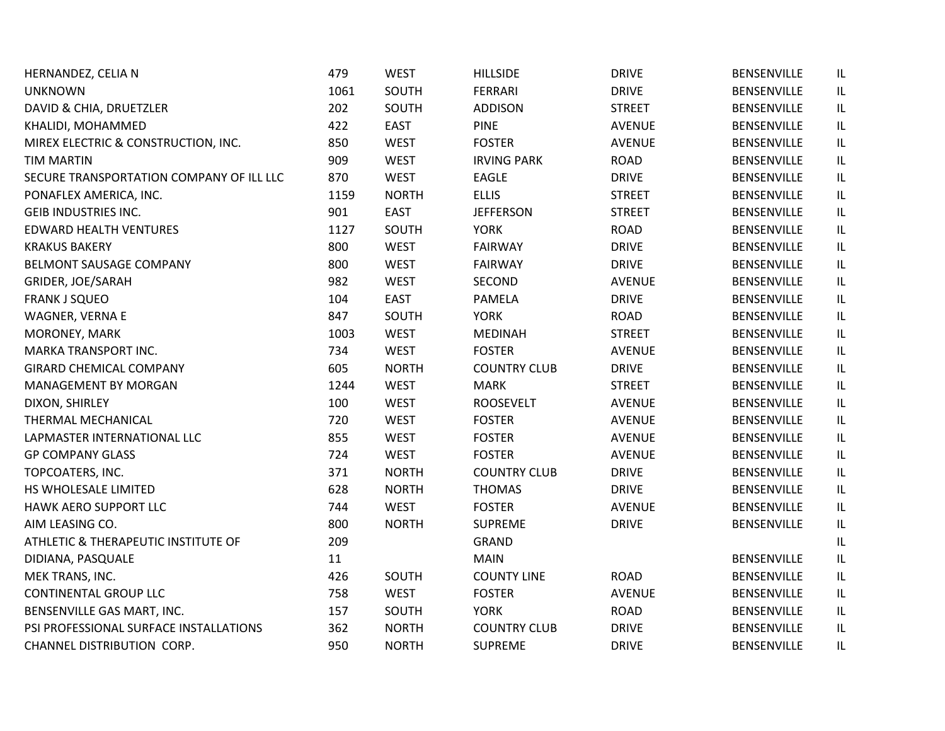| HERNANDEZ, CELIA N                       | 479  | <b>WEST</b>  | <b>HILLSIDE</b>     | <b>DRIVE</b>  | <b>BENSENVILLE</b> | IL                                |
|------------------------------------------|------|--------------|---------------------|---------------|--------------------|-----------------------------------|
| <b>UNKNOWN</b>                           | 1061 | SOUTH        | <b>FERRARI</b>      | <b>DRIVE</b>  | <b>BENSENVILLE</b> | IL                                |
| DAVID & CHIA, DRUETZLER                  | 202  | SOUTH        | <b>ADDISON</b>      | <b>STREET</b> | <b>BENSENVILLE</b> | IL                                |
| KHALIDI, MOHAMMED                        | 422  | <b>EAST</b>  | <b>PINE</b>         | <b>AVENUE</b> | <b>BENSENVILLE</b> | $\sf IL$                          |
| MIREX ELECTRIC & CONSTRUCTION, INC.      | 850  | <b>WEST</b>  | <b>FOSTER</b>       | <b>AVENUE</b> | <b>BENSENVILLE</b> | $\ensuremath{\mathsf{IL}}\xspace$ |
| <b>TIM MARTIN</b>                        | 909  | <b>WEST</b>  | <b>IRVING PARK</b>  | <b>ROAD</b>   | <b>BENSENVILLE</b> | $\ensuremath{\mathsf{IL}}\xspace$ |
| SECURE TRANSPORTATION COMPANY OF ILL LLC | 870  | <b>WEST</b>  | <b>EAGLE</b>        | <b>DRIVE</b>  | <b>BENSENVILLE</b> | $\sf IL$                          |
| PONAFLEX AMERICA, INC.                   | 1159 | <b>NORTH</b> | <b>ELLIS</b>        | <b>STREET</b> | <b>BENSENVILLE</b> | IL.                               |
| <b>GEIB INDUSTRIES INC.</b>              | 901  | <b>EAST</b>  | <b>JEFFERSON</b>    | <b>STREET</b> | <b>BENSENVILLE</b> | $\ensuremath{\mathsf{IL}}\xspace$ |
| <b>EDWARD HEALTH VENTURES</b>            | 1127 | SOUTH        | <b>YORK</b>         | <b>ROAD</b>   | <b>BENSENVILLE</b> | IL                                |
| <b>KRAKUS BAKERY</b>                     | 800  | <b>WEST</b>  | <b>FAIRWAY</b>      | <b>DRIVE</b>  | BENSENVILLE        | IL                                |
| BELMONT SAUSAGE COMPANY                  | 800  | <b>WEST</b>  | <b>FAIRWAY</b>      | <b>DRIVE</b>  | <b>BENSENVILLE</b> | IL                                |
| GRIDER, JOE/SARAH                        | 982  | <b>WEST</b>  | SECOND              | <b>AVENUE</b> | <b>BENSENVILLE</b> | IL.                               |
| <b>FRANK J SQUEO</b>                     | 104  | <b>EAST</b>  | <b>PAMELA</b>       | <b>DRIVE</b>  | <b>BENSENVILLE</b> | $\ensuremath{\mathsf{IL}}\xspace$ |
| WAGNER, VERNA E                          | 847  | SOUTH        | <b>YORK</b>         | <b>ROAD</b>   | <b>BENSENVILLE</b> | $\ensuremath{\mathsf{IL}}\xspace$ |
| MORONEY, MARK                            | 1003 | <b>WEST</b>  | <b>MEDINAH</b>      | <b>STREET</b> | <b>BENSENVILLE</b> | $\sf IL$                          |
| MARKA TRANSPORT INC.                     | 734  | <b>WEST</b>  | <b>FOSTER</b>       | <b>AVENUE</b> | <b>BENSENVILLE</b> | IL                                |
| <b>GIRARD CHEMICAL COMPANY</b>           | 605  | <b>NORTH</b> | <b>COUNTRY CLUB</b> | <b>DRIVE</b>  | <b>BENSENVILLE</b> | $\ensuremath{\mathsf{IL}}\xspace$ |
| MANAGEMENT BY MORGAN                     | 1244 | <b>WEST</b>  | <b>MARK</b>         | <b>STREET</b> | <b>BENSENVILLE</b> | $\ensuremath{\mathsf{IL}}\xspace$ |
| DIXON, SHIRLEY                           | 100  | <b>WEST</b>  | <b>ROOSEVELT</b>    | <b>AVENUE</b> | <b>BENSENVILLE</b> | IL                                |
| THERMAL MECHANICAL                       | 720  | <b>WEST</b>  | <b>FOSTER</b>       | <b>AVENUE</b> | <b>BENSENVILLE</b> | IL                                |
| LAPMASTER INTERNATIONAL LLC              | 855  | <b>WEST</b>  | <b>FOSTER</b>       | <b>AVENUE</b> | <b>BENSENVILLE</b> | IL                                |
| <b>GP COMPANY GLASS</b>                  | 724  | <b>WEST</b>  | <b>FOSTER</b>       | <b>AVENUE</b> | <b>BENSENVILLE</b> | $\ensuremath{\mathsf{IL}}\xspace$ |
| TOPCOATERS, INC.                         | 371  | <b>NORTH</b> | <b>COUNTRY CLUB</b> | <b>DRIVE</b>  | <b>BENSENVILLE</b> | IL                                |
| HS WHOLESALE LIMITED                     | 628  | <b>NORTH</b> | <b>THOMAS</b>       | <b>DRIVE</b>  | <b>BENSENVILLE</b> | $\ensuremath{\mathsf{IL}}\xspace$ |
| HAWK AERO SUPPORT LLC                    | 744  | <b>WEST</b>  | <b>FOSTER</b>       | <b>AVENUE</b> | <b>BENSENVILLE</b> | $\ensuremath{\mathsf{IL}}\xspace$ |
| AIM LEASING CO.                          | 800  | <b>NORTH</b> | SUPREME             | <b>DRIVE</b>  | BENSENVILLE        | IL.                               |
| ATHLETIC & THERAPEUTIC INSTITUTE OF      | 209  |              | <b>GRAND</b>        |               |                    | IL                                |
| DIDIANA, PASQUALE                        | 11   |              | <b>MAIN</b>         |               | <b>BENSENVILLE</b> | $\sf IL$                          |
| MEK TRANS, INC.                          | 426  | SOUTH        | <b>COUNTY LINE</b>  | <b>ROAD</b>   | <b>BENSENVILLE</b> | $\ensuremath{\mathsf{IL}}\xspace$ |
| <b>CONTINENTAL GROUP LLC</b>             | 758  | <b>WEST</b>  | <b>FOSTER</b>       | <b>AVENUE</b> | <b>BENSENVILLE</b> | IL                                |
| BENSENVILLE GAS MART, INC.               | 157  | SOUTH        | <b>YORK</b>         | <b>ROAD</b>   | <b>BENSENVILLE</b> | IL                                |
| PSI PROFESSIONAL SURFACE INSTALLATIONS   | 362  | <b>NORTH</b> | <b>COUNTRY CLUB</b> | <b>DRIVE</b>  | BENSENVILLE        | $\ensuremath{\mathsf{IL}}\xspace$ |
| CHANNEL DISTRIBUTION CORP.               | 950  | <b>NORTH</b> | <b>SUPREME</b>      | <b>DRIVE</b>  | <b>BENSENVILLE</b> | IL                                |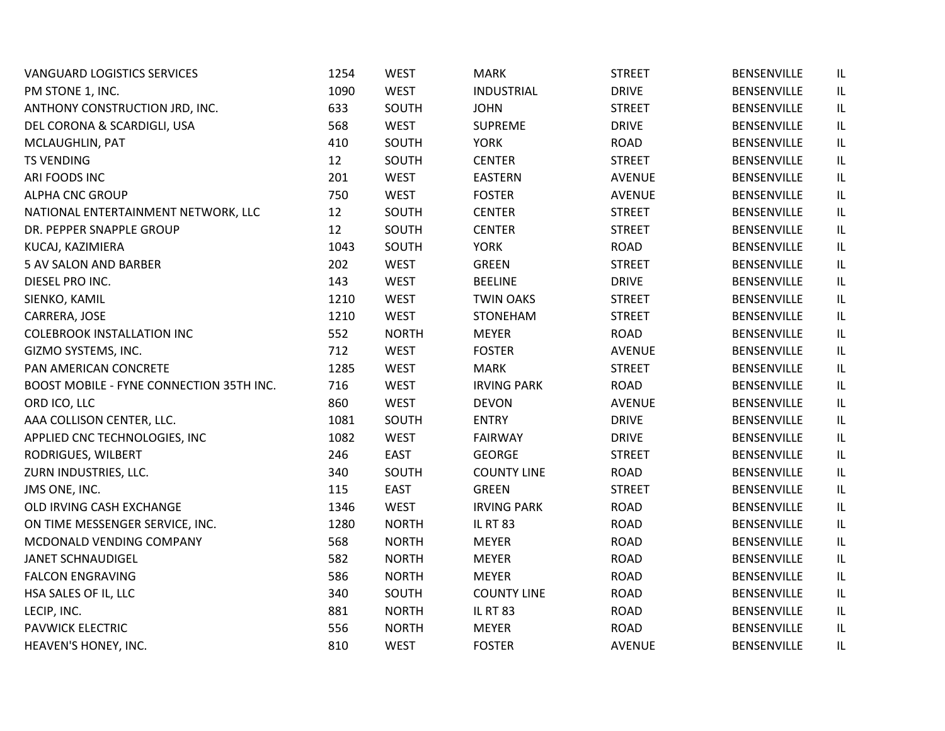| <b>VANGUARD LOGISTICS SERVICES</b>       | 1254 | <b>WEST</b>  | <b>MARK</b>        | <b>STREET</b> | <b>BENSENVILLE</b> | IL  |
|------------------------------------------|------|--------------|--------------------|---------------|--------------------|-----|
| PM STONE 1, INC.                         | 1090 | <b>WEST</b>  | <b>INDUSTRIAL</b>  | <b>DRIVE</b>  | <b>BENSENVILLE</b> | IL. |
| ANTHONY CONSTRUCTION JRD, INC.           | 633  | SOUTH        | <b>JOHN</b>        | <b>STREET</b> | BENSENVILLE        | IL. |
| DEL CORONA & SCARDIGLI, USA              | 568  | <b>WEST</b>  | <b>SUPREME</b>     | <b>DRIVE</b>  | <b>BENSENVILLE</b> | IL  |
| MCLAUGHLIN, PAT                          | 410  | SOUTH        | <b>YORK</b>        | <b>ROAD</b>   | BENSENVILLE        | IL  |
| <b>TS VENDING</b>                        | 12   | SOUTH        | <b>CENTER</b>      | <b>STREET</b> | BENSENVILLE        | IL  |
| ARI FOODS INC                            | 201  | <b>WEST</b>  | <b>EASTERN</b>     | <b>AVENUE</b> | <b>BENSENVILLE</b> | IL  |
| <b>ALPHA CNC GROUP</b>                   | 750  | <b>WEST</b>  | <b>FOSTER</b>      | <b>AVENUE</b> | BENSENVILLE        | IL  |
| NATIONAL ENTERTAINMENT NETWORK, LLC      | 12   | SOUTH        | <b>CENTER</b>      | <b>STREET</b> | <b>BENSENVILLE</b> | IL  |
| DR. PEPPER SNAPPLE GROUP                 | 12   | SOUTH        | <b>CENTER</b>      | <b>STREET</b> | <b>BENSENVILLE</b> | IL  |
| KUCAJ, KAZIMIERA                         | 1043 | SOUTH        | <b>YORK</b>        | <b>ROAD</b>   | <b>BENSENVILLE</b> | IL  |
| <b>5 AV SALON AND BARBER</b>             | 202  | <b>WEST</b>  | <b>GREEN</b>       | <b>STREET</b> | <b>BENSENVILLE</b> | IL  |
| DIESEL PRO INC.                          | 143  | <b>WEST</b>  | <b>BEELINE</b>     | <b>DRIVE</b>  | <b>BENSENVILLE</b> | IL. |
| SIENKO, KAMIL                            | 1210 | <b>WEST</b>  | <b>TWIN OAKS</b>   | <b>STREET</b> | <b>BENSENVILLE</b> | IL  |
| CARRERA, JOSE                            | 1210 | <b>WEST</b>  | STONEHAM           | <b>STREET</b> | <b>BENSENVILLE</b> | IL  |
| <b>COLEBROOK INSTALLATION INC</b>        | 552  | <b>NORTH</b> | <b>MEYER</b>       | <b>ROAD</b>   | <b>BENSENVILLE</b> | IL  |
| GIZMO SYSTEMS, INC.                      | 712  | <b>WEST</b>  | <b>FOSTER</b>      | <b>AVENUE</b> | <b>BENSENVILLE</b> | IL  |
| PAN AMERICAN CONCRETE                    | 1285 | <b>WEST</b>  | <b>MARK</b>        | <b>STREET</b> | <b>BENSENVILLE</b> | IL  |
| BOOST MOBILE - FYNE CONNECTION 35TH INC. | 716  | <b>WEST</b>  | <b>IRVING PARK</b> | <b>ROAD</b>   | BENSENVILLE        | IL  |
| ORD ICO, LLC                             | 860  | <b>WEST</b>  | <b>DEVON</b>       | <b>AVENUE</b> | <b>BENSENVILLE</b> | IL  |
| AAA COLLISON CENTER, LLC.                | 1081 | SOUTH        | <b>ENTRY</b>       | <b>DRIVE</b>  | <b>BENSENVILLE</b> | IL  |
| APPLIED CNC TECHNOLOGIES, INC            | 1082 | <b>WEST</b>  | <b>FAIRWAY</b>     | <b>DRIVE</b>  | <b>BENSENVILLE</b> | IL. |
| RODRIGUES, WILBERT                       | 246  | <b>EAST</b>  | <b>GEORGE</b>      | <b>STREET</b> | <b>BENSENVILLE</b> | IL  |
| ZURN INDUSTRIES, LLC.                    | 340  | SOUTH        | <b>COUNTY LINE</b> | <b>ROAD</b>   | <b>BENSENVILLE</b> | IL  |
| JMS ONE, INC.                            | 115  | <b>EAST</b>  | <b>GREEN</b>       | <b>STREET</b> | BENSENVILLE        | IL  |
| OLD IRVING CASH EXCHANGE                 | 1346 | <b>WEST</b>  | <b>IRVING PARK</b> | <b>ROAD</b>   | <b>BENSENVILLE</b> | IL  |
| ON TIME MESSENGER SERVICE, INC.          | 1280 | <b>NORTH</b> | <b>IL RT 83</b>    | <b>ROAD</b>   | <b>BENSENVILLE</b> | IL  |
| MCDONALD VENDING COMPANY                 | 568  | <b>NORTH</b> | <b>MEYER</b>       | <b>ROAD</b>   | <b>BENSENVILLE</b> | IL  |
| <b>JANET SCHNAUDIGEL</b>                 | 582  | <b>NORTH</b> | <b>MEYER</b>       | <b>ROAD</b>   | <b>BENSENVILLE</b> | IL  |
| <b>FALCON ENGRAVING</b>                  | 586  | <b>NORTH</b> | <b>MEYER</b>       | <b>ROAD</b>   | BENSENVILLE        | IL  |
| HSA SALES OF IL, LLC                     | 340  | SOUTH        | <b>COUNTY LINE</b> | <b>ROAD</b>   | <b>BENSENVILLE</b> | IL. |
| LECIP, INC.                              | 881  | <b>NORTH</b> | <b>IL RT 83</b>    | <b>ROAD</b>   | <b>BENSENVILLE</b> | IL. |
| PAVWICK ELECTRIC                         | 556  | <b>NORTH</b> | <b>MEYER</b>       | <b>ROAD</b>   | BENSENVILLE        | IL  |
| HEAVEN'S HONEY, INC.                     | 810  | <b>WEST</b>  | <b>FOSTER</b>      | <b>AVENUE</b> | <b>BENSENVILLE</b> | IL  |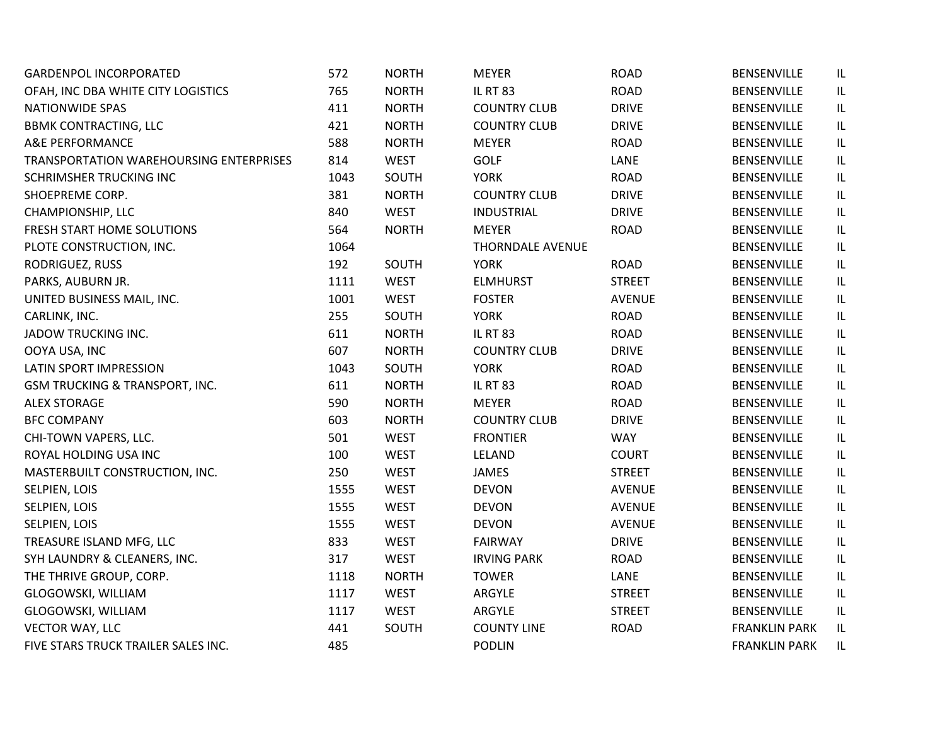| <b>GARDENPOL INCORPORATED</b>             | 572  | <b>NORTH</b> | <b>MEYER</b>            | <b>ROAD</b>   | BENSENVILLE          | IL |
|-------------------------------------------|------|--------------|-------------------------|---------------|----------------------|----|
| OFAH, INC DBA WHITE CITY LOGISTICS        | 765  | <b>NORTH</b> | <b>IL RT 83</b>         | <b>ROAD</b>   | <b>BENSENVILLE</b>   | IL |
| <b>NATIONWIDE SPAS</b>                    | 411  | <b>NORTH</b> | <b>COUNTRY CLUB</b>     | <b>DRIVE</b>  | BENSENVILLE          | IL |
| <b>BBMK CONTRACTING, LLC</b>              | 421  | <b>NORTH</b> | <b>COUNTRY CLUB</b>     | <b>DRIVE</b>  | <b>BENSENVILLE</b>   | IL |
| A&E PERFORMANCE                           | 588  | <b>NORTH</b> | <b>MEYER</b>            | <b>ROAD</b>   | <b>BENSENVILLE</b>   | IL |
| TRANSPORTATION WAREHOURSING ENTERPRISES   | 814  | <b>WEST</b>  | <b>GOLF</b>             | LANE          | <b>BENSENVILLE</b>   | IL |
| SCHRIMSHER TRUCKING INC                   | 1043 | SOUTH        | <b>YORK</b>             | <b>ROAD</b>   | <b>BENSENVILLE</b>   | IL |
| SHOEPREME CORP.                           | 381  | <b>NORTH</b> | <b>COUNTRY CLUB</b>     | <b>DRIVE</b>  | BENSENVILLE          | IL |
| CHAMPIONSHIP, LLC                         | 840  | <b>WEST</b>  | <b>INDUSTRIAL</b>       | <b>DRIVE</b>  | <b>BENSENVILLE</b>   | IL |
| FRESH START HOME SOLUTIONS                | 564  | <b>NORTH</b> | <b>MEYER</b>            | <b>ROAD</b>   | <b>BENSENVILLE</b>   | IL |
| PLOTE CONSTRUCTION, INC.                  | 1064 |              | <b>THORNDALE AVENUE</b> |               | <b>BENSENVILLE</b>   | IL |
| RODRIGUEZ, RUSS                           | 192  | SOUTH        | <b>YORK</b>             | <b>ROAD</b>   | <b>BENSENVILLE</b>   | IL |
| PARKS, AUBURN JR.                         | 1111 | <b>WEST</b>  | <b>ELMHURST</b>         | <b>STREET</b> | <b>BENSENVILLE</b>   | IL |
| UNITED BUSINESS MAIL, INC.                | 1001 | <b>WEST</b>  | <b>FOSTER</b>           | AVENUE        | <b>BENSENVILLE</b>   | IL |
| CARLINK, INC.                             | 255  | SOUTH        | <b>YORK</b>             | <b>ROAD</b>   | <b>BENSENVILLE</b>   | IL |
| JADOW TRUCKING INC.                       | 611  | <b>NORTH</b> | <b>IL RT 83</b>         | <b>ROAD</b>   | <b>BENSENVILLE</b>   | IL |
| OOYA USA, INC                             | 607  | <b>NORTH</b> | <b>COUNTRY CLUB</b>     | <b>DRIVE</b>  | <b>BENSENVILLE</b>   | IL |
| LATIN SPORT IMPRESSION                    | 1043 | SOUTH        | <b>YORK</b>             | <b>ROAD</b>   | <b>BENSENVILLE</b>   | IL |
| <b>GSM TRUCKING &amp; TRANSPORT, INC.</b> | 611  | <b>NORTH</b> | <b>IL RT 83</b>         | <b>ROAD</b>   | <b>BENSENVILLE</b>   | IL |
| <b>ALEX STORAGE</b>                       | 590  | <b>NORTH</b> | <b>MEYER</b>            | <b>ROAD</b>   | <b>BENSENVILLE</b>   | IL |
| <b>BFC COMPANY</b>                        | 603  | <b>NORTH</b> | <b>COUNTRY CLUB</b>     | <b>DRIVE</b>  | <b>BENSENVILLE</b>   | IL |
| CHI-TOWN VAPERS, LLC.                     | 501  | <b>WEST</b>  | <b>FRONTIER</b>         | <b>WAY</b>    | <b>BENSENVILLE</b>   | IL |
| ROYAL HOLDING USA INC                     | 100  | <b>WEST</b>  | LELAND                  | <b>COURT</b>  | <b>BENSENVILLE</b>   | IL |
| MASTERBUILT CONSTRUCTION, INC.            | 250  | <b>WEST</b>  | JAMES                   | <b>STREET</b> | <b>BENSENVILLE</b>   | IL |
| SELPIEN, LOIS                             | 1555 | <b>WEST</b>  | <b>DEVON</b>            | <b>AVENUE</b> | <b>BENSENVILLE</b>   | IL |
| SELPIEN, LOIS                             | 1555 | <b>WEST</b>  | <b>DEVON</b>            | <b>AVENUE</b> | <b>BENSENVILLE</b>   | IL |
| SELPIEN, LOIS                             | 1555 | <b>WEST</b>  | <b>DEVON</b>            | <b>AVENUE</b> | <b>BENSENVILLE</b>   | IL |
| TREASURE ISLAND MFG, LLC                  | 833  | <b>WEST</b>  | <b>FAIRWAY</b>          | <b>DRIVE</b>  | <b>BENSENVILLE</b>   | IL |
| SYH LAUNDRY & CLEANERS, INC.              | 317  | <b>WEST</b>  | <b>IRVING PARK</b>      | <b>ROAD</b>   | <b>BENSENVILLE</b>   | IL |
| THE THRIVE GROUP, CORP.                   | 1118 | <b>NORTH</b> | <b>TOWER</b>            | LANE          | <b>BENSENVILLE</b>   | IL |
| GLOGOWSKI, WILLIAM                        | 1117 | <b>WEST</b>  | ARGYLE                  | <b>STREET</b> | <b>BENSENVILLE</b>   | IL |
| GLOGOWSKI, WILLIAM                        | 1117 | <b>WEST</b>  | ARGYLE                  | <b>STREET</b> | <b>BENSENVILLE</b>   | IL |
| <b>VECTOR WAY, LLC</b>                    | 441  | SOUTH        | <b>COUNTY LINE</b>      | <b>ROAD</b>   | <b>FRANKLIN PARK</b> | IL |
| FIVE STARS TRUCK TRAILER SALES INC.       | 485  |              | <b>PODLIN</b>           |               | <b>FRANKLIN PARK</b> | IL |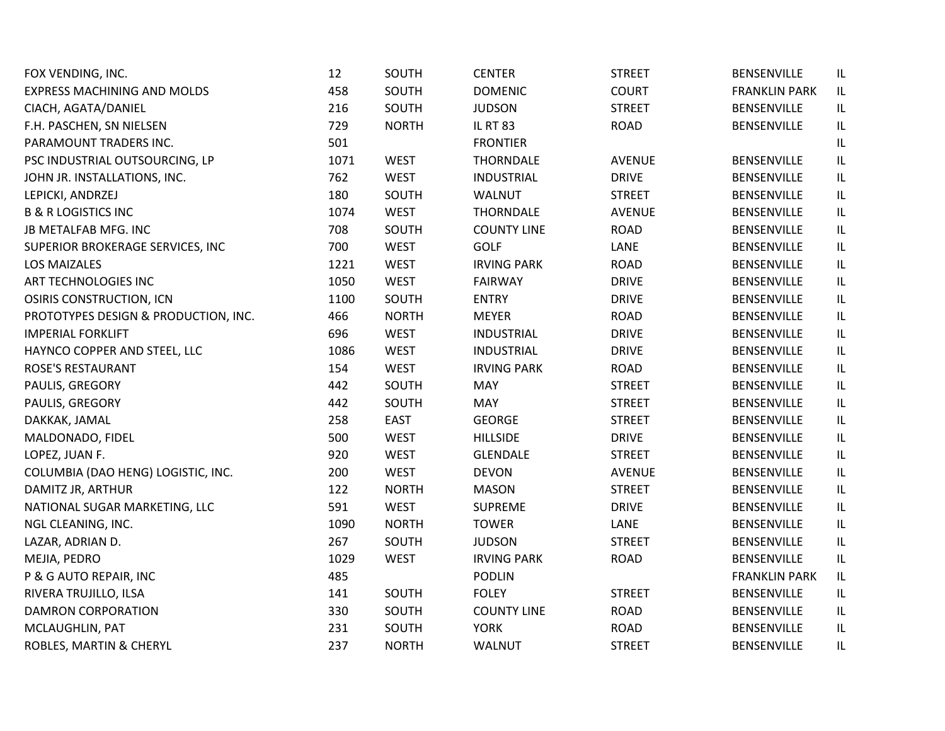| FOX VENDING, INC.                    | 12   | SOUTH        | <b>CENTER</b>      | <b>STREET</b> | BENSENVILLE          | IL                                |
|--------------------------------------|------|--------------|--------------------|---------------|----------------------|-----------------------------------|
| EXPRESS MACHINING AND MOLDS          | 458  | SOUTH        | <b>DOMENIC</b>     | <b>COURT</b>  | <b>FRANKLIN PARK</b> | IL                                |
| CIACH, AGATA/DANIEL                  | 216  | SOUTH        | <b>JUDSON</b>      | <b>STREET</b> | <b>BENSENVILLE</b>   | IL                                |
| F.H. PASCHEN, SN NIELSEN             | 729  | <b>NORTH</b> | <b>IL RT 83</b>    | <b>ROAD</b>   | <b>BENSENVILLE</b>   | IL                                |
| PARAMOUNT TRADERS INC.               | 501  |              | <b>FRONTIER</b>    |               |                      | IL                                |
| PSC INDUSTRIAL OUTSOURCING, LP       | 1071 | <b>WEST</b>  | <b>THORNDALE</b>   | <b>AVENUE</b> | BENSENVILLE          | IL                                |
| JOHN JR. INSTALLATIONS, INC.         | 762  | <b>WEST</b>  | <b>INDUSTRIAL</b>  | <b>DRIVE</b>  | <b>BENSENVILLE</b>   | IL                                |
| LEPICKI, ANDRZEJ                     | 180  | SOUTH        | WALNUT             | <b>STREET</b> | BENSENVILLE          | IL                                |
| <b>B &amp; R LOGISTICS INC</b>       | 1074 | <b>WEST</b>  | <b>THORNDALE</b>   | <b>AVENUE</b> | BENSENVILLE          | IL                                |
| JB METALFAB MFG. INC                 | 708  | SOUTH        | <b>COUNTY LINE</b> | <b>ROAD</b>   | <b>BENSENVILLE</b>   | IL                                |
| SUPERIOR BROKERAGE SERVICES, INC     | 700  | <b>WEST</b>  | <b>GOLF</b>        | LANE          | <b>BENSENVILLE</b>   | IL                                |
| <b>LOS MAIZALES</b>                  | 1221 | <b>WEST</b>  | <b>IRVING PARK</b> | <b>ROAD</b>   | <b>BENSENVILLE</b>   | IL                                |
| ART TECHNOLOGIES INC                 | 1050 | <b>WEST</b>  | <b>FAIRWAY</b>     | <b>DRIVE</b>  | <b>BENSENVILLE</b>   | IL                                |
| <b>OSIRIS CONSTRUCTION, ICN</b>      | 1100 | SOUTH        | <b>ENTRY</b>       | <b>DRIVE</b>  | <b>BENSENVILLE</b>   | $\ensuremath{\mathsf{IL}}\xspace$ |
| PROTOTYPES DESIGN & PRODUCTION, INC. | 466  | <b>NORTH</b> | <b>MEYER</b>       | <b>ROAD</b>   | BENSENVILLE          | IL                                |
| <b>IMPERIAL FORKLIFT</b>             | 696  | <b>WEST</b>  | <b>INDUSTRIAL</b>  | <b>DRIVE</b>  | <b>BENSENVILLE</b>   | $\ensuremath{\mathsf{IL}}\xspace$ |
| HAYNCO COPPER AND STEEL, LLC         | 1086 | <b>WEST</b>  | <b>INDUSTRIAL</b>  | <b>DRIVE</b>  | BENSENVILLE          | IL                                |
| <b>ROSE'S RESTAURANT</b>             | 154  | <b>WEST</b>  | <b>IRVING PARK</b> | <b>ROAD</b>   | <b>BENSENVILLE</b>   | $\ensuremath{\mathsf{IL}}\xspace$ |
| PAULIS, GREGORY                      | 442  | SOUTH        | <b>MAY</b>         | <b>STREET</b> | BENSENVILLE          | IL                                |
| PAULIS, GREGORY                      | 442  | SOUTH        | MAY                | <b>STREET</b> | BENSENVILLE          | IL                                |
| DAKKAK, JAMAL                        | 258  | <b>EAST</b>  | <b>GEORGE</b>      | <b>STREET</b> | <b>BENSENVILLE</b>   | IL                                |
| MALDONADO, FIDEL                     | 500  | <b>WEST</b>  | <b>HILLSIDE</b>    | <b>DRIVE</b>  | BENSENVILLE          | IL                                |
| LOPEZ, JUAN F.                       | 920  | <b>WEST</b>  | <b>GLENDALE</b>    | <b>STREET</b> | <b>BENSENVILLE</b>   | IL                                |
| COLUMBIA (DAO HENG) LOGISTIC, INC.   | 200  | <b>WEST</b>  | <b>DEVON</b>       | <b>AVENUE</b> | <b>BENSENVILLE</b>   | IL                                |
| DAMITZ JR, ARTHUR                    | 122  | <b>NORTH</b> | <b>MASON</b>       | <b>STREET</b> | BENSENVILLE          | IL                                |
| NATIONAL SUGAR MARKETING, LLC        | 591  | <b>WEST</b>  | <b>SUPREME</b>     | <b>DRIVE</b>  | <b>BENSENVILLE</b>   | $\ensuremath{\mathsf{IL}}\xspace$ |
| NGL CLEANING, INC.                   | 1090 | <b>NORTH</b> | <b>TOWER</b>       | LANE          | BENSENVILLE          | IL                                |
| LAZAR, ADRIAN D.                     | 267  | SOUTH        | <b>JUDSON</b>      | <b>STREET</b> | BENSENVILLE          | $\ensuremath{\mathsf{IL}}\xspace$ |
| MEJIA, PEDRO                         | 1029 | <b>WEST</b>  | <b>IRVING PARK</b> | <b>ROAD</b>   | BENSENVILLE          | IL                                |
| P & G AUTO REPAIR, INC               | 485  |              | <b>PODLIN</b>      |               | <b>FRANKLIN PARK</b> | IL                                |
| RIVERA TRUJILLO, ILSA                | 141  | SOUTH        | <b>FOLEY</b>       | <b>STREET</b> | <b>BENSENVILLE</b>   | IL.                               |
| <b>DAMRON CORPORATION</b>            | 330  | SOUTH        | <b>COUNTY LINE</b> | <b>ROAD</b>   | BENSENVILLE          | IL                                |
| MCLAUGHLIN, PAT                      | 231  | SOUTH        | <b>YORK</b>        | <b>ROAD</b>   | BENSENVILLE          | IL                                |
| ROBLES, MARTIN & CHERYL              | 237  | <b>NORTH</b> | WALNUT             | <b>STREET</b> | <b>BENSENVILLE</b>   | IL                                |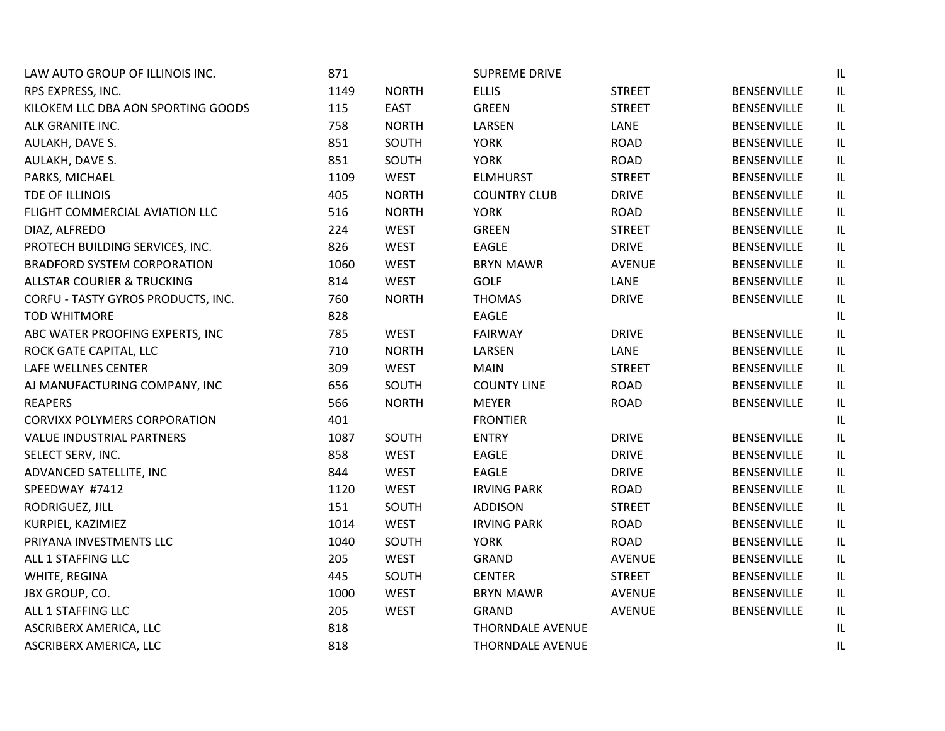| LAW AUTO GROUP OF ILLINOIS INC.       | 871  |              | <b>SUPREME DRIVE</b>    |               |                    | IL  |
|---------------------------------------|------|--------------|-------------------------|---------------|--------------------|-----|
| RPS EXPRESS, INC.                     | 1149 | <b>NORTH</b> | <b>ELLIS</b>            | <b>STREET</b> | BENSENVILLE        | IL. |
| KILOKEM LLC DBA AON SPORTING GOODS    | 115  | <b>EAST</b>  | <b>GREEN</b>            | <b>STREET</b> | <b>BENSENVILLE</b> | IL  |
| ALK GRANITE INC.                      | 758  | <b>NORTH</b> | LARSEN                  | LANE          | <b>BENSENVILLE</b> | IL  |
| AULAKH, DAVE S.                       | 851  | SOUTH        | <b>YORK</b>             | <b>ROAD</b>   | <b>BENSENVILLE</b> | IL  |
| AULAKH, DAVE S.                       | 851  | SOUTH        | <b>YORK</b>             | <b>ROAD</b>   | BENSENVILLE        | IL  |
| PARKS, MICHAEL                        | 1109 | <b>WEST</b>  | <b>ELMHURST</b>         | <b>STREET</b> | <b>BENSENVILLE</b> | IL  |
| TDE OF ILLINOIS                       | 405  | <b>NORTH</b> | <b>COUNTRY CLUB</b>     | <b>DRIVE</b>  | <b>BENSENVILLE</b> | IL  |
| FLIGHT COMMERCIAL AVIATION LLC        | 516  | <b>NORTH</b> | <b>YORK</b>             | <b>ROAD</b>   | <b>BENSENVILLE</b> | IL  |
| DIAZ, ALFREDO                         | 224  | <b>WEST</b>  | <b>GREEN</b>            | <b>STREET</b> | <b>BENSENVILLE</b> | IL. |
| PROTECH BUILDING SERVICES, INC.       | 826  | <b>WEST</b>  | <b>EAGLE</b>            | <b>DRIVE</b>  | <b>BENSENVILLE</b> | IL  |
| <b>BRADFORD SYSTEM CORPORATION</b>    | 1060 | <b>WEST</b>  | <b>BRYN MAWR</b>        | <b>AVENUE</b> | <b>BENSENVILLE</b> | IL  |
| <b>ALLSTAR COURIER &amp; TRUCKING</b> | 814  | <b>WEST</b>  | <b>GOLF</b>             | LANE          | <b>BENSENVILLE</b> | IL  |
| CORFU - TASTY GYROS PRODUCTS, INC.    | 760  | <b>NORTH</b> | <b>THOMAS</b>           | <b>DRIVE</b>  | <b>BENSENVILLE</b> | IL  |
| <b>TOD WHITMORE</b>                   | 828  |              | EAGLE                   |               |                    | IL  |
| ABC WATER PROOFING EXPERTS, INC       | 785  | <b>WEST</b>  | <b>FAIRWAY</b>          | <b>DRIVE</b>  | BENSENVILLE        | IL  |
| ROCK GATE CAPITAL, LLC                | 710  | <b>NORTH</b> | LARSEN                  | LANE          | <b>BENSENVILLE</b> | IL  |
| LAFE WELLNES CENTER                   | 309  | <b>WEST</b>  | <b>MAIN</b>             | <b>STREET</b> | <b>BENSENVILLE</b> | IL  |
| AJ MANUFACTURING COMPANY, INC         | 656  | SOUTH        | <b>COUNTY LINE</b>      | <b>ROAD</b>   | <b>BENSENVILLE</b> | IL  |
| <b>REAPERS</b>                        | 566  | <b>NORTH</b> | <b>MEYER</b>            | <b>ROAD</b>   | BENSENVILLE        | IL  |
| <b>CORVIXX POLYMERS CORPORATION</b>   | 401  |              | <b>FRONTIER</b>         |               |                    | IL  |
| VALUE INDUSTRIAL PARTNERS             | 1087 | SOUTH        | <b>ENTRY</b>            | <b>DRIVE</b>  | <b>BENSENVILLE</b> | IL  |
| SELECT SERV, INC.                     | 858  | <b>WEST</b>  | <b>EAGLE</b>            | <b>DRIVE</b>  | <b>BENSENVILLE</b> | IL  |
| ADVANCED SATELLITE, INC               | 844  | <b>WEST</b>  | EAGLE                   | <b>DRIVE</b>  | <b>BENSENVILLE</b> | IL  |
| SPEEDWAY #7412                        | 1120 | <b>WEST</b>  | <b>IRVING PARK</b>      | <b>ROAD</b>   | <b>BENSENVILLE</b> | IL  |
| RODRIGUEZ, JILL                       | 151  | SOUTH        | <b>ADDISON</b>          | <b>STREET</b> | BENSENVILLE        | IL  |
| KURPIEL, KAZIMIEZ                     | 1014 | <b>WEST</b>  | <b>IRVING PARK</b>      | <b>ROAD</b>   | BENSENVILLE        | IL  |
| PRIYANA INVESTMENTS LLC               | 1040 | SOUTH        | <b>YORK</b>             | <b>ROAD</b>   | <b>BENSENVILLE</b> | IL  |
| ALL 1 STAFFING LLC                    | 205  | <b>WEST</b>  | GRAND                   | <b>AVENUE</b> | BENSENVILLE        | IL  |
| WHITE, REGINA                         | 445  | SOUTH        | <b>CENTER</b>           | <b>STREET</b> | BENSENVILLE        | IL  |
| JBX GROUP, CO.                        | 1000 | <b>WEST</b>  | <b>BRYN MAWR</b>        | <b>AVENUE</b> | <b>BENSENVILLE</b> | IL  |
| ALL 1 STAFFING LLC                    | 205  | <b>WEST</b>  | <b>GRAND</b>            | <b>AVENUE</b> | BENSENVILLE        | IL  |
| ASCRIBERX AMERICA, LLC                | 818  |              | THORNDALE AVENUE        |               |                    | IL  |
| ASCRIBERX AMERICA, LLC                | 818  |              | <b>THORNDALE AVENUE</b> |               |                    | IL  |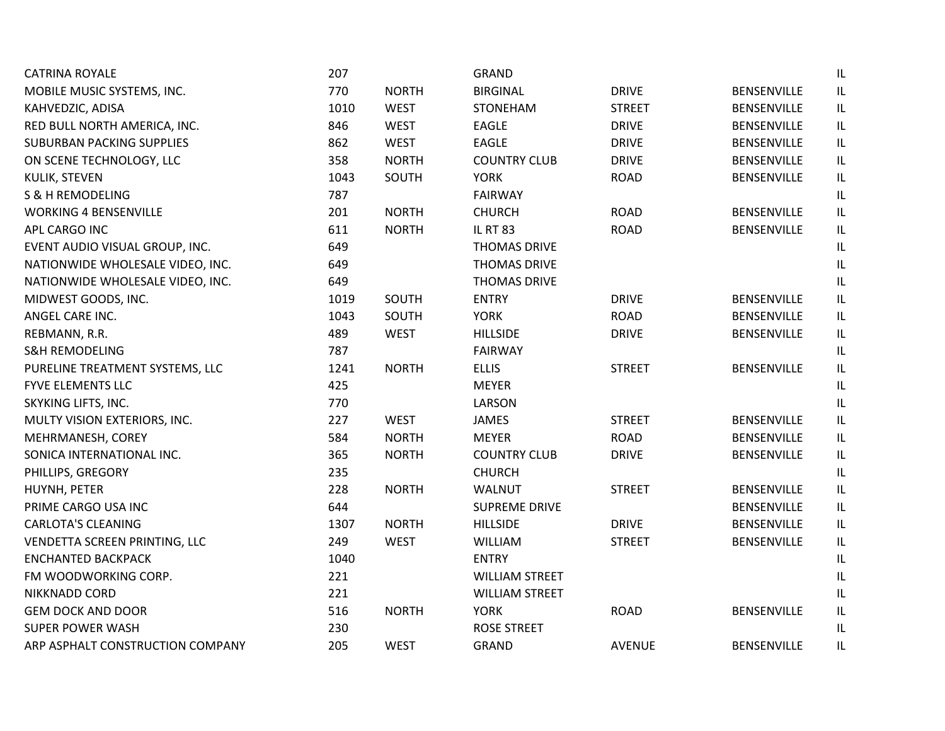| <b>CATRINA ROYALE</b>            | 207  |              | <b>GRAND</b>          |               |                    | IL                                |
|----------------------------------|------|--------------|-----------------------|---------------|--------------------|-----------------------------------|
| MOBILE MUSIC SYSTEMS, INC.       | 770  | <b>NORTH</b> | <b>BIRGINAL</b>       | <b>DRIVE</b>  | BENSENVILLE        | IL.                               |
| KAHVEDZIC, ADISA                 | 1010 | <b>WEST</b>  | STONEHAM              | <b>STREET</b> | <b>BENSENVILLE</b> | IL                                |
| RED BULL NORTH AMERICA, INC.     | 846  | <b>WEST</b>  | <b>EAGLE</b>          | <b>DRIVE</b>  | <b>BENSENVILLE</b> | IL                                |
| SUBURBAN PACKING SUPPLIES        | 862  | <b>WEST</b>  | EAGLE                 | <b>DRIVE</b>  | <b>BENSENVILLE</b> | IL                                |
| ON SCENE TECHNOLOGY, LLC         | 358  | <b>NORTH</b> | <b>COUNTRY CLUB</b>   | <b>DRIVE</b>  | <b>BENSENVILLE</b> | IL                                |
| KULIK, STEVEN                    | 1043 | SOUTH        | <b>YORK</b>           | <b>ROAD</b>   | BENSENVILLE        | IL                                |
| <b>S &amp; H REMODELING</b>      | 787  |              | <b>FAIRWAY</b>        |               |                    | IL                                |
| <b>WORKING 4 BENSENVILLE</b>     | 201  | <b>NORTH</b> | <b>CHURCH</b>         | <b>ROAD</b>   | <b>BENSENVILLE</b> | IL                                |
| APL CARGO INC                    | 611  | <b>NORTH</b> | <b>IL RT 83</b>       | <b>ROAD</b>   | <b>BENSENVILLE</b> | IL                                |
| EVENT AUDIO VISUAL GROUP, INC.   | 649  |              | <b>THOMAS DRIVE</b>   |               |                    | IL                                |
| NATIONWIDE WHOLESALE VIDEO, INC. | 649  |              | THOMAS DRIVE          |               |                    | IL                                |
| NATIONWIDE WHOLESALE VIDEO, INC. | 649  |              | <b>THOMAS DRIVE</b>   |               |                    | IL                                |
| MIDWEST GOODS, INC.              | 1019 | SOUTH        | <b>ENTRY</b>          | <b>DRIVE</b>  | <b>BENSENVILLE</b> | IL                                |
| ANGEL CARE INC.                  | 1043 | SOUTH        | <b>YORK</b>           | <b>ROAD</b>   | BENSENVILLE        | IL                                |
| REBMANN, R.R.                    | 489  | <b>WEST</b>  | <b>HILLSIDE</b>       | <b>DRIVE</b>  | <b>BENSENVILLE</b> | IL                                |
| <b>S&amp;H REMODELING</b>        | 787  |              | <b>FAIRWAY</b>        |               |                    | IL                                |
| PURELINE TREATMENT SYSTEMS, LLC  | 1241 | <b>NORTH</b> | <b>ELLIS</b>          | <b>STREET</b> | <b>BENSENVILLE</b> | $\sf IL$                          |
| <b>FYVE ELEMENTS LLC</b>         | 425  |              | <b>MEYER</b>          |               |                    | IL                                |
| SKYKING LIFTS, INC.              | 770  |              | LARSON                |               |                    | $\ensuremath{\mathsf{IL}}\xspace$ |
| MULTY VISION EXTERIORS, INC.     | 227  | <b>WEST</b>  | <b>JAMES</b>          | <b>STREET</b> | <b>BENSENVILLE</b> | IL                                |
| MEHRMANESH, COREY                | 584  | <b>NORTH</b> | <b>MEYER</b>          | <b>ROAD</b>   | BENSENVILLE        | IL                                |
| SONICA INTERNATIONAL INC.        | 365  | <b>NORTH</b> | <b>COUNTRY CLUB</b>   | <b>DRIVE</b>  | <b>BENSENVILLE</b> | IL                                |
| PHILLIPS, GREGORY                | 235  |              | <b>CHURCH</b>         |               |                    | IL                                |
| HUYNH, PETER                     | 228  | <b>NORTH</b> | WALNUT                | <b>STREET</b> | <b>BENSENVILLE</b> | IL                                |
| PRIME CARGO USA INC              | 644  |              | <b>SUPREME DRIVE</b>  |               | <b>BENSENVILLE</b> | IL                                |
| <b>CARLOTA'S CLEANING</b>        | 1307 | <b>NORTH</b> | <b>HILLSIDE</b>       | <b>DRIVE</b>  | <b>BENSENVILLE</b> | IL                                |
| VENDETTA SCREEN PRINTING, LLC    | 249  | <b>WEST</b>  | WILLIAM               | <b>STREET</b> | <b>BENSENVILLE</b> | IL                                |
| <b>ENCHANTED BACKPACK</b>        | 1040 |              | <b>ENTRY</b>          |               |                    | IL                                |
| FM WOODWORKING CORP.             | 221  |              | <b>WILLIAM STREET</b> |               |                    | IL                                |
| NIKKNADD CORD                    | 221  |              | <b>WILLIAM STREET</b> |               |                    | IL                                |
| <b>GEM DOCK AND DOOR</b>         | 516  | <b>NORTH</b> | <b>YORK</b>           | <b>ROAD</b>   | <b>BENSENVILLE</b> | $\sf IL$                          |
| <b>SUPER POWER WASH</b>          | 230  |              | <b>ROSE STREET</b>    |               |                    | IL                                |
| ARP ASPHALT CONSTRUCTION COMPANY | 205  | <b>WEST</b>  | <b>GRAND</b>          | <b>AVENUE</b> | <b>BENSENVILLE</b> | IL                                |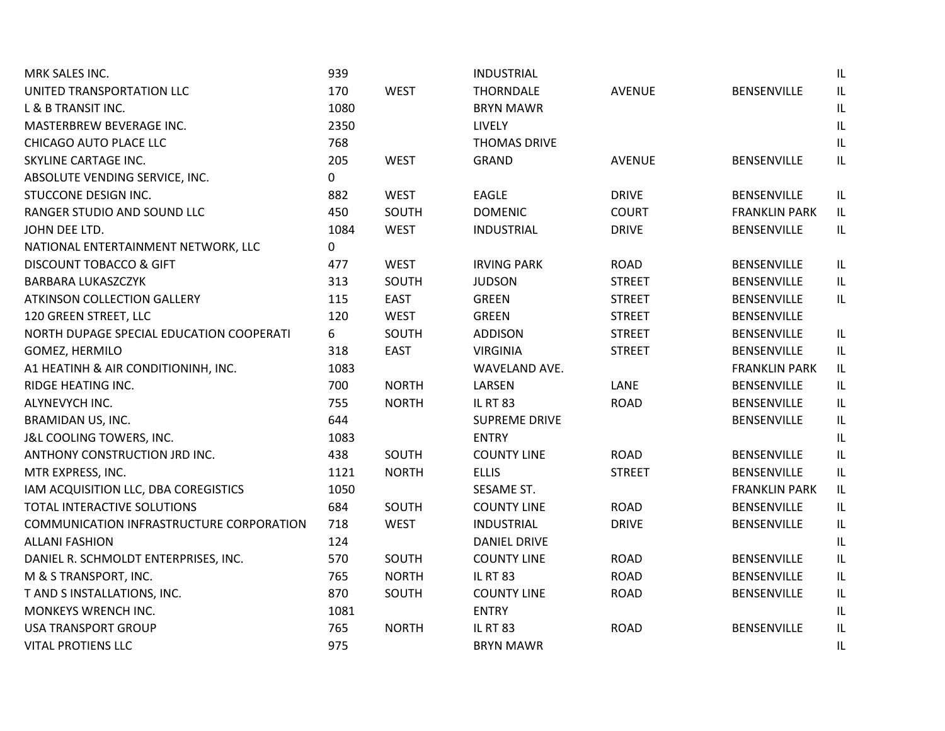| MRK SALES INC.                           | 939  |              | <b>INDUSTRIAL</b>    |               |                      | $\ensuremath{\mathsf{IL}}\xspace$ |
|------------------------------------------|------|--------------|----------------------|---------------|----------------------|-----------------------------------|
| UNITED TRANSPORTATION LLC                | 170  | <b>WEST</b>  | <b>THORNDALE</b>     | <b>AVENUE</b> | BENSENVILLE          | $\ensuremath{\mathsf{IL}}\xspace$ |
| L & B TRANSIT INC.                       | 1080 |              | <b>BRYN MAWR</b>     |               |                      | $\sf IL$                          |
| MASTERBREW BEVERAGE INC.                 | 2350 |              | LIVELY               |               |                      | $\ensuremath{\mathsf{IL}}\xspace$ |
| CHICAGO AUTO PLACE LLC                   | 768  |              | <b>THOMAS DRIVE</b>  |               |                      | $\ensuremath{\mathsf{IL}}\xspace$ |
| SKYLINE CARTAGE INC.                     | 205  | <b>WEST</b>  | <b>GRAND</b>         | <b>AVENUE</b> | <b>BENSENVILLE</b>   | IL                                |
| ABSOLUTE VENDING SERVICE, INC.           | 0    |              |                      |               |                      |                                   |
| STUCCONE DESIGN INC.                     | 882  | <b>WEST</b>  | <b>EAGLE</b>         | <b>DRIVE</b>  | BENSENVILLE          | IL                                |
| RANGER STUDIO AND SOUND LLC              | 450  | SOUTH        | <b>DOMENIC</b>       | <b>COURT</b>  | <b>FRANKLIN PARK</b> | IL                                |
| JOHN DEE LTD.                            | 1084 | <b>WEST</b>  | <b>INDUSTRIAL</b>    | <b>DRIVE</b>  | BENSENVILLE          | IL                                |
| NATIONAL ENTERTAINMENT NETWORK, LLC      | 0    |              |                      |               |                      |                                   |
| <b>DISCOUNT TOBACCO &amp; GIFT</b>       | 477  | <b>WEST</b>  | <b>IRVING PARK</b>   | <b>ROAD</b>   | <b>BENSENVILLE</b>   | IL                                |
| <b>BARBARA LUKASZCZYK</b>                | 313  | SOUTH        | <b>JUDSON</b>        | <b>STREET</b> | BENSENVILLE          | $\ensuremath{\mathsf{IL}}\xspace$ |
| <b>ATKINSON COLLECTION GALLERY</b>       | 115  | <b>EAST</b>  | <b>GREEN</b>         | <b>STREET</b> | BENSENVILLE          | IL                                |
| 120 GREEN STREET, LLC                    | 120  | <b>WEST</b>  | <b>GREEN</b>         | <b>STREET</b> | BENSENVILLE          |                                   |
| NORTH DUPAGE SPECIAL EDUCATION COOPERATI | 6    | SOUTH        | <b>ADDISON</b>       | <b>STREET</b> | <b>BENSENVILLE</b>   | $\ensuremath{\mathsf{IL}}\xspace$ |
| GOMEZ, HERMILO                           | 318  | <b>EAST</b>  | <b>VIRGINIA</b>      | <b>STREET</b> | <b>BENSENVILLE</b>   | IL                                |
| A1 HEATINH & AIR CONDITIONINH, INC.      | 1083 |              | WAVELAND AVE.        |               | <b>FRANKLIN PARK</b> | $\ensuremath{\mathsf{IL}}\xspace$ |
| RIDGE HEATING INC.                       | 700  | <b>NORTH</b> | LARSEN               | LANE          | BENSENVILLE          | IL                                |
| ALYNEVYCH INC.                           | 755  | <b>NORTH</b> | <b>IL RT 83</b>      | <b>ROAD</b>   | BENSENVILLE          | $\ensuremath{\mathsf{IL}}\xspace$ |
| BRAMIDAN US, INC.                        | 644  |              | <b>SUPREME DRIVE</b> |               | <b>BENSENVILLE</b>   | $\sf IL$                          |
| J&L COOLING TOWERS, INC.                 | 1083 |              | <b>ENTRY</b>         |               |                      | IL                                |
| ANTHONY CONSTRUCTION JRD INC.            | 438  | SOUTH        | <b>COUNTY LINE</b>   | <b>ROAD</b>   | <b>BENSENVILLE</b>   | L                                 |
| MTR EXPRESS, INC.                        | 1121 | <b>NORTH</b> | <b>ELLIS</b>         | <b>STREET</b> | BENSENVILLE          | IL                                |
| IAM ACQUISITION LLC, DBA COREGISTICS     | 1050 |              | SESAME ST.           |               | <b>FRANKLIN PARK</b> | IL                                |
| TOTAL INTERACTIVE SOLUTIONS              | 684  | SOUTH        | <b>COUNTY LINE</b>   | <b>ROAD</b>   | BENSENVILLE          | $\ensuremath{\mathsf{IL}}\xspace$ |
| COMMUNICATION INFRASTRUCTURE CORPORATION | 718  | <b>WEST</b>  | <b>INDUSTRIAL</b>    | <b>DRIVE</b>  | <b>BENSENVILLE</b>   | $\sf IL$                          |
| <b>ALLANI FASHION</b>                    | 124  |              | <b>DANIEL DRIVE</b>  |               |                      | $\ensuremath{\mathsf{IL}}\xspace$ |
| DANIEL R. SCHMOLDT ENTERPRISES, INC.     | 570  | SOUTH        | <b>COUNTY LINE</b>   | <b>ROAD</b>   | BENSENVILLE          | IL                                |
| M & S TRANSPORT, INC.                    | 765  | <b>NORTH</b> | <b>IL RT 83</b>      | <b>ROAD</b>   | BENSENVILLE          | $\sf IL$                          |
| T AND S INSTALLATIONS, INC.              | 870  | SOUTH        | <b>COUNTY LINE</b>   | <b>ROAD</b>   | BENSENVILLE          | $\ensuremath{\mathsf{IL}}\xspace$ |
| MONKEYS WRENCH INC.                      | 1081 |              | <b>ENTRY</b>         |               |                      | $\ensuremath{\mathsf{IL}}\xspace$ |
| <b>USA TRANSPORT GROUP</b>               | 765  | <b>NORTH</b> | <b>IL RT 83</b>      | <b>ROAD</b>   | BENSENVILLE          | $\ensuremath{\mathsf{IL}}\xspace$ |
| <b>VITAL PROTIENS LLC</b>                | 975  |              | <b>BRYN MAWR</b>     |               |                      | $\ensuremath{\mathsf{IL}}\xspace$ |